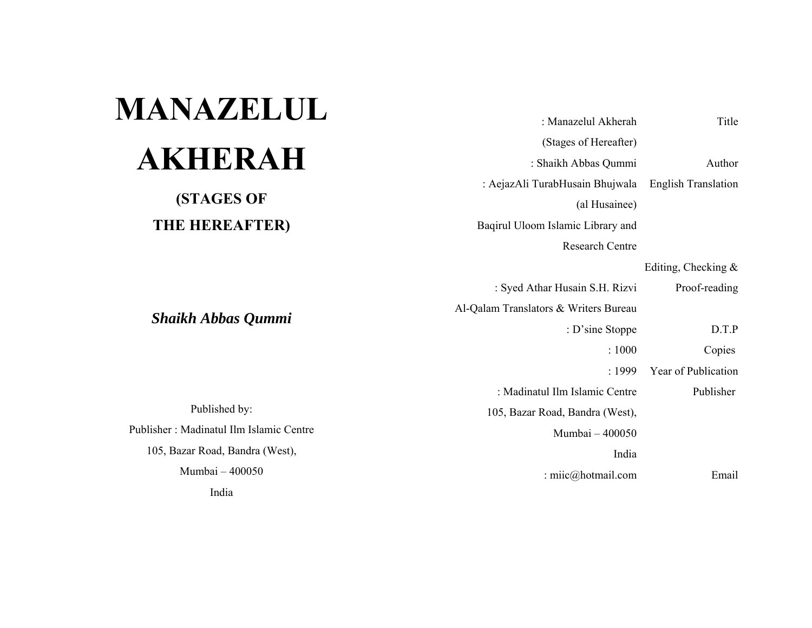| <b>MANAZELUL</b>                        |                                       |                            |
|-----------------------------------------|---------------------------------------|----------------------------|
|                                         | : Manazelul Akherah                   | Title                      |
|                                         | (Stages of Hereafter)                 |                            |
| <b>AKHERAH</b>                          | : Shaikh Abbas Qummi                  | Author                     |
|                                         | : AejazAli TurabHusain Bhujwala       | <b>English Translation</b> |
| <b>(STAGES OF</b>                       | (al Husainee)                         |                            |
| THE HEREAFTER)                          | Baqirul Uloom Islamic Library and     |                            |
|                                         | <b>Research Centre</b>                |                            |
|                                         |                                       | Editing, Checking &        |
|                                         | : Syed Athar Husain S.H. Rizvi        | Proof-reading              |
|                                         | Al-Qalam Translators & Writers Bureau |                            |
| <b>Shaikh Abbas Qummi</b>               | : D'sine Stoppe                       | D.T.P                      |
|                                         | : 1000                                | Copies                     |
|                                         | : $1999$                              | Year of Publication        |
|                                         | : Madinatul Ilm Islamic Centre        | Publisher                  |
| Published by:                           | 105, Bazar Road, Bandra (West),       |                            |
| Publisher: Madinatul Ilm Islamic Centre | Mumbai - 400050                       |                            |
| 105, Bazar Road, Bandra (West),         | India                                 |                            |
| Mumbai - 400050                         | : miic@hotmail.com                    | Email                      |
| India                                   |                                       |                            |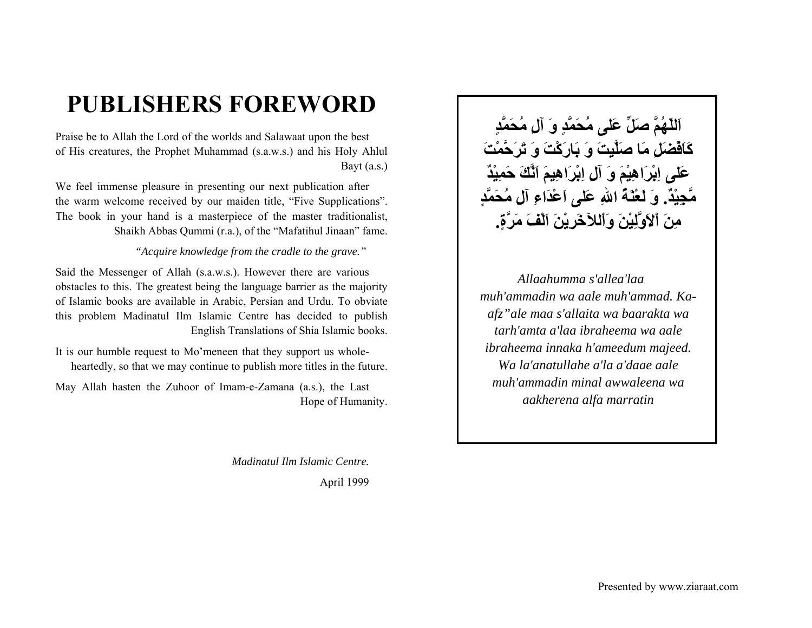# **PUBLISHERS FOREWORD**

Praise be to Allah the Lord of the worlds and Salawaat upon the best of His creatures, the Prophet Muhammad (s.a.w.s.) and his Holy Ahlul Bayt (a.s.)

We feel immense pleasure in presenting our next publication after the warm welcome received by our maiden title, "Five Supplications". The book in your hand is a masterpiece of the master traditionalist, Shaikh Abbas Qummi (r.a.), of the "Mafatihul Jinaan" fame.

#### *"Acquire knowledge from the cradle to the grave."*

Said the Messenger of Allah (s.a.w.s.). However there are various obstacles to this. The greatest being the language barrier as the majority of Islamic books are available in Arabic, Persian and Urdu. To obviate this problem Madinatul Ilm Islamic Centre has decided to publish English Translations of Shia Islamic books.

It is our humble request to Mo'meneen that they support us wholeheartedly, so that we may continue to publish more titles in the future.

May Allah hasten the Zuhoor of Imam-e-Zamana (a.s.), the Last Hope of Humanity.

> *Madinatul Ilm Islamic Centre.*April 1999

**اَللّهُمَّ صَلِّ عَلى مُحَمَّدٍ وَ آلِ مُحَمَّدٍ آَاَفْضَلِ مَا صَلَّيِتَ وَ بَارَآْتَ وَ تَرَحَّمْتَ عَلى اِبْرَاهِيْمَ وَ آلِ اِبْرَاهِيمَ اَنَّكَ حَمِيْدٌ مَّجِيْد.ٌ وَ لَعْنَةُ االلهِ عَلى اَعْدَاءِ آلِ مُحَمَّدٍ مِنَ اْلاَوَّلِيْنَ وَاْللآخَرِيْنَ اَلْفَ مَرَّة.ٍ**

 *Allaahumma s'allea'laa muh'ammadin wa aale muh'ammad. Kaafz"ale maa s'allaita wa baarakta wa tarh'amta a'laa ibraheema wa aale ibraheema innaka h'ameedum majeed. Wa la'anatullahe a'la a'daae aale muh'ammadin minal awwaleena wa aakherena alfa marratin*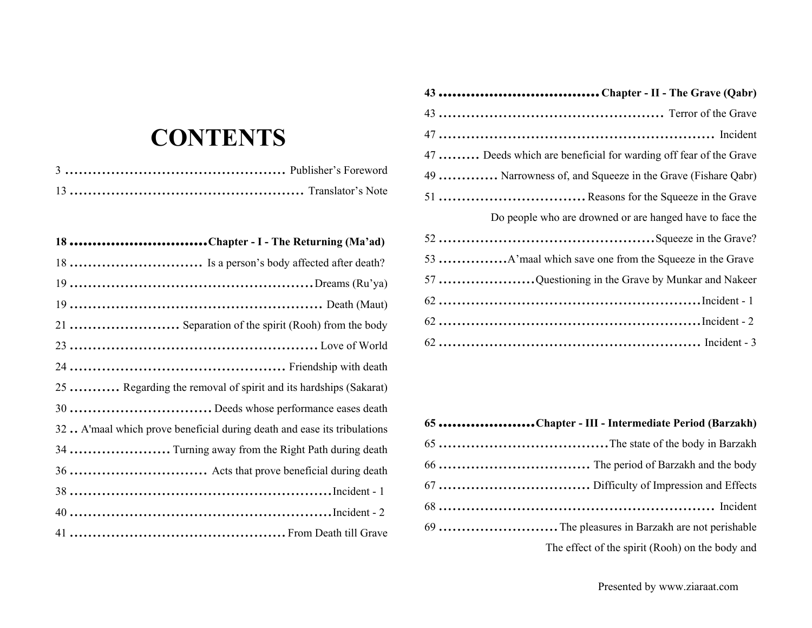| 43 Chapter - II - The Grave (Qabr)                               |  |
|------------------------------------------------------------------|--|
|                                                                  |  |
|                                                                  |  |
| 47  Deeds which are beneficial for warding off fear of the Grave |  |
| 49  Narrowness of, and Squeeze in the Grave (Fishare Qabr)       |  |
|                                                                  |  |
| Do people who are drowned or are hanged have to face the         |  |
|                                                                  |  |
|                                                                  |  |
| 57 Questioning in the Grave by Munkar and Nakeer                 |  |
|                                                                  |  |
|                                                                  |  |
|                                                                  |  |

| 65 Chapter - III - Intermediate Period (Barzakh) |  |
|--------------------------------------------------|--|
|                                                  |  |
|                                                  |  |
|                                                  |  |
|                                                  |  |
|                                                  |  |
| The effect of the spirit (Rooh) on the body and  |  |
|                                                  |  |

# **CONTENTS**

| 18 Chapter - I - The Returning (Ma'ad)                                   |  |
|--------------------------------------------------------------------------|--|
|                                                                          |  |
|                                                                          |  |
|                                                                          |  |
|                                                                          |  |
|                                                                          |  |
|                                                                          |  |
| 25  Regarding the removal of spirit and its hardships (Sakarat)          |  |
|                                                                          |  |
| 32. A'maal which prove beneficial during death and ease its tribulations |  |
|                                                                          |  |
|                                                                          |  |
|                                                                          |  |
|                                                                          |  |
|                                                                          |  |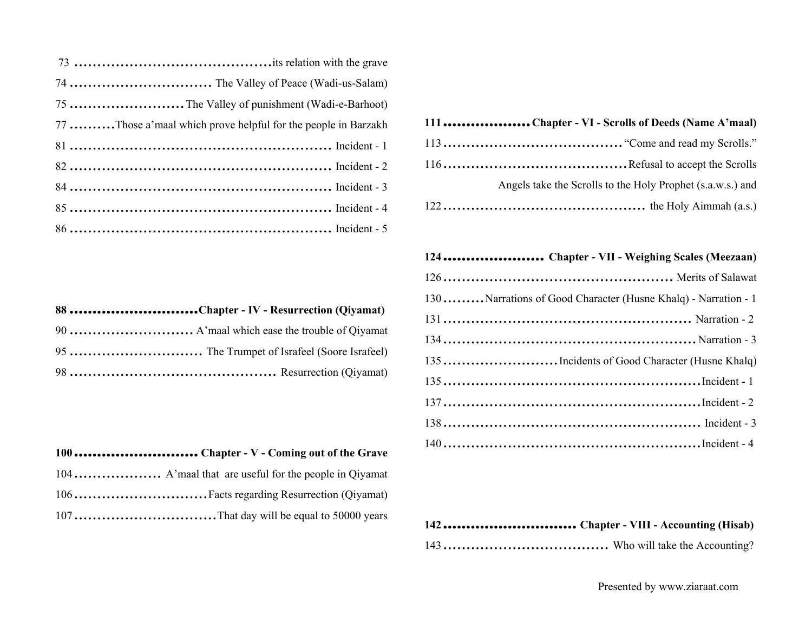| 77 Those a' maal which prove helpful for the people in Barzakh |
|----------------------------------------------------------------|
|                                                                |
|                                                                |
|                                                                |
|                                                                |
|                                                                |

**88 ............................Chapter - IV - Resurrection (Qiyamat)** 

| Angels take the Scrolls to the Holy Prophet (s.a.w.s.) and |
|------------------------------------------------------------|
|                                                            |
|                                                            |

#### **124 ...................... Chapter - VII - Weighing Scales (Meezaan)**

| 130  Narrations of Good Character (Husne Khalq) - Narration - 1 |  |
|-----------------------------------------------------------------|--|
|                                                                 |  |
|                                                                 |  |
|                                                                 |  |
|                                                                 |  |
|                                                                 |  |
|                                                                 |  |
|                                                                 |  |
|                                                                 |  |

|  | 134 |
|--|-----|
|  | 135 |
|  | 135 |
|  |     |
|  |     |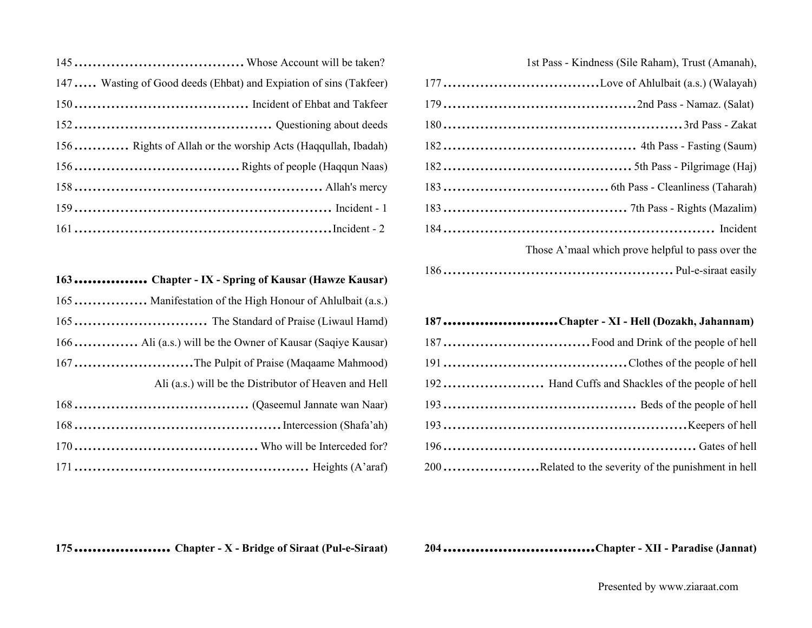1st Pass - Kindness (Sile Raham), Trust (Amanah),

| Those A'maal which prove helpful to pass over the |  |
|---------------------------------------------------|--|
|                                                   |  |

177 ..................................Love of Ahlulbait (a.s.) (Walayah)

| 187 Chapter - XI - Hell (Dozakh, Jahannam) |  |  |
|--------------------------------------------|--|--|
|                                            |  |  |

| 192 Hand Cuffs and Shackles of the people of hell    |  |
|------------------------------------------------------|--|
|                                                      |  |
|                                                      |  |
|                                                      |  |
| 200Related to the severity of the punishment in hell |  |

| 147 Wasting of Good deeds (Ehbat) and Expiation of sins (Takfeer) |
|-------------------------------------------------------------------|
|                                                                   |
|                                                                   |
| 156 Rights of Allah or the worship Acts (Haqquilah, Ibadah)       |
|                                                                   |
|                                                                   |
|                                                                   |
|                                                                   |

| 163 Chapter - IX - Spring of Kausar (Hawze Kausar)       |
|----------------------------------------------------------|
| 165 Manifestation of the High Honour of Ahlulbait (a.s.) |
|                                                          |
|                                                          |
| 167The Pulpit of Praise (Maqaame Mahmood)                |
| Ali (a.s.) will be the Distributor of Heaven and Hell    |
|                                                          |
|                                                          |
|                                                          |
|                                                          |

**204 .................................Chapter - XII - Paradise (Jannat)**

**175 ..................... Chapter - X - Bridge of Siraat (Pul-e-Siraat)**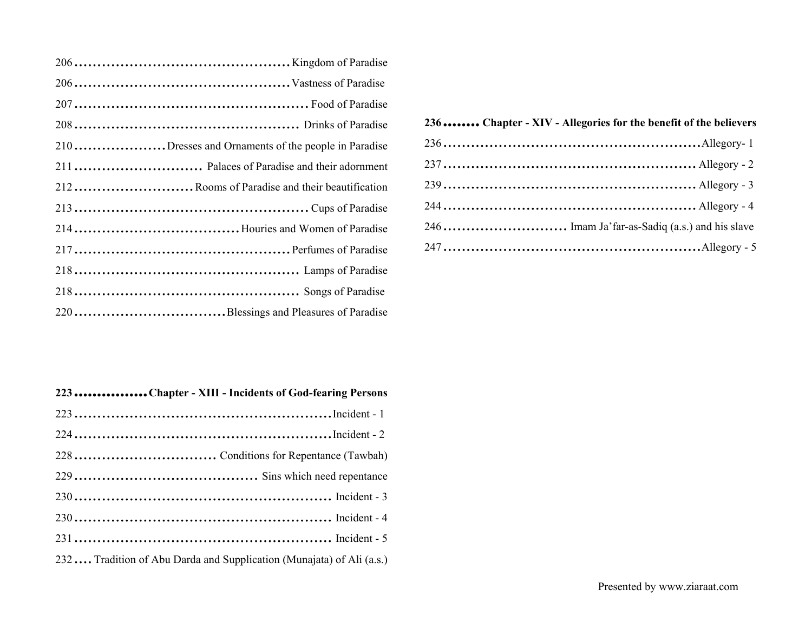| 210Dresses and Ornaments of the people in Paradise |
|----------------------------------------------------|
|                                                    |
| 212  Rooms of Paradise and their beautification    |
|                                                    |
|                                                    |
|                                                    |
|                                                    |
|                                                    |
|                                                    |

| 223 Chapter - XIII - Incidents of God-fearing Persons                |
|----------------------------------------------------------------------|
|                                                                      |
|                                                                      |
|                                                                      |
|                                                                      |
|                                                                      |
|                                                                      |
|                                                                      |
| 232 Tradition of Abu Darda and Supplication (Munajata) of Ali (a.s.) |

#### **236 ........ Chapter - XIV - Allegories for the benefit of the believers**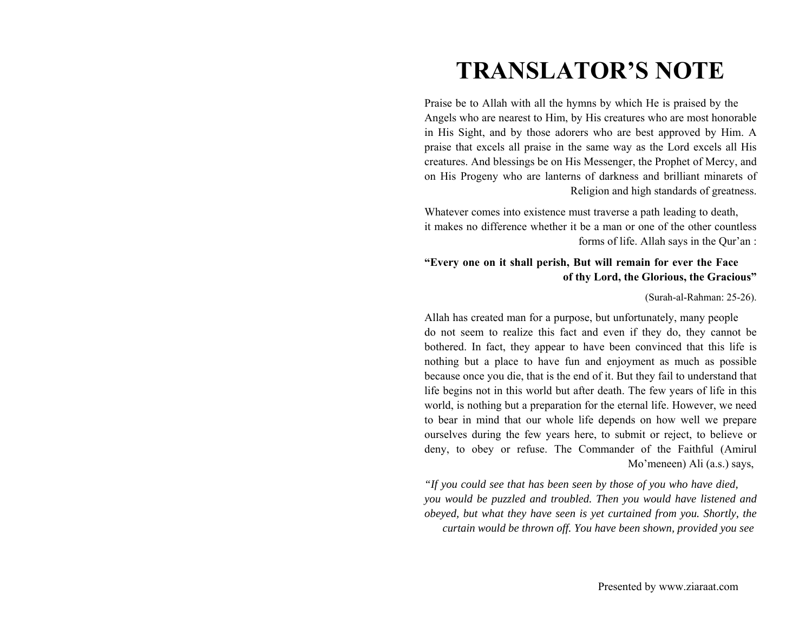# **TRANSLATOR'S NOTE**

Praise be to Allah with all the hymns by which He is praised by the Angels who are nearest to Him, by His creatures who are most honorable in His Sight, and by those adorers who are best approved by Him. A praise that excels all praise in the same way as the Lord excels all His creatures. And blessings be on His Messenger, the Prophet of Mercy, and on His Progeny who are lanterns of darkness and brilliant minarets of Religion and high standards of greatness.

Whatever comes into existence must traverse a path leading to death, it makes no difference whether it be a man or one of the other countless forms of life. Allah says in the Qur'an :

#### **"Every one on it shall perish, But will remain for ever the Face of thy Lord, the Glorious, the Gracious"**

#### (Surah-al-Rahman: 25-26).

Allah has created man for a purpose, but unfortunately, many people do not seem to realize this fact and even if they do, they cannot be bothered. In fact, they appear to have been convinced that this life is nothing but a place to have fun and enjoyment as much as possible because once you die, that is the end of it. But they fail to understand that life begins not in this world but after death. The few years of life in this world, is nothing but a preparation for the eternal life. However, we need to bear in mind that our whole life depends on how well we prepare ourselves during the few years here, to submit or reject, to believe or deny, to obey or refuse. The Commander of the Faithful (Amirul Mo'meneen) Ali (a.s.) says,

*"If you could see that has been seen by those of you who have died, you would be puzzled and troubled. Then you would have listened and obeyed, but what they have seen is yet curtained from you. Shortly, the curtain would be thrown off. You have been shown, provided you see*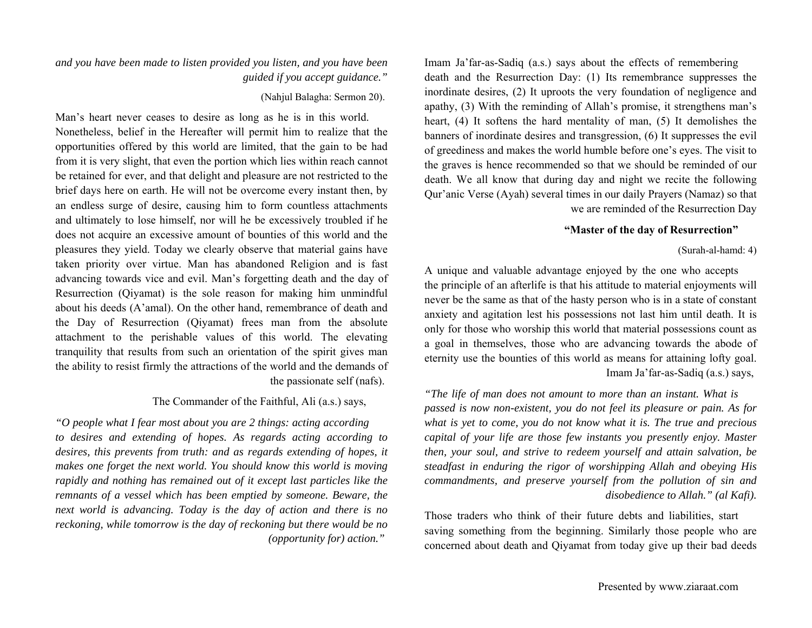Imam Ja'far-as-Sadiq (a.s.) says about the effects of remembering death and the Resurrection Day: (1) Its remembrance suppresses the inordinate desires, (2) It uproots the very foundation of negligence and apathy, (3) With the reminding of Allah's promise, it strengthens man's heart, (4) It softens the hard mentality of man, (5) It demolishes the banners of inordinate desires and transgression, (6) It suppresses the evil of greediness and makes the world humble before one's eyes. The visit to the graves is hence recommended so that we should be reminded of our death. We all know that during day and night we recite the following Qur'anic Verse (Ayah) several times in our daily Prayers (Namaz) so that we are reminded of the Resurrection Day

#### **"Master of the day of Resurrection"**

#### (Surah-al-hamd: 4)

A unique and valuable advantage enjoyed by the one who accepts the principle of an afterlife is that his attitude to material enjoyments will never be the same as that of the hasty person who is in a state of constant anxiety and agitation lest his possessions not last him until death. It is only for those who worship this world that material possessions count as a goal in themselves, those who are advancing towards the abode of eternity use the bounties of this world as means for attaining lofty goal. Imam Ja'far-as-Sadiq (a.s.) says,

*"The life of man does not amount to more than an instant. What is passed is now non-existent, you do not feel its pleasure or pain. As for what is yet to come, you do not know what it is. The true and precious capital of your life are those few instants you presently enjoy. Master then, your soul, and strive to redeem yourself and attain salvation, be steadfast in enduring the rigor of worshipping Allah and obeying His commandments, and preserve yourself from the pollution of sin and disobedience to Allah." (al Kafi).*

Those traders who think of their future debts and liabilities, start saving something from the beginning. Similarly those people who are concerned about death and Qiyamat from today give up their bad deeds

#### *and you have been made to listen provided you listen, and you have been guided if you accept guidance."*

#### (Nahjul Balagha: Sermon 20).

Man's heart never ceases to desire as long as he is in this world. Nonetheless, belief in the Hereafter will permit him to realize that the opportunities offered by this world are limited, that the gain to be had from it is very slight, that even the portion which lies within reach cannot be retained for ever, and that delight and pleasure are not restricted to the brief days here on earth. He will not be overcome every instant then, by an endless surge of desire, causing him to form countless attachments and ultimately to lose himself, nor will he be excessively troubled if he does not acquire an excessive amount of bounties of this world and the pleasures they yield. Today we clearly observe that material gains have taken priority over virtue. Man has abandoned Religion and is fast advancing towards vice and evil. Man's forgetting death and the day of Resurrection (Qiyamat) is the sole reason for making him unmindful about his deeds (A'amal). On the other hand, remembrance of death and the Day of Resurrection (Qiyamat) frees man from the absolute attachment to the perishable values of this world. The elevating tranquility that results from such an orientation of the spirit gives man the ability to resist firmly the attractions of the world and the demands of the passionate self (nafs).

#### The Commander of the Faithful, Ali (a.s.) says,

*"O people what I fear most about you are 2 things: acting according to desires and extending of hopes. As regards acting according to desires, this prevents from truth: and as regards extending of hopes, it makes one forget the next world. You should know this world is moving rapidly and nothing has remained out of it except last particles like the remnants of a vessel which has been emptied by someone. Beware, the next world is advancing. Today is the day of action and there is no reckoning, while tomorrow is the day of reckoning but there would be no (opportunity for) action."*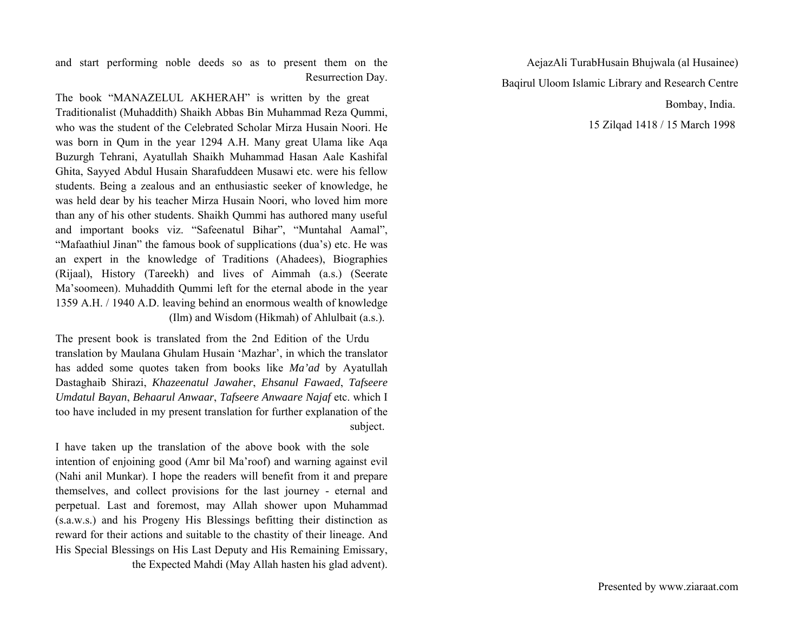and start performing noble deeds so as to present them on the Resurrection Day.

The book "MANAZELUL AKHERAH" is written by the great Traditionalist (Muhaddith) Shaikh Abbas Bin Muhammad Reza Qummi, who was the student of the Celebrated Scholar Mirza Husain Noori. He was born in Qum in the year 1294 A.H. Many great Ulama like Aqa Buzurgh Tehrani, Ayatullah Shaikh Muhammad Hasan Aale Kashifal Ghita, Sayyed Abdul Husain Sharafuddeen Musawi etc. were his fellow students. Being a zealous and an enthusiastic seeker of knowledge, he was held dear by his teacher Mirza Husain Noori, who loved him more than any of his other students. Shaikh Qummi has authored many useful and important books viz. "Safeenatul Bihar", "Muntahal Aamal", "Mafaathiul Jinan" the famous book of supplications (dua's) etc. He was an expert in the knowledge of Traditions (Ahadees), Biographies (Rijaal), History (Tareekh) and lives of Aimmah (a.s.) (Seerate Ma'soomeen). Muhaddith Qummi left for the eternal abode in the year 1359 A.H. / 1940 A.D. leaving behind an enormous wealth of knowledge (Ilm) and Wisdom (Hikmah) of Ahlulbait (a.s.).

The present book is translated from the 2nd Edition of the Urdu translation by Maulana Ghulam Husain 'Mazhar', in which the translator has added some quotes taken from books like *Ma'ad* by Ayatullah Dastaghaib Shirazi, *Khazeenatul Jawaher*, *Ehsanul Fawaed*, *Tafseere Umdatul Bayan*, *Behaarul Anwaar*, *Tafseere Anwaare Najaf* etc. which I too have included in my present translation for further explanation of the subject.

I have taken up the translation of the above book with the sole intention of enjoining good (Amr bil Ma'roof) and warning against evil (Nahi anil Munkar). I hope the readers will benefit from it and prepare themselves, and collect provisions for the last journey - eternal and perpetual. Last and foremost, may Allah shower upon Muhammad (s.a.w.s.) and his Progeny His Blessings befitting their distinction as reward for their actions and suitable to the chastity of their lineage. And His Special Blessings on His Last Deputy and His Remaining Emissary, the Expected Mahdi (May Allah hasten his glad advent).

AejazAli TurabHusain Bhujwala (al Husainee) Baqirul Uloom Islamic Library and Research Centre Bombay, India. 15 Zilqad 1418 / 15 March 1998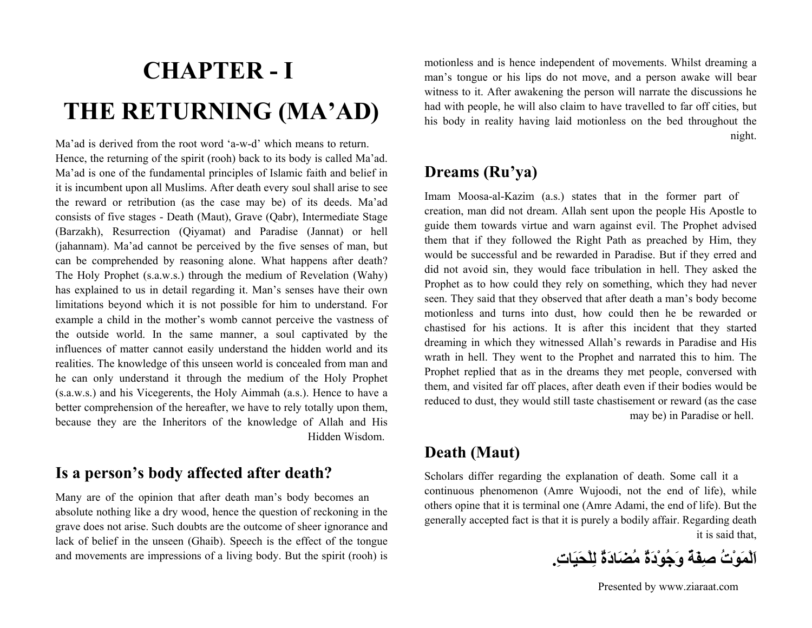# **CHAPTER - I THE RETURNING (MA'AD)**

Ma'ad is derived from the root word 'a-w-d' which means to return. Hence, the returning of the spirit (rooh) back to its body is called Ma'ad. Ma'ad is one of the fundamental principles of Islamic faith and belief in it is incumbent upon all Muslims. After death every soul shall arise to see the reward or retribution (as the case may be) of its deeds. Ma'ad consists of five stages - Death (Maut), Grave (Qabr), Intermediate Stage (Barzakh), Resurrection (Qiyamat) and Paradise (Jannat) or hell (jahannam). Ma'ad cannot be perceived by the five senses of man, but can be comprehended by reasoning alone. What happens after death? The Holy Prophet (s.a.w.s.) through the medium of Revelation (Wahy) has explained to us in detail regarding it. Man's senses have their own limitations beyond which it is not possible for him to understand. For example a child in the mother's womb cannot perceive the vastness of the outside world. In the same manner, a soul captivated by the influences of matter cannot easily understand the hidden world and its realities. The knowledge of this unseen world is concealed from man and he can only understand it through the medium of the Holy Prophet (s.a.w.s.) and his Vicegerents, the Holy Aimmah (a.s.). Hence to have a better comprehension of the hereafter, we have to rely totally upon them, because they are the Inheritors of the knowledge of Allah and His Hidden Wisdom.

### **Is a person's body affected after death?**

Many are of the opinion that after death man's body becomes an absolute nothing like a dry wood, hence the question of reckoning in the grave does not arise. Such doubts are the outcome of sheer ignorance and lack of belief in the unseen (Ghaib). Speech is the effect of the tongue and movements are impressions of a living body. But the spirit (rooh) is

motionless and is hence independent of movements. Whilst dreaming a man's tongue or his lips do not move, and a person awake will bear witness to it. After awakening the person will narrate the discussions he had with people, he will also claim to have travelled to far off cities, but his body in reality having laid motionless on the bed throughout the night.

### **Dreams (Ru'ya)**

Imam Moosa-al-Kazim (a.s.) states that in the former part of creation, man did not dream. Allah sent upon the people His Apostle to guide them towards virtue and warn against evil. The Prophet advised them that if they followed the Right Path as preached by Him, they would be successful and be rewarded in Paradise. But if they erred and did not avoid sin, they would face tribulation in hell. They asked the Prophet as to how could they rely on something, which they had never seen. They said that they observed that after death a man's body become motionless and turns into dust, how could then he be rewarded or chastised for his actions. It is after this incident that they started dreaming in which they witnessed Allah's rewards in Paradise and His wrath in hell. They went to the Prophet and narrated this to him. The Prophet replied that as in the dreams they met people, conversed with them, and visited far off places, after death even if their bodies would be reduced to dust, they would still taste chastisement or reward (as the case may be) in Paradise or hell.

### **Death (Maut)**

Scholars differ regarding the explanation of death. Some call it a continuous phenomenon (Amre Wujoodi, not the end of life), while others opine that it is terminal one (Amre Adami, the end of life). But the generally accepted fact is that it is purely a bodily affair. Regarding death it is said that,

**اَلْمَوْتُ صِفَةٌ وَجُوْدَةٌ مُضَادَةٌ لِلْحَيَات.ِ**

Presented by www.ziaraat.com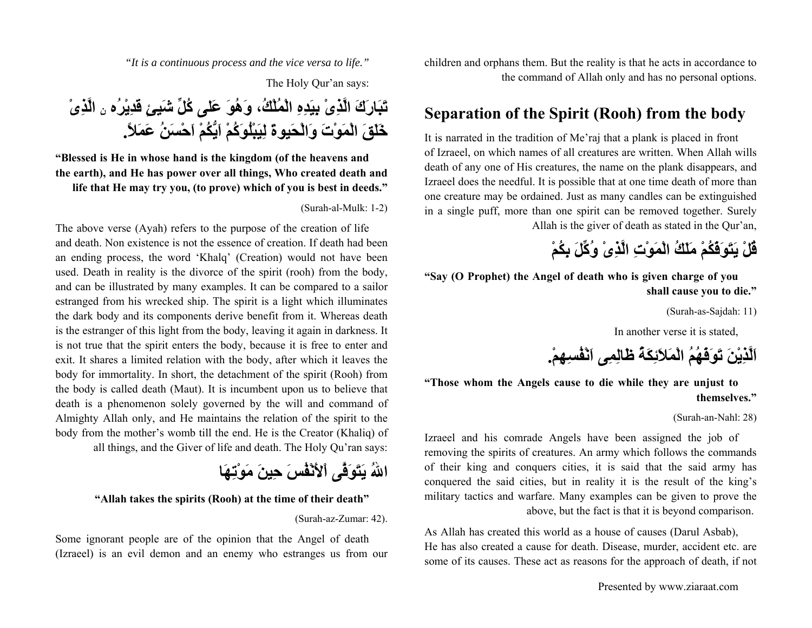children and orphans them. But the reality is that he acts in accordance to the command of Allah only and has no personal options.

### **Separation of the Spirit (Rooh) from the body**

It is narrated in the tradition of Me'raj that a plank is placed in front of Izraeel, on which names of all creatures are written. When Allah wills death of any one of His creatures, the name on the plank disappears, and Izraeel does the needful. It is possible that at one time death of more than one creature may be ordained. Just as many candles can be extinguished in a single puff, more than one spirit can be removed together. Surely Allah is the giver of death as stated in the Qur'an,

## **قُلْ يَتَوَفّكُمْ مَلَكُ الْمَوْتِ الَّذِىْ وُآِّلَ بِكُمْ**

**"Say (O Prophet) the Angel of death who is given charge of you shall cause you to die."**

(Surah-as-Sajdah: 11)

In another verse it is stated,

**اَلَّذِيْنَ تَوَفّهُمُ الْمَلاَئِكَةُ ظَالِمِى اَنْفُسِهِم.ْ**

**"Those whom the Angels cause to die while they are unjust to themselves."**

#### (Surah-an-Nahl: 28)

Izraeel and his comrade Angels have been assigned the job of removing the spirits of creatures. An army which follows the commands of their king and conquers cities, it is said that the said army has conquered the said cities, but in reality it is the result of the king's military tactics and warfare. Many examples can be given to prove the above, but the fact is that it is beyond comparison.

As Allah has created this world as a house of causes (Darul Asbab), He has also created a cause for death. Disease, murder, accident etc. are some of its causes. These act as reasons for the approach of death, if not

Presented by www.ziaraat.com

*"It is a continuous process and the vice versa to life."*

The Holy Qur'an says:

**الَّذِىْ تَبَارَكَ الَّذِىْ بِيَدِهِ الْمُلْك،ُ وَهُوَ عَلى آُلِّ شَيئٍ قَدِيْرُه ِن خَلَقَ الْمَوْتَ وَالْحَيوةَ لِيَبْلُوَآُمْ اَيُّكُمْ اَحْسَنُ عَمَلا.ً**

**"Blessed is He in whose hand is the kingdom (of the heavens and the earth), and He has power over all things, Who created death and life that He may try you, (to prove) which of you is best in deeds."**

(Surah-al-Mulk: 1-2)

The above verse (Ayah) refers to the purpose of the creation of life and death. Non existence is not the essence of creation. If death had been an ending process, the word 'Khalq' (Creation) would not have been used. Death in reality is the divorce of the spirit (rooh) from the body, and can be illustrated by many examples. It can be compared to a sailor estranged from his wrecked ship. The spirit is a light which illuminates the dark body and its components derive benefit from it. Whereas death is the estranger of this light from the body, leaving it again in darkness. It is not true that the spirit enters the body, because it is free to enter and exit. It shares a limited relation with the body, after which it leaves the body for immortality. In short, the detachment of the spirit (Rooh) from the body is called death (Maut). It is incumbent upon us to believe that death is a phenomenon solely governed by the will and command of Almighty Allah only, and He maintains the relation of the spirit to the body from the mother's womb till the end. He is the Creator (Khaliq) of all things, and the Giver of life and death. The Holy Qu'ran says:

**االلهُ يَتَوَفَّى اْلأَنْفُسَ حِينَ مَوْتِهَا**

#### **"Allah takes the spirits (Rooh) at the time of their death"**

(Surah-az-Zumar: 42).

Some ignorant people are of the opinion that the Angel of death (Izraeel) is an evil demon and an enemy who estranges us from our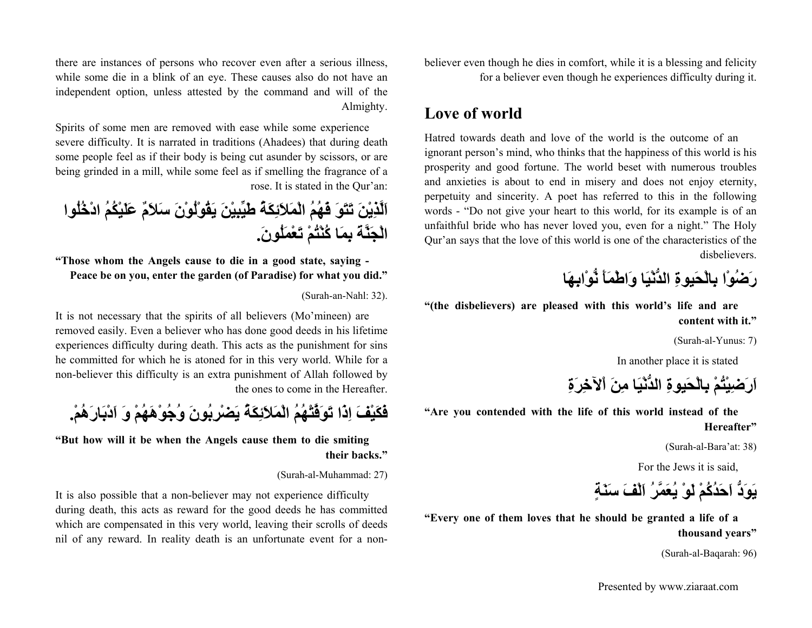believer even though he dies in comfort, while it is a blessing and felicity for a believer even though he experiences difficulty during it.

### **Love of world**

Hatred towards death and love of the world is the outcome of an ignorant person's mind, who thinks that the happiness of this world is his prosperity and good fortune. The world beset with numerous troubles and anxieties i

# **اَهِابْنُّو َأَمْاطَو اَيْالدُّن ِيوةَحْالِب <sup>ا</sup>ْوُضَر**

**)" the disbelievers) are pleased with this world's life and are content with it."**

(Surah-al-Yunus: 7)

In another place it is stated

**ِةَرِلآخْا َنِم اَيْالدُّن ِيوةَحْالِب ْمُتْيِضَرَا**

**" Are you contended with the life of this world instead of the Hereafter"**

(Surah-al-Bara'at: 38)

For the Jews it is said,

**ٍةَنَس َفْلَا ُمَّرَعُي ْوَل ْمُآُدَحَا دَُّوَي**

**" Every one of them loves that he should be granted a life of a thousand years"**

(Surah-al-Baqarah: 96)

there are instances of persons who recover even after a serious illness, while some die in a blink of an eye. These causes also do not have an independent option, unless attested by the command and will of the Almighty.

Spirits of some men are removed with ease while some experience severe difficulty. It is narrated in traditions (Ahadees) that during death some people feel as if their body is being cut asunder by scissors, or are being grinded in a mill, while some feel as if smelling the fragrance of a rose. It is stated in the Qur'an:

**اَلَّذِيْنَ تَتَوَ فّهُمُ الْمَلاَئِكَةُ طَيِّبِيْنَ يَقُوْلُوْنَ سَلاَمٌ عَلَيْكُمُ ادْخُلُوا الْجَنَّةَ بِمَا آُنْتُمْ تَعْمَلُون.َ**

**"Those whom the Angels cause to die in a good state, saying - Peace be on you, enter the garden (of Paradise) for what you did."**

(Surah-an-Nahl: 32).

It is not necessary that the spirits of all believers (Mo'mineen) are removed easily. Even a believer who has done good deeds in his lifetime experiences difficulty during death. This acts as the punishment for sins he committed for which he is atoned for in this very world. While for a non-believer this difficulty is an extra punishment of Allah followed by the ones to come in the Hereafter.

**فَكَيْفَ اِذَا تَوَفَّتْهُمُ الْمَلاَئِكَةُ يَضْرِبُونَ وُجُوْهَهُمْ وَ اَدْبَارَهُم.ْ**

**"But how will it be when the Angels cause them to die smiting their backs."**

#### (Surah-al-Muhammad: 27)

It is also possible that a non-believer may not experience difficulty during death, this acts as reward for the good deeds he has committed which are compensated in this very world, leaving their scrolls of deeds nil of any reward. In reality death is an unfortunate event for a non-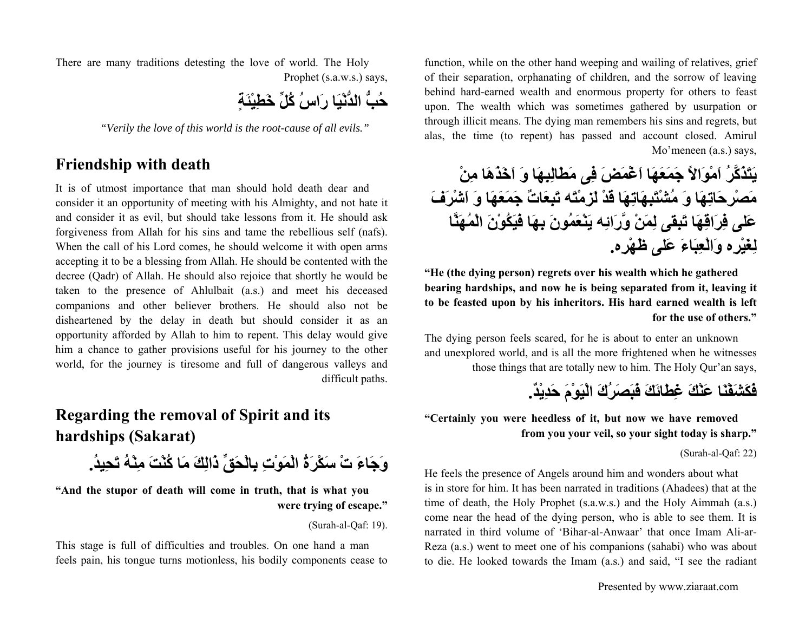function, while on the other hand weeping and wailing of relatives, grief of their separation, orphanating of children, and the sorrow of leaving behind hard-earned wealth and enormous property for others to feast upon. The wealth which was sometimes gathered by usurpation or through illicit means. The dying man remembers his sins and regrets, but alas, the time (to repent) has passed and account closed. Amirul Mo'meneen (a.s.) says,

**يَتَذَآَّرُ اَمْوَالاً جَمَعَهَا اَغْمَضَ فِى مَطَالِبِهَا وَ اَخَذَهَا مِنْ مَصْرِحَاتِهَا وَ مُشْتَبِهَاتِهَا قَدْ لَزِمْتَه تَبِعَاتٌ جَمَعَهَا وَ اَشْرَفَ عَلى فِرَاقِهَا تَبِقى لِمَنْ وَّرَائِه يَنْعَمُونَ بِهَا فَيَكُوْنَ الْمُهَنَّا لِغَيْرِه وَالْعِبَاءَ عَلى ظَهْرِه.**

**"He (the dying person) regrets over his wealth which he gathered bearing hardships, and now he is being separated from it, leaving it to be feasted upon by his inheritors. His hard earned wealth is left for the use of others."**

The dying person feels scared, for he is about to enter an unknown and unexplored world, and is all the more frightened when he witnesses those things that are totally new to him. The Holy Qur'an says,

**فَكَشَفْنَا عَنْكَ غِطَائَكَ فَبَصَرُكَ الْيَوْمَ حَدِيْد.ٌ**

**"Certainly you were heedless of it, but now we have removed from you your veil, so your sight today is sharp."**

(Surah-al-Qaf: 22)

He feels the presence of Angels around him and wonders about what is in store for him. It has been narrated in traditions (Ahadees) that at the time of death, the Holy Prophet (s.a.w.s.) and the Holy Aimmah (a.s.) come near the head of the dying person, who is able to see them. It is narrated in third volume of 'Bihar-al-Anwaar' that once Imam Ali-ar-Reza (a.s.) went to meet one of his companions (sahabi) who was about to die. He looked towards the Imam (a.s.) and said, "I see the radiant

Presented by www.ziaraat.com

There are many traditions detesting the love of world. The Holy Prophet (s.a.w.s.) says,

**حُبُّ الدُّنْيَا رَاسُ آُلِّ خَطِيْئَةٍ**

*"Verily the love of this world is the root-cause of all evils."*

### **Friendship with death**

It is of utmost importance that man should hold death dear and consider it an opportunity of meeting with his Almighty, and not hate it and consider it as evil, but should take lessons from it. He should ask forgiveness from Allah for his sins and tame the rebellious self (nafs). When the call of his Lord comes, he should welcome it with open arms accepting it to be a blessing from Allah. He should be contented with the decree (Qadr) of Allah. He should also rejoice that shortly he would be taken to the presence of Ahlulbait (a.s.) and meet his deceased companions and other believer brothers. He should also not be disheartened by the delay in death but should consider it as an opportunity afforded by Allah to him to repent. This delay would give him a chance to gather provisions useful for his journey to the other world, for the journey is tiresome and full of dangerous valleys and difficult paths.

### **Regarding the removal of Spirit and its hardships (Sakarat)**

**وَجَاءَ تْ سَكْرَةُ الْمَوْتِ بِالْحَقِّ ذَالِكَ مَا آُنْتَ مِنْهُ تَحِيد.ُ**

**"And the stupor of death will come in truth, that is what you were trying of escape."**

(Surah-al-Qaf: 19).

This stage is full of difficulties and troubles. On one hand a man feels pain, his tongue turns motionless, his bodily components cease to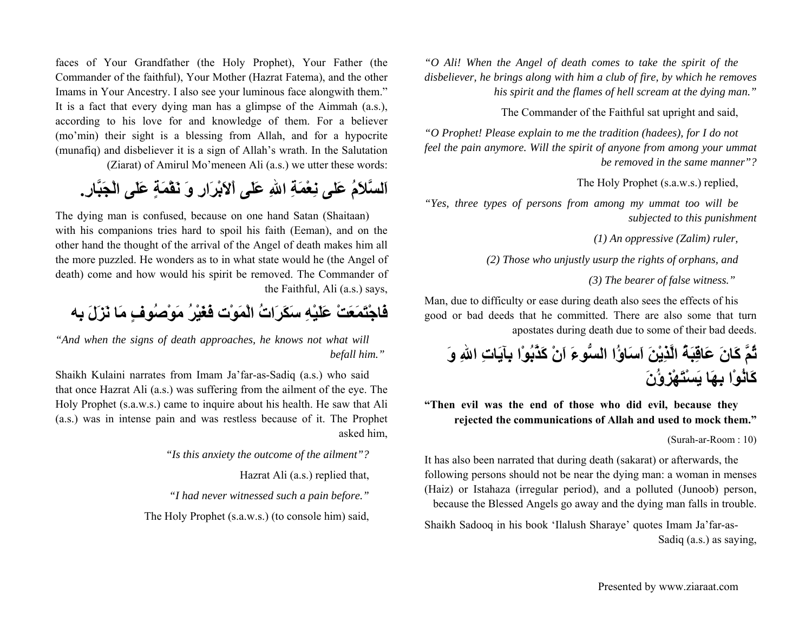faces of Your Grandfather (the Holy Prophet), Your Father (the Commander of the faithful), Your Mother (Hazrat Fatema), and the other Imams in Your Ancestry. I also see your luminous face alongwith them." It is a fact that every dying man has a glimpse of the Aimmah (a.s.), according to his love for and knowledge of them. For a believer (mo'min) their sight is a blessing from Allah, and for a hypocrite (munafiq) and disbeliever it is a sign of Allah's wrath. In the Salutation

(Ziarat) of Amirul Mo'meneen Ali (a.s.) we utter these words:

**اَلسَّلاَمُ عَلى نِعْمَةِ االلهِ عَلَى اْلاَبْرَارِ وَ نَقْمَةٍ عَلَى الْجَبَّار.ِ**

The dying man is confused, because on one hand Satan (Shaitaan) with his companions tries hard to spoil his faith (Eeman), and on the other hand the thought of the arrival of the Angel of death makes him all the more puzzled. He wonders as to in what state would he (the Angel of death) come and how would his spirit be removed. The Commander of the Faithful, Ali (a.s.) says,

**فَاجْتَمَعَتْ عَلَيْهِ سَكَرَاتُ الْمَوْت فَغَيْرُ مَوْصُوفٍ مَا نَزَلَ بِه**

*"And when the signs of death approaches, he knows not what will befall him."* 

Shaikh Kulaini narrates from Imam Ja'far-as-Sadiq (a.s.) who said that once Hazrat Ali (a.s.) was suffering from the ailment of the eye. The Holy Prophet (s.a.w.s.) came to inquire about his health. He saw that Ali (a.s.) was in intense pain and was restless because of it. The Prophet asked him,

*"Is this anxiety the outcome of the ailment"?*

Hazrat Ali (a.s.) replied that,

*"I had never witnessed such a pain before."*

The Holy Prophet (s.a.w.s.) (to console him) said,

*"O Ali! When the Angel of death comes to take the spirit of the disbeliever, he brings along with him a club of fire, by which he removes his spirit and the flames of hell scream at the dying man."*

The Commander of the Faithful sat upright and said,

*"O Prophet! Please explain to me the tradition (hadees), for I do not feel the pain anymore. Will the spirit of anyone from among your ummat be removed in the same manner"?*

The Holy Prophet (s.a.w.s.) replied,

*"Yes, three types of persons from among my ummat too will be subjected to this punishment*

*(1) An oppressive (Zalim) ruler,*

*(2) Those who unjustly usurp the rights of orphans, and*

*(3) The bearer of false witness."* 

Man, due to difficulty or ease during death also sees the effects of his good or bad deeds that he committed. There are also some that turn apostates during death due to some of their bad deeds.

**ثُمَّ آَانَ عَاقِبَةُ الَّذِيْنَ اَسَاؤُا السُّوءَ اَنْ آَذَّبُوْا بِآيَاتِ االلهِ وَ آَانُوْا بِهَا يَسْتَهْزِؤُنَ**

**"Then evil was the end of those who did evil, because they rejected the communications of Allah and used to mock them."**

(Surah-ar-Room : 10)

It has also been narrated that during death (sakarat) or afterwards, the following persons should not be near the dying man: a woman in menses (Haiz) or Istahaza (irregular period), and a polluted (Junoob) person, because the Blessed Angels go away and the dying man falls in trouble.

Shaikh Sadooq in his book 'Ilalush Sharaye' quotes Imam Ja'far-as-Sadiq (a.s.) as saying,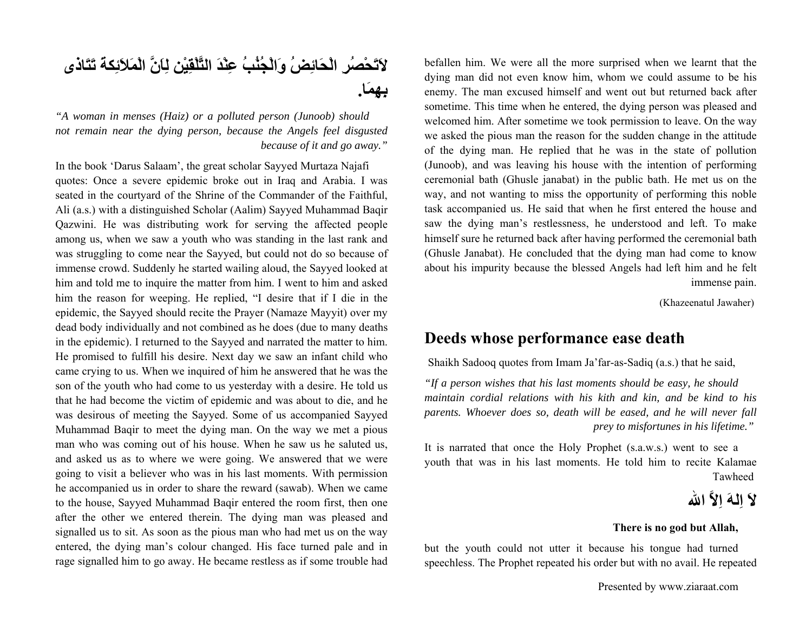**لاَتَحْصُرِ الْحَائِضُ وَالْجُنُبُ عِنْدَ التَّلْقِيْن لِاَنَّ الْمَلاَئِكةَ تَتَاذى بِهِمَا.**

*"A woman in menses (Haiz) or a polluted person (Junoob) should not remain near the dying person, because the Angels feel disgusted because of it and go away."*

In the book 'Darus Salaam', the great scholar Sayyed Murtaza Najafi quotes: Once a severe epidemic broke out in Iraq and Arabia. I was seated in the courtyard of the Shrine of the Commander of the Faithful, Ali (a.s.) with a distinguished Scholar (Aalim) Sayyed Muhammad Baqir Qazwini. He was distributing work for serving the affected people among us, when we saw a youth who was standing in the last rank and was struggling to come near the Sayyed, but could not do so because of immense crowd. Suddenly he started wailing aloud, the Sayyed looked at him and told me to inquire the matter from him. I went to him and asked him the reason for weeping. He replied, "I desire that if I die in the epidemic, the Sayyed should recite the Prayer (Namaze Mayyit) over my dead body individually and not combined as he does (due to many deaths in the epidemic). I returned to the Sayyed and narrated the matter to him. He promised to fulfill his desire. Next day we saw an infant child who came crying to us. When we inquired of him he answered that he was the son of the youth who had come to us yesterday with a desire. He told us that he had become the victim of epidemic and was about to die, and he was desirous of meeting the Sayyed. Some of us accompanied Sayyed Muhammad Baqir to meet the dying man. On the way we met a pious man who was coming out of his house. When he saw us he saluted us, and asked us as to where we were going. We answered that we were going to visit a believer who was in his last moments. With permission he accompanied us in order to share the reward (sawab). When we came to the house, Sayyed Muhammad Baqir entered the room first, then one after the other we entered therein. The dying man was pleased and signalled us to sit. As soon as the pious man who had met us on the way entered, the dying man's colour changed. His face turned pale and in rage signalled him to go away. He became restless as if some trouble had

befallen him. We were all the more surprised when we learnt that the dying man did not even know him, whom we could assume to be his enemy. The man excused himself and went out but returned back after sometime. This time when he entered, the dying person was pleased and welcomed him. After sometime we took permission to leave. On the way we asked the pious man the reason for the sudden change in the attitude of the dying man. He replied that he was in the state of pollution (Junoob), and was leaving his house with the intention of performing ceremonial bath (Ghusle janabat) in the public bath. He met us on the way, and not wanting to miss the opportunity of performing this noble task accompanied us. He said that when he first entered the house and saw the dying man's restlessness, he understood and left. To make himself sure he returned back after having performed the ceremonial bath (Ghusle Janabat). He concluded that the dying man had come to know about his impurity because the blessed Angels had left him and he felt immense pain.

(Khazeenatul Jawaher)

### **Deeds whose performance ease death**

Shaikh Sadooq quotes from Imam Ja'far-as-Sadiq (a.s.) that he said,

*"If a person wishes that his last moments should be easy, he should maintain cordial relations with his kith and kin, and be kind to his parents. Whoever does so, death will be eased, and he will never fall prey to misfortunes in his lifetime."* 

It is narrated that once the Holy Prophet (s.a.w.s.) went to see a youth that was in his last moments. He told him to recite Kalamae Tawheed

**لاَ اِلهَ اِلاَّ االله**

#### **There is no god but Allah,**

but the youth could not utter it because his tongue had turned speechless. The Prophet repeated his order but with no avail. He repeated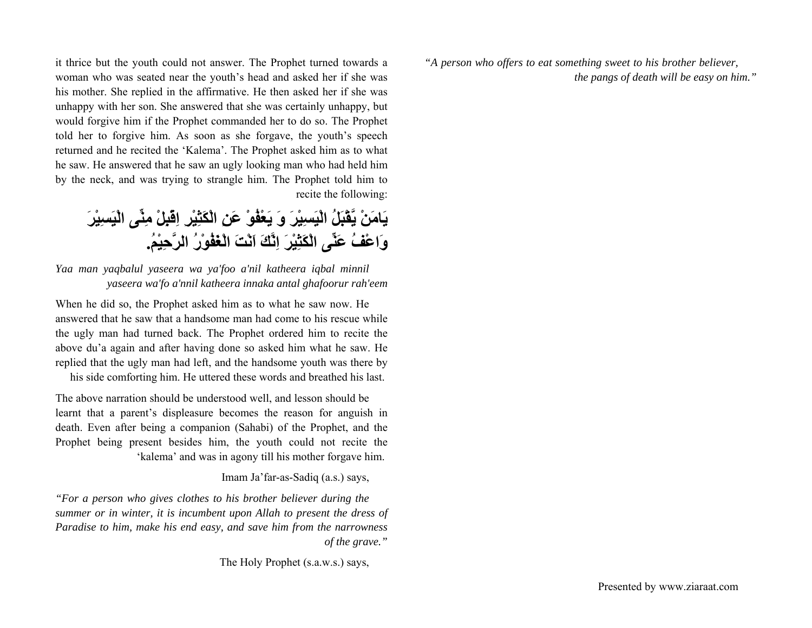*"A person who offers to eat something sweet to his brother believer, the pangs of death will be easy on him."*

it thrice but the youth could not answer. The Prophet turned towards a woman who was seated near the youth's head and asked her if she was his mother. She replied in the affirmative. He then asked her if she was unhappy with her son. She answered that she was certainly unhappy, but would forgive him if the Prophet commanded her to do so. The Prophet told her to forgive him. As soon as she forgave, the youth's speech returned and he recited the 'Kalema'. The Prophet asked him as to what he saw. He answered that he saw an ugly looking man who had held him by the neck, and was trying to strangle him. The Prophet told him to recite the following:

**يَامَنْ يَّقْبَلُ الْيَسِيْرَ وَ يَعْفُوْ عَنِ الْكَثِيْرِ اِقْبِلْ مِنِّى الْيَسِيْرَ وَاعْفُ عَنِّى الْكَثِيْرَ اِنَّكَ اَنْتَ الْغَفُوْرُ الرَّحِيْم.ُ**

*Yaa man yaqbalul yaseera wa ya'foo a'nil katheera iqbal minnil yaseera wa'fo a'nnil katheera innaka antal ghafoorur rah'eem*

When he did so, the Prophet asked him as to what he saw now. He answered that he saw that a handsome man had come to his rescue while the ugly man had turned back. The Prophet ordered him to recite the above du'a again and after having done so asked him what he saw. He replied that the ugly man had left, and the handsome youth was there by his side comforting him. He uttered these words and breathed his last.

The above narration should be understood well, and lesson should be learnt that a parent's displeasure becomes the reason for anguish in death. Even after being a companion (Sahabi) of the Prophet, and the Prophet being present besides him, the youth could not recite the 'kalema' and was in agony till his mother forgave him.

#### Imam Ja'far-as-Sadiq (a.s.) says,

*"For a person who gives clothes to his brother believer during the summer or in winter, it is incumbent upon Allah to present the dress of Paradise to him, make his end easy, and save him from the narrowness of the grave."*

The Holy Prophet (s.a.w.s.) says,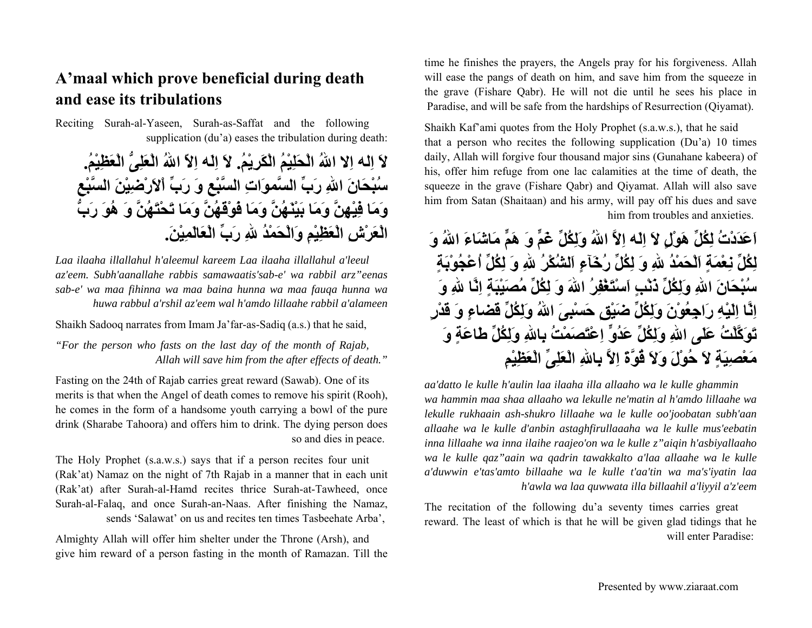### **A'maal which prove beneficial during death and ease its tribulations**

Reciting Surah-al-Yaseen, Surah-as-Saffat and the following supplication (du'a) eases the tribulation during death:

**لاَ اِله اِلا االلهُ الْحَلِيْمُ الْكَرِيْم.ُ لاَ اِلَه اِلاّ االلهُ الْعَلِىُّ الْعَظِيْم.ُ سُبْحَانَ االلهِ رَبِّ السَّموَاتِ السَّبْعِ وَ رَبِّ اْلاَرْضِيْنَ السَّبْعِ وَمَا فِيْهِنَّ وَمَا بَيْنَهُنَّ وَمَا فَوْقَهُنَّ وَمَا تَحْتَهُنَّ وَ هُوَ رَبُّ الْعَرْشِ الْعَظِيْمِ وَالْحَمْدُ اللهِ رَبِّ الْعَالَمِيْن.َ**

*Laa ilaaha illallahul h'aleemul kareem Laa ilaaha illallahul a'leeul az'eem. Subh'aanallahe rabbis samawaatis'sab-e' wa rabbil arz"eenas sab-e' wa maa fihinna wa maa baina hunna wa maa fauqa hunna wa huwa rabbul a'rshil az'eem wal h'amdo lillaahe rabbil a'alameen*

Shaikh Sadooq narrates from Imam Ja'far-as-Sadiq (a.s.) that he said,

*"For the person who fasts on the last day of the month of Rajab, Allah will save him from the after effects of death."*

Fasting on the 24th of Rajab carries great reward (Sawab). One of its merits is that when the Angel of death comes to remove his spirit (Rooh), he comes in the form of a handsome youth carrying a bowl of the pure drink (Sharabe Tahoora) and offers him to drink. The dying person does so and dies in peace.

The Holy Prophet (s.a.w.s.) says that if a person recites four unit (Rak'at) Namaz on the night of 7th Rajab in a manner that in each unit (Rak'at) after Surah-al-Hamd recites thrice Surah-at-Tawheed, once Surah-al-Falaq, and once Surah-an-Naas. After finishing the Namaz, sends 'Salawat' on us and recites ten times Tasbeehate Arba',

Almighty Allah will offer him shelter under the Throne (Arsh), and give him reward of a person fasting in the month of Ramazan. Till the time he finishes the prayers, the Angels pray for his forgiveness. Allah will ease the pangs of death on him, and save him from the squeeze in the grave (Fishare Qabr). He will not die until he sees his place in Paradise, and will be safe from the hardships of Resurrection (Qiyamat).

Shaikh Kaf'ami quotes from the Holy Prophet (s.a.w.s.), that he said that a person who recites the following supplication (Du'a) 10 times daily, Allah will forgive four thousand major sins (Gunahane kabeera) of his, offer him refuge from one lac calamities at the time of death, the squeeze in the grave (Fishare Qabr) and Qiyamat. Allah will also save him from Satan (Shaitaan) and his army, will pay off his dues and save him from troubles and anxieties.

**اَعَدَدْتُ لِكُلِّ هَوْلٍ لاَ اِلَه اِلاَّ االلهُ وَلِكُلِّ غَمٍّ وَ هَمٍّ مَاشَاءَ االلهُ وَ لِكُلِّ نِعْمَةٍ اَلْحَمْدُ اللهِ وَ لِكُلِّ رُخَآءٍ اَلشُكْرُ اللهِ وَ لِكُلِّ اُعْجُوْبَةٍ سُبْحَانَ االلهِ وَلِكُلِّ ذَنْبٍ اَسْتَغْفِرُ االلهَ وَ لِكُلِّ مُصَيْبَةٍ اِنَّا اللهِ وَ اِنَّا اِلَيْهِ رَاجِعُوْنَ وَلِكُلِّ ضَيْقٍ حَسْبِىَ االلهُ وَلِكُلِّ قَضاءٍ وَ قَدْرٍ تَوَآَّلْتُ عَلَى االلهِ وَلِكُلِّ عَدُوٍّ اِعْتَصَمْتُ بِااللهِ وَلِكُلِّ طَاعَةٍ وَ مَعْصِيَةٍ لاَ حُوْلَ وَلاَ قُوَّةَ اِلاَّ بِااللهِ الْعَلِىِّ الْعَظِيْمِ**

*aa'datto le kulle h'aulin laa ilaaha illa allaaho wa le kulle ghammin wa hammin maa shaa allaaho wa lekulle ne'matin al h'amdo lillaahe wa lekulle rukhaain ash-shukro lillaahe wa le kulle oo'joobatan subh'aan allaahe wa le kulle d'anbin astaghfirullaaaha wa le kulle mus'eebatin inna lillaahe wa inna ilaihe raajeo'on wa le kulle z"aiqin h'asbiyallaaho wa le kulle qaz"aain wa qadrin tawakkalto a'laa allaahe wa le kulle <sup>a</sup>'duwwin e'tas'amto billaahe wa le kulle t'aa'tin wa ma's'iyatin laa h'awla wa laa quwwata illa billaahil a'liyyil a'z'eem*

The recitation of the following du'a seventy times carries great reward. The least of which is that he will be given glad tidings that he will enter Paradise: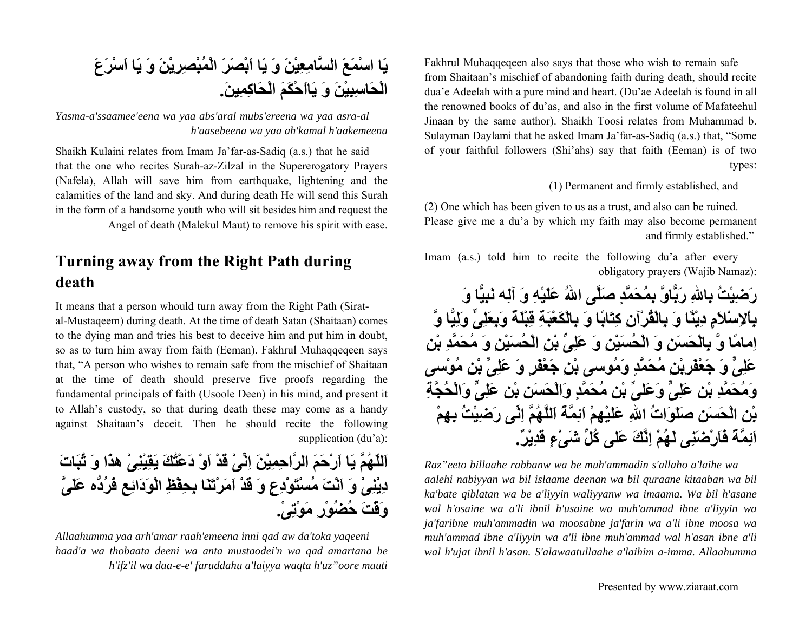Fakhrul Muhaqqeqeen also says that those who wish to remain safe from Shaitaan's mischief of abandoning faith during death, should recite dua'e Adeelah with a pure mind and heart. (Du'ae Adeelah is found in all the renowned books of du'as, and also in the first volume of Mafateehul Jinaan by the same author). Shaikh Toosi relates from Muhammad b. Sulayman Daylami that he asked Imam Ja'far-as-Sadiq (a.s.) that, "Some of your faithful followers (Shi'ahs) say that faith (Eeman) is of two types:

(1) Permanent and firmly established, and

(2) One which has been given to us as a trust, and also can be ruined. Please give me a du'a by which my faith may also become permanent and firmly established."

Imam (a.s.) told him to recite the following du'a after every obligatory prayers (Wajib Namaz):



*Raz"eeto billaahe rabbanw wa be muh'ammadin s'allaho a'laihe wa aalehi nabiyyan wa bil islaame deenan wa bil quraane kitaaban wa bil ka'bate qiblatan wa be a'liyyin waliyyanw wa imaama. Wa bil h'asane wal h'osaine wa a'li ibnil h'usaine wa muh'ammad ibne a'liyyin wa ja'faribne muh'ammadin wa moosabne ja'farin wa a'li ibne moosa wa muh'ammad ibne a'liyyin wa a'li ibne muh'ammad wal h'asan ibne a'li wal h'ujat ibnil h'asan. S'alawaatullaahe a'laihim a-imma. Allaahumma* 

## **يَا اسْمَعَ السَّامِعِيْنَ وَ يَا اَبْصَرَ الْمُبْصِرِيْنَ وَ يَا اَسْرَعَ الْحَاسِبِيْنَ وَ يَااَحْكَمَ الْحَاآِمِين.َ**

*Yasma-a'ssaamee'eena wa yaa abs'aral mubs'ereena wa yaa asra-al h'aasebeena wa yaa ah'kamal h'aakemeena*

Shaikh Kulaini relates from Imam Ja'far-as-Sadiq (a.s.) that he said that the one who recites Surah-az-Zilzal in the Supererogatory Prayers (Nafela), Allah will save him from earthquake, lightening and the calamities of the land and sky. And during death He will send this Surah in the form of a handsome youth who will sit besides him and request the Angel of death (Malekul Maut) to remove his spirit with ease.

### **Turning away from the Right Path during death**

It means that a person whould turn away from the Right Path (Siratal-Mustaqeem) during death. At the time of death Satan (Shaitaan) comes to the dying man and tries his best to deceive him and put him in doubt, so as to turn him away from faith (Eeman). Fakhrul Muhaqqeqeen says that, "A person who wishes to remain safe from the mischief of Shaitaan at the time of death should preserve five proofs regarding the fundamental principals of faith (Usoole Deen) in his mind, and present it to Allah's custody, so that during death these may come as a handy against Shaitaan's deceit. Then he should recite the following supplication (du'a):

**اَللّهُمَّ يَا اَرْحَمَ الرَّاحِمِيْنَ اِنِّىْ قَدْ اَوْ دَعْتُكَ يَقِيْنِىْ هذَا وَ ثُبَاتَ دِيْنِىْ وَ اَنْتَ مُسْتَوْدِعٍ وَ قَدْ اَمَرْتَنَا بِحِفْظِ الْوَدَائِعِ فَرُدُّه عَلَىَّ وَقْتَ حُضُوْرِ مَوْتِى.ْ**

*Allaahumma yaa arh'amar raah'emeena inni qad aw da'toka yaqeeni haad'a wa thobaata deeni wa anta mustaodei'n wa qad amartana be h'ifz'il wa daa-e-e' faruddahu a'laiyya waqta h'uz"oore mauti*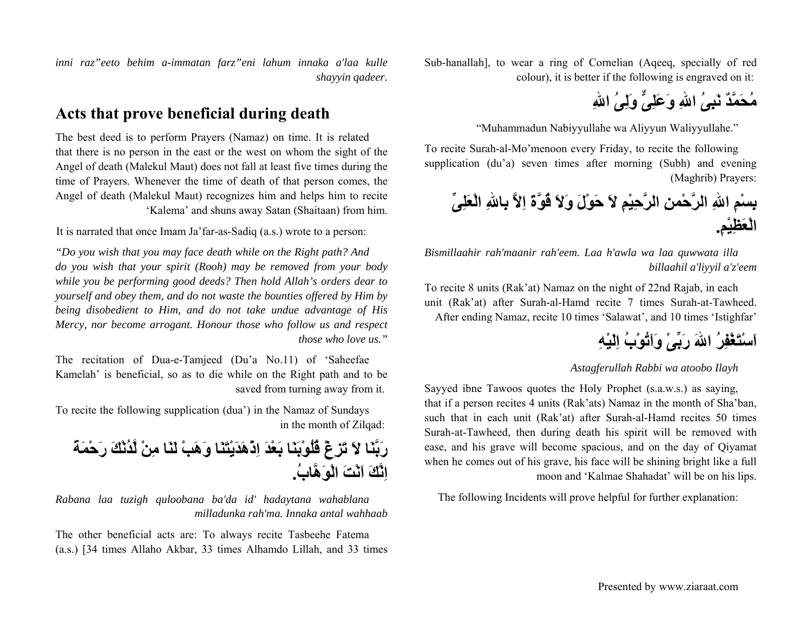Sub-hanallah], to wear a ring of Cornelian (Aqeeq, specially of red colour), it is better if the following is engraved on it:

**مُحَمَّدٌ نَبِىُ االلهِ وَعَلِىٌّ وَلِىُ االلهِ**

"Muhammadun Nabiyyullahe wa Aliyyun Waliyyullahe."

To recite Surah-al-Mo'menoon every Friday, to recite the following supplication (du'a) seven times after morning (Subh) and evening (Maghrib) Prayers:

**بِسْمِ االلهِ الرَّحْمنِ الرَّحِيْمِ لاَ حَوْلَ وَلاَ قُوَّةَ اِلاَّ بِااللهِ الْعَلِىِّ الْعَظِيْم.ِ**

*Bismillaahir rah'maanir rah'eem. Laa h'awla wa laa quwwata illa billaahil a'liyyil a'z'eem*

To recite 8 units (Rak'at) Namaz on the night of 22nd Rajab, in each unit (Rak'at) after Surah-al-Hamd recite 7 times Surah-at-Tawheed. After ending Namaz, recite 10 times 'Salawat', and 10 times 'Istighfar'

## **اَسْتَغْفِرُ االلهَ رَبِّىْ وَاَتُوْبُ اِلَيْهِ**

#### *Astagferullah Rabbi wa atoobo Ilayh*

Sayyed ibne Tawoos quotes the Holy Prophet (s.a.w.s.) as saying, that if a person recites 4 units (Rak'ats) Namaz in the month of Sha'ban, such that in each unit (Rak'at) after Surah-al-Hamd recites 50 times Surah-at-Tawheed, then during death his spirit will be removed with ease, and his grave will become spacious, and on the day of Qiyamat when he comes out of his grave, his face will be shining bright like a full moon and 'Kalmae Shahadat' will be on his lips.

The following Incidents will prove helpful for further explanation:

*inni raz"eeto behim a-immatan farz"eni lahum innaka a'laa kulle shayyin qadeer.*

### **Acts that prove beneficial during death**

The best deed is to perform Prayers (Namaz) on time. It is related that there is no person in the east or the west on whom the sight of the Angel of death (Malekul Maut) does not fall at least five times during the time of Prayers. Whenever the time of death of that person comes, the Angel of death (Malekul Maut) recognizes him and helps him to recite 'Kalema' and shuns away Satan (Shaitaan) from him.

It is narrated that once Imam Ja'far-as-Sadiq (a.s.) wrote to a person:

*"Do you wish that you may face death while on the Right path? And do you wish that your spirit (Rooh) may be removed from your body while you be performing good deeds? Then hold Allah's orders dear to yourself and obey them, and do not waste the bounties offered by Him by being disobedient to Him, and do not take undue advantage of His Mercy, nor become arrogant. Honour those who follow us and respect those who love us."*

The recitation of Dua-e-Tamjeed (Du'a No.11) of 'Saheefae Kamelah' is beneficial, so as to die while on the Right path and to be saved from turning away from it.

To recite the following supplication (dua') in the Namaz of Sundays in the month of Zilqad:

**رَبَّنَا لاَ تَزِغْ قُلُوْبَنَا بَعْدَ اِذْهَدَيْتَنَا وَهَبْ لَنَا مِنْ لَّدُنْكَ رَحْمَةً اِنَّكَ اَنْتَ الْوَهَّاب.ُ**

*Rabana laa tuzigh quloobana ba'da id' hadaytana wahablana milladunka rah'ma. Innaka antal wahhaab*

The other beneficial acts are: To always recite Tasbeehe Fatema (a.s.) [34 times Allaho Akbar, 33 times Alhamdo Lillah, and 33 times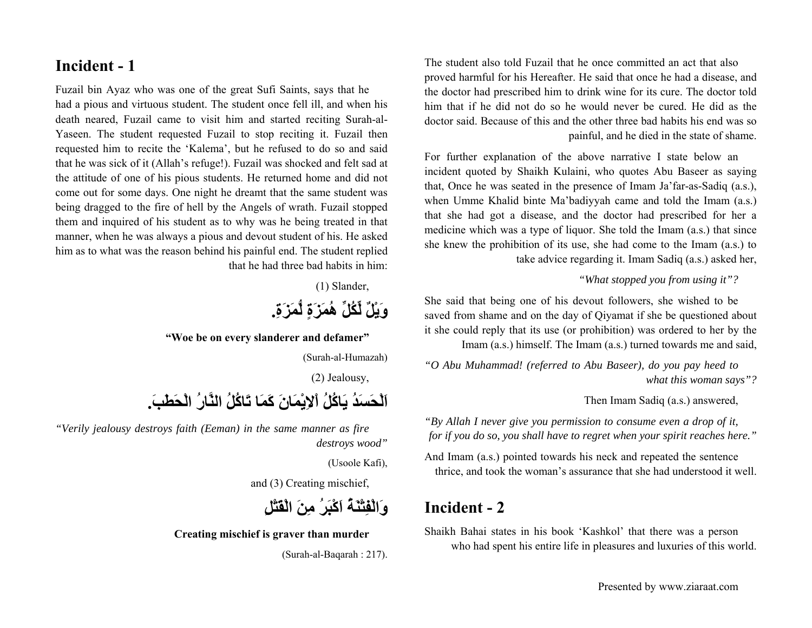The student also told Fuzail that he once committed an act that also proved harmful for his Hereafter. He said that once he had a disease, and the doctor had prescribed him to drink wine for its cure. The doctor told him that if he did not do so he would never be cured. He did as the doctor said. Because of this and the other three bad habits his end was so painful, and he died in the state of shame.

For further explanation of the above narrative I state below an incident quoted by Shaikh Kulaini, who quotes Abu Baseer as saying that, Once he was seated in the presence of Imam Ja'far-as-Sadiq (a.s.), when Umme Khalid binte Ma'badiyyah came and told the Imam (a.s.) that she had got a disease, and the doctor had prescribed for her a medicine which was a type of liquor. She told the Imam (a.s.) that since she knew the prohibition of its use, she had come to the Imam (a.s.) to take advice regarding it. Imam Sadiq (a.s.) asked her,

#### *"What stopped you from using it"?*

She said that being one of his devout followers, she wished to be saved from shame and on the day of Qiyamat if she be questioned about it she could reply that its use (or prohibition) was ordered to her by the Imam (a.s.) himself. The Imam (a.s.) turned towards me and said,

*"O Abu Muhammad! (referred to Abu Baseer), do you pay heed to what this woman says"?*

#### Then Imam Sadiq (a.s.) answered,

*"By Allah I never give you permission to consume even a drop of it, for if you do so, you shall have to regret when your spirit reaches here."*

And Imam (a.s.) pointed towards his neck and repeated the sentence thrice, and took the woman's assurance that she had understood it well.

### **Incident - 2**

Shaikh Bahai states in his book 'Kashkol' that there was a person who had spent his entire life in pleasures and luxuries of this world.

### **Incident - 1**

Fuzail bin Ayaz who was one of the great Sufi Saints, says that he had a pious and virtuous student. The student once fell ill, and when his death neared, Fuzail came to visit him and started reciting Surah-al-Yaseen. The student requested Fuzail to stop reciting it. Fuzail then requested him to recite the 'Kalema', but he refused to do so and said that he was sick of it (Allah's refuge!). Fuzail was shocked and felt sad at the attitude of one of his pious students. He returned home and did not come out for some days. One night he dreamt that the same student was being dragged to the fire of hell by the Angels of wrath. Fuzail stopped them and inquired of his student as to why was he being treated in that manner, when he was always a pious and devout student of his. He asked him as to what was the reason behind his painful end. The student replied that he had three bad habits in him:

(1) Slander,

**وَيْلٌ لِّكُلِّ هُمَزَةٍ لُّمَزَة.ِ**

**"Woe be on every slanderer and defamer"**

(Surah-al-Humazah)

(2) Jealousy,

**اَلْحَسَدُ يَاآُلُ اْلاِيْمَانَ آَمَا تَاآُلُ النَّارُ الْحَطَب.َ**

*"Verily jealousy destroys faith (Eeman) in the same manner as fire destroys wood"*

(Usoole Kafi),

and (3) Creating mischief,

**وَالْفِتْنَةُ اَآْبَرُ مِنَ الْقَتْلِ**

**Creating mischief is graver than murder**

(Surah-al-Baqarah : 217).

Presented by www.ziaraat.com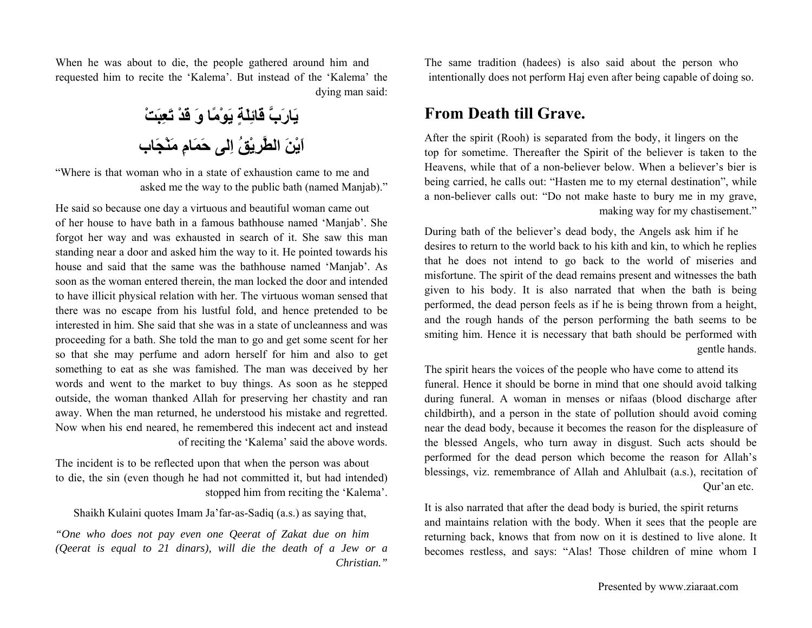When he was about to die, the people gathered around him and requested him to recite the 'Kalema'. But instead of the 'Kalema' the dying man said:

**يَارَبَّ قَائِلَةٍ يَوْمًا وَ قَدْ تَعِبَتْ اَيْنَ الطَّرِيْقُ اِلى حَمَامِ مَنْجَاب**

"Where is that woman who in a state of exhaustion came to me and asked me the way to the public bath (named Manjab)."

He said so because one day a virtuous and beautiful woman came out of her house to have bath in a famous bathhouse named 'Manjab'. She forgot her way and was exhausted in search of it. She saw this man standing near a door and asked him the way to it. He pointed towards his house and said that the same was the bathhouse named 'Manjab'. As soon as the woman entered therein, the man locked the door and intended to have illicit physical relation with her. The virtuous woman sensed that there was no escape from his lustful fold, and hence pretended to be interested in him. She said that she was in a state of uncleanness and was proceeding for a bath. She told the man to go and get some scent for her so that she may perfume and adorn herself for him and also to get something to eat as she was famished. The man was deceived by her words and went to the market to buy things. As soon as he stepped outside, the woman thanked Allah for preserving her chastity and ran away. When the man returned, he understood his mistake and regretted. Now when his end neared, he remembered this indecent act and instead of reciting the 'Kalema' said the above words.

The incident is to be reflected upon that when the person was about to die, the sin (even though he had not committed it, but had intended) stopped him from reciting the 'Kalema'.

Shaikh Kulaini quotes Imam Ja'far-as-Sadiq (a.s.) as saying that,

*"One who does not pay even one Qeerat of Zakat due on him (Qeerat is equal to 21 dinars), will die the death of a Jew or a Christian."*

The same tradition (hadees) is also said about the person who intentionally does not perform Haj even after being capable of doing so.

### **From Death till Grave.**

After the spirit (Rooh) is separated from the body, it lingers on the top for sometime. Thereafter the Spirit of the believer is taken to the Heavens, while that of a non-believer below. When a believer's bier is being carried, he calls out: "Hasten me to my eternal destination", while a non-believer calls out: "Do not make haste to bury me in my grave, making way for my chastisement."

During bath of the believer's dead body, the Angels ask him if he desires to return to the world back to his kith and kin, to which he replies that he does not intend to go back to the world of miseries and misfortune. The spirit of the dead remains present and witnesses the bath given to his body. It is also narrated that when the bath is being performed, the dead person feels as if he is being thrown from a height, and the rough hands of the person performing the bath seems to be smiting him. Hence it is necessary that bath should be performed with gentle hands.

The spirit hears the voices of the people who have come to attend its funeral. Hence it should be borne in mind that one should avoid talking during funeral. A woman in menses or nifaas (blood discharge after childbirth), and a person in the state of pollution should avoid coming near the dead body, because it becomes the reason for the displeasure of the blessed Angels, who turn away in disgust. Such acts should be performed for the dead person which become the reason for Allah's blessings, viz. remembrance of Allah and Ahlulbait (a.s.), recitation of Qur'an etc.

It is also narrated that after the dead body is buried, the spirit returns and maintains relation with the body. When it sees that the people are returning back, knows that from now on it is destined to live alone. It becomes restless, and says: "Alas! Those children of mine whom I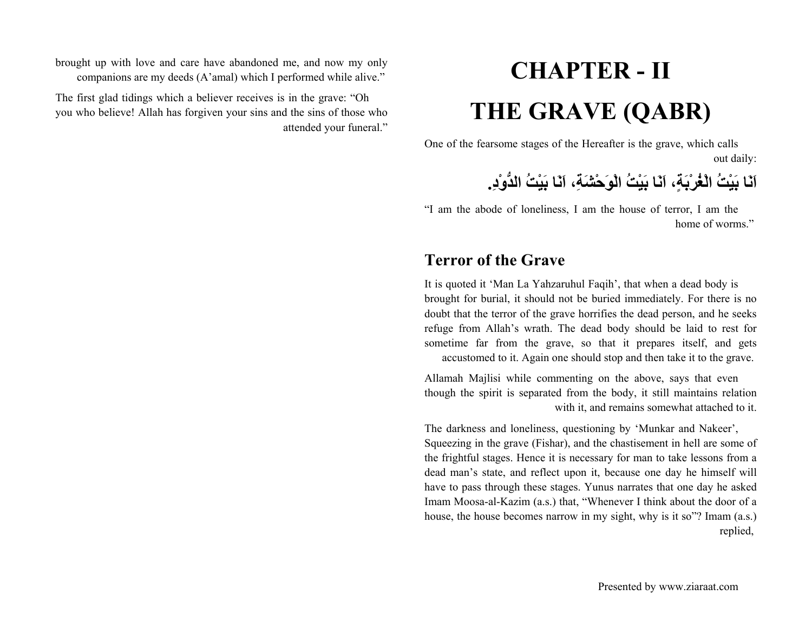brought up with love and care have abandoned me, and now my only companions are my deeds (A'amal) which I performed while alive."

The first glad tidings which a believer receives is in the grave: "Oh you who believe! Allah has forgiven your sins and the sins of those who attended your funeral."

# **CHAPTER - IITHE GRAVE (QABR)**

One of the fearsome stages of the Hereafter is the grave, which calls out daily:

**اَنَا بَيْتُ الْغُرْبَة،ٍ اَنَا بَيْتُ الْوَحْشَة،ِ اَنَا بَيْتُ الدُّوْد.ِ**

"I am the abode of loneliness, I am the house of terror, I am the home of worms."

### **Terror of the Grave**

It is quoted it 'Man La Yahzaruhul Faqih', that when a dead body is brought for burial, it should not be buried immediately. For there is no doubt that the terror of the grave horrifies the dead person, and he seeks refuge from Allah's wrath. The dead body should be laid to rest for sometime far from the grave, so that it prepares itself, and gets accustomed to it. Again one should stop and then take it to the grave.

Allamah Majlisi while commenting on the above, says that even though the spirit is separated from the body, it still maintains relation with it, and remains somewhat attached to it.

The darkness and loneliness, questioning by 'Munkar and Nakeer', Squeezing in the grave (Fishar), and the chastisement in hell are some of the frightful stages. Hence it is necessary for man to take lessons from a dead man's state, and reflect upon it, because one day he himself will have to pass through these stages. Yunus narrates that one day he asked Imam Moosa-al-Kazim (a.s.) that, "Whenever I think about the door of a house, the house becomes narrow in my sight, why is it so"? Imam (a.s.) replied,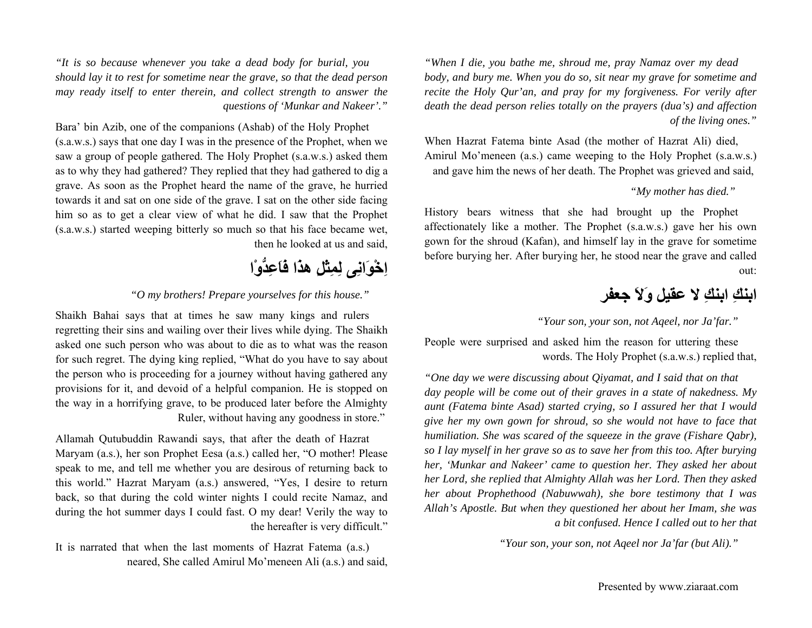*"When I die, you bathe me, shroud me, pray Namaz over my dead body, and bury me. When you do so, sit near my grave for sometime and recite the Holy Qur'an, and pray for my forgiveness. For verily after death the dead person relies totally on the prayers (dua's) and affection of the living ones."*

When Hazrat Fatema binte Asad (the mother of Hazrat Ali) died, Amirul Mo'meneen (a.s.) came weeping to the Holy Prophet (s.a.w.s.) and gave him the news of her death. The Prophet was grieved and said,

#### *"My mother has died."*

History bears witness that she had brought up the Prophet affectionately like a mother. The Prophet (s.a.w.s.) gave her his own gown for the shroud (Kafan), and himself lay in the grave for sometime before burying her. After burying her, he stood near the grave and called out:

### **ابنكِ ابنكِ لا عقيل وَلاَ جعفر**

*"Your son, your son, not Aqeel, nor Ja'far."*

People were surprised and asked him the reason for uttering these words. The Holy Prophet (s.a.w.s.) replied that,

*"One day we were discussing about Qiyamat, and I said that on that day people will be come out of their graves in a state of nakedness. My aunt (Fatema binte Asad) started crying, so I assured her that I would give her my own gown for shroud, so she would not have to face that humiliation. She was scared of the squeeze in the grave (Fishare Qabr), so I lay myself in her grave so as to save her from this too. After burying her, 'Munkar and Nakeer' came to question her. They asked her about her Lord, she replied that Almighty Allah was her Lord. Then they asked her about Prophethood (Nabuwwah), she bore testimony that I was Allah's Apostle. But when they questioned her about her Imam, she was a bit confused. Hence I called out to her that*

*"Your son, your son, not Aqeel nor Ja'far (but Ali)."*

*"It is so because whenever you take a dead body for burial, you should lay it to rest for sometime near the grave, so that the dead person may ready itself to enter therein, and collect strength to answer the questions of 'Munkar and Nakeer'."*

Bara' bin Azib, one of the companions (Ashab) of the Holy Prophet (s.a.w.s.) says that one day I was in the presence of the Prophet, when we saw a group of people gathered. The Holy Prophet (s.a.w.s.) asked them as to why they had gathered? They replied that they had gathered to dig a grave. As soon as the Prophet heard the name of the grave, he hurried towards it and sat on one side of the grave. I sat on the other side facing him so as to get a clear view of what he did. I saw that the Prophet (s.a.w.s.) started weeping bitterly so much so that his face became wet, then he looked at us and said,

# **اِخْوَانِى لِمِثْلِ هذَا فَاَعِدُّوْا**

#### *"O my brothers! Prepare yourselves for this house."*

Shaikh Bahai says that at times he saw many kings and rulers regretting their sins and wailing over their lives while dying. The Shaikh asked one such person who was about to die as to what was the reason for such regret. The dying king replied, "What do you have to say about the person who is proceeding for a journey without having gathered any provisions for it, and devoid of a helpful companion. He is stopped on the way in a horrifying grave, to be produced later before the Almighty Ruler, without having any goodness in store."

Allamah Qutubuddin Rawandi says, that after the death of Hazrat Maryam (a.s.), her son Prophet Eesa (a.s.) called her, "O mother! Please speak to me, and tell me whether you are desirous of returning back to this world." Hazrat Maryam (a.s.) answered, "Yes, I desire to return back, so that during the cold winter nights I could recite Namaz, and during the hot summer days I could fast. O my dear! Verily the way to the hereafter is very difficult."

It is narrated that when the last moments of Hazrat Fatema (a.s.) neared, She called Amirul Mo'meneen Ali (a.s.) and said,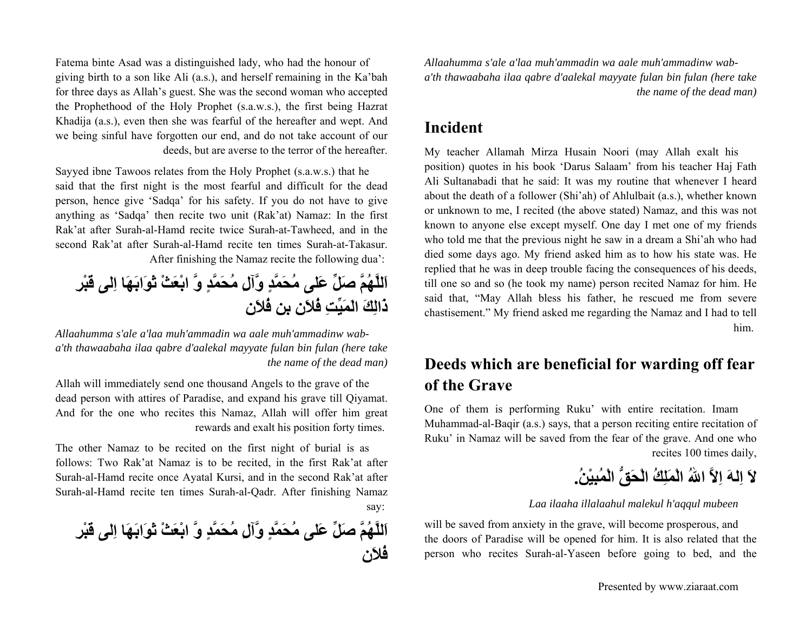Fatema binte Asad was a distinguished lady, who had the honour of giving birth to a son like Ali (a.s.), and herself remaining in the Ka'bah for three days as Allah's guest. She was the second woman who accepted the Prophethood of the Holy Prophet (s.a.w.s.), the first being Hazrat Khadija (a.s.), even then she was fearful of the hereafter and wept. And we being sinful have forgotten our end, and do not take account of our deeds, but are averse to the terror of the hereafter.

Sayyed ibne Tawoos relates from the Holy Prophet (s.a.w.s.) that he said that the first night is the most fearful and difficult for the dead person, hence give 'Sadqa' for his safety. If you do not have to give anything as 'Sadqa' then recite two unit (Rak'at) Namaz: In the first Rak'at after Surah-al-Hamd recite twice Surah-at-Tawheed, and in the second Rak'at after Surah-al-Hamd recite ten times Surah-at-Takasur. After finishing the Namaz recite the following dua':

**اَللَّهُمَّ صَلِّ عَلى مُحَمَّدٍ وَّآلِ مُحَمَّدٍ وَّ ابْعَثْ ثَوَابَهَا اِلى قَبْرِ ذَالِكَ الَمَيِّتِ فُلاَن بن فُلاَن**

*Allaahumma s'ale a'laa muh'ammadin wa aale muh'ammadinw wab<sup>a</sup>'th thawaabaha ilaa qabre d'aalekal mayyate fulan bin fulan (here take the name of the dead man)*

Allah will immediately send one thousand Angels to the grave of the dead person with attires of Paradise, and expand his grave till Qiyamat. And for the one who recites this Namaz, Allah will offer him great rewards and exalt his position forty times.

The other Namaz to be recited on the first night of burial is as follows: Two Rak'at Namaz is to be recited, in the first Rak'at after Surah-al-Hamd recite once Ayatal Kursi, and in the second Rak'at after Surah-al-Hamd recite ten times Surah-al-Qadr. After finishing Namaz say:

**اَللَّهُمَّ صَلِّ عَلى مُحَمَّدٍ وَّآلِ مُحَمَّدٍ وَّ ابْعَثْ ثَوَابَهَا اِلى قَبْرِ فُلاَن**

*Allaahumma s'ale a'laa muh'ammadin wa aale muh'ammadinw wab<sup>a</sup>'th thawaabaha ilaa qabre d'aalekal mayyate fulan bin fulan (here take the name of the dead man)*

### **Incident**

My teacher Allamah Mirza Husain Noori (may Allah exalt his position) quotes in his book 'Darus Salaam' from his teacher Haj Fath Ali Sultanabadi that he said: It was my routine that whenever I heard about the death of a follower (Shi'ah) of Ahlulbait (a.s.), whether known or unknown to me, I recited (the above stated) Namaz, and this was not known to anyone else except myself. One day I met one of my friends who told me that the previous night he saw in a dream a Shi'ah who had died some days ago. My friend asked him as to how his state was. He replied that he was in deep trouble facing the consequences of his deeds, till one so and so (he took my name) person recited Namaz for him. He said that, "May Allah bless his father, he rescued me from severe chastisement." My friend asked me regarding the Namaz and I had to tell him.

### **Deeds which are beneficial for warding off fear of the Grave**

One of them is performing Ruku' with entire recitation. Imam Muhammad-al-Baqir (a.s.) says, that a person reciting entire recitation of Ruku' in Namaz will be saved from the fear of the grave. And one who recites 100 times daily,

**لاَ اِلهَ اِلاَّ االلهُ الْمَلِكُ الْحَقُّ الْمُبِيْن.ُ**

*Laa ilaaha illalaahul malekul h'aqqul mubeen*

will be saved from anxiety in the grave, will become prosperous, and the doors of Paradise will be opened for him. It is also related that the person who recites Surah-al-Yaseen before going to bed, and the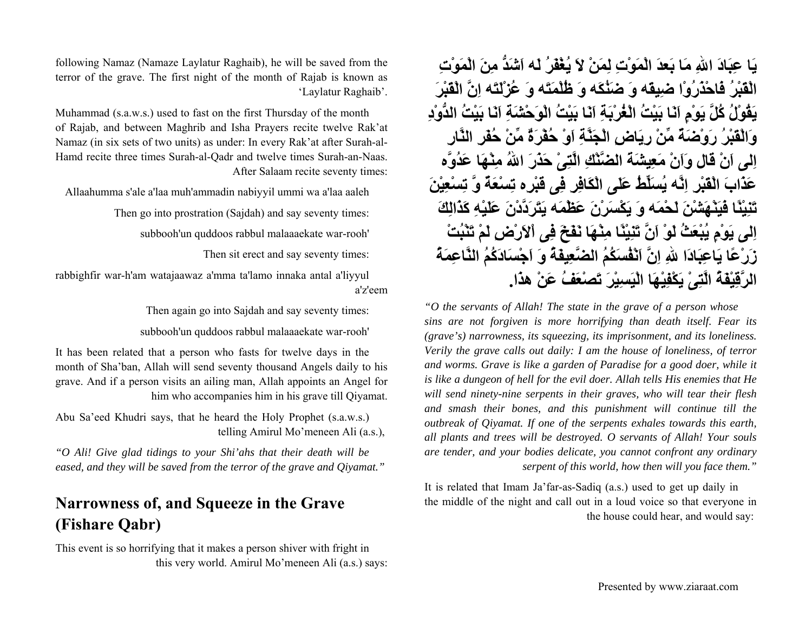**يَا عِبَادَ االلهِ مَا بَعدَ الْمَوْتِ لِمَنْ لاَ يُغْفَرُ لَه اَشَدُّ مِنَ الْمَوْتِ الْقَبْرُ فَاحْذَرُوْا ضِيقَه وَ ضَنُكَه وَ ظُلْمَتَه وَ عُزْلَتَه اِنَّ الْقَبْرَ يَقُوْلُ آُلَّ يَوْمٍ اَنَا بَيْتُ الْغُرْبَةِ اَنَا بَيْتُ الْوَحْشَةِ اَنَا بَيْتُ الدُّوْدِ وَالْقَبْرُ رَوْضَةٌ مِّنْ رِيَاضِ الْجَنَّةِ اَوْ حُفْرَةٌ مِّنْ حُفَرِ النَّارِ اِلى اَنْ قال وَاَنْ مَعِيشَةَ الضَّنْكِ الَّتِىْ حَذَرَ االلهُ مِنْهَا عَدُوَّه عَذَابَ الْقَبْرِ اِنَّه يُسَلِّطُ عَلَى الْكَافِرِ فِى قَبْرِه تِسْعَةٌ وَّ تِسْعِيْنَ تَنِيْنًا فَيَنْهَشْنَ لَحْمَه وَ يَكْسَرْنَ عَظْمَه يَتَرَدَّدْنَ عَلَيْهِ آَذَالِكَ اِلى يَوْمٍ يُبْعَثُ لَوْ اَنَّ تَنِيْنًا مِنْهَا نَفَخَ فِى اْلاَرْضِ لَمْ تَنْبُتْ زَرْعًا يَاعِبَادَا اللهِ اِنَّ اَنْفُسَكُمُ الضَّعِيفَةُ وَ اَجْسَادَآُمُ النَّاعِمَةُ الرَّقِيْفَةُ الَّتِىْ يَكْفِيْهَا الْيَسِيْرَ تَصْعَفُ عَنْ هذَا.**

*"O the servants of Allah! The state in the grave of a person whose sins are not forgiven is more horrifying than death itself. Fear its (grave's) narrowness, its squeezing, its imprisonment, and its loneliness. Verily the grave calls out daily: I am the house of loneliness, of terror and worms. Grave is like a garden of Paradise for a good doer, while it is like a dungeon of hell for the evil doer. Allah tells His enemies that He will send ninety-nine serpents in their graves, who will tear their flesh and smash their bones, and this punishment will continue till the outbreak of Qiyamat. If one of the serpents exhales towards this earth, all plants and trees will be destroyed. O servants of Allah! Your souls are tender, and your bodies delicate, you cannot confront any ordinary serpent of this world, how then will you face them."*

It is related that Imam Ja'far-as-Sadiq (a.s.) used to get up daily in the middle of the night and call out in a loud voice so that everyone in the house could hear, and would say:

following Namaz (Namaze Laylatur Raghaib), he will be saved from the terror of the grave. The first night of the month of Rajab is known as 'Laylatur Raghaib'.

Muhammad (s.a.w.s.) used to fast on the first Thursday of the month of Rajab, and between Maghrib and Isha Prayers recite twelve Rak'at Namaz (in six sets of two units) as under: In every Rak'at after Surah-al-Hamd recite three times Surah-al-Qadr and twelve times Surah-an-Naas. After Salaam recite seventy times:

Allaahumma s'ale a'laa muh'ammadin nabiyyil ummi wa a'laa aaleh

Then go into prostration (Sajdah) and say seventy times:

subbooh'un quddoos rabbul malaaaekate war-rooh'

Then sit erect and say seventy times:

rabbighfir war-h'am watajaawaz a'mma ta'lamo innaka antal a'liyyul a'z'eem

Then again go into Sajdah and say seventy times:

subbooh'un quddoos rabbul malaaaekate war-rooh'

It has been related that a person who fasts for twelve days in the month of Sha'ban, Allah will send seventy thousand Angels daily to his grave. And if a person visits an ailing man, Allah appoints an Angel for him who accompanies him in his grave till Qiyamat.

Abu Sa'eed Khudri says, that he heard the Holy Prophet (s.a.w.s.) telling Amirul Mo'meneen Ali (a.s.),

*"O Ali! Give glad tidings to your Shi'ahs that their death will be eased, and they will be saved from the terror of the grave and Qiyamat."* 

### **Narrowness of, and Squeeze in the Grave (Fishare Qabr)**

This event is so horrifying that it makes a person shiver with fright in this very world. Amirul Mo'meneen Ali (a.s.) says: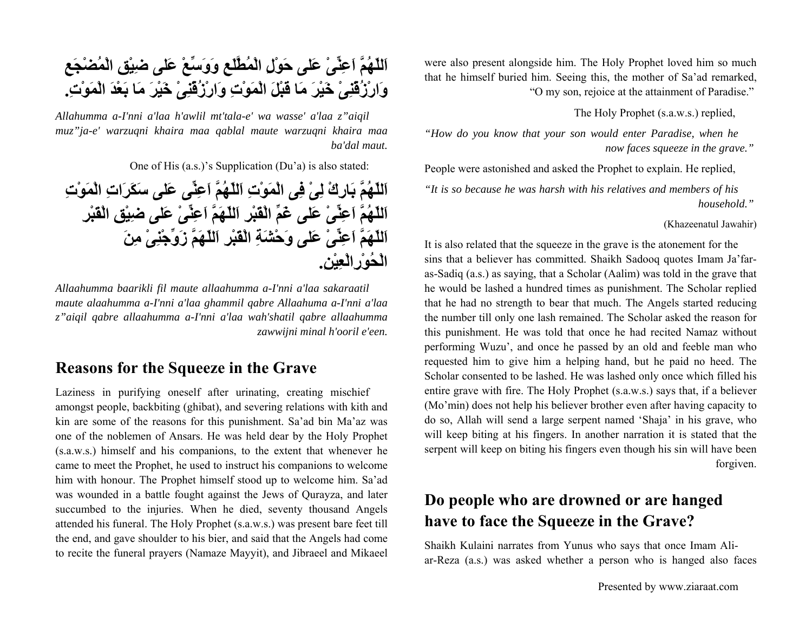were also present alongside him. The Holy Prophet loved him so much that he himself buried him. Seeing this, the mother of Sa'ad remarked, "O my son, rejoice at the attainment of Paradise."

The Holy Prophet (s.a.w.s.) replied,

*"How do you know that your son would enter Paradise, when he now faces squeeze in the grave."* 

People were astonished and asked the Prophet to explain. He replied,

*"It is so because he was harsh with his relatives and members of his household."* 

(Khazeenatul Jawahir)

It is also related that the squeeze in the grave is the atonement for the sins that a believer has committed. Shaikh Sadooq quotes Imam Ja'faras-Sadiq (a.s.) as saying, that a Scholar (Aalim) was told in the grave that he would be lashed a hundred times as punishment. The Scholar replied that he had no strength to bear that much. The Angels started reducing the number till only one lash remained. The Scholar asked the reason for this punishment. He was told that once he had recited Namaz without performing Wuzu', and once he passed by an old and feeble man who requested him to give him a helping hand, but he paid no heed. The Scholar consented to be lashed. He was lashed only once which filled his entire grave with fire. The Holy Prophet (s.a.w.s.) says that, if a believer (Mo'min) does not help his believer brother even after having capacity to do so, Allah will send a large serpent named 'Shaja' in his grave, who will keep biting at his fingers. In another narration it is stated that the serpent will keep on biting his fingers even though his sin will have been forgiven.

### **Do people who are drowned or are hanged have to face the Squeeze in the Grave?**

Shaikh Kulaini narrates from Yunus who says that once Imam Aliar-Reza (a.s.) was asked whether a person who is hanged also faces

**اَللّهُمَّ اَعِنِّىْ عَلى حَوْلِ الْمُطَّلَعِ وَوَسِّعْ عَلى ضِيْقِ الْمُضْجَعِ وَارْزُقْنِىْ خَيْرَ مَا قَبْلَ الْمَوْتِ وَارْزُقْنِىْ خَيْرَ مَا بَعْدَ الْمَوْت.ِ**

*Allahumma a-I'nni a'laa h'awlil mt'tala-e' wa wasse' a'laa z"aiqil muz"ja-e' warzuqni khaira maa qablal maute warzuqni khaira maa ba'dal maut.*

One of His (a.s.)'s Supplication (Du'a) is also stated:

**اَللّهُمَّ بَارِكْ لِىْ فِى الْمَوْتِ اَللّهُمَّ اَعِنِّى عَلى سَكَرَاتِ الْمَوْتِ اَللّهُمَّ اَعِنِّىْ عَلى غَمِّ الْقَبْرِ اَللّهَمَّ اَعِنِّىْ عَلى ضِيْقِ الْقَبْرِ اَللّهَمَّ اَعِنِّىْ عَلى وَحْشَةِ الْقَبْرِ اَللّهَمَّ زَوِّجْنِىْ مِنَ الْحُوْرِالْعِيْن.ِ**

*Allaahumma baarikli fil maute allaahumma a-I'nni a'laa sakaraatil maute alaahumma a-I'nni a'laa ghammil qabre Allaahuma a-I'nni a'laa <sup>z</sup>"aiqil qabre allaahumma a-I'nni a'laa wah'shatil qabre allaahumma zawwijni minal h'ooril e'een.*

### **Reasons for the Squeeze in the Grave**

Laziness in purifying oneself after urinating, creating mischief amongst people, backbiting (ghibat), and severing relations with kith and kin are some of the reasons for this punishment. Sa'ad bin Ma'az was one of the noblemen of Ansars. He was held dear by the Holy Prophet (s.a.w.s.) himself and his companions, to the extent that whenever he came to meet the Prophet, he used to instruct his companions to welcome him with honour. The Prophet himself stood up to welcome him. Sa'ad was wounded in a battle fought against the Jews of Qurayza, and later succumbed to the injuries. When he died, seventy thousand Angels attended his funeral. The Holy Prophet (s.a.w.s.) was present bare feet till the end, and gave shoulder to his bier, and said that the Angels had come to recite the funeral prayers (Namaze Mayyit), and Jibraeel and Mikaeel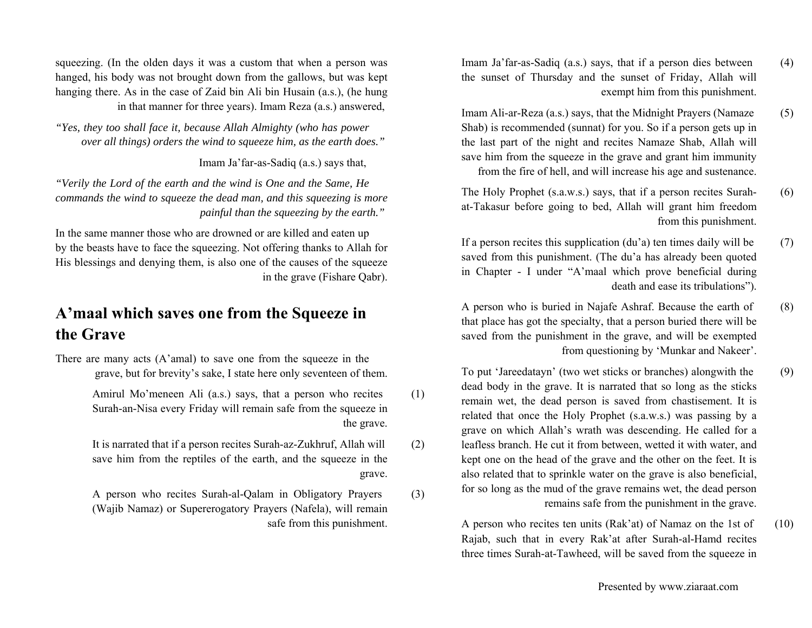- Imam Ja'far-as-Sadiq (a.s.) says, that if a person dies between (4) the sunset of Thursday and the sunset of Friday, Allah will exempt him from this punishment.
- Imam Ali-ar-Reza (a.s.) says, that the Midnight Prayers (Namaze (5) Shab) is recommended (sunnat) for you. So if a person gets up in the last part of the night and recites Namaze Shab, Allah will save him from the squeeze in the grave and grant him immunity from the fire of hell, and will increase his age and sustenance.
- The Holy Prophet (s.a.w.s.) says, that if a person recites Surah- (6) at-Takasur before going to bed, Allah will grant him freedom from this punishment.
- If a person recites this supplication  $(du'a)$  ten times daily will be  $(7)$ saved from this punishment. (The du'a has already been quoted in Chapter - I under "A'maal which prove beneficial during death and ease its tribulations").
- A person who is buried in Najafe Ashraf. Because the earth of (8) that place has got the specialty, that a person buried there will be saved from the punishment in the grave, and will be exempted from questioning by 'Munkar and Nakeer'.
- To put 'Jareedatayn' (two wet sticks or branches) alongwith the (9) dead body in the grave. It is narrated that so long as the sticks remain wet, the dead person is saved from chastisement. It is related that once the Holy Prophet (s.a.w.s.) was passing by a grave on which Allah's wrath was descending. He called for a leafless branch. He cut it from between, wetted it with water, and kept one on the head of the grave and the other on the feet. It is also related that to sprinkle water on the grave is also beneficial, for so long as the mud of the grave remains wet, the dead person remains safe from the punishment in the grave.
	- A person who recites ten units (Rak'at) of Namaz on the 1st of (10) Rajab, such that in every Rak'at after Surah-al-Hamd recites three times Surah-at-Tawheed, will be saved from the squeeze in

squeezing. (In the olden days it was a custom that when a person was hanged, his body was not brought down from the gallows, but was kept hanging there. As in the case of Zaid bin Ali bin Husain (a.s.), (he hung in that manner for three years). Imam Reza (a.s.) answered,

*"Yes, they too shall face it, because Allah Almighty (who has power over all things) orders the wind to squeeze him, as the earth does."* 

Imam Ja'far-as-Sadiq (a.s.) says that,

*"Verily the Lord of the earth and the wind is One and the Same, He commands the wind to squeeze the dead man, and this squeezing is more painful than the squeezing by the earth."* 

In the same manner those who are drowned or are killed and eaten up by the beasts have to face the squeezing. Not offering thanks to Allah for His blessings and denying them, is also one of the causes of the squeeze in the grave (Fishare Qabr).

### **A'maal which saves one from the Squeeze in the Grave**

There are many acts (A'amal) to save one from the squeeze in the grave, but for brevity's sake, I state here only seventeen of them.

> Amirul Mo'meneen Ali (a.s.) says, that a person who recites (1) Surah-an-Nisa every Friday will remain safe from the squeeze in the grave.

> It is narrated that if a person recites Surah-az-Zukhruf, Allah will (2) save him from the reptiles of the earth, and the squeeze in the grave.

> A person who recites Surah-al-Qalam in Obligatory Prayers (3) (Wajib Namaz) or Supererogatory Prayers (Nafela), will remain safe from this punishment.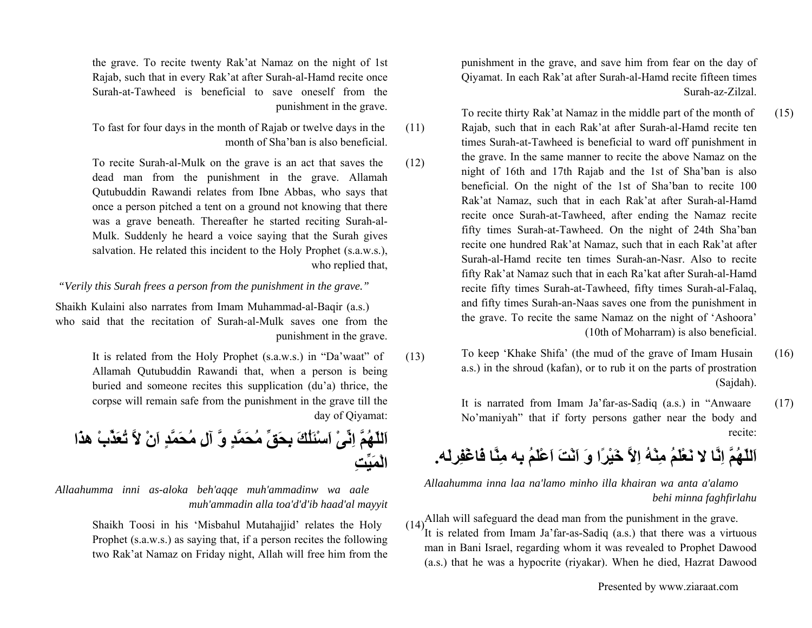punishment in the grave, and save him from fear on the day of Qiyamat. In each Rak'at after Surah-al-Hamd recite fifteen times Surah-az-Zilzal.

- To recite thirty Rak'at Namaz in the middle part of the month of (15) Rajab, such that in each Rak'at after Surah-al-Hamd recite ten times Surah-at-Tawheed is beneficial to ward off punishment in the grave. In the same manner to recite the above Namaz on the night of 16th and 17th Rajab and the 1st of Sha'ban is also beneficial. On the night of the 1st of Sha'ban to recite 100 Rak'at Namaz, such that in each Rak'at after Surah-al-Hamd recite once Surah-at-Tawheed, after ending the Namaz recite fifty times Surah-at-Tawheed. On the night of 24th Sha'ban recite one hundred Rak'at Namaz, such that in each Rak'at after Surah-al-Hamd recite ten times Surah-an-Nasr. Also to recite fifty Rak'at Namaz such that in each Ra'kat after Surah-al-Hamd recite fifty times Surah-at-Tawheed, fifty times Surah-al-Falaq, and fifty times Surah-an-Naas saves one from the punishment in the grave. To recite the same Namaz on the night of 'Ashoora' (10th of Moharram) is also beneficial.
	- To keep 'Khake Shifa' (the mud of the grave of Imam Husain (16) a.s.) in the shroud (kafan), or to rub it on the parts of prostration (Sajdah).
		- It is narrated from Imam Ja'far-as-Sadiq (a.s.) in "Anwaare (17) No'maniyah" that if forty persons gather near the body and recite:

**نَعْلَمُ مِنْهُ اِلاَّ خَيْرًا وَ اَنْتَ اَعْلَمُ بِه مِنَّا فَاغْفِرلَه. اَللّهُمَّ اِنَّا لا**

*Allaahumma inna laa na'lamo minho illa khairan wa anta a'alamo behi minna faghfirlahu*

 $(14)$ Allah will safeguard the dead man from the punishment in the grave. It is related from Imam Ja'far-as-Sadiq (a.s.) that there was a virtuous man in Bani Israel, regarding whom it was revealed to Prophet Dawood (a.s.) that he was a hypocrite (riyakar). When he died, Hazrat Dawood

the grave. To recite twenty Rak'at Namaz on the night of 1st Rajab, such that in every Rak'at after Surah-al-Hamd recite once Surah-at-Tawheed is beneficial to save oneself from the punishment in the grave.

To fast for four days in the month of Rajab or twelve days in the (11) month of Sha'ban is also beneficial.

To recite Surah-al-Mulk on the grave is an act that saves the (12) dead man from the punishment in the grave. Allamah Qutubuddin Rawandi relates from Ibne Abbas, who says that once a person pitched a tent on a ground not knowing that there was a grave beneath. Thereafter he started reciting Surah-al-Mulk. Suddenly he heard a voice saying that the Surah gives salvation. He related this incident to the Holy Prophet (s.a.w.s.), who replied that,

*"Verily this Surah frees a person from the punishment in the grave."*

Shaikh Kulaini also narrates from Imam Muhammad-al-Baqir (a.s.) who said that the recitation of Surah-al-Mulk saves one from the punishment in the grave.

> It is related from the Holy Prophet (s.a.w.s.) in "Da'waat" of (13) Allamah Qutubuddin Rawandi that, when a person is being buried and someone recites this supplication (du'a) thrice, the corpse will remain safe from the punishment in the grave till the day of Qiyamat:

**اَللّهُمَّ اِنِّىْ اَسْئَلُكَ بِحَقِّ مُحَمَّدٍ وَّ آلِ مُحَمَّدٍ اَنْ لاَّ تُعَذِّبْ هذَا الْمَيِّتِ**

*Allaahumma inni as-aloka beh'aqqe muh'ammadinw wa aale muh'ammadin alla toa'd'd'ib haad'al mayyit*

> Shaikh Toosi in his 'Misbahul Mutahajjid' relates the Holy (14) Prophet (s.a.w.s.) as saying that, if a person recites the following two Rak'at Namaz on Friday night, Allah will free him from the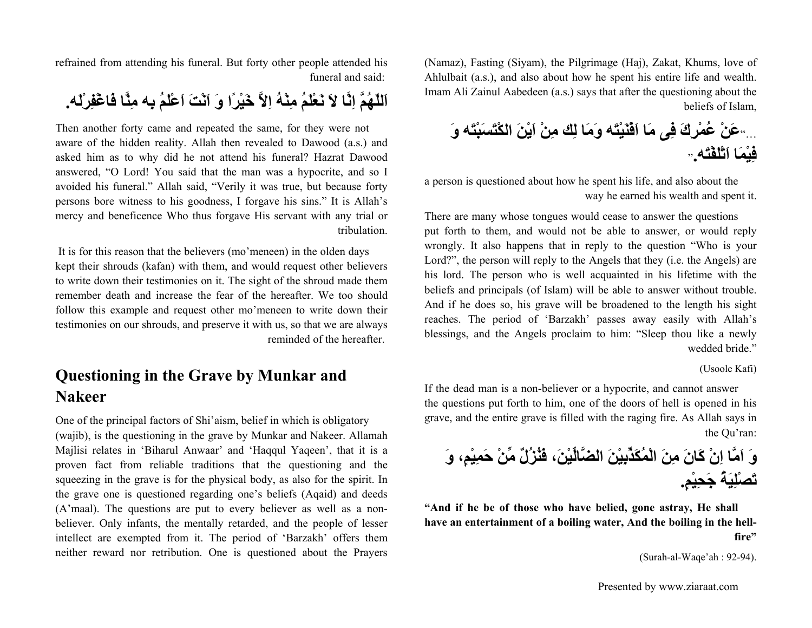(Namaz), Fasting (Siyam), the Pilgrimage (Haj), Zakat, Khums, love of Ahlulbait (a.s.), and also about how he spent his entire life and wealth. Imam Ali Zainul Aabedeen (a.s.) says that after the questioning about the beliefs of Islam,

..."**عَنْ عُمْرِكَ فِى مَا اَفْنَيْتَه وَمَا لِك مِنْ اَيْنَ الكْتَسَبْتَه وَ** "**فِيْمَا اَتْلَفْتَه.**

a person is questioned about how he spent his life, and also about the way he earned his wealth and spent it.

There are many whose tongues would cease to answer the questions put forth to them, and would not be able to answer, or would reply wrongly. It also happens that in reply to the question "Who is your Lord?", the person will reply to the Angels that they (i.e. the Angels) are his lord. The person who is well acquainted in his lifetime with the beliefs and principals (of Islam) will be able to answer without trouble. And if he does so, his grave will be broadened to the length his sight reaches. The period of 'Barzakh' passes away easily with Allah's blessings, and the Angels proclaim to him: "Sleep thou like a newly wedded bride."

#### (Usoole Kafi)

If the dead man is a non-believer or a hypocrite, and cannot answer the questions put forth to him, one of the doors of hell is opened in his grave, and the entire grave is filled with the raging fire. As Allah says in the Qu'ran:

**وَ اَمَّا اِنْ آَانَ مِنَ الْمُكَذِّبِيْنَ الضَّالِّيْن،َ فَنُزُلٌ مِّنْ حَمِيْم،ٍ وَ تَصْلِيَةُ جَحِيْم.ٍ**

**"And if he be of those who have belied, gone astray, He shall have an entertainment of a boiling water, And the boiling in the hellfire"**

(Surah-al-Waqe'ah : 92-94).

refrained from attending his funeral. But forty other people attended his funeral and said:

**اَللّهُمَّ اِنَّا لاَ نَعْلَمُ مِنْهُ اِلاَّ خَيْرًا وَ اَنْتَ اَعْلَمُ بِه مِنَّا فَاغْفِرْلَه.**

Then another forty came and repeated the same, for they were not aware of the hidden reality. Allah then revealed to Dawood (a.s.) and asked him as to why did he not attend his funeral? Hazrat Dawood answered, "O Lord! You said that the man was a hypocrite, and so I avoided his funeral." Allah said, "Verily it was true, but because forty persons bore witness to his goodness, I forgave his sins." It is Allah's mercy and beneficence Who thus forgave His servant with any trial or tribulation.

 It is for this reason that the believers (mo'meneen) in the olden days kept their shrouds (kafan) with them, and would request other believers to write down their testimonies on it. The sight of the shroud made them remember death and increase the fear of the hereafter. We too should follow this example and request other mo'meneen to write down their testimonies on our shrouds, and preserve it with us, so that we are always reminded of the hereafter.

### **Questioning in the Grave by Munkar and Nakeer**

One of the principal factors of Shi'aism, belief in which is obligatory (wajib), is the questioning in the grave by Munkar and Nakeer. Allamah Majlisi relates in 'Biharul Anwaar' and 'Haqqul Yaqeen', that it is a proven fact from reliable traditions that the questioning and the squeezing in the grave is for the physical body, as also for the spirit. In the grave one is questioned regarding one's beliefs (Aqaid) and deeds (A'maal). The questions are put to every believer as well as a nonbeliever. Only infants, the mentally retarded, and the people of lesser intellect are exempted from it. The period of 'Barzakh' offers them neither reward nor retribution. One is questioned about the Prayers

Presented by www.ziaraat.com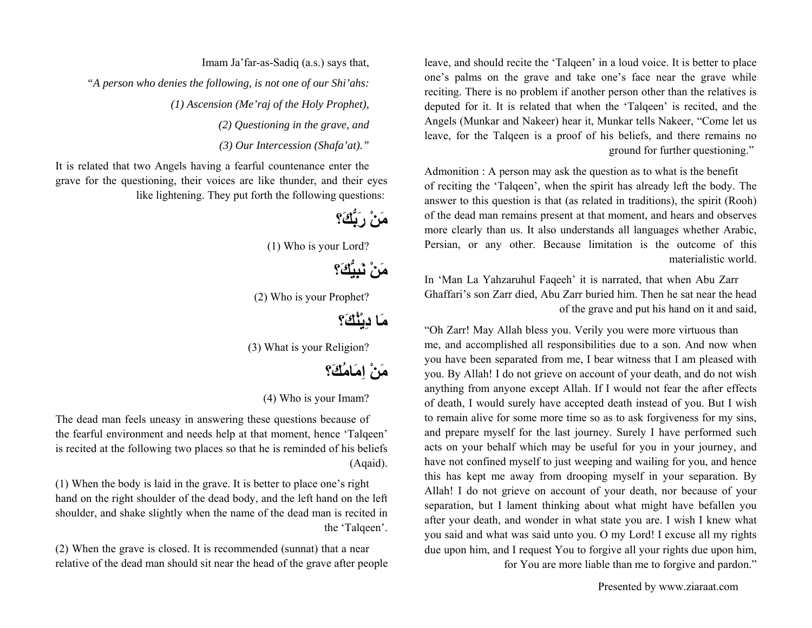leave, and should recite the 'Talqeen' in a loud voice. It is better to place one's palms on the grave and take one's face near the grave while reciting. There is no problem if another person other than the relatives is deputed for it. It is related that when the 'Talqeen' is recited, and the Angels (Munkar and Nakeer) hear it, Munkar tells Nakeer, "Come let us leave, for the Talqeen is a proof of his beliefs, and there remains no ground for further questioning."

Admonition : A person may ask the question as to what is the benefit of reciting the 'Talqeen', when the spirit has already left the body. The answer to this question is that (as related in traditions), the spirit (Rooh) of the dead man remains present at that moment, and hears and observes more clearly than us. It also understands all languages whether Arabic, Persian, or any other. Because limitation is the outcome of this materialistic world.

In 'Man La Yahzaruhul Faqeeh' it is narrated, that when Abu Zarr Ghaffari's son Zarr died, Abu Zarr buried him. Then he sat near the head of the grave and put his hand on it and said,

"Oh Zarr! May Allah bless you. Verily you were more virtuous than me, and accomplished all responsibilities due to a son. And now when you have been separated from me, I bear witness that I am pleased with you. By Allah! I do not grieve on account of your death, and do not wish anything from anyone except Allah. If I would not fear the after effects of death, I would surely have accepted death instead of you. But I wish to remain alive for some more time so as to ask forgiveness for my sins, and prepare myself for the last journey. Surely I have performed such acts on your behalf which may be useful for you in your journey, and have not confined myself to just weeping and wailing for you, and hence this has kept me away from drooping myself in your separation. By Allah! I do not grieve on account of your death, nor because of your separation, but I lament thinking about what might have befallen you after your death, and wonder in what state you are. I wish I knew what you said and what was said unto you. O my Lord! I excuse all my rights due upon him, and I request You to forgive all your rights due upon him,

for You are more liable than me to forgive and pardon."

Presented by www.ziaraat.com

Imam Ja'far-as-Sadiq (a.s.) says that, *"A person who denies the following, is not one of our Shi'ahs: (1) Ascension (Me'raj of the Holy Prophet), (2) Questioning in the grave, and*

*(3) Our Intercession (Shafa'at)."*

It is related that two Angels having a fearful countenance enter the grave for the questioning, their voices are like thunder, and their eyes like lightening. They put forth the following questions:

**مَنْ رَبُّكَ؟**

(1) Who is your Lord?

**مَنْ نَبِيُّكَ؟**

(2) Who is your Prophet?

**مَا دِيْنُكَ؟**

(3) What is your Religion?

**مَنْ اِمَامُكَ؟**

(4) Who is your Imam?

The dead man feels uneasy in answering these questions because of the fearful environment and needs help at that moment, hence 'Talqeen' is recited at the following two places so that he is reminded of his beliefs (Aqaid).

(1) When the body is laid in the grave. It is better to place one's right hand on the right shoulder of the dead body, and the left hand on the left shoulder, and shake slightly when the name of the dead man is recited in the 'Talqeen'.

(2) When the grave is closed. It is recommended (sunnat) that a near relative of the dead man should sit near the head of the grave after people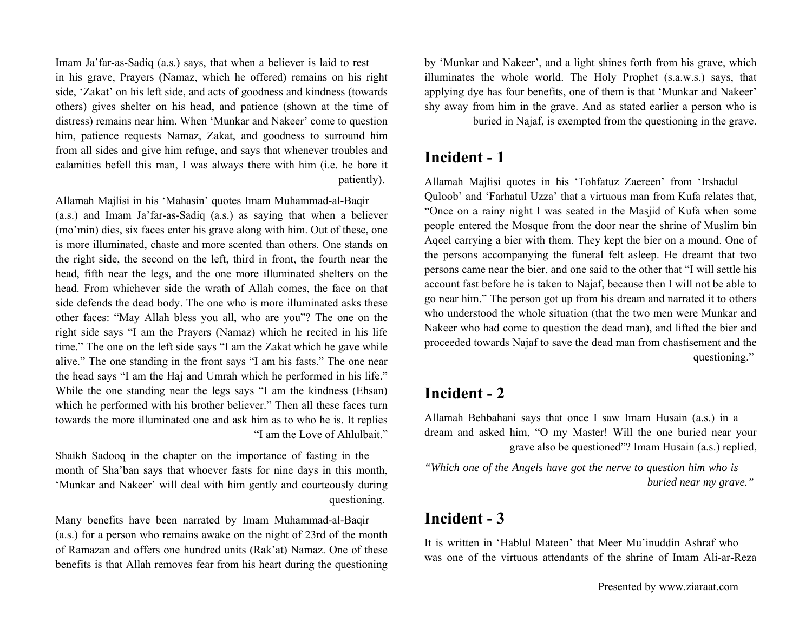Imam Ja'far-as-Sadiq (a.s.) says, that when a believer is laid to rest in his grave, Prayers (Namaz, which he offered) remains on his right side, 'Zakat' on his left side, and acts of goodness and kindness (towards others) gives shelter on his head, and patience (shown at the time of distress) remains near him. When 'Munkar and Nakeer' come to question him, patience requests Namaz, Zakat, and goodness to surround him from all sides and give him refuge, and says that whenever troubles and calamities befell this man, I was always there with him (i.e. he bore it patiently).

Allamah Majlisi in his 'Mahasin' quotes Imam Muhammad-al-Baqir (a.s.) and Imam Ja'far-as-Sadiq (a.s.) as saying that when a believer (mo'min) dies, six faces enter his grave along with him. Out of these, one is more illuminated, chaste and more scented than others. One stands on the right side, the second on the left, third in front, the fourth near the head, fifth near the legs, and the one more illuminated shelters on the head. From whichever side the wrath of Allah comes, the face on that side defends the dead body. The one who is more illuminated asks these other faces: "May Allah bless you all, who are you"? The one on the right side says "I am the Prayers (Namaz) which he recited in his life time." The one on the left side says "I am the Zakat which he gave while alive." The one standing in the front says "I am his fasts." The one near the head says "I am the Haj and Umrah which he performed in his life." While the one standing near the legs says "I am the kindness (Ehsan) which he performed with his brother believer." Then all these faces turn towards the more illuminated one and ask him as to who he is. It replies "I am the Love of Ahlulbait."

Shaikh Sadooq in the chapter on the importance of fasting in the month of Sha'ban says that whoever fasts for nine days in this month, 'Munkar and Nakeer' will deal with him gently and courteously during questioning.

Many benefits have been narrated by Imam Muhammad-al-Baqir (a.s.) for a person who remains awake on the night of 23rd of the month of Ramazan and offers one hundred units (Rak'at) Namaz. One of these benefits is that Allah removes fear from his heart during the questioning by 'Munkar and Nakeer', and a light shines forth from his grave, which illuminates the whole world. The Holy Prophet (s.a.w.s.) says, that applying dye has four benefits, one of them is that 'Munkar and Nakeer' shy away from him in the grave. And as stated earlier a person who is

buried in Najaf, is exempted from the questioning in the grave.

### **Incident - 1**

Allamah Majlisi quotes in his 'Tohfatuz Zaereen' from 'Irshadul Quloob' and 'Farhatul Uzza' that a virtuous man from Kufa relates that, "Once on a rainy night I was seated in the Masjid of Kufa when some people entered the Mosque from the door near the shrine of Muslim bin Aqeel carrying a bier with them. They kept the bier on a mound. One of the persons accompanying the funeral felt asleep. He dreamt that two persons came near the bier, and one said to the other that "I will settle his account fast before he is taken to Najaf, because then I will not be able to go near him." The person got up from his dream and narrated it to others who understood the whole situation (that the two men were Munkar and Nakeer who had come to question the dead man), and lifted the bier and proceeded towards Najaf to save the dead man from chastisement and the questioning."

### **Incident - 2**

Allamah Behbahani says that once I saw Imam Husain (a.s.) in a dream and asked him, "O my Master! Will the one buried near your grave also be questioned"? Imam Husain (a.s.) replied,

*"Which one of the Angels have got the nerve to question him who is buried near my grave."* 

### **Incident - 3**

It is written in 'Hablul Mateen' that Meer Mu'inuddin Ashraf who was one of the virtuous attendants of the shrine of Imam Ali-ar-Reza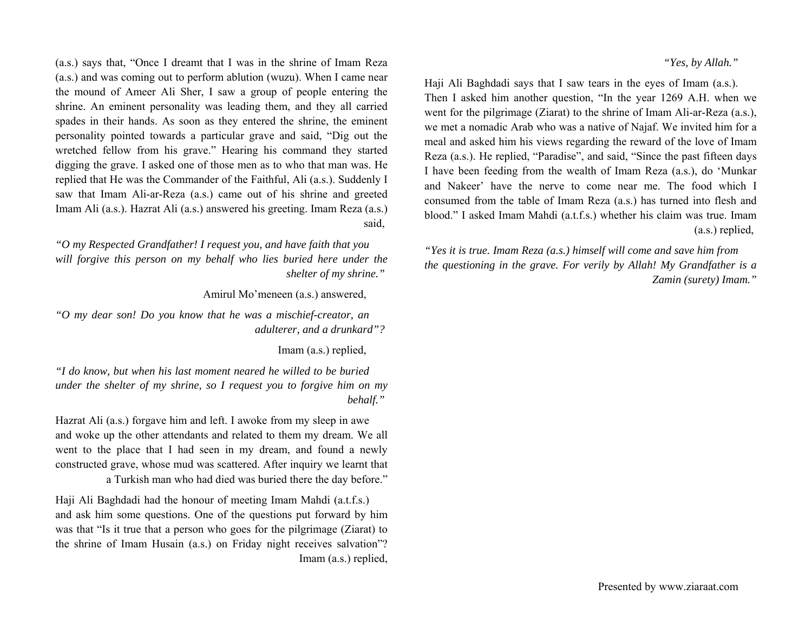#### *"Yes, by Allah."*

Haji Ali Baghdadi says that I saw tears in the eyes of Imam (a.s.). Then I asked him another question, "In the year 1269 A.H. when we went for the pilgrimage (Ziarat) to the shrine of Imam Ali-ar-Reza (a.s.), we met a nomadic Arab who was a native of Najaf. We invited him for a meal and asked him his views regarding the reward of the love of Imam Reza (a.s.). He replied, "Paradise", and said, "Since the past fifteen days I have been feeding from the wealth of Imam Reza (a.s.), do 'Munkar and Nakeer' have the nerve to come near me. The food which I consumed from the table of Imam Reza (a.s.) has turned into flesh and blood." I asked Imam Mahdi (a.t.f.s.) whether his claim was true. Imam (a.s.) replied,

*"Yes it is true. Imam Reza (a.s.) himself will come and save him from the questioning in the grave. For verily by Allah! My Grandfather is a Zamin (surety) Imam."*

(a.s.) says that, "Once I dreamt that I was in the shrine of Imam Reza (a.s.) and was coming out to perform ablution (wuzu). When I came near the mound of Ameer Ali Sher, I saw a group of people entering the shrine. An eminent personality was leading them, and they all carried spades in their hands. As soon as they entered the shrine, the eminent personality pointed towards a particular grave and said, "Dig out the wretched fellow from his grave." Hearing his command they started digging the grave. I asked one of those men as to who that man was. He replied that He was the Commander of the Faithful, Ali (a.s.). Suddenly I saw that Imam Ali-ar-Reza (a.s.) came out of his shrine and greeted Imam Ali (a.s.). Hazrat Ali (a.s.) answered his greeting. Imam Reza (a.s.) said,

*"O my Respected Grandfather! I request you, and have faith that you*  will forgive this person on my behalf who lies buried here under the *shelter of my shrine."* 

Amirul Mo'meneen (a.s.) answered,

*"O my dear son! Do you know that he was a mischief-creator, an adulterer, and a drunkard"?* 

Imam (a.s.) replied,

*"I do know, but when his last moment neared he willed to be buried under the shelter of my shrine, so I request you to forgive him on my behalf."* 

Hazrat Ali (a.s.) forgave him and left. I awoke from my sleep in awe and woke up the other attendants and related to them my dream. We all went to the place that I had seen in my dream, and found a newly constructed grave, whose mud was scattered. After inquiry we learnt that a Turkish man who had died was buried there the day before."

Haji Ali Baghdadi had the honour of meeting Imam Mahdi (a.t.f.s.) and ask him some questions. One of the questions put forward by him was that "Is it true that a person who goes for the pilgrimage (Ziarat) to the shrine of Imam Husain (a.s.) on Friday night receives salvation"? Imam (a.s.) replied,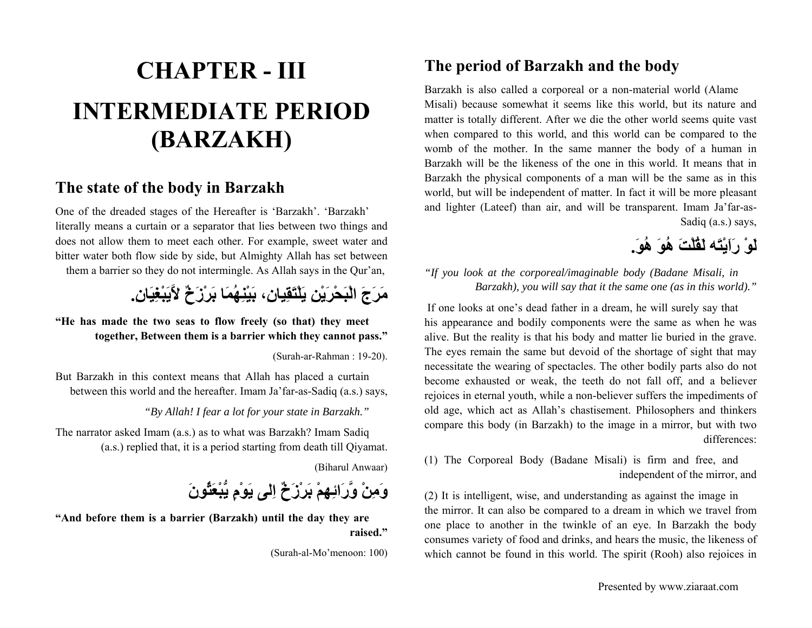# **CHAPTER - IIIINTERMEDIATE PERIOD (BARZAKH)**

### **The state of the body in Barzakh**

One of the dreaded stages of the Hereafter is 'Barzakh'. 'Barzakh' literally means a curtain or a separator that lies between two things and does not allow them to meet each other. For example, sweet water and bitter water both flow side by side, but Almighty Allah has set between them a barrier so they do not intermingle. As Allah says in the Qur'an,

# **مَرَجَ الْبَحْرَيْنِ يَلْتَقِيان،ِ بَيْنِهُمَا بَرْزَخٌ لاَّيَبْغِيَان.ِ**

**"He has made the two seas to flow freely (so that) they meet together, Between them is a barrier which they cannot pass."**

(Surah-ar-Rahman : 19-20).

But Barzakh in this context means that Allah has placed a curtain between this world and the hereafter. Imam Ja'far-as-Sadiq (a.s.) says,

*"By Allah! I fear a lot for your state in Barzakh."*

The narrator asked Imam (a.s.) as to what was Barzakh? Imam Sadiq (a.s.) replied that, it is a period starting from death till Qiyamat.

(Biharul Anwaar)

**وَمِنْ وَّرَائِهِمْ بَرْزَخٌ اِلى يَوْمٍ يُّبْعَثُونَ**

**"And before them is a barrier (Barzakh) until the day they are raised."**

(Surah-al-Mo'menoon: 100)

### **The period of Barzakh and the body**

Barzakh is also called a corporeal or a non-material world (Alame Misali) because somewhat it seems like this world, but its nature and matter is totally different. After we die the other world seems quite vast when compared to this world, and this world can be compared to the womb of the mother. In the same manner the body of a human in Barzakh will be the likeness of the one in this world. It means that in Barzakh the physical components of a man will be the same as in this world, but will be independent of matter. In fact it will be more pleasant and lighter (Lateef) than air, and will be transparent. Imam Ja'far-as-Sadiq (a.s.) says,

# **لَوْ رَاَيْتَه لَقُلْتَ هُوَ هُو.َ**

*"If you look at the corporeal/imaginable body (Badane Misali, in Barzakh), you will say that it the same one (as in this world)."*

 If one looks at one's dead father in a dream, he will surely say that his appearance and bodily components were the same as when he was alive. But the reality is that his body and matter lie buried in the grave. The eyes remain the same but devoid of the shortage of sight that may necessitate the wearing of spectacles. The other bodily parts also do not become exhausted or weak, the teeth do not fall off, and a believer rejoices in eternal youth, while a non-believer suffers the impediments of old age, which act as Allah's chastisement. Philosophers and thinkers compare this body (in Barzakh) to the image in a mirror, but with two differences:

(1) The Corporeal Body (Badane Misali) is firm and free, and independent of the mirror, and

(2) It is intelligent, wise, and understanding as against the image in the mirror. It can also be compared to a dream in which we travel from one place to another in the twinkle of an eye. In Barzakh the body consumes variety of food and drinks, and hears the music, the likeness of which cannot be found in this world. The spirit (Rooh) also rejoices in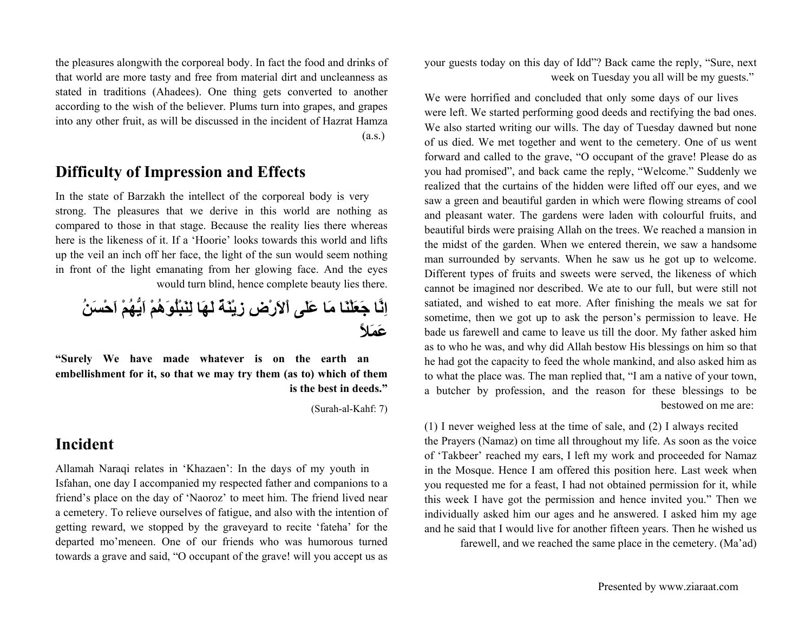the pleasures alongwith the corporeal body. In fact the food and drinks of that world are more tasty and free from material dirt and uncleanness as stated in traditions (Ahadees). One thing gets converted to another according to the wish of the believer. Plums turn into grapes, and grapes into any other fruit, as will be discussed in the incident of Hazrat Hamza (a.s.)

### **Difficulty of Impression and Effects**

In the state of Barzakh the intellect of the corporeal body is very strong. The pleasures that we derive in this world are nothing as compared to those in that stage. Because the reality lies there whereas here is the likeness of it. If a 'Hoorie' looks towards this world and lifts up the veil an inch off her face, the light of the sun would seem nothing in front of the light emanating from her glowing face. And the eyes would turn blind, hence complete beauty lies there.

**اِنَّا جَعَلْنَا مَا عَلَى اْلاَرْضِ زِيْنَةٌ لَهَا لِنَبْلُوَهُمْ اَيُّهُمْ اَحْسَنُ عَمَلاً**

**"Surely We have made whatever is on the earth an embellishment for it, so that we may try them (as to) which of them is the best in deeds."**

(Surah-al-Kahf: 7)

### **Incident**

Allamah Naraqi relates in 'Khazaen': In the days of my youth in Isfahan, one day I accompanied my respected father and companions to a friend's place on the day of 'Naoroz' to meet him. The friend lived near a cemetery. To relieve ourselves of fatigue, and also with the intention of getting reward, we stopped by the graveyard to recite 'fateha' for the departed mo'meneen. One of our friends who was humorous turned towards a grave and said, "O occupant of the grave! will you accept us as

your guests today on this day of Idd"? Back came the reply, "Sure, next week on Tuesday you all will be my guests."

We were horrified and concluded that only some days of our lives were left. We started performing good deeds and rectifying the bad ones. We also started writing our wills. The day of Tuesday dawned but none of us died. We met together and went to the cemetery. One of us went forward and called to the grave, "O occupant of the grave! Please do as you had promised", and back came the reply, "Welcome." Suddenly we realized that the curtains of the hidden were lifted off our eyes, and we saw a green and beautiful garden in which were flowing streams of cool and pleasant water. The gardens were laden with colourful fruits, and beautiful birds were praising Allah on the trees. We reached a mansion in the midst of the garden. When we entered therein, we saw a handsome man surrounded by servants. When he saw us he got up to welcome. Different types of fruits and sweets were served, the likeness of which cannot be imagined nor described. We ate to our full, but were still not satiated, and wished to eat more. After finishing the meals we sat for sometime, then we got up to ask the person's permission to leave. He bade us farewell and came to leave us till the door. My father asked him as to who he was, and why did Allah bestow His blessings on him so that he had got the capacity to feed the whole mankind, and also asked him as to what the place was. The man replied that, "I am a native of your town, a butcher by profession, and the reason for these blessings to be bestowed on me are:

(1) I never weighed less at the time of sale, and (2) I always recited the Prayers (Namaz) on time all throughout my life. As soon as the voice of 'Takbeer' reached my ears, I left my work and proceeded for Namaz in the Mosque. Hence I am offered this position here. Last week when you requested me for a feast, I had not obtained permission for it, while this week I have got the permission and hence invited you." Then we individually asked him our ages and he answered. I asked him my age and he said that I would live for another fifteen years. Then he wished us

farewell, and we reached the same place in the cemetery. (Ma'ad)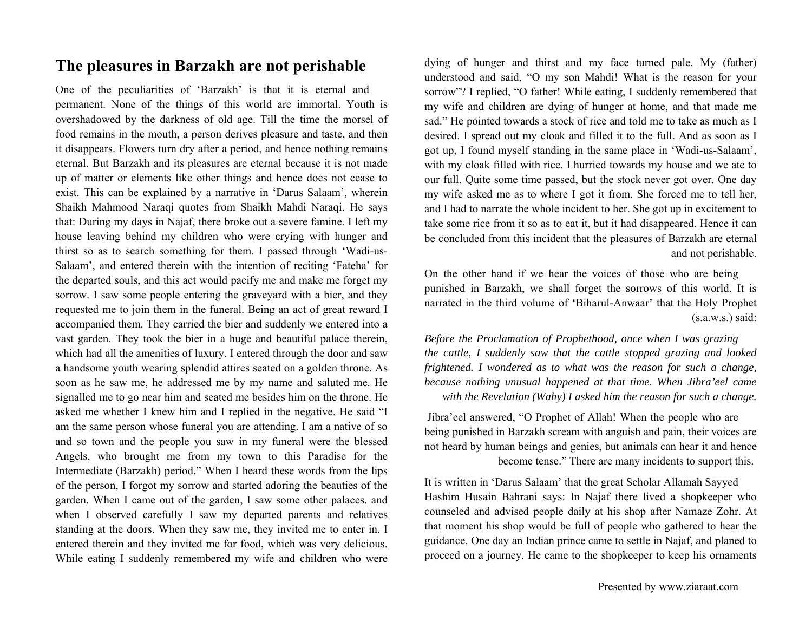### **The pleasures in Barzakh are not perishable**

One of the peculiarities of 'Barzakh' is that it is eternal and permanent. None of the things of this world are immortal. Youth is overshadowed by the darkness of old age. Till the time the morsel of food remains in the mouth, a person derives pleasure and taste, and then it disappears. Flowers turn dry after a period, and hence nothing remains eternal. But Barzakh and its pleasures are eternal because it is not made up of matter or elements like other things and hence does not cease to exist. This can be explained by a narrative in 'Darus Salaam', wherein Shaikh Mahmood Naraqi quotes from Shaikh Mahdi Naraqi. He says that: During my days in Najaf, there broke out a severe famine. I left my house leaving behind my children who were crying with hunger and thirst so as to search something for them. I passed through 'Wadi-us-Salaam', and entered therein with the intention of reciting 'Fateha' for the departed souls, and this act would pacify me and make me forget my sorrow. I saw some people entering the graveyard with a bier, and they requested me to join them in the funeral. Being an act of great reward I accompanied them. They carried the bier and suddenly we entered into a vast garden. They took the bier in a huge and beautiful palace therein, which had all the amenities of luxury. I entered through the door and saw a handsome youth wearing splendid attires seated on a golden throne. As soon as he saw me, he addressed me by my name and saluted me. He signalled me to go near him and seated me besides him on the throne. He asked me whether I knew him and I replied in the negative. He said "I am the same person whose funeral you are attending. I am a native of so and so town and the people you saw in my funeral were the blessed Angels, who brought me from my town to this Paradise for the Intermediate (Barzakh) period." When I heard these words from the lips of the person, I forgot my sorrow and started adoring the beauties of the garden. When I came out of the garden, I saw some other palaces, and when I observed carefully I saw my departed parents and relatives standing at the doors. When they saw me, they invited me to enter in. I entered therein and they invited me for food, which was very delicious. While eating I suddenly remembered my wife and children who were

dying of hunger and thirst and my face turned pale. My (father) understood and said, "O my son Mahdi! What is the reason for your sorrow"? I replied, "O father! While eating, I suddenly remembered that my wife and children are dying of hunger at home, and that made me sad." He pointed towards a stock of rice and told me to take as much as I desired. I spread out my cloak and filled it to the full. And as soon as I got up, I found myself standing in the same place in 'Wadi-us-Salaam', with my cloak filled with rice. I hurried towards my house and we ate to our full. Quite some time passed, but the stock never got over. One day my wife asked me as to where I got it from. She forced me to tell her, and I had to narrate the whole incident to her. She got up in excitement to take some rice from it so as to eat it, but it had disappeared. Hence it can be concluded from this incident that the pleasures of Barzakh are eternal and not perishable.

On the other hand if we hear the voices of those who are being punished in Barzakh, we shall forget the sorrows of this world. It is narrated in the third volume of 'Biharul-Anwaar' that the Holy Prophet  $(s.a.w.s.)$  said:

*Before the Proclamation of Prophethood, once when I was grazing the cattle, I suddenly saw that the cattle stopped grazing and looked frightened. I wondered as to what was the reason for such a change, because nothing unusual happened at that time. When Jibra'eel came with the Revelation (Wahy) I asked him the reason for such a change.*

 Jibra'eel answered, "O Prophet of Allah! When the people who are being punished in Barzakh scream with anguish and pain, their voices are not heard by human beings and genies, but animals can hear it and hence become tense." There are many incidents to support this.

It is written in 'Darus Salaam' that the great Scholar Allamah Sayyed Hashim Husain Bahrani says: In Najaf there lived a shopkeeper who counseled and advised people daily at his shop after Namaze Zohr. At that moment his shop would be full of people who gathered to hear the guidance. One day an Indian prince came to settle in Najaf, and planed to proceed on a journey. He came to the shopkeeper to keep his ornaments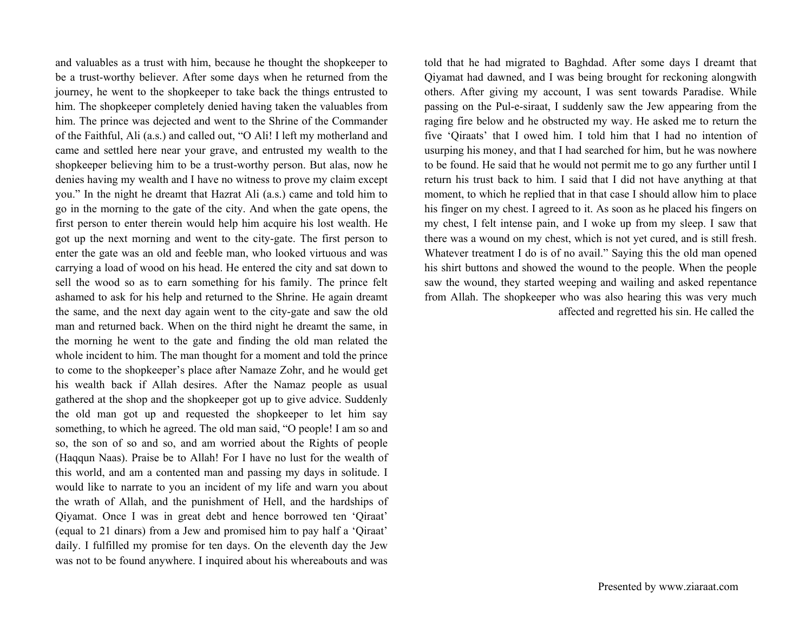and valuables as a trust with him, because he thought the shopkeeper to be a trust-worthy believer. After some days when he returned from the journey, he went to the shopkeeper to take back the things entrusted to him. The shopkeeper completely denied having taken the valuables from him. The prince was dejected and went to the Shrine of the Commander of the Faithful, Ali (a.s.) and called out, "O Ali! I left my motherland and came and settled here near your grave, and entrusted my wealth to the shopkeeper believing him to be a trust-worthy person. But alas, now he denies having my wealth and I have no witness to prove my claim except you." In the night he dreamt that Hazrat Ali (a.s.) came and told him to go in the morning to the gate of the city. And when the gate opens, the first person to enter therein would help him acquire his lost wealth. He got up the next morning and went to the city-gate. The first person to enter the gate was an old and feeble man, who looked virtuous and was carrying a load of wood on his head. He entered the city and sat down to sell the wood so as to earn something for his family. The prince felt ashamed to ask for his help and returned to the Shrine. He again dreamt the same, and the next day again went to the city-gate and saw the old man and returned back. When on the third night he dreamt the same, in the morning he went to the gate and finding the old man related the whole incident to him. The man thought for a moment and told the prince to come to the shopkeeper's place after Namaze Zohr, and he would get his wealth back if Allah desires. After the Namaz people as usual gathered at the shop and the shopkeeper got up to give advice. Suddenly the old man got up and requested the shopkeeper to let him say something, to which he agreed. The old man said, "O people! I am so and so, the son of so and so, and am worried about the Rights of people (Haqqun Naas). Praise be to Allah! For I have no lust for the wealth of this world, and am a contented man and passing my days in solitude. I would like to narrate to you an incident of my life and warn you about the wrath of Allah, and the punishment of Hell, and the hardships of Qiyamat. Once I was in great debt and hence borrowed ten 'Qiraat' (equal to 21 dinars) from a Jew and promised him to pay half a 'Qiraat' daily. I fulfilled my promise for ten days. On the eleventh day the Jew was not to be found anywhere. I inquired about his whereabouts and was

told that he had migrated to Baghdad. After some days I dreamt that Qiyamat had dawned, and I was being brought for reckoning alongwith others. After giving my account, I was sent towards Paradise. While passing on the Pul-e-siraat, I suddenly saw the Jew appearing from the raging fire below and he obstructed my way. He asked me to return the five 'Qiraats' that I owed him. I told him that I had no intention of usurping his money, and that I had searched for him, but he was nowhere to be found. He said that he would not permit me to go any further until I return his trust back to him. I said that I did not have anything at that moment, to which he replied that in that case I should allow him to place his finger on my chest. I agreed to it. As soon as he placed his fingers on my chest, I felt intense pain, and I woke up from my sleep. I saw that there was a wound on my chest, which is not yet cured, and is still fresh. Whatever treatment I do is of no avail." Saying this the old man opened his shirt buttons and showed the wound to the people. When the people saw the wound, they started weeping and wailing and asked repentance from Allah. The shopkeeper who was also hearing this was very much affected and regretted his sin. He called the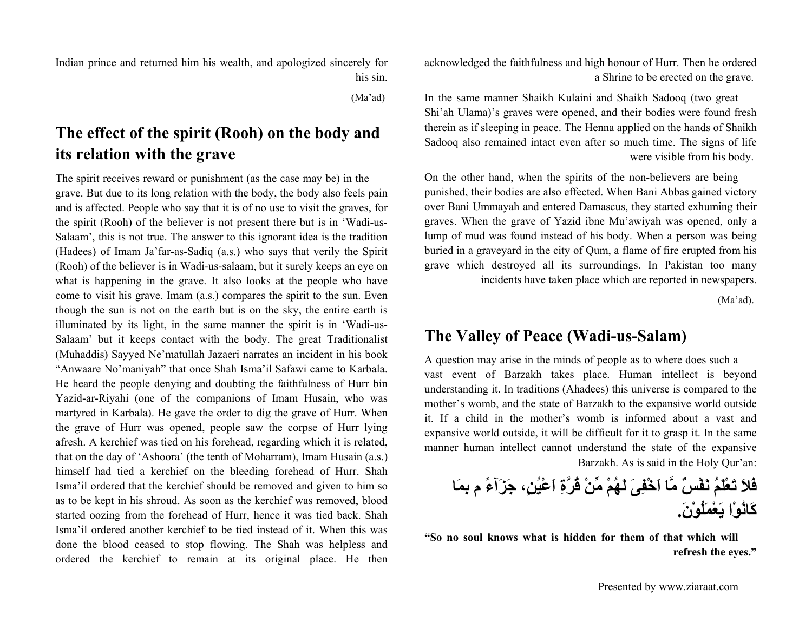Indian prince and returned him his wealth, and apologized sincerely for his sin.

(Ma'ad)

## **The effect of the spirit (Rooh) on the body and its relation with the grave**

The spirit receives reward or punishment (as the case may be) in the grave. But due to its long relation with the body, the body also feels pain and is affected. People who say that it is of no use to visit the graves, for the spirit (Rooh) of the believer is not present there but is in 'Wadi-us-Salaam', this is not true. The answer to this ignorant idea is the tradition (Hadees) of Imam Ja'far-as-Sadiq (a.s.) who says that verily the Spirit (Rooh) of the believer is in Wadi-us-salaam, but it surely keeps an eye on what is happening in the grave. It also looks at the people who have come to visit his grave. Imam (a.s.) compares the spirit to the sun. Even though the sun is not on the earth but is on the sky, the entire earth is illuminated by its light, in the same manner the spirit is in 'Wadi-us-Salaam' but it keeps contact with the body. The great Traditionalist (Muhaddis) Sayyed Ne'matullah Jazaeri narrates an incident in his book "Anwaare No'maniyah" that once Shah Isma'il Safawi came to Karbala. He heard the people denying and doubting the faithfulness of Hurr bin Yazid-ar-Riyahi (one of the companions of Imam Husain, who was martyred in Karbala). He gave the order to dig the grave of Hurr. When the grave of Hurr was opened, people saw the corpse of Hurr lying afresh. A kerchief was tied on his forehead, regarding which it is related, that on the day of 'Ashoora' (the tenth of Moharram), Imam Husain (a.s.) himself had tied a kerchief on the bleeding forehead of Hurr. Shah Isma'il ordered that the kerchief should be removed and given to him so as to be kept in his shroud. As soon as the kerchief was removed, blood started oozing from the forehead of Hurr, hence it was tied back. Shah Isma'il ordered another kerchief to be tied instead of it. When this was done the blood ceased to stop flowing. The Shah was helpless and ordered the kerchief to remain at its original place. He then acknowledged the faithfulness and high honour of Hurr. Then he ordered a Shrine to be erected on the grave.

In the same manner Shaikh Kulaini and Shaikh Sadooq (two great Shi'ah Ulama)'s graves were opened, and their bodies were found fresh therein as if sleeping in peace. The Henna applied on the hands of Shaikh Sadooq also remained intact even after so much time. The signs of life were visible from his body.

On the other hand, when the spirits of the non-believers are being punished, their bodies are also effected. When Bani Abbas gained victory over Bani Ummayah and entered Damascus, they started exhuming their graves. When the grave of Yazid ibne Mu'awiyah was opened, only a lump of mud was found instead of his body. When a person was being buried in a graveyard in the city of Qum, a flame of fire erupted from his grave which destroyed all its surroundings. In Pakistan too many incidents have taken place which are reported in newspapers.

(Ma'ad).

### **The Valley of Peace (Wadi-us-Salam)**

A question may arise in the minds of people as to where does such a vast event of Barzakh takes place. Human intellect is beyond understanding it. In traditions (Ahadees) this universe is compared to the mother's womb, and the state of Barzakh to the expansive world outside it. If a child in the mother's womb is informed about a vast and expansive world outside, it will be difficult for it to grasp it. In the same manner human intellect cannot understand the state of the expansive Barzakh. As is said in the Holy Qur'an:

**بِمَا فَلاَ تَعْلَمُ نَفْسٌ مَّا اَخْفِىَ لَهُمْ مِّنْ قُرَّةِ اَعْيُن،ٍ جَزَآءً <sup>م</sup> آَانُوْا يَعْمَلُوْن.َ**

**"So no soul knows what is hidden for them of that which will refresh the eyes."**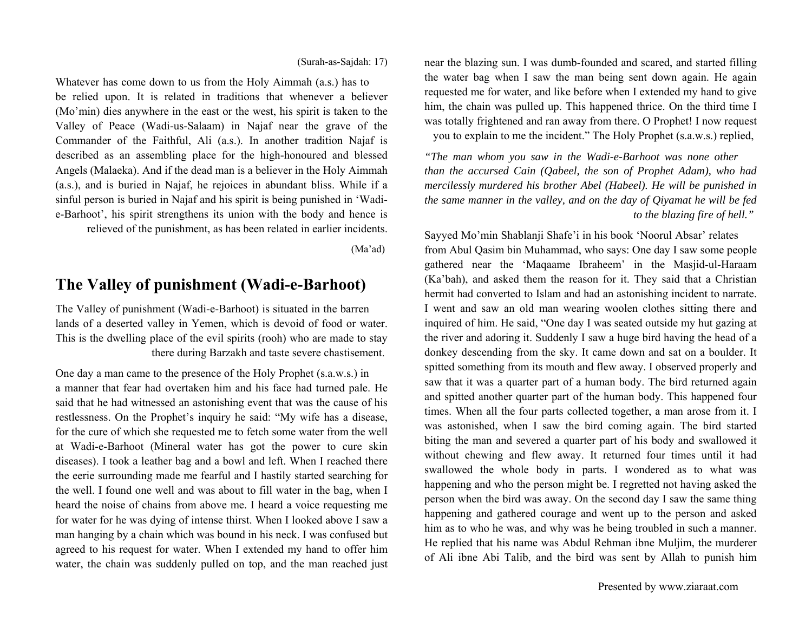near the blazing sun. I was dumb-founded and scared, and started filling the water bag when I saw the man being sent down again. He again requested me for water, and like before when I extended my hand to give him, the chain was pulled up. This happened thrice. On the third time I was totally frightened and ran away from there. O Prophet! I now request you to explain to me the incident." The Holy Prophet (s.a.w.s.) replied,

*"The man whom you saw in the Wadi-e-Barhoot was none other than the accursed Cain (Qabeel, the son of Prophet Adam), who had mercilessly murdered his brother Abel (Habeel). He will be punished in the same manner in the valley, and on the day of Qiyamat he will be fed to the blazing fire of hell."* 

Sayyed Mo'min Shablanji Shafe'i in his book 'Noorul Absar' relates from Abul Qasim bin Muhammad, who says: One day I saw some people gathered near the 'Maqaame Ibraheem' in the Masjid-ul-Haraam (Ka'bah), and asked them the reason for it. They said that a Christian hermit had converted to Islam and had an astonishing incident to narrate. I went and saw an old man wearing woolen clothes sitting there and inquired of him. He said, "One day I was seated outside my hut gazing at the river and adoring it. Suddenly I saw a huge bird having the head of a donkey descending from the sky. It came down and sat on a boulder. It spitted something from its mouth and flew away. I observed properly and saw that it was a quarter part of a human body. The bird returned again and spitted another quarter part of the human body. This happened four times. When all the four parts collected together, a man arose from it. I was astonished, when I saw the bird coming again. The bird started biting the man and severed a quarter part of his body and swallowed it without chewing and flew away. It returned four times until it had swallowed the whole body in parts. I wondered as to what was happening and who the person might be. I regretted not having asked the person when the bird was away. On the second day I saw the same thing happening and gathered courage and went up to the person and asked him as to who he was, and why was he being troubled in such a manner. He replied that his name was Abdul Rehman ibne Muljim, the murderer of Ali ibne Abi Talib, and the bird was sent by Allah to punish him

(Surah-as-Sajdah: 17)

Whatever has come down to us from the Holy Aimmah (a.s.) has to be relied upon. It is related in traditions that whenever a believer (Mo'min) dies anywhere in the east or the west, his spirit is taken to the Valley of Peace (Wadi-us-Salaam) in Najaf near the grave of the Commander of the Faithful, Ali (a.s.). In another tradition Najaf is described as an assembling place for the high-honoured and blessed Angels (Malaeka). And if the dead man is a believer in the Holy Aimmah (a.s.), and is buried in Najaf, he rejoices in abundant bliss. While if a sinful person is buried in Najaf and his spirit is being punished in 'Wadie-Barhoot', his spirit strengthens its union with the body and hence is relieved of the punishment, as has been related in earlier incidents.

(Ma'ad)

### **The Valley of punishment (Wadi-e-Barhoot)**

The Valley of punishment (Wadi-e-Barhoot) is situated in the barren lands of a deserted valley in Yemen, which is devoid of food or water. This is the dwelling place of the evil spirits (rooh) who are made to stay there during Barzakh and taste severe chastisement.

One day a man came to the presence of the Holy Prophet (s.a.w.s.) in a manner that fear had overtaken him and his face had turned pale. He said that he had witnessed an astonishing event that was the cause of his restlessness. On the Prophet's inquiry he said: "My wife has a disease, for the cure of which she requested me to fetch some water from the well at Wadi-e-Barhoot (Mineral water has got the power to cure skin diseases). I took a leather bag and a bowl and left. When I reached there the eerie surrounding made me fearful and I hastily started searching for the well. I found one well and was about to fill water in the bag, when I heard the noise of chains from above me. I heard a voice requesting me for water for he was dying of intense thirst. When I looked above I saw a man hanging by a chain which was bound in his neck. I was confused but agreed to his request for water. When I extended my hand to offer him water, the chain was suddenly pulled on top, and the man reached just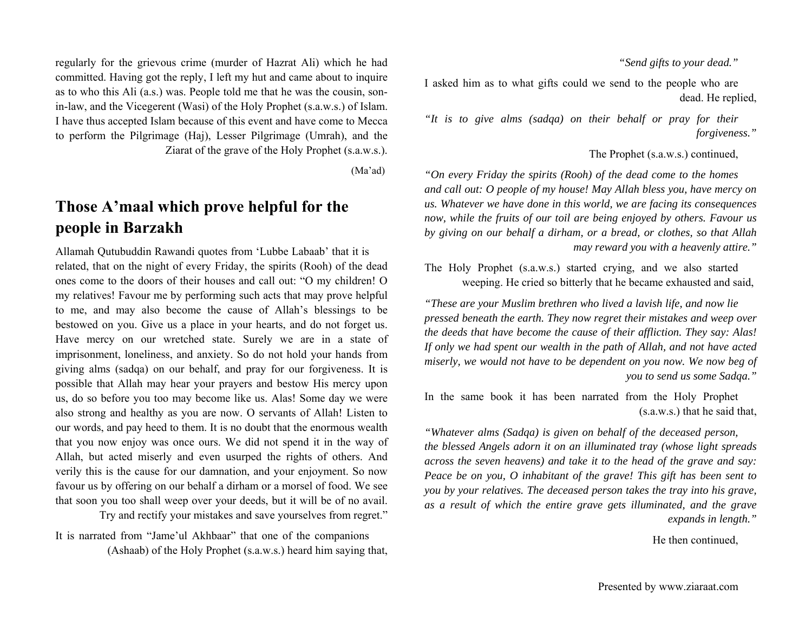*"Send gifts to your dead."*

I asked him as to what gifts could we send to the people who are dead. He replied,

*"It is to give alms (sadqa) on their behalf or pray for their forgiveness."*

The Prophet (s.a.w.s.) continued,

*"On every Friday the spirits (Rooh) of the dead come to the homes and call out: O people of my house! May Allah bless you, have mercy on us. Whatever we have done in this world, we are facing its consequences now, while the fruits of our toil are being enjoyed by others. Favour us by giving on our behalf a dirham, or a bread, or clothes, so that Allah may reward you with a heavenly attire."*

The Holy Prophet (s.a.w.s.) started crying, and we also started weeping. He cried so bitterly that he became exhausted and said,

*"These are your Muslim brethren who lived a lavish life, and now lie pressed beneath the earth. They now regret their mistakes and weep over the deeds that have become the cause of their affliction. They say: Alas! If only we had spent our wealth in the path of Allah, and not have acted miserly, we would not have to be dependent on you now. We now beg of you to send us some Sadqa."*

In the same book it has been narrated from the Holy Prophet (s.a.w.s.) that he said that,

*"Whatever alms (Sadqa) is given on behalf of the deceased person, the blessed Angels adorn it on an illuminated tray (whose light spreads across the seven heavens) and take it to the head of the grave and say: Peace be on you, O inhabitant of the grave! This gift has been sent to you by your relatives. The deceased person takes the tray into his grave, as a result of which the entire grave gets illuminated, and the grave expands in length."*

He then continued,

regularly for the grievous crime (murder of Hazrat Ali) which he had committed. Having got the reply, I left my hut and came about to inquire as to who this Ali (a.s.) was. People told me that he was the cousin, sonin-law, and the Vicegerent (Wasi) of the Holy Prophet (s.a.w.s.) of Islam. I have thus accepted Islam because of this event and have come to Mecca to perform the Pilgrimage (Haj), Lesser Pilgrimage (Umrah), and the Ziarat of the grave of the Holy Prophet (s.a.w.s.).

(Ma'ad)

### **Those A'maal which prove helpful for the people in Barzakh**

Allamah Qutubuddin Rawandi quotes from 'Lubbe Labaab' that it is related, that on the night of every Friday, the spirits (Rooh) of the dead ones come to the doors of their houses and call out: "O my children! O my relatives! Favour me by performing such acts that may prove helpful to me, and may also become the cause of Allah's blessings to be bestowed on you. Give us a place in your hearts, and do not forget us. Have mercy on our wretched state. Surely we are in a state of imprisonment, loneliness, and anxiety. So do not hold your hands from giving alms (sadqa) on our behalf, and pray for our forgiveness. It is possible that Allah may hear your prayers and bestow His mercy upon us, do so before you too may become like us. Alas! Some day we were also strong and healthy as you are now. O servants of Allah! Listen to our words, and pay heed to them. It is no doubt that the enormous wealth that you now enjoy was once ours. We did not spend it in the way of Allah, but acted miserly and even usurped the rights of others. And verily this is the cause for our damnation, and your enjoyment. So now favour us by offering on our behalf a dirham or a morsel of food. We see that soon you too shall weep over your deeds, but it will be of no avail.

Try and rectify your mistakes and save yourselves from regret."

It is narrated from "Jame'ul Akhbaar" that one of the companions (Ashaab) of the Holy Prophet (s.a.w.s.) heard him saying that,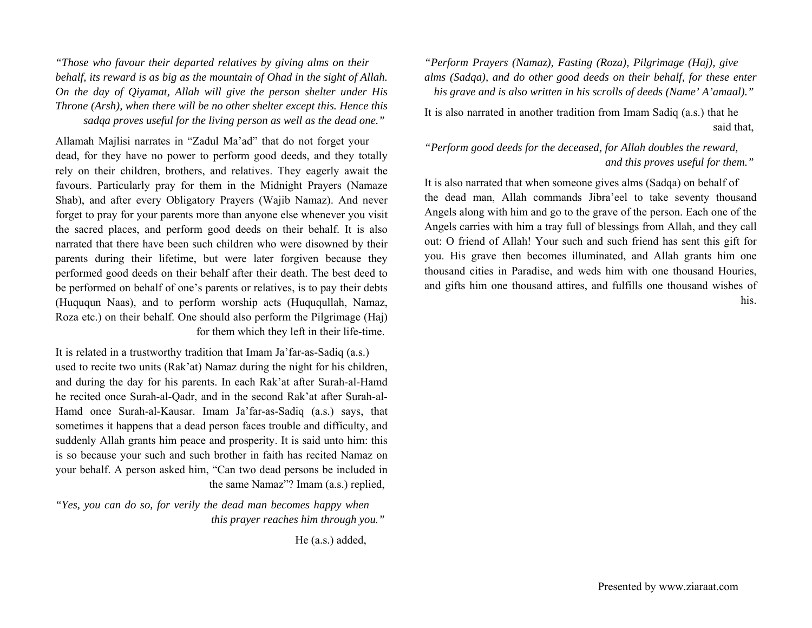*"Those who favour their departed relatives by giving alms on their behalf, its reward is as big as the mountain of Ohad in the sight of Allah. On the day of Qiyamat, Allah will give the person shelter under His Throne (Arsh), when there will be no other shelter except this. Hence this sadqa proves useful for the living person as well as the dead one."* 

Allamah Majlisi narrates in "Zadul Ma'ad" that do not forget your dead, for they have no power to perform good deeds, and they totally rely on their children, brothers, and relatives. They eagerly await the favours. Particularly pray for them in the Midnight Prayers (Namaze Shab), and after every Obligatory Prayers (Wajib Namaz). And never forget to pray for your parents more than anyone else whenever you visit the sacred places, and perform good deeds on their behalf. It is also narrated that there have been such children who were disowned by their parents during their lifetime, but were later forgiven because they performed good deeds on their behalf after their death. The best deed to be performed on behalf of one's parents or relatives, is to pay their debts (Huququn Naas), and to perform worship acts (Huququllah, Namaz, Roza etc.) on their behalf. One should also perform the Pilgrimage (Haj) for them which they left in their life-time.

It is related in a trustworthy tradition that Imam Ja'far-as-Sadiq (a.s.) used to recite two units (Rak'at) Namaz during the night for his children, and during the day for his parents. In each Rak'at after Surah-al-Hamd he recited once Surah-al-Qadr, and in the second Rak'at after Surah-al-Hamd once Surah-al-Kausar. Imam Ja'far-as-Sadiq (a.s.) says, that sometimes it happens that a dead person faces trouble and difficulty, and suddenly Allah grants him peace and prosperity. It is said unto him: this is so because your such and such brother in faith has recited Namaz on your behalf. A person asked him, "Can two dead persons be included in the same Namaz"? Imam (a.s.) replied,

*"Yes, you can do so, for verily the dead man becomes happy when this prayer reaches him through you."* 

He (a.s.) added,

*"Perform Prayers (Namaz), Fasting (Roza), Pilgrimage (Haj), give alms (Sadqa), and do other good deeds on their behalf, for these enter his grave and is also written in his scrolls of deeds (Name' A'amaal)."* 

It is also narrated in another tradition from Imam Sadiq (a.s.) that he said that,

### *"Perform good deeds for the deceased, for Allah doubles the reward, and this proves useful for them."*

It is also narrated that when someone gives alms (Sadqa) on behalf of the dead man, Allah commands Jibra'eel to take seventy thousand Angels along with him and go to the grave of the person. Each one of the Angels carries with him a tray full of blessings from Allah, and they call out: O friend of Allah! Your such and such friend has sent this gift for you. His grave then becomes illuminated, and Allah grants him one thousand cities in Paradise, and weds him with one thousand Houries, and gifts him one thousand attires, and fulfills one thousand wishes of his.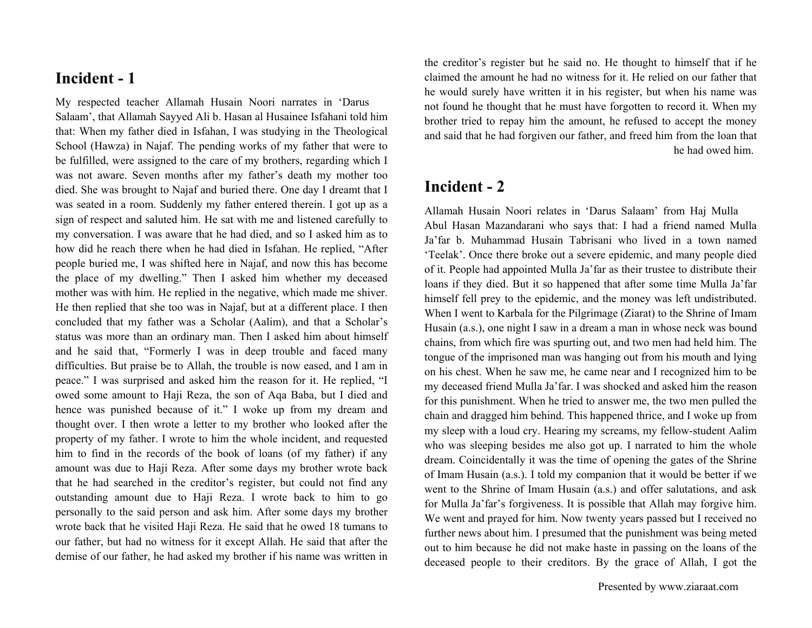### **Incident - 1**

My respected teacher Allamah Husain Noori narrates in 'Darus Salaam', that Allamah Sayyed Ali b. Hasan al Husainee Isfahani told him that: When my father died in Isfahan, I was studying in the Theological School (Hawza) in Najaf. The pending works of my father that were to be fulfilled, were assigned to the care of my brothers, regarding which I was not aware. Seven months after my father's death my mother too died. She was brought to Najaf and buried there. One day I dreamt that I was seated in a room. Suddenly my father entered therein. I got up as a sign of respect and saluted him. He sat with me and listened carefully to my conversation. I was aware that he had died, and so I asked him as to how did he reach there when he had died in Isfahan. He replied, "After people buried me, I was shifted here in Najaf, and now this has become the place of my dwelling." Then I asked him whether my deceased mother was with him. He replied in the negative, which made me shiver. He then replied that she too was in Najaf, but at a different place. I then concluded that my father was a Scholar (Aalim), and that a Scholar's status was more than an ordinary man. Then I asked him about himself and he said that, "Formerly I was in deep trouble and faced many difficulties. But praise be to Allah, the trouble is now eased, and I am in peace." I was surprised and asked him the reason for it. He replied, "I owed some amount to Haji Reza, the son of Aqa Baba, but I died and hence was punished because of it." I woke up from my dream and thought over. I then wrote a letter to my brother who looked after the property of my father. I wrote to him the whole incident, and requested him to find in the records of the book of loans (of my father) if any amount was due to Haji Reza. After some days my brother wrote back that he had searched in the creditor's register, but could not find any outstanding amount due to Haji Reza. I wrote back to him to go personally to the said person and ask him. After some days my brother wrote back that he visited Haji Reza. He said that he owed 18 tumans to our father, but had no witness for it except Allah. He said that after the demise of our father, he had asked my brother if his name was written in

the creditor's register but he said no. He thought to himself that if he claimed the amount he had no witness for it. He relied on our father that he would surely have written it in his register, but when his name was not found he thought that he must have forgotten to record it. When my brother tried to repay him the amount, he refused to accept the money and said that he had forgiven our father, and freed him from the loan that he had owed him.

### **Incident - 2**

Allamah Husain Noori relates in 'Darus Salaam' from Haj Mulla Abul Hasan Mazandarani who says that: I had a friend named Mulla Ja'far b. Muhammad Husain Tabrisani who lived in a town named 'Teelak'. Once there broke out a severe epidemic, and many people died of it. People had appointed Mulla Ja'far as their trustee to distribute their loans if they died. But it so happened that after some time Mulla Ja'far himself fell prey to the epidemic, and the money was left undistributed. When I went to Karbala for the Pilgrimage (Ziarat) to the Shrine of Imam Husain (a.s.), one night I saw in a dream a man in whose neck was bound chains, from which fire was spurting out, and two men had held him. The tongue of the imprisoned man was hanging out from his mouth and lying on his chest. When he saw me, he came near and I recognized him to be my deceased friend Mulla Ja'far. I was shocked and asked him the reason for this punishment. When he tried to answer me, the two men pulled the chain and dragged him behind. This happened thrice, and I woke up from my sleep with a loud cry. Hearing my screams, my fellow-student Aalim who was sleeping besides me also got up. I narrated to him the whole dream. Coincidentally it was the time of opening the gates of the Shrine of Imam Husain (a.s.). I told my companion that it would be better if we went to the Shrine of Imam Husain (a.s.) and offer salutations, and ask for Mulla Ja'far's forgiveness. It is possible that Allah may forgive him. We went and prayed for him. Now twenty years passed but I received no further news about him. I presumed that the punishment was being meted out to him because he did not make haste in passing on the loans of the deceased people to their creditors. By the grace of Allah, I got the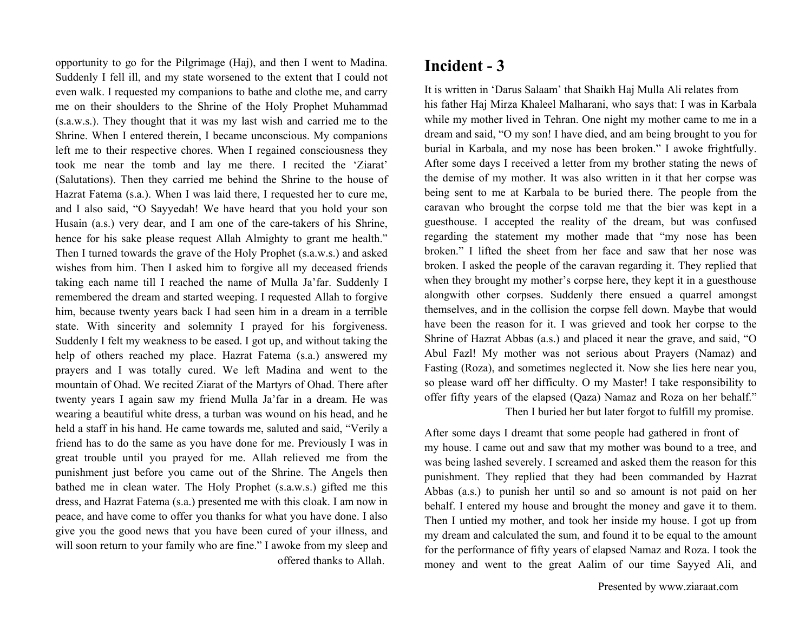opportunity to go for the Pilgrimage (Haj), and then I went to Madina. Suddenly I fell ill, and my state worsened to the extent that I could not even walk. I requested my companions to bathe and clothe me, and carry me on their shoulders to the Shrine of the Holy Prophet Muhammad (s.a.w.s.). They thought that it was my last wish and carried me to the Shrine. When I entered therein, I became unconscious. My companions left me to their respective chores. When I regained consciousness they took me near the tomb and lay me there. I recited the 'Ziarat' (Salutations). Then they carried me behind the Shrine to the house of Hazrat Fatema (s.a.). When I was laid there, I requested her to cure me, and I also said, "O Sayyedah! We have heard that you hold your son Husain (a.s.) very dear, and I am one of the care-takers of his Shrine, hence for his sake please request Allah Almighty to grant me health." Then I turned towards the grave of the Holy Prophet (s.a.w.s.) and asked wishes from him. Then I asked him to forgive all my deceased friends taking each name till I reached the name of Mulla Ja'far. Suddenly I remembered the dream and started weeping. I requested Allah to forgive him, because twenty years back I had seen him in a dream in a terrible state. With sincerity and solemnity I prayed for his forgiveness. Suddenly I felt my weakness to be eased. I got up, and without taking the help of others reached my place. Hazrat Fatema (s.a.) answered my prayers and I was totally cured. We left Madina and went to the mountain of Ohad. We recited Ziarat of the Martyrs of Ohad. There after twenty years I again saw my friend Mulla Ja'far in a dream. He was wearing a beautiful white dress, a turban was wound on his head, and he held a staff in his hand. He came towards me, saluted and said, "Verily a friend has to do the same as you have done for me. Previously I was in great trouble until you prayed for me. Allah relieved me from the punishment just before you came out of the Shrine. The Angels then bathed me in clean water. The Holy Prophet (s.a.w.s.) gifted me this dress, and Hazrat Fatema (s.a.) presented me with this cloak. I am now in peace, and have come to offer you thanks for what you have done. I also give you the good news that you have been cured of your illness, and will soon return to your family who are fine." I awoke from my sleep and offered thanks to Allah.

### **Incident - 3**

It is written in 'Darus Salaam' that Shaikh Haj Mulla Ali relates from his father Haj Mirza Khaleel Malharani, who says that: I was in Karbala while my mother lived in Tehran. One night my mother came to me in a dream and said, "O my son! I have died, and am being brought to you for burial in Karbala, and my nose has been broken." I awoke frightfully. After some days I received a letter from my brother stating the news of the demise of my mother. It was also written in it that her corpse was being sent to me at Karbala to be buried there. The people from the caravan who brought the corpse told me that the bier was kept in a guesthouse. I accepted the reality of the dream, but was confused regarding the statement my mother made that "my nose has been broken." I lifted the sheet from her face and saw that her nose was broken. I asked the people of the caravan regarding it. They replied that when they brought my mother's corpse here, they kept it in a guesthouse alongwith other corpses. Suddenly there ensued a quarrel amongst themselves, and in the collision the corpse fell down. Maybe that would have been the reason for it. I was grieved and took her corpse to the Shrine of Hazrat Abbas (a.s.) and placed it near the grave, and said, "O Abul Fazl! My mother was not serious about Prayers (Namaz) and Fasting (Roza), and sometimes neglected it. Now she lies here near you, so please ward off her difficulty. O my Master! I take responsibility to offer fifty years of the elapsed (Qaza) Namaz and Roza on her behalf."

Then I buried her but later forgot to fulfill my promise.

After some days I dreamt that some people had gathered in front of my house. I came out and saw that my mother was bound to a tree, and was being lashed severely. I screamed and asked them the reason for this punishment. They replied that they had been commanded by Hazrat Abbas (a.s.) to punish her until so and so amount is not paid on her behalf. I entered my house and brought the money and gave it to them. Then I untied my mother, and took her inside my house. I got up from my dream and calculated the sum, and found it to be equal to the amount for the performance of fifty years of elapsed Namaz and Roza. I took the money and went to the great Aalim of our time Sayyed Ali, and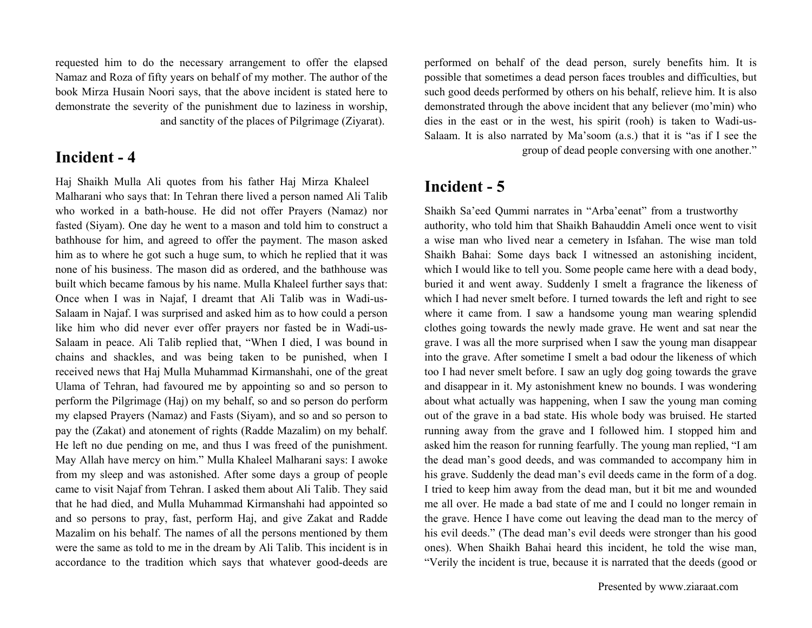requested him to do the necessary arrangement to offer the elapsed Namaz and Roza of fifty years on behalf of my mother. The author of the book Mirza Husain Noori says, that the above incident is stated here to demonstrate the severity of the punishment due to laziness in worship, and sanctity of the places of Pilgrimage (Ziyarat).

### **Incident - 4**

Haj Shaikh Mulla Ali quotes from his father Haj Mirza Khaleel Malharani who says that: In Tehran there lived a person named Ali Talib who worked in a bath-house. He did not offer Prayers (Namaz) nor fasted (Siyam). One day he went to a mason and told him to construct a bathhouse for him, and agreed to offer the payment. The mason asked him as to where he got such a huge sum, to which he replied that it was none of his business. The mason did as ordered, and the bathhouse was built which became famous by his name. Mulla Khaleel further says that: Once when I was in Najaf, I dreamt that Ali Talib was in Wadi-us-Salaam in Najaf. I was surprised and asked him as to how could a person like him who did never ever offer prayers nor fasted be in Wadi-us-Salaam in peace. Ali Talib replied that, "When I died, I was bound in chains and shackles, and was being taken to be punished, when I received news that Haj Mulla Muhammad Kirmanshahi, one of the great Ulama of Tehran, had favoured me by appointing so and so person to perform the Pilgrimage (Haj) on my behalf, so and so person do perform my elapsed Prayers (Namaz) and Fasts (Siyam), and so and so person to pay the (Zakat) and atonement of rights (Radde Mazalim) on my behalf. He left no due pending on me, and thus I was freed of the punishment. May Allah have mercy on him." Mulla Khaleel Malharani says: I awoke from my sleep and was astonished. After some days a group of people came to visit Najaf from Tehran. I asked them about Ali Talib. They said that he had died, and Mulla Muhammad Kirmanshahi had appointed so and so persons to pray, fast, perform Haj, and give Zakat and Radde Mazalim on his behalf. The names of all the persons mentioned by them were the same as told to me in the dream by Ali Talib. This incident is in accordance to the tradition which says that whatever good-deeds are performed on behalf of the dead person, surely benefits him. It is possible that sometimes a dead person faces troubles and difficulties, but such good deeds performed by others on his behalf, relieve him. It is also demonstrated through the above incident that any believer (mo'min) who dies in the east or in the west, his spirit (rooh) is taken to Wadi-us-Salaam. It is also narrated by Ma'soom (a.s.) that it is "as if I see the group of dead people conversing with one another."

### **Incident - 5**

Shaikh Sa'eed Qummi narrates in "Arba'eenat" from a trustworthy authority, who told him that Shaikh Bahauddin Ameli once went to visit a wise man who lived near a cemetery in Isfahan. The wise man told Shaikh Bahai: Some days back I witnessed an astonishing incident, which I would like to tell you. Some people came here with a dead body, buried it and went away. Suddenly I smelt a fragrance the likeness of which I had never smelt before. I turned towards the left and right to see where it came from. I saw a handsome young man wearing splendid clothes going towards the newly made grave. He went and sat near the grave. I was all the more surprised when I saw the young man disappear into the grave. After sometime I smelt a bad odour the likeness of which too I had never smelt before. I saw an ugly dog going towards the grave and disappear in it. My astonishment knew no bounds. I was wondering about what actually was happening, when I saw the young man coming out of the grave in a bad state. His whole body was bruised. He started running away from the grave and I followed him. I stopped him and asked him the reason for running fearfully. The young man replied, "I am the dead man's good deeds, and was commanded to accompany him in his grave. Suddenly the dead man's evil deeds came in the form of a dog. I tried to keep him away from the dead man, but it bit me and wounded me all over. He made a bad state of me and I could no longer remain in the grave. Hence I have come out leaving the dead man to the mercy of his evil deeds." (The dead man's evil deeds were stronger than his good ones). When Shaikh Bahai heard this incident, he told the wise man, "Verily the incident is true, because it is narrated that the deeds (good or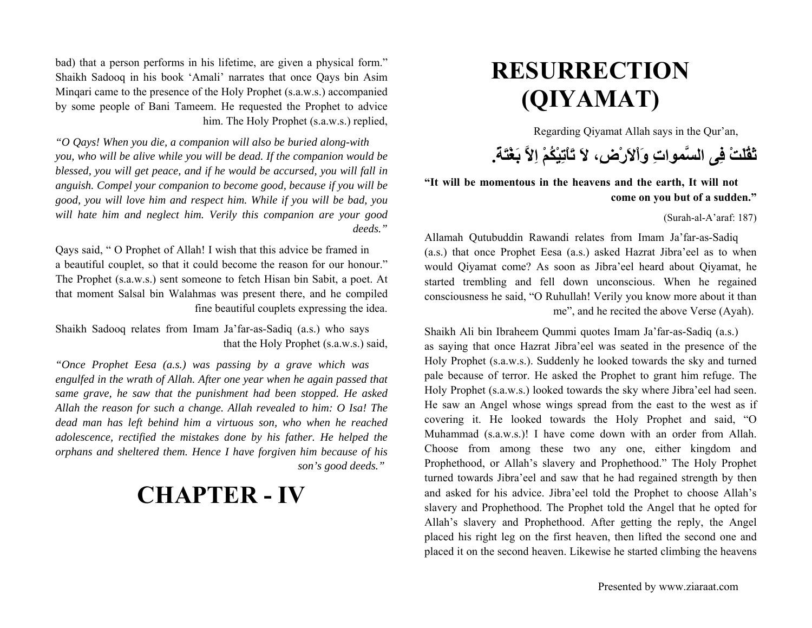# **RESURRECTION (QIYAMAT)**

Regarding Qiyamat Allah says in the Qur'an,

**ثَقُلَتْ فِى السَّمواتِ وَاْلاَرْض،ِ لاَ تَاْتِيْكُمْ اِلاَّ بَغْتَة.ً**

**"It will be momentous in the heavens and the earth, It will not come on you but of a sudden."**

(Surah-al-A'araf: 187)

Allamah Qutubuddin Rawandi relates from Imam Ja'far-as-Sadiq (a.s.) that once Prophet Eesa (a.s.) asked Hazrat Jibra'eel as to when would Qiyamat come? As soon as Jibra'eel heard about Qiyamat, he started trembling and fell down unconscious. When he regained consciousness he said, "O Ruhullah! Verily you know more about it than me", and he recited the above Verse (Ayah).

Shaikh Ali bin Ibraheem Qummi quotes Imam Ja'far-as-Sadiq (a.s.) as saying that once Hazrat Jibra'eel was seated in the presence of the Holy Prophet (s.a.w.s.). Suddenly he looked towards the sky and turned pale because of terror. He asked the Prophet to grant him refuge. The Holy Prophet (s.a.w.s.) looked towards the sky where Jibra'eel had seen. He saw an Angel whose wings spread from the east to the west as if covering it. He looked towards the Holy Prophet and said, "O Muhammad (s.a.w.s.)! I have come down with an order from Allah. Choose from among these two any one, either kingdom and Prophethood, or Allah's slavery and Prophethood." The Holy Prophet turned towards Jibra'eel and saw that he had regained strength by then and asked for his advice. Jibra'eel told the Prophet to choose Allah's slavery and Prophethood. The Prophet told the Angel that he opted for Allah's slavery and Prophethood. After getting the reply, the Angel placed his right leg on the first heaven, then lifted the second one and placed it on the second heaven. Likewise he started climbing the heavens

bad) that a person performs in his lifetime, are given a physical form." Shaikh Sadooq in his book 'Amali' narrates that once Qays bin Asim Minqari came to the presence of the Holy Prophet (s.a.w.s.) accompanied by some people of Bani Tameem. He requested the Prophet to advice him. The Holy Prophet (s.a.w.s.) replied,

*"O Qays! When you die, a companion will also be buried along-with you, who will be alive while you will be dead. If the companion would be blessed, you will get peace, and if he would be accursed, you will fall in anguish. Compel your companion to become good, because if you will be good, you will love him and respect him. While if you will be bad, you will hate him and neglect him. Verily this companion are your good deeds."*

Qays said, " O Prophet of Allah! I wish that this advice be framed in a beautiful couplet, so that it could become the reason for our honour." The Prophet (s.a.w.s.) sent someone to fetch Hisan bin Sabit, a poet. At that moment Salsal bin Walahmas was present there, and he compiled fine beautiful couplets expressing the idea.

Shaikh Sadooq relates from Imam Ja'far-as-Sadiq (a.s.) who says that the Holy Prophet (s.a.w.s.) said,

*"Once Prophet Eesa (a.s.) was passing by a grave which was engulfed in the wrath of Allah. After one year when he again passed that same grave, he saw that the punishment had been stopped. He asked Allah the reason for such a change. Allah revealed to him: O Isa! The dead man has left behind him a virtuous son, who when he reached adolescence, rectified the mistakes done by his father. He helped the orphans and sheltered them. Hence I have forgiven him because of his son's good deeds."* 

## **CHAPTER - IV**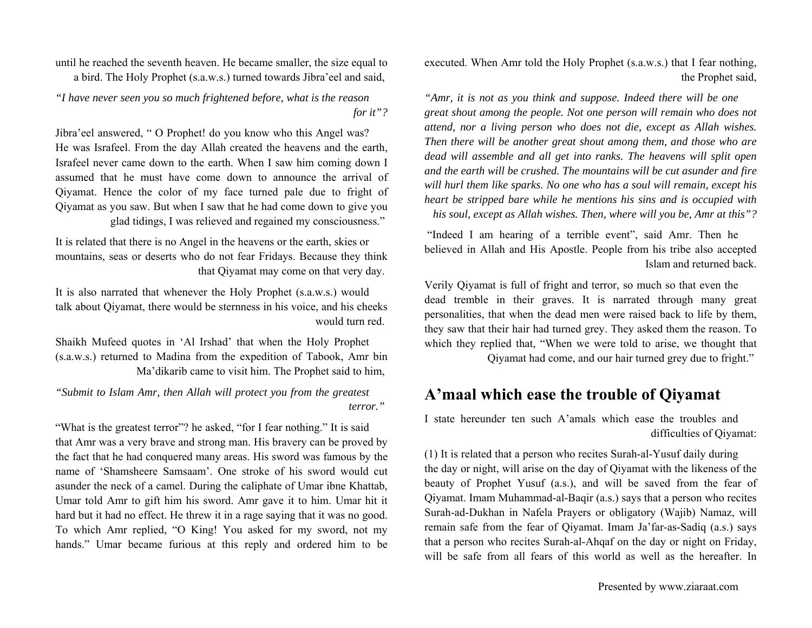executed. When Amr told the Holy Prophet (s.a.w.s.) that I fear nothing, the Prophet said,

*"Amr, it is not as you think and suppose. Indeed there will be one great shout among the people. Not one person will remain who does not attend, nor a living person who does not die, except as Allah wishes. Then there will be another great shout among them, and those who are dead will assemble and all get into ranks. The heavens will split open and the earth will be crushed. The mountains will be cut asunder and fire will hurl them like sparks. No one who has a soul will remain, except his heart be stripped bare while he mentions his sins and is occupied with his soul, except as Allah wishes. Then, where will you be, Amr at this"?*

 "Indeed I am hearing of a terrible event", said Amr. Then he believed in Allah and His Apostle. People from his tribe also accepted Islam and returned back.

Verily Qiyamat is full of fright and terror, so much so that even the dead tremble in their graves. It is narrated through many great personalities, that when the dead men were raised back to life by them, they saw that their hair had turned grey. They asked them the reason. To which they replied that, "When we were told to arise, we thought that

Qiyamat had come, and our hair turned grey due to fright."

### **A'maal which ease the trouble of Qiyamat**

I state hereunder ten such A'amals which ease the troubles and difficulties of Qiyamat:

(1) It is related that a person who recites Surah-al-Yusuf daily during the day or night, will arise on the day of Qiyamat with the likeness of the beauty of Prophet Yusuf (a.s.), and will be saved from the fear of Qiyamat. Imam Muhammad-al-Baqir (a.s.) says that a person who recites Surah-ad-Dukhan in Nafela Prayers or obligatory (Wajib) Namaz, will remain safe from the fear of Qiyamat. Imam Ja'far-as-Sadiq (a.s.) says that a person who recites Surah-al-Ahqaf on the day or night on Friday, will be safe from all fears of this world as well as the hereafter. In

until he reached the seventh heaven. He became smaller, the size equal to a bird. The Holy Prophet (s.a.w.s.) turned towards Jibra'eel and said,

*"I have never seen you so much frightened before, what is the reason for it"?*

Jibra'eel answered, " O Prophet! do you know who this Angel was? He was Israfeel. From the day Allah created the heavens and the earth, Israfeel never came down to the earth. When I saw him coming down I assumed that he must have come down to announce the arrival of Qiyamat. Hence the color of my face turned pale due to fright of Qiyamat as you saw. But when I saw that he had come down to give you glad tidings, I was relieved and regained my consciousness."

It is related that there is no Angel in the heavens or the earth, skies or mountains, seas or deserts who do not fear Fridays. Because they think that Qiyamat may come on that very day.

It is also narrated that whenever the Holy Prophet (s.a.w.s.) would talk about Qiyamat, there would be sternness in his voice, and his cheeks would turn red.

Shaikh Mufeed quotes in 'Al Irshad' that when the Holy Prophet (s.a.w.s.) returned to Madina from the expedition of Tabook, Amr bin Ma'dikarib came to visit him. The Prophet said to him,

*"Submit to Islam Amr, then Allah will protect you from the greatest terror."* 

"What is the greatest terror"? he asked, "for I fear nothing." It is said that Amr was a very brave and strong man. His bravery can be proved by the fact that he had conquered many areas. His sword was famous by the name of 'Shamsheere Samsaam'. One stroke of his sword would cut asunder the neck of a camel. During the caliphate of Umar ibne Khattab, Umar told Amr to gift him his sword. Amr gave it to him. Umar hit it hard but it had no effect. He threw it in a rage saying that it was no good. To which Amr replied, "O King! You asked for my sword, not my hands." Umar became furious at this reply and ordered him to be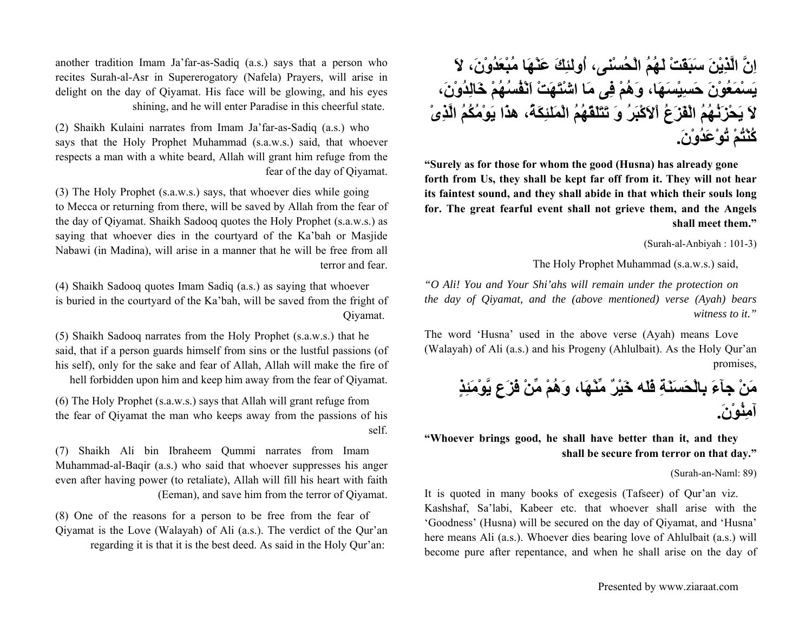**اِنَّ الَّذِيْنَ سَبَقَتْ لَهُمُ الْحُسْنى، اُولئِكَ عَنْهَا مُبْعَدُوْن،َ لاَ يَسْمَعُوْنَ حَسِيْسَهَا، وَهُمْ فِى مَا اشْتَهَتْ اَنْفُسُهُمْ خَالِدُوْن،َ لاَ يَحْزَنُهُمُ الْفَزَعُ اْلاَآْبَرُ وَ تَتَلَقّهُمُ الْمَلئِكَة،ُ هذَا يَوْمُكُمُ الَّذِىْ آُنْتُمْ تُوْعَدُوْن.َ**

**"Surely as for those for whom the good (Husna) has already gone forth from Us, they shall be kept far off from it. They will not hear its faintest sound, and they shall abide in that which their souls long for. The great fearful event shall not grieve them, and the Angels shall meet them."**

(Surah-al-Anbiyah : 101-3)

The Holy Prophet Muhammad (s.a.w.s.) said,

*"O Ali! You and Your Shi'ahs will remain under the protection on the day of Qiyamat, and the (above mentioned) verse (Ayah) bears witness to it."*

The word 'Husna' used in the above verse (Ayah) means Love (Walayah) of Ali (a.s.) and his Progeny (Ahlulbait). As the Holy Qur'an promises,

**مَنْ جآءَ بِالْحَسَنَةِ فَلَه خَيْرٌ مِّنْهَا، وَهُمْ مِّنْ فَزَعٍ يَّوْمَئِذٍ آمِنُوْن.َ**

**"Whoever brings good, he shall have better than it, and they shall be secure from terror on that day."**

(Surah-an-Naml: 89)

It is quoted in many books of exegesis (Tafseer) of Qur'an viz. Kashshaf, Sa'labi, Kabeer etc. that whoever shall arise with the 'Goodness' (Husna) will be secured on the day of Qiyamat, and 'Husna' here means Ali (a.s.). Whoever dies bearing love of Ahlulbait (a.s.) will become pure after repentance, and when he shall arise on the day of

another tradition Imam Ja'far-as-Sadiq (a.s.) says that a person who recites Surah-al-Asr in Supererogatory (Nafela) Prayers, will arise in delight on the day of Qiyamat. His face will be glowing, and his eyes shining, and he will enter Paradise in this cheerful state.

(2) Shaikh Kulaini narrates from Imam Ja'far-as-Sadiq (a.s.) who says that the Holy Prophet Muhammad (s.a.w.s.) said, that whoever respects a man with a white beard, Allah will grant him refuge from the fear of the day of Qiyamat.

(3) The Holy Prophet (s.a.w.s.) says, that whoever dies while going to Mecca or returning from there, will be saved by Allah from the fear of the day of Qiyamat. Shaikh Sadooq quotes the Holy Prophet (s.a.w.s.) as saying that whoever dies in the courtyard of the Ka'bah or Masjide Nabawi (in Madina), will arise in a manner that he will be free from all terror and fear.

(4) Shaikh Sadooq quotes Imam Sadiq (a.s.) as saying that whoever is buried in the courtyard of the Ka'bah, will be saved from the fright of Qiyamat.

(5) Shaikh Sadooq narrates from the Holy Prophet (s.a.w.s.) that he said, that if a person guards himself from sins or the lustful passions (of his self), only for the sake and fear of Allah, Allah will make the fire of hell forbidden upon him and keep him away from the fear of Qiyamat.

(6) The Holy Prophet (s.a.w.s.) says that Allah will grant refuge from the fear of Qiyamat the man who keeps away from the passions of his self.

(7) Shaikh Ali bin Ibraheem Qummi narrates from Imam Muhammad-al-Baqir (a.s.) who said that whoever suppresses his anger even after having power (to retaliate), Allah will fill his heart with faith (Eeman), and save him from the terror of Qiyamat.

(8) One of the reasons for a person to be free from the fear of Qiyamat is the Love (Walayah) of Ali (a.s.). The verdict of the Qur'an regarding it is that it is the best deed. As said in the Holy Qur'an: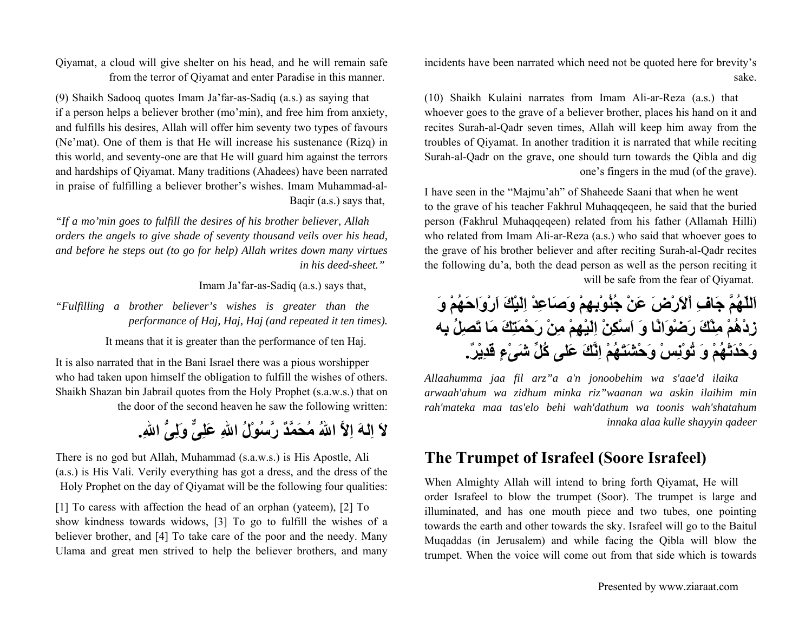incidents have been narrated which need not be quoted here for brevity's sake.

(10) Shaikh Kulaini narrates from Imam Ali-ar-Reza (a.s.) that whoever goes to the grave of a believer brother, places his hand on it and recites Surah-al-Qadr seven times, Allah will keep him away from the troubles of Qiyamat. In another tradition it is narrated that while reciting Surah-al-Qadr on the grave, one should turn towards the Qibla and dig one's fingers in the mud (of the grave).

I have seen in the "Majmu'ah" of Shaheede Saani that when he went to the grave of his teacher Fakhrul Muhaqqeqeen, he said that the buried person (Fakhrul Muhaqqeqeen) related from his father (Allamah Hilli) who related from Imam Ali-ar-Reza (a.s.) who said that whoever goes to the grave of his brother believer and after reciting Surah-al-Qadr recites the following du'a, both the dead person as well as the person reciting it will be safe from the fear of Qiyamat.

**اَللّهُمَّ جَافِ اْلاَرْضَ عَنْ جُنُوْبِهِمْ وَصَاعِدْ اِلَيْكَ اَرْوَاحَهُمْ وَ زِدْهُمْ مِنْكَ رَضْوَانًا وَ اَسْكِنْ اِلَيْهِمْ مِنْ رَحْمَتِكَ مَا تَصِلُ بِه وَحْدَتْهُمْ وَ تُوْنِسْ وَحْشَتَهُمْ اِنَّكَ عَلى آُلِّ شَىْءٍ قَدِيْر.ٌ**

*Allaahumma jaa fil arz"a a'n jonoobehim wa s'aae'd ilaika arwaah'ahum wa zidhum minka riz"waanan wa askin ilaihim min rah'mateka maa tas'elo behi wah'dathum wa toonis wah'shatahum innaka alaa kulle shayyin qadeer*

### **The Trumpet of Israfeel (Soore Israfeel)**

When Almighty Allah will intend to bring forth Qiyamat, He will order Israfeel to blow the trumpet (Soor). The trumpet is large and illuminated, and has one mouth piece and two tubes, one pointing towards the earth and other towards the sky. Israfeel will go to the Baitul Muqaddas (in Jerusalem) and while facing the Qibla will blow the trumpet. When the voice will come out from that side which is towards

Qiyamat, a cloud will give shelter on his head, and he will remain safe from the terror of Qiyamat and enter Paradise in this manner.

(9) Shaikh Sadooq quotes Imam Ja'far-as-Sadiq (a.s.) as saying that if a person helps a believer brother (mo'min), and free him from anxiety, and fulfills his desires, Allah will offer him seventy two types of favours (Ne'mat). One of them is that He will increase his sustenance (Rizq) in this world, and seventy-one are that He will guard him against the terrors and hardships of Qiyamat. Many traditions (Ahadees) have been narrated in praise of fulfilling a believer brother's wishes. Imam Muhammad-al-Baqir (a.s.) says that,

*"If a mo'min goes to fulfill the desires of his brother believer, Allah orders the angels to give shade of seventy thousand veils over his head, and before he steps out (to go for help) Allah writes down many virtues in his deed-sheet."* 

Imam Ja'far-as-Sadiq (a.s.) says that,

*"Fulfilling a brother believer's wishes is greater than the performance of Haj, Haj, Haj (and repeated it ten times).*

It means that it is greater than the performance of ten Haj.

It is also narrated that in the Bani Israel there was a pious worshipper who had taken upon himself the obligation to fulfill the wishes of others. Shaikh Shazan bin Jabrail quotes from the Holy Prophet (s.a.w.s.) that on the door of the second heaven he saw the following written:

**لاَ اِلهَ اِلاَّ االلهُ مُحَمَّدٌ رَّسُوْلُ االلهِ عَلِىٌّ وَلِىُّ االله.ِ**

There is no god but Allah, Muhammad (s.a.w.s.) is His Apostle, Ali (a.s.) is His Vali. Verily everything has got a dress, and the dress of the Holy Prophet on the day of Qiyamat will be the following four qualities:

[1] To caress with affection the head of an orphan (yateem), [2] To show kindness towards widows, [3] To go to fulfill the wishes of a believer brother, and [4] To take care of the poor and the needy. Many Ulama and great men strived to help the believer brothers, and many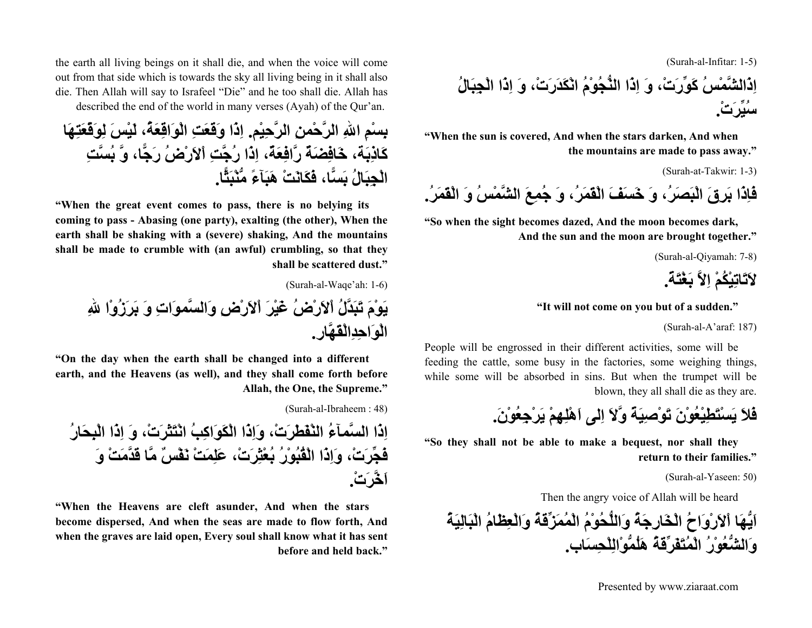(Surah-al-Infitar: 1-5)

**اِذَالشَّمْسُ آَوِّرَت،ْ وَ اِذَا النُّجُوْمُ انْكَدَرَت،ْ وَ اِذَا الْجِبَالُ سُيِّرَت.ْ**

**"When the sun is covered, And when the stars darken, And when the mountains are made to pass away."**

(Surah-at-Takwir: 1-3)

**فَاِذَا بَرِقَ الْبَصَر،ُ وَ خَسَفَ الْقَمَر،ُ وَ جُمِعَ الشَّمْسُ وَ الْقَمَر.ُ**

**"So when the sight becomes dazed, And the moon becomes dark, And the sun and the moon are brought together."**

(Surah-al-Qiyamah: 7-8)

**لاَتَاتِيْكُمْ اِلاَّ بَغْتَة.ً**

#### **"It will not come on you but of a sudden."**

(Surah-al-A'araf: 187)

People will be engrossed in their different activities, some will be feeding the cattle, some busy in the factories, some weighing things, while some will be absorbed in sins. But when the trumpet will be blown, they all shall die as they are.

**فَلاَيَسْتَطِيْعُوْنَ تَوْصِيَةً وَّلاَ اِلى اَهْلِهِمْ يَرْجِعُوْن.َ**

**"So they shall not be able to make a bequest, nor shall they return to their families."**

(Surah-al-Yaseen: 50)

Then the angry voice of Allah will be heard

**اَيُّهَا اْلاَرْوَاحُ الْخَارِجَةُ وَاللُّحُوْمُ الْمُمَزِّقَةُ وَالْعِظَامُ الْبَالِيَةُ وَالشُّعُوْرُ الْمُتَفَرِّقَةُ هَلُمُّوْالِلْحِسَاب.**

Presented by www.ziaraat.com

the earth all living beings on it shall die, and when the voice will come out from that side which is towards the sky all living being in it shall also die. Then Allah will say to Israfeel "Die" and he too shall die. Allah has described the end of the world in many verses (Ayah) of the Qur'an.

**بِسْمِ االلهِ الرَّحْمنِ الرَّحِيْم. اِذَا وَقَعَتِ الْوَاقِعَة،ُ لَيْسَ لِوَقْعَتِهَا آَاذِبَة، خَافِضَةٌ رَّافِعَة،ٌ اِذَا رُجَّتِ اْلاَرْضُ رَجًّا، وَّ بُسَّتِ الْجِبَالُ بَسًّا، فَكَانَتْ هَبَآءً مُّنْبَثًّا.**

**"When the great event comes to pass, there is no belying its coming to pass - Abasing (one party), exalting (the other), When the earth shall be shaking with a (severe) shaking, And the mountains shall be made to crumble with (an awful) crumbling, so that they shall be scattered dust."**

(Surah-al-Waqe'ah: 1-6) **يَوْمَ تَبَدَّلُ اْلاَرْضُ غَيْرَ اْلاَرْضِ وَالسَّموَاتِ وَ بَرَزُوْا اللهِ الْوَاحِدِالْقَهَّار.**

**"On the day when the earth shall be changed into a different earth, and the Heavens (as well), and they shall come forth before Allah, the One, the Supreme."**

(Surah-al-Ibraheem : 48)

**اِذَا السَّمآءُ النْفَطَرَت،ْ وَاِذَا الْكَوَاآِبُ انْتَثَرَت،ْ وَ اِذَا الْبِحَارُ فَجِّرَت،ْ وَاِذَا الْقُبُوْرُ بُعْثِرَت،ْ عَلِمَتْ نَفْسٌ مَّا قَدَّمَتْ وَ اَخَّرَت.ْ**

**"When the Heavens are cleft asunder, And when the stars become dispersed, And when the seas are made to flow forth, And when the graves are laid open, Every soul shall know what it has sent before and held back."**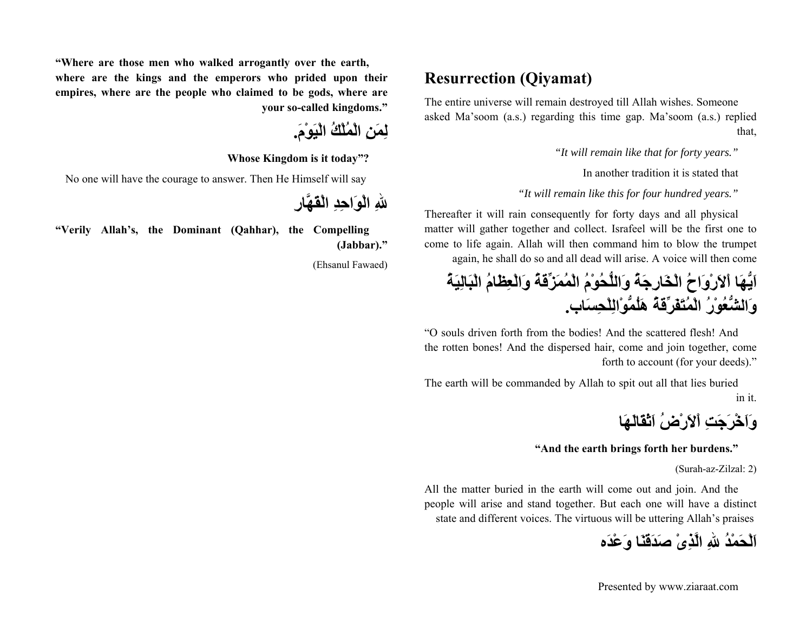### **Resurrection (Qiyamat)**

The entire universe will remain destroyed till Allah wishes. Someone asked Ma'soom (a.s.) regarding this time gap. Ma'soom (a.s.) replied that,

*"It will remain like that for forty years."*

In another tradition it is stated that

*"It will remain like this for four hundred years."*

Thereafter it will rain consequently for forty days and all physical matter will gather together and collect. Israfeel will be the first one to come to life again. Allah will then command him to blow the trumpet again, he shall do so and all dead will arise. A voice will then come

**اَيُّهَا اْلاَرْوَاحُ الْخَارِجَةُ وَاللُّحُوْمُ الْمُمَزِّقَةُ وَالْعِظَامُ الْبَالِيَةُ وَالشُّعُوْرُ الْمُتَفَرِّقَةُ هَلُمُّوْالِلْحِسَاب.**

"O souls driven forth from the bodies! And the scattered flesh! And the rotten bones! And the dispersed hair, come and join together, come forth to account (for your deeds)."

The earth will be commanded by Allah to spit out all that lies buried in it.

**وَاَخْرَجَتِ اْلاَرْضُ اَثْقَالَهَا**

**"And the earth brings forth her burdens."**

(Surah-az-Zilzal: 2)

All the matter buried in the earth will come out and join. And the people will arise and stand together. But each one will have a distinct state and different voices. The virtuous will be uttering Allah's praises

**اَلْحَمْدُ اللهِ الَّذِىْ صَدَقَنَا وَعْدَه**

**"Where are those men who walked arrogantly over the earth, where are the kings and the emperors who prided upon their empires, where are the people who claimed to be gods, where are your so-called kingdoms."**

**لِمَنِ الْمُلْكُ الْيَوْم.َ**

**Whose Kingdom is it today"?**

No one will have the courage to answer. Then He Himself will say

**اللهِ الْوَاحِدِ الْقَهَّارِ**

**"Verily Allah's, the Dominant (Qahhar), the Compelling (Jabbar)."**

(Ehsanul Fawaed)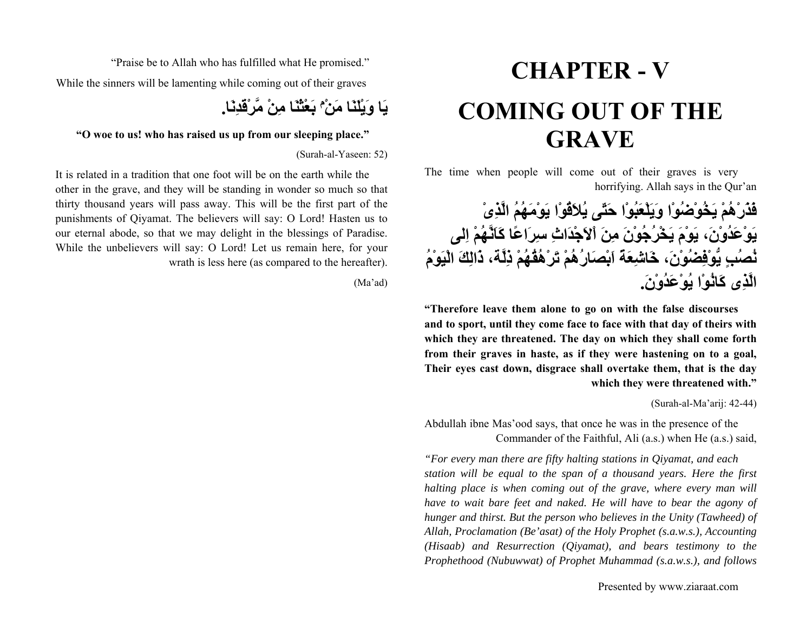# **CHAPTER - VCOMING OUT OF THE GRAVE**

The time when people will come out of their graves is very horrifying. Allah says in the Qur'an

**فَذَرْهُمْ يَخُوْضُوْا وَيَلْعَبُوْا حَتّى يُلاَقُوْا يَوْمَهُمُ الَّذِىْ يَوْعَدُوْن،َ يَوْمَ يَخْرُجُوْنَ مِنَ اْلاَجْدَاثِ سِرَاعًا آَاَنَّهُمْ اِلى نُصُبٍ يُّوْفِضُوْن،َ خَاشِعَةً اَبْصَارُهُمْ تَرْهُقُهُمْ ذِلَّة، ذَالِكَ الْيَوْمُ الَّذِى آَانُوْا يُوْعَدُوْن.َ**

**"Therefore leave them alone to go on with the false discourses and to sport, until they come face to face with that day of theirs with which they are threatened. The day on which they shall come forth from their graves in haste, as if they were hastening on to a goal, Their eyes cast down, disgrace shall overtake them, that is the day which they were threatened with."**

(Surah-al-Ma'arij: 42-44)

Abdullah ibne Mas'ood says, that once he was in the presence of the Commander of the Faithful, Ali (a.s.) when He (a.s.) said,

*"For every man there are fifty halting stations in Qiyamat, and each station will be equal to the span of a thousand years. Here the first halting place is when coming out of the grave, where every man will have to wait bare feet and naked. He will have to bear the agony of hunger and thirst. But the person who believes in the Unity (Tawheed) of Allah, Proclamation (Be'asat) of the Holy Prophet (s.a.w.s.), Accounting (Hisaab) and Resurrection (Qiyamat), and bears testimony to the Prophethood (Nubuwwat) of Prophet Muhammad (s.a.w.s.), and follows* 

"Praise be to Allah who has fulfilled what He promised." While the sinners will be lamenting while coming out of their graves

**بَعْثْنَا مِنْ مَّرْقَدِنَا. <sup>م</sup> يَا وَيْلَنَا مَنْ**

#### **"O woe to us! who has raised us up from our sleeping place."**

(Surah-al-Yaseen: 52)

It is related in a tradition that one foot will be on the earth while the other in the grave, and they will be standing in wonder so much so that thirty thousand years will pass away. This will be the first part of the punishments of Qiyamat. The believers will say: O Lord! Hasten us to our eternal abode, so that we may delight in the blessings of Paradise. While the unbelievers will say: O Lord! Let us remain here, for your wrath is less here (as compared to the hereafter).

(Ma'ad)

Presented by www.ziaraat.com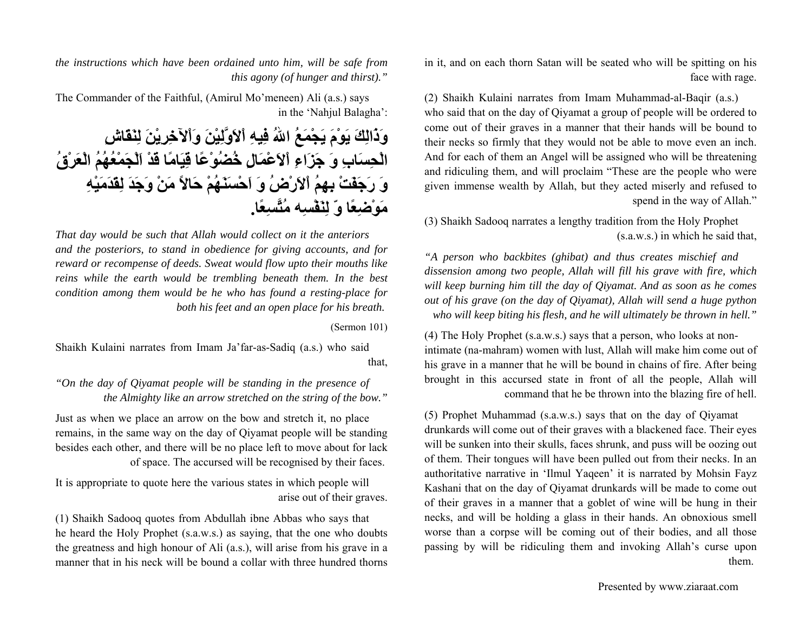in it, and on each thorn Satan will be seated who will be spitting on his face with rage.

(2) Shaikh Kulaini narrates from Imam Muhammad-al-Baqir (a.s.) who said that on the day of Qiyamat a group of people will be ordered to come out of their graves in a manner that their hands will be bound to their necks so firmly that they would not be able to move even an inch. And for each of them an Angel will be assigned who will be threatening and ridiculing them, and will proclaim "These are the people who were given immense wealth by Allah, but they acted miserly and refused to spend in the way of Allah."

(3) Shaikh Sadooq narrates a lengthy tradition from the Holy Prophet (s.a.w.s.) in which he said that,

*"A person who backbites (ghibat) and thus creates mischief and dissension among two people, Allah will fill his grave with fire, which will keep burning him till the day of Qiyamat. And as soon as he comes out of his grave (on the day of Qiyamat), Allah will send a huge python who will keep biting his flesh, and he will ultimately be thrown in hell."*

(4) The Holy Prophet (s.a.w.s.) says that a person, who looks at nonintimate (na-mahram) women with lust, Allah will make him come out of his grave in a manner that he will be bound in chains of fire. After being brought in this accursed state in front of all the people, Allah will command that he be thrown into the blazing fire of hell.

(5) Prophet Muhammad (s.a.w.s.) says that on the day of Qiyamat drunkards will come out of their graves with a blackened face. Their eyes will be sunken into their skulls, faces shrunk, and puss will be oozing out of them. Their tongues will have been pulled out from their necks. In an authoritative narrative in 'Ilmul Yaqeen' it is narrated by Mohsin Fayz Kashani that on the day of Qiyamat drunkards will be made to come out of their graves in a manner that a goblet of wine will be hung in their necks, and will be holding a glass in their hands. An obnoxious smell worse than a corpse will be coming out of their bodies, and all those passing by will be ridiculing them and invoking Allah's curse upon them.

*the instructions which have been ordained unto him, will be safe from this agony (of hunger and thirst)."*

The Commander of the Faithful, (Amirul Mo'meneen) Ali (a.s.) says in the 'Nahjul Balagha':

**وَذَالِكَ يَوْمَ يَجْمَعُ االلهُ فِيهِ اْلاَوَّلِيْنَ وَاْلآخِرِيْنَ لِنَقَاشِ الْحِسَابِ وَ جَزَاءِ اْلاَعْمَالِ خُضُوْعًا قِيَامًا قَدْ اَلْجَمْعُهُمُ الْعَرْقُ وَ رَجَفَتْ بِهِمُ اْلاَرْضُ وَ اَحْسَنَهُمْ حَالاً مَنْ وَجَدَ لِقَدَمَيْهِ مَوْضِعًا وّ لِنَفْسِه مُتَّسِعًا.**

*That day would be such that Allah would collect on it the anteriors and the posteriors, to stand in obedience for giving accounts, and for reward or recompense of deeds. Sweat would flow upto their mouths like reins while the earth would be trembling beneath them. In the best condition among them would be he who has found a resting-place for both his feet and an open place for his breath.* 

(Sermon 101)

Shaikh Kulaini narrates from Imam Ja'far-as-Sadiq (a.s.) who said that,

*"On the day of Qiyamat people will be standing in the presence of the Almighty like an arrow stretched on the string of the bow."*

Just as when we place an arrow on the bow and stretch it, no place remains, in the same way on the day of Qiyamat people will be standing besides each other, and there will be no place left to move about for lack of space. The accursed will be recognised by their faces.

It is appropriate to quote here the various states in which people will arise out of their graves.

(1) Shaikh Sadooq quotes from Abdullah ibne Abbas who says that he heard the Holy Prophet (s.a.w.s.) as saying, that the one who doubts the greatness and high honour of Ali (a.s.), will arise from his grave in a manner that in his neck will be bound a collar with three hundred thorns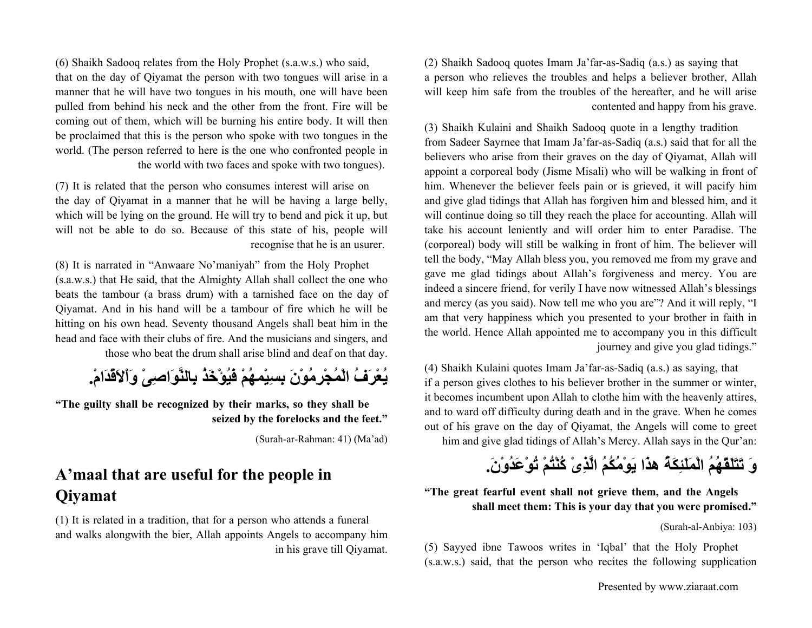(6) Shaikh Sadooq relates from the Holy Prophet (s.a.w.s.) who said, that on the day of Qiyamat the person with two tongues will arise in a manner that he will have two tongues in his mouth, one will have been pulled from behind his neck and the other from the front. Fire will be coming out of them, which will be burning his entire body. It will then be proclaimed that this is the person who spoke with two tongues in the world. (The person referred to here is the one who confronted people in the world with two faces and spoke with two tongues).

(7) It is related that the person who consumes interest will arise on the day of Qiyamat in a manner that he will be having a large belly, which will be lying on the ground. He will try to bend and pick it up, but will not be able to do so. Because of this state of his, people will recognise that he is an usurer.

(8) It is narrated in "Anwaare No'maniyah" from the Holy Prophet (s.a.w.s.) that He said, that the Almighty Allah shall collect the one who beats the tambour (a brass drum) with a tarnished face on the day of Qiyamat. And in his hand will be a tambour of fire which he will be hitting on his own head. Seventy thousand Angels shall beat him in the head and face with their clubs of fire. And the musicians and singers, and

those who beat the drum shall arise blind and deaf on that day.

**يُعْرَفُ الْمُجْرِمُوْنَ بِسِيْمهُمْ فَيُؤْخَذُ بِالنَّوَاصِىْ وَاْلاَقْدَام.ْ**

**"The guilty shall be recognized by their marks, so they shall be seized by the forelocks and the feet."**

(Surah-ar-Rahman: 41) (Ma'ad)

### **A'maal that are useful for the people in Qiyamat**

(1) It is related in a tradition, that for a person who attends a funeral and walks alongwith the bier, Allah appoints Angels to accompany him in his grave till Qiyamat. (2) Shaikh Sadooq quotes Imam Ja'far-as-Sadiq (a.s.) as saying that a person who relieves the troubles and helps a believer brother, Allah will keep him safe from the troubles of the hereafter, and he will arise contented and happy from his grave.

(3) Shaikh Kulaini and Shaikh Sadooq quote in a lengthy tradition from Sadeer Sayrnee that Imam Ja'far-as-Sadiq (a.s.) said that for all the believers who arise from their graves on the day of Qiyamat, Allah will appoint a corporeal body (Jisme Misali) who will be walking in front of him. Whenever the believer feels pain or is grieved, it will pacify him and give glad tidings that Allah has forgiven him and blessed him, and it will continue doing so till they reach the place for accounting. Allah will take his account leniently and will order him to enter Paradise. The (corporeal) body will still be walking in front of him. The believer will tell the body, "May Allah bless you, you removed me from my grave and gave me glad tidings about Allah's forgiveness and mercy. You are indeed a sincere friend, for verily I have now witnessed Allah's blessings and mercy (as you said). Now tell me who you are"? And it will reply, "I am that very happiness which you presented to your brother in faith in the world. Hence Allah appointed me to accompany you in this difficult journey and give you glad tidings."

(4) Shaikh Kulaini quotes Imam Ja'far-as-Sadiq (a.s.) as saying, that if a person gives clothes to his believer brother in the summer or winter, it becomes incumbent upon Allah to clothe him with the heavenly attires, and to ward off difficulty during death and in the grave. When he comes out of his grave on the day of Qiyamat, the Angels will come to greet him and give glad tidings of Allah's Mercy. Allah says in the Qur'an:

**وَ تَتَلَقّهُمُ الْمَلَئِكَةُ هذَا يَوْمُكُمُ الَّذِىْ آُنْتُمْ تُوْعَدُوْن.َ**

### **"The great fearful event shall not grieve them, and the Angels shall meet them: This is your day that you were promised."**

(Surah-al-Anbiya: 103)

(5) Sayyed ibne Tawoos writes in 'Iqbal' that the Holy Prophet (s.a.w.s.) said, that the person who recites the following supplication

Presented by www.ziaraat.com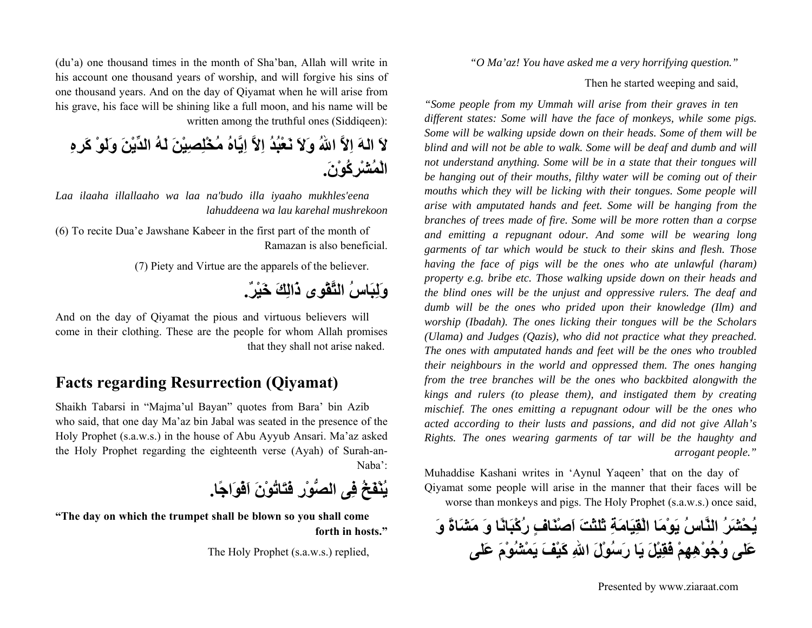*"O Ma'az! You have asked me a very horrifying question."*

Then he started weeping and said,

*"Some people from my Ummah will arise from their graves in ten different states: Some will have the face of monkeys, while some pigs. Some will be walking upside down on their heads. Some of them will be blind and will not be able to walk. Some will be deaf and dumb and will not understand anything. Some will be in a state that their tongues will be hanging out of their mouths, filthy water will be coming out of their mouths which they will be licking with their tongues. Some people will arise with amputated hands and feet. Some will be hanging from the branches of trees made of fire. Some will be more rotten than a corpse and emitting a repugnant odour. And some will be wearing long garments of tar which would be stuck to their skins and flesh. Those having the face of pigs will be the ones who ate unlawful (haram) property e.g. bribe etc. Those walking upside down on their heads and the blind ones will be the unjust and oppressive rulers. The deaf and dumb will be the ones who prided upon their knowledge (Ilm) and worship (Ibadah). The ones licking their tongues will be the Scholars (Ulama) and Judges (Qazis), who did not practice what they preached. The ones with amputated hands and feet will be the ones who troubled their neighbours in the world and oppressed them. The ones hanging from the tree branches will be the ones who backbited alongwith the kings and rulers (to please them), and instigated them by creating mischief. The ones emitting a repugnant odour will be the ones who acted according to their lusts and passions, and did not give Allah's Rights. The ones wearing garments of tar will be the haughty and arrogant people."*

Muhaddise Kashani writes in 'Aynul Yaqeen' that on the day of Qiyamat some people will arise in the manner that their faces will be worse than monkeys and pigs. The Holy Prophet (s.a.w.s.) once said,

**يُحْشَرُ النَّاسُ يَوْمَا الْقِيَامَةِ ثَلثَتَ اَصْنَافٍ رُآْبَانًا وَ مَشَاةً وَ عَلى وُجُوْهِهِمْ فَقِيْلَ يَا رَسُوْلَ االلهِ آَيْفَ يَمْشُوْمَ عَلى**

(du'a) one thousand times in the month of Sha'ban, Allah will write in his account one thousand years of worship, and will forgive his sins of one thousand years. And on the day of Qiyamat when he will arise from his grave, his face will be shining like a full moon, and his name will be written among the truthful ones (Siddiqeen):

**لاَ الهَ اِلاَّ االلهُ وَلاَ نَعْبُدُ اِلاَّ اِيَّاهُ مُخْلِصِيْنَ لَهُ الدِّيْنَ وَلَوْ آَرِهِ الْمُشْرِآُوْن.َ**

*Laa ilaaha illallaaho wa laa na'budo illa iyaaho mukhles'eena lahuddeena wa lau karehal mushrekoon*

(6) To recite Dua'e Jawshane Kabeer in the first part of the month of Ramazan is also beneficial.

(7) Piety and Virtue are the apparels of the believer.

**وَلِبَاسُ التَّقْوى ذَالِكَ خَيْر.ٌ**

And on the day of Qiyamat the pious and virtuous believers will come in their clothing. These are the people for whom Allah promises that they shall not arise naked.

### **Facts regarding Resurrection (Qiyamat)**

Shaikh Tabarsi in "Majma'ul Bayan" quotes from Bara' bin Azib who said, that one day Ma'az bin Jabal was seated in the presence of the Holy Prophet (s.a.w.s.) in the house of Abu Ayyub Ansari. Ma'az asked the Holy Prophet regarding the eighteenth verse (Ayah) of Surah-an-Naba':

**يُنْفَخُ فِى الصُّوْرِ فَتَاتُوْنَ اَفْوَاجًا.**

**"The day on which the trumpet shall be blown so you shall come forth in hosts."**

The Holy Prophet (s.a.w.s.) replied,

Presented by www.ziaraat.com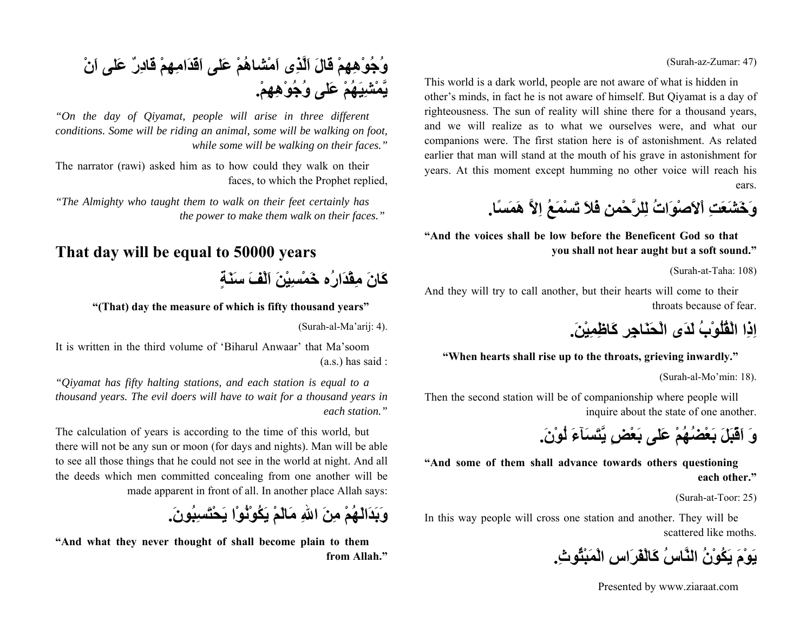#### (Surah-az-Zumar: 47)

This world is a dark world, people are not aware of what is hidden in other's minds, in fact he is not aware of himself. But Qiyamat is a day of righteousness. The sun of reality will shine there for a thousand years, and we will realize as to what we ourselves were, and what our companions were. The first station here is of astonishment. As related earlier that man will stand at the mouth of his grave in astonishment for years. At this moment except humming no other voice will reach his ears.



**"And the voices shall be low before the Beneficent God so that you shall not hear aught but a soft sound."**

(Surah-at-Taha: 108)

And they will try to call another, but their hearts will come to their throats because of fear.

**اِذِا الْقُلُوْبُ لَدَى الْحَنَاجِرِ آَاظِمِيْن.َ**

**"When hearts shall rise up to the throats, grieving inwardly."**

(Surah-al-Mo'min: 18).

Then the second station will be of companionship where people will inquire about the state of one another.

**وَ اَقْبَلَ بَعْضُهُمْ عَلى بَعْضٍ يَّتَسَآءَ لُوْن.َ**

**"And some of them shall advance towards others questioning each other."**

(Surah-at-Toor: 25)

In this way people will cross one station and another. They will be scattered like moths.

**يَوْمَ يَكُوْنُ النَّاسُ آَالْفَرَاسِ الْمَبْثُوث.ِ**

Presented by www.ziaraat.com

## **وُجُوْهِهِمْ قَالَ اَلَّذِى اَمْشاهُمْ عَلى اَقّدَامِهِمْ قَادِرٌ عَلى اَنْ يَّمْشِيَهُمْ عَلى وُجُوْهِهِم.ْ**

*"On the day of Qiyamat, people will arise in three different conditions. Some will be riding an animal, some will be walking on foot, while some will be walking on their faces."*

The narrator (rawi) asked him as to how could they walk on their faces, to which the Prophet replied,

*"The Almighty who taught them to walk on their feet certainly has the power to make them walk on their faces."* 

### **That day will be equal to 50000 years**

**آَانَ مِقْدَارُه خَمْسِيْنَ اَلْفَ سَنَةٍ**

**"(That) day the measure of which is fifty thousand years"**

(Surah-al-Ma'arij: 4).

It is written in the third volume of 'Biharul Anwaar' that Ma'soom (a.s.) has said :

*"Qiyamat has fifty halting stations, and each station is equal to a thousand years. The evil doers will have to wait for a thousand years in each station."*

The calculation of years is according to the time of this world, but there will not be any sun or moon (for days and nights). Man will be able to see all those things that he could not see in the world at night. And all the deeds which men committed concealing from one another will be made apparent in front of all. In another place Allah says:

**وَبَدَالَهُمْ مِنَ االلهِ مَالَمْ يَكُوْنُوْا يَحْتَسِبُون.َ**

**"And what they never thought of shall become plain to them from Allah."**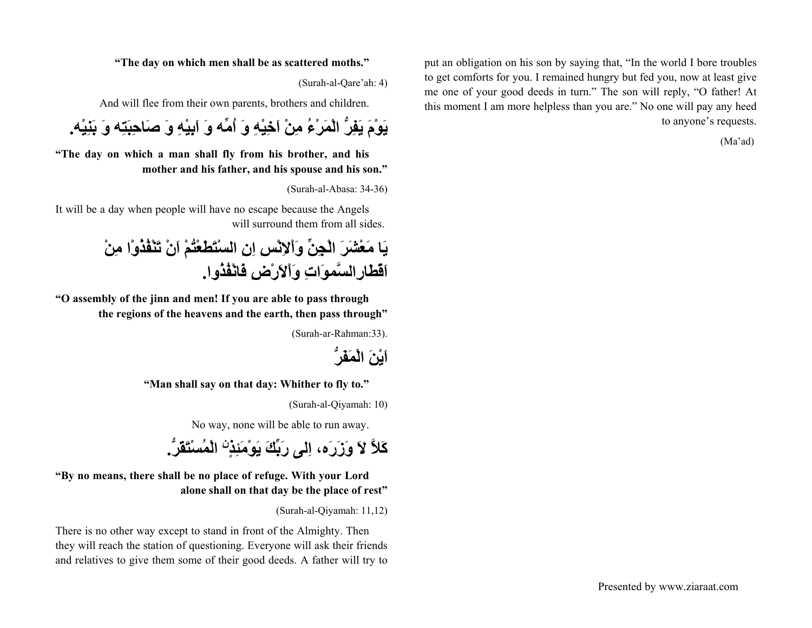put an obligation on his son by saying that, "In the world I bore troubles to get comforts for you. I remained hungry but fed you, now at least give me one of your good deeds in turn." The son will reply, "O father! At this moment I am more helpless than you are." No one will pay any heed to anyone's requests.

(Ma'ad)

#### **"The day on which men shall be as scattered moths."**

(Surah-al-Qare'ah: 4)

And will flee from their own parents, brothers and children.

**يَوْمَ يَفِرُّ الْمَرْءُ مِنْ اَخِيْهِ وَ اُمِّه وَ اَبِيْهِ وَ صَاحِبَتِه وَ بَنِيْه.**

**"The day on which a man shall fly from his brother, and his mother and his father, and his spouse and his son."**

(Surah-al-Abasa: 34-36)

It will be a day when people will have no escape because the Angels will surround them from all sides.

**يَا مَعْشَرَ الْجِنِّ وَاْلاِنْسِ اِنِ السْتَطَعْتُمْ اَنْ تَنْفُذُوْا مِنْ اَقْطَارِالسَّموَاتِ وَاْلاَرْضِ فَانْفُذُوا.**

**"O assembly of the jinn and men! If you are able to pass through the regions of the heavens and the earth, then pass through"**

(Surah-ar-Rahman:33).



 **"Man shall say on that day: Whither to fly to."**

(Surah-al-Qiyamah: 10)

No way, none will be able to run away.

**الْمُسْتَقَرُّ. نِ آَلاَّ لاَ وَزَرَه، اِلى رَبِّكَ يَوْمَئِذٍ**

**"By no means, there shall be no place of refuge. With your Lord alone shall on that day be the place of rest"**

(Surah-al-Qiyamah: 11,12)

There is no other way except to stand in front of the Almighty. Then they will reach the station of questioning. Everyone will ask their friends and relatives to give them some of their good deeds. A father will try to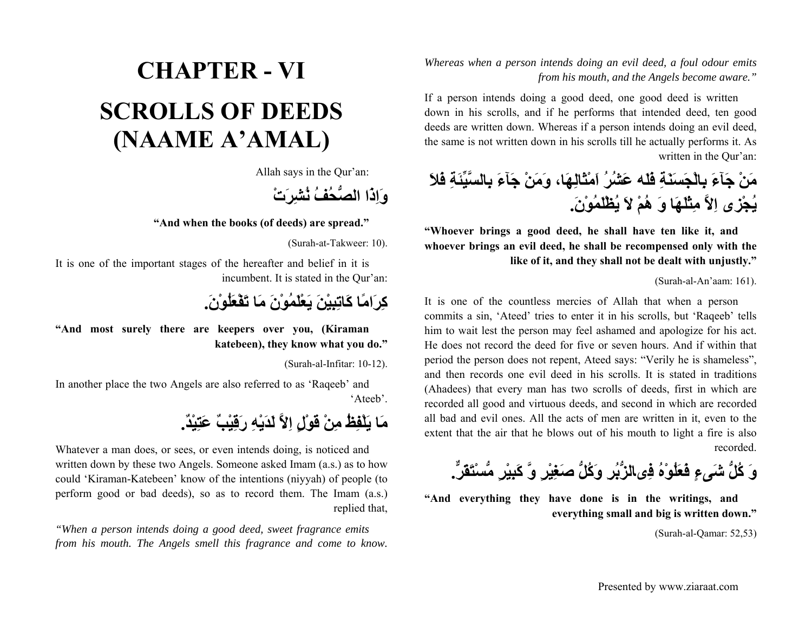*Whereas when a person intends doing an evil deed, a foul odour emits from his mouth, and the Angels become aware."*

If a person intends doing a good deed, one good deed is written down in his scrolls, and if he performs that intended deed, ten good deeds are written down. Whereas if a person intends doing an evil deed, the same is not written down in his scrolls till he actually performs it. As written in the Qur'an:

**مَنْ جَآءَ بِالْجَسَنَةِ فَلَه عَشُرُ اَمْثَالِهَا، وَمَنْ جَآءَ بِالسَّيِّئَةِ فَلاَ يُجْزى اِلاَّ مِثْلَهَا وَ هُمْ لاَ يُظْلَمُوْن.َ**

**"Whoever brings a good deed, he shall have ten like it, and whoever brings an evil deed, he shall be recompensed only with the like of it, and they shall not be dealt with unjustly."**

(Surah-al-An'aam: 161).

It is one of the countless mercies of Allah that when a person commits a sin, 'Ateed' tries to enter it in his scrolls, but 'Raqeeb' tells him to wait lest the person may feel ashamed and apologize for his act. He does not record the deed for five or seven hours. And if within that period the person does not repent, Ateed says: "Verily he is shameless", and then records one evil deed in his scrolls. It is stated in traditions (Ahadees) that every man has two scrolls of deeds, first in which are recorded all good and virtuous deeds, and second in which are recorded all bad and evil ones. All the acts of men are written in it, even to the extent that the air that he blows out of his mouth to light a fire is also recorded.

**وَ آُلُّ شَىءٍ فَعَلُوْهُ فِىالزُّبُرِ وَآُلُّ صَغِيْرٍ وَّ آَبِيْرٍ مُّسْتَقَرٌّ.**

**"And everything they have done is in the writings, and everything small and big is written down."**

(Surah-al-Qamar: 52,53)

# **CHAPTER - VISCROLLS OF DEEDS (NAAME A'AMAL)**

Allah says in the Qur'an:

**وَاِذَا الصُّحُفُ نُشِرَتْ**

**"And when the books (of deeds) are spread."**

(Surah-at-Takweer: 10).

It is one of the important stages of the hereafter and belief in it is incumbent. It is stated in the Qur'an:



**"And most surely there are keepers over you, (Kiraman katebeen), they know what you do."**

(Surah-al-Infitar: 10-12).

In another place the two Angels are also referred to as 'Raqeeb' and 'Ateeb'.

## **مَا يَلْفِظُ مِنْ قَوْلٍ اِلاَّ لَدَيْهِ رَقِيْبٌ عَتِيْد.ٌ**

Whatever a man does, or sees, or even intends doing, is noticed and written down by these two Angels. Someone asked Imam (a.s.) as to how could 'Kiraman-Katebeen' know of the intentions (niyyah) of people (to perform good or bad deeds), so as to record them. The Imam (a.s.) replied that,

*"When a person intends doing a good deed, sweet fragrance emits from his mouth. The Angels smell this fragrance and come to know.*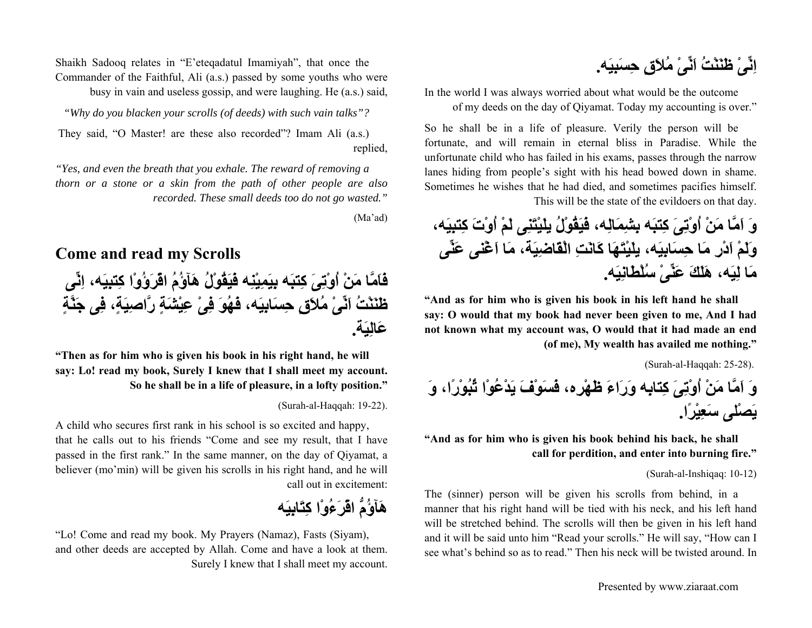**اِنِّىْ ظَنَنْتُ اَنِّىْ مُلاَقٍ حِسَبِيَه.**

In the world I was always worried about what would be the outcome of my deeds on the day of Qiyamat. Today my accounting is over."

So he shall be in a life of pleasure. Verily the person will be fortunate, and will remain in eternal bliss in Paradise. While the unfortunate child who has failed in his exams, passes through the narrow lanes hiding from people's sight with his head bowed down in shame. Sometimes he wishes that he had died, and sometimes pacifies himself. This will be the state of the evildoers on that day.

**وَ اَمَّا مَنْ اُوْتِىَ آِتبَه بِشِمَالِه، فَيَقُوْلُ يلَيْتَنِى لَمْ اُوْتَ آِتبِيَه، وَلَمْ اَدْرِ مَا حِسَابِيَه، يلَيْتَهَا آَانَتِ الْقَاضِيَة، مَا اَغْنى عَنِّى مَا لِيَه، هَلَكَ عَنِّىْ سُلْطَانِيَه.**

**"And as for him who is given his book in his left hand he shall say: O would that my book had never been given to me, And I had not known what my account was, O would that it had made an end (of me), My wealth has availed me nothing."**

(Surah-al-Haqqah: 25-28).

**وَ اَمَّا مَنْ اُوْتِىَ آِتابِه وَرَاءَ ظَهْرِه، فَسَوْفَ يَدْعُوْا ثُبُوْرًا، وَ يَصْلى سَعِيْرًا.**

**"And as for him who is given his book behind his back, he shall call for perdition, and enter into burning fire."**

(Surah-al-Inshiqaq: 10-12)

The (sinner) person will be given his scrolls from behind, in a manner that his right hand will be tied with his neck, and his left hand will be stretched behind. The scrolls will then be given in his left hand and it will be said unto him "Read your scrolls." He will say, "How can I see what's behind so as to read." Then his neck will be twisted around. In

Shaikh Sadooq relates in "E'eteqadatul Imamiyah", that once the Commander of the Faithful, Ali (a.s.) passed by some youths who were busy in vain and useless gossip, and were laughing. He (a.s.) said,

*"Why do you blacken your scrolls (of deeds) with such vain talks"?*

 They said, "O Master! are these also recorded"? Imam Ali (a.s.) replied,

*"Yes, and even the breath that you exhale. The reward of removing a thorn or a stone or a skin from the path of other people are also recorded. These small deeds too do not go wasted."*

(Ma'ad)

### **Come and read my Scrolls**

**فَاَمَّا مَنْ اُوْتِىَ آِتبَه بِيَمِيْنِه فَيَقُوْلُ هَآؤُمُ اقْرَؤُوْا آِتبِيَه، اِنِّى ظَنَنْتُ اَنِّىْ مُلاَقٍ حِسَابِيَه، فَهُوَ فِىْ عِيْشَةٍ رَّاصِيَة،ٍ فِى جَنَّةٍ عَالِيَة.**

**"Then as for him who is given his book in his right hand, he will say: Lo! read my book, Surely I knew that I shall meet my account. So he shall be in a life of pleasure, in a lofty position."**

(Surah-al-Haqqah: 19-22).

A child who secures first rank in his school is so excited and happy, that he calls out to his friends "Come and see my result, that I have passed in the first rank." In the same manner, on the day of Qiyamat, a believer (mo'min) will be given his scrolls in his right hand, and he will call out in excitement:

# **هَآؤُمُّ اقْرَءُوْا آِتَابِيَه**

"Lo! Come and read my book. My Prayers (Namaz), Fasts (Siyam), and other deeds are accepted by Allah. Come and have a look at them. Surely I knew that I shall meet my account.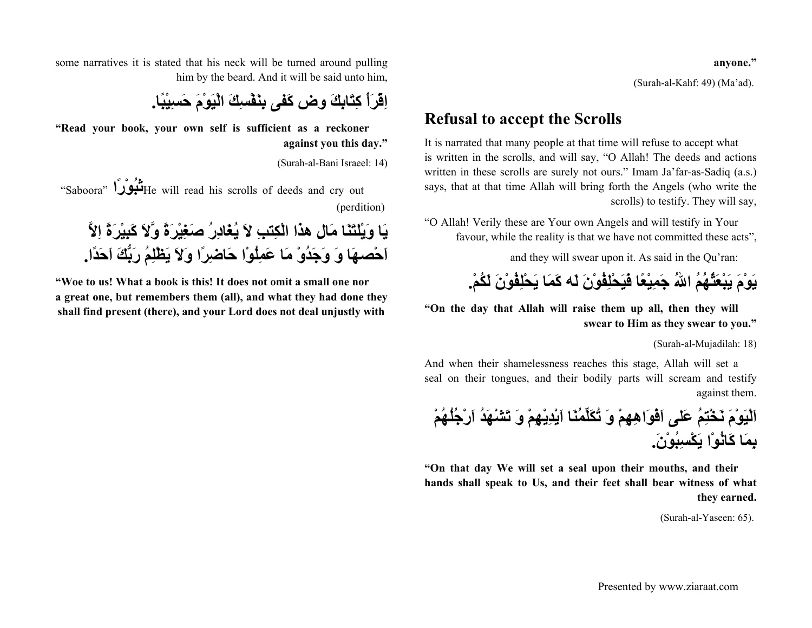**anyone."**

(Surah-al-Kahf: 49) (Ma'ad).

### **Refusal to accept the Scrolls**

It is narrated that many people at that time will refuse to accept what is written in the scrolls, and will say, "O Allah! The deeds and actions written in these scrolls are surely not ours." Imam Ja'far-as-Sadiq (a.s.) says, that at that time Allah will bring forth the Angels (who write the scrolls) to testify. They will say,

"O Allah! Verily these are Your own Angels and will testify in Your favour, while the reality is that we have not committed these acts",

and they will swear upon it. As said in the Qu'ran:



**"On the day that Allah will raise them up all, then they will swear to Him as they swear to you."**

(Surah-al-Mujadilah: 18)

And when their shamelessness reaches this stage, Allah will set a seal on their tongues, and their bodily parts will scream and testify against them.

**اَلْيَوْمَ نَخْتِمُ عَلى اَفْوَاهِهِمْ وَ تُكَلِّمُنَا اَيْدِيْهِمْ وَ تَشْهَدُ اَرْجُلُهُمْ بِمَا آَانُوْا يَكْسِبُوْن.َ**

**"On that day We will set a seal upon their mouths, and their hands shall speak to Us, and their feet shall bear witness of what they earned.**

(Surah-al-Yaseen: 65).

some narratives it is stated that his neck will be turned around pulling him by the beard. And it will be said unto him,

**اِقْرَأْ آِتَابِكَ وض آَفى بِنَفْسِكَ الْيَوْمَ حَسِيْبًا.**

**"Read your book, your own self is sufficient as a reckoner against you this day."**

(Surah-al-Bani Israeel: 14)

 "Saboora" **<sup>ا</sup>ًرْوُثب**He will read his scrolls of deeds and cry out (perdition)

**يَا وَيْلَتَنَا مَالِ هذَا الْكِتبِ لاَ يُغَادِرُ صَغِيْرَةً وَّلاَ آَبِيْرَةً اِلاَّ اَحْصهَا وَ وَجَدُوْ مَا عَمِلُوْا حَاضِرًا وَلاَ يَظْلِمُ رَبُّكَ اَحَدًا.**

**"Woe to us! What a book is this! It does not omit a small one nor a great one, but remembers them (all), and what they had done they shall find present (there), and your Lord does not deal unjustly with**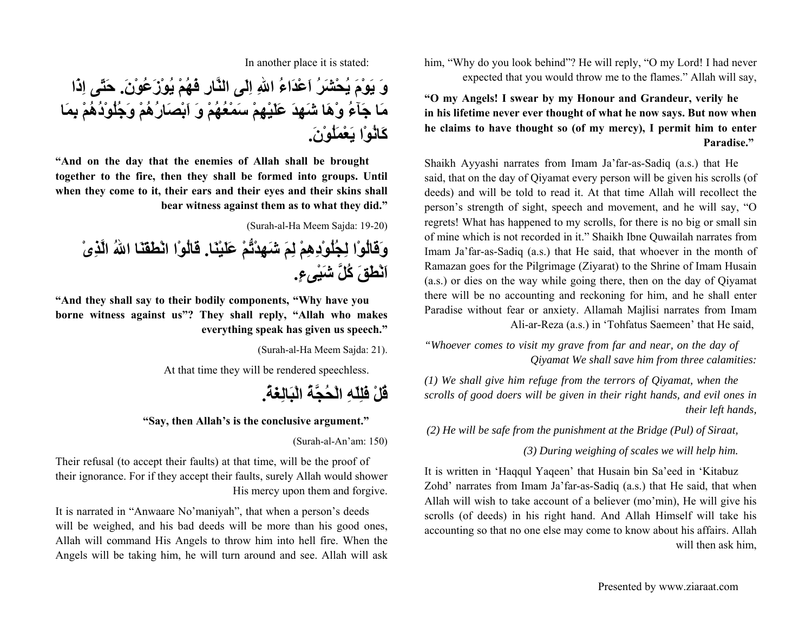him, "Why do you look behind"? He will reply, "O my Lord! I had never expected that you would throw me to the flames." Allah will say,

**"O my Angels! I swear by my Honour and Grandeur, verily he in his lifetime never ever thought of what he now says. But now when he claims to have thought so (of my mercy), I permit him to enter Paradise."** 

Shaikh Ayyashi narrates from Imam Ja'far-as-Sadiq (a.s.) that He said, that on the day of Qiyamat every person will be given his scrolls (of deeds) and will be told to read it. At that time Allah will recollect the person's strength of sight, speech and movement, and he will say, "O regrets! What has happened to my scrolls, for there is no big or small sin of mine which is not recorded in it." Shaikh Ibne Quwailah narrates from Imam Ja'far-as-Sadiq (a.s.) that He said, that whoever in the month of Ramazan goes for the Pilgrimage (Ziyarat) to the Shrine of Imam Husain (a.s.) or dies on the way while going there, then on the day of Qiyamat there will be no accounting and reckoning for him, and he shall enter Paradise without fear or anxiety. Allamah Majlisi narrates from Imam Ali-ar-Reza (a.s.) in 'Tohfatus Saemeen' that He said,

*"Whoever comes to visit my grave from far and near, on the day of Qiyamat We shall save him from three calamities:*

*(1) We shall give him refuge from the terrors of Qiyamat, when the scrolls of good doers will be given in their right hands, and evil ones in their left hands,*

*(2) He will be safe from the punishment at the Bridge (Pul) of Siraat,*

*(3) During weighing of scales we will help him.*

It is written in 'Haqqul Yaqeen' that Husain bin Sa'eed in 'Kitabuz Zohd' narrates from Imam Ja'far-as-Sadiq (a.s.) that He said, that when Allah will wish to take account of a believer (mo'min), He will give his scrolls (of deeds) in his right hand. And Allah Himself will take his accounting so that no one else may come to know about his affairs. Allah will then ask him,

In another place it is stated:

**وَ يَوْمَ يُحْشَرُ اَعْدَاءُ االلهِ اِلَى النَّارِ فَهُمْ يُوْزَعُوْن.َ حَتّى اِذَا مَا جَآءُ وْهَا شَهِدَ عَلَيْهِمْ سَمْعُهُمْ وَ اَبْصَارُهُمْ وَجُلُوْدُهُمْ بِمَا آَانُوْا يَعْمَلُوْن.َ**

**"And on the day that the enemies of Allah shall be brought together to the fire, then they shall be formed into groups. Until when they come to it, their ears and their eyes and their skins shall bear witness against them as to what they did."**

(Surah-al-Ha Meem Sajda: 19-20)

**وَقَالُوْا لِجُلُوْدِهِمْ لِمَ شَهِدْتُّمْ عَلَيْنَا. قَالُوْا انْطَقَنَا االلهُ الَّذِىْ اَنْطَقَ آُلَّ شَيْىء.ٍ**

**"And they shall say to their bodily components, "Why have you borne witness against us"? They shall reply, "Allah who makes everything speak has given us speech."**

(Surah-al-Ha Meem Sajda: 21).

At that time they will be rendered speechless.

**قُلْ فَلِلّهِ الْحُجَّةُ الْبَالِغَة.ُ**

**"Say, then Allah's is the conclusive argument."**

(Surah-al-An'am: 150)

Their refusal (to accept their faults) at that time, will be the proof of their ignorance. For if they accept their faults, surely Allah would shower His mercy upon them and forgive.

It is narrated in "Anwaare No'maniyah", that when a person's deeds will be weighed, and his bad deeds will be more than his good ones, Allah will command His Angels to throw him into hell fire. When the Angels will be taking him, he will turn around and see. Allah will ask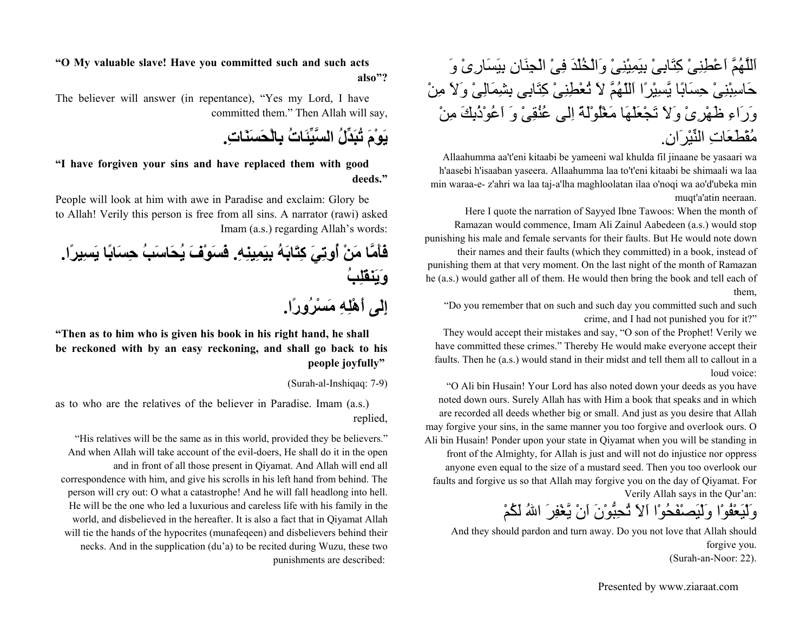## اَللَّهُمَّ اَعْطِنِىْ آِتَابِىْ بِيَمِيْنِىْ وَالْخُلْدَ فِىْ الْجِنَانِ بِيَسَارِىْ وَ حَاسِبْنِىْ حِسَابًا يَّسِيْرًا اَللّهُمَّ لاَ تُعْطِنِىْ آِتَابِى بِشِمَالِىْ وَلاَ مِنْ وَرَاءِ ظَهْرِىْ وَلاَ تَجْعَلْهَا مَغْلُوْلَةً اِلى عُنُقِىْ وَ اَعُوْذُبِكَ مِنْ مُقْطَعَاتِ النِّيْرَان.ِ

Allaahumma aa't'eni kitaabi be yameeni wal khulda fil jinaane be yasaari wa h'aasebi h'isaaban yaseera. Allaahumma laa to't'eni kitaabi be shimaali wa laa min waraa-e- z'ahri wa laa taj-a'lha maghloolatan ilaa o'noqi wa ao'd'ubeka min muqt'a'atin neeraan.

Here I quote the narration of Sayyed Ibne Tawoos: When the month of Ramazan would commence, Imam Ali Zainul Aabedeen (a.s.) would stop punishing his male and female servants for their faults. But He would note down their names and their faults (which they committed) in a book, instead of punishing them at that very moment. On the last night of the month of Ramazan he (a.s.) would gather all of them. He would then bring the book and tell each of them,

"Do you remember that on such and such day you committed such and such crime, and I had not punished you for it?"

They would accept their mistakes and say, "O son of the Prophet! Verily we have committed these crimes." Thereby He would make everyone accept their faults. Then he (a.s.) would stand in their midst and tell them all to callout in a loud voice:

"O Ali bin Husain! Your Lord has also noted down your deeds as you have noted down ours. Surely Allah has with Him a book that speaks and in which are recorded all deeds whether big or small. And just as you desire that Allah may forgive your sins, in the same manner you too forgive and overlook ours. O Ali bin Husain! Ponder upon your state in Qiyamat when you will be standing in front of the Almighty, for Allah is just and will not do injustice nor oppress anyone even equal to the size of a mustard seed. Then you too overlook our faults and forgive us so that Allah may forgive you on the day of Qiyamat. For Verily Allah says in the Qur'an:

وَلْيَعْفُوْا وَلْيَصْفَحُوْا اَلاَ تُحِبُّوْنَ اَنْ يَّغْفِرَ االلهُ لَكُمْ

And they should pardon and turn away. Do you not love that Allah should forgive you. (Surah-an-Noor: 22).

**"O My valuable slave! Have you committed such and such acts also"?**

The believer will answer (in repentance), "Yes my Lord, I have committed them." Then Allah will say,

**يَوْمَ تُبَدِّلُ السَّيِّئَاتُ بِالْحَسَنَات.ِ**

**"I have forgiven your sins and have replaced them with good deeds."**

People will look at him with awe in Paradise and exclaim: Glory be to Allah! Verily this person is free from all sins. A narrator (rawi) asked Imam (a.s.) regarding Allah's words:

**فَأَمَّا مَنْ أُوتِيَ آِتَابَهُ بِيَمِينِه.ِ فَسَوْفَ يُحَاسَبُ حِسَابًا يَسِيرًا. وَيَنقَلِبُ إِلَى أَهْلِهِ مَسْرُورًا.**

**"Then as to him who is given his book in his right hand, he shall be reckoned with by an easy reckoning, and shall go back to his people joyfully"** 

(Surah-al-Inshiqaq: 7-9)

as to who are the relatives of the believer in Paradise. Imam (a.s.) replied,

"His relatives will be the same as in this world, provided they be believers." And when Allah will take account of the evil-doers, He shall do it in the open and in front of all those present in Qiyamat. And Allah will end all correspondence with him, and give his scrolls in his left hand from behind. The person will cry out: O what a catastrophe! And he will fall headlong into hell. He will be the one who led a luxurious and careless life with his family in the world, and disbelieved in the hereafter. It is also a fact that in Qiyamat Allah will tie the hands of the hypocrites (munafeqeen) and disbelievers behind their necks. And in the supplication (du'a) to be recited during Wuzu, these two punishments are described: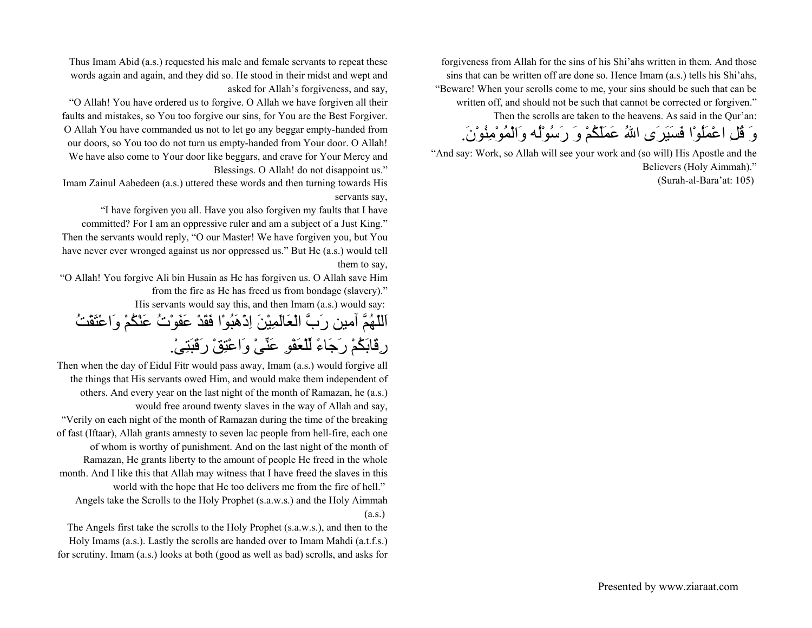forgiveness from Allah for the sins of his Shi'ahs written in them. And those sins that can be written off are done so. Hence Imam (a.s.) tells his Shi'ahs, "Beware! When your scrolls come to me, your sins should be such that can be written off, and should not be such that cannot be corrected or forgiven." Then the scrolls are taken to the heavens. As said in the Qur'an:

وَ قُلِ اعْمَلُوْا فَسَيَرَى االلهُ عَمَلَكُمْ وَ رَسُوْلُه وَالْمُوْمِنُوْن.َ

"And say: Work, so Allah will see your work and (so will) His Apostle and the Believers (Holy Aimmah)." (Surah-al-Bara'at: 105)

Thus Imam Abid (a.s.) requested his male and female servants to repeat these words again and again, and they did so. He stood in their midst and wept and asked for Allah's forgiveness, and say,

"O Allah! You have ordered us to forgive. O Allah we have forgiven all their faults and mistakes, so You too forgive our sins, for You are the Best Forgiver. O Allah You have commanded us not to let go any beggar empty-handed from

our doors, so You too do not turn us empty-handed from Your door. O Allah! We have also come to Your door like beggars, and crave for Your Mercy and Blessings. O Allah! do not disappoint us."

Imam Zainul Aabedeen (a.s.) uttered these words and then turning towards His servants say,

"I have forgiven you all. Have you also forgiven my faults that I have committed? For I am an oppressive ruler and am a subject of a Just King." Then the servants would reply, "O our Master! We have forgiven you, but You have never ever wronged against us nor oppressed us." But He (a.s.) would tell them to say,

"O Allah! You forgive Ali bin Husain as He has forgiven us. O Allah save Him from the fire as He has freed us from bondage (slavery)." His servants would say this, and then Imam (a.s.) would say:

اَللّهُمَّ آمين رَبَّ الْعَالَمِيْنَ اِذْهَبُوْا فَقَدْ عَفَوْتُ عَنْكُمْ وَاعْتَقْتُ رِقَابَكُمْ رَجَاءً لِّلْعَفْوِ عَنِّىْ وَاعْتِقْ رَقَبَتِى.ْ

Then when the day of Eidul Fitr would pass away, Imam (a.s.) would forgive all the things that His servants owed Him, and would make them independent of others. And every year on the last night of the month of Ramazan, he (a.s.) would free around twenty slaves in the way of Allah and say, "Verily on each night of the month of Ramazan during the time of the breaking of fast (Iftaar), Allah grants amnesty to seven lac people from hell-fire, each one of whom is worthy of punishment. And on the last night of the month of Ramazan, He grants liberty to the amount of people He freed in the whole month. And I like this that Allah may witness that I have freed the slaves in this world with the hope that He too delivers me from the fire of hell." Angels take the Scrolls to the Holy Prophet (s.a.w.s.) and the Holy Aimmah (a.s.)

The Angels first take the scrolls to the Holy Prophet (s.a.w.s.), and then to the Holy Imams (a.s.). Lastly the scrolls are handed over to Imam Mahdi (a.t.f.s.) for scrutiny. Imam (a.s.) looks at both (good as well as bad) scrolls, and asks for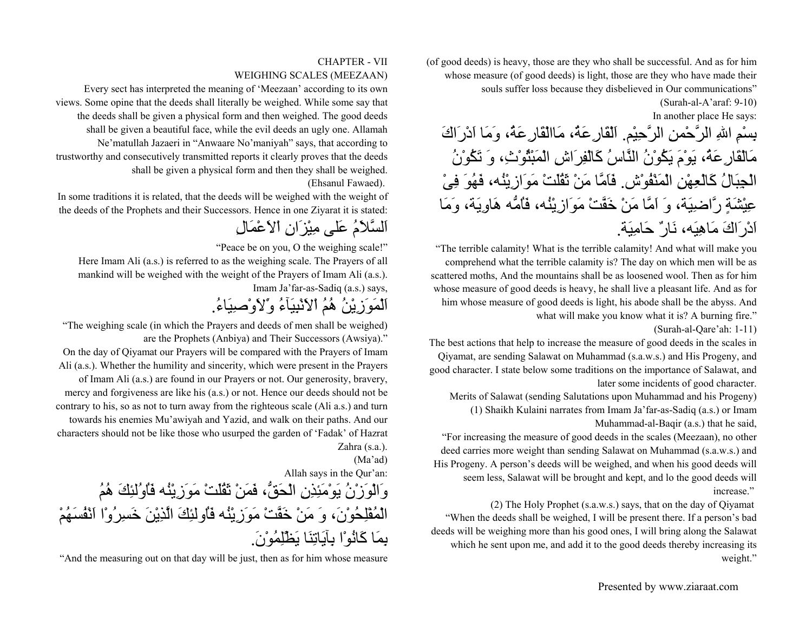(of good deeds) is heavy, those are they who shall be successful. And as for him whose measure (of good deeds) is light, those are they who have made their souls suffer loss because they disbelieved in Our communications"

> (Surah-al-A'araf: 9-10) In another place He says:

بِسْمِ االلهِ الرَّحْمنِ الرَّحِيْم. اَلْقَارِعَة،ُ مَاالْقَارِعَة،ُ وَمَا اَدْرَاكَ مَالْقَارِعَة،ُ يَوْمَ يَكُوْنُ النَّاسُ آَالْفِرَاشِ الْمَبْثُوْث،ِ وَ تَكُوْنُ الْجِبَالُ آَالْعِهْنِ الْمَنْفُوْش. فَاَمَّا مَنْ ثَقُلَتْ مَوَازِيْنُه، فَهُوَ فِىْ عِيْشَةٍ رَّاضِيَة، وَ اَمَّا مَنْ خَفَّتْ مَوَازِيْنُه، فَاُمُّه هَاوِيَة، وَمَا اَدْرَاكَ مَاهِيَه، نَارٌ حَامِيَة.

"The terrible calamity! What is the terrible calamity! And what will make you comprehend what the terrible calamity is? The day on which men will be as scattered moths, And the mountains shall be as loosened wool. Then as for him whose measure of good deeds is heavy, he shall live a pleasant life. And as for him whose measure of good deeds is light, his abode shall be the abyss. And what will make you know what it is? A burning fire."

(Surah-al-Qare'ah: 1-11)

The best actions that help to increase the measure of good deeds in the scales in Qiyamat, are sending Salawat on Muhammad (s.a.w.s.) and His Progeny, and good character. I state below some traditions on the importance of Salawat, and later some incidents of good character.

Merits of Salawat (sending Salutations upon Muhammad and his Progeny) (1) Shaikh Kulaini narrates from Imam Ja'far-as-Sadiq (a.s.) or Imam Muhammad-al-Baqir (a.s.) that he said,

"For increasing the measure of good deeds in the scales (Meezaan), no other deed carries more weight than sending Salawat on Muhammad (s.a.w.s.) and His Progeny. A person's deeds will be weighed, and when his good deeds will seem less, Salawat will be brought and kept, and lo the good deeds will increase."

(2) The Holy Prophet (s.a.w.s.) says, that on the day of Qiyamat "When the deeds shall be weighed, I will be present there. If a person's bad deeds will be weighing more than his good ones, I will bring along the Salawat which he sent upon me, and add it to the good deeds thereby increasing its weight."

#### CHAPTER - VIIWEIGHING SCALES (MEEZAAN)

Every sect has interpreted the meaning of 'Meezaan' according to its own views. Some opine that the deeds shall literally be weighed. While some say that the deeds shall be given a physical form and then weighed. The good deeds shall be given a beautiful face, while the evil deeds an ugly one. Allamah Ne'matullah Jazaeri in "Anwaare No'maniyah" says, that according to trustworthy and consecutively transmitted reports it clearly proves that the deeds shall be given a physical form and then they shall be weighed. (Ehsanul Fawaed).

In some traditions it is related, that the deeds will be weighed with the weight of the deeds of the Prophets and their Successors. Hence in one Ziyarat it is stated:

## اَلسَّلاَمُ عَلى مِيْزَانِ اْلاَعْمَالِ

"Peace be on you, O the weighing scale!"

Here Imam Ali (a.s.) is referred to as the weighing scale. The Prayers of all mankind will be weighed with the weight of the Prayers of Imam Ali (a.s.). Imam Ja'far-as-Sadiq (a.s.) says,

# اَلْمَوَزِيْنُ هُمُ اْلاَنْبِيَآءُ وَْلاَوْصِيَاء.ُ

"The weighing scale (in which the Prayers and deeds of men shall be weighed) are the Prophets (Anbiya) and Their Successors (Awsiya)."

On the day of Qiyamat our Prayers will be compared with the Prayers of Imam Ali (a.s.). Whether the humility and sincerity, which were present in the Prayers of Imam Ali (a.s.) are found in our Prayers or not. Our generosity, bravery, mercy and forgiveness are like his (a.s.) or not. Hence our deeds should not be contrary to his, so as not to turn away from the righteous scale (Ali a.s.) and turn towards his enemies Mu'awiyah and Yazid, and walk on their paths. And our characters should not be like those who usurped the garden of 'Fadak' of Hazrat Zahra (s.a.).

(Ma'ad)

Allah says in the Qur'an:

وَالْوَزْنُ يَوْمَئِذِنِ الْحَقُّ، فَمَنْ ثَقُلَتْ مَوَزِيْنُه فَاُوُلئِكَ هُمُ الْمُفْلِحُوْن،َ وَ مَنْ خَفَّتْ مَوَزِيْنُه فَاُولئِكَ الَّذِيْنَ خَسِرُوْا اَنْفُسَهُمْ بِمَا آَانُوْا بِآيَاتِنَا يَظْلِمُوْن.َ

"And the measuring out on that day will be just, then as for him whose measure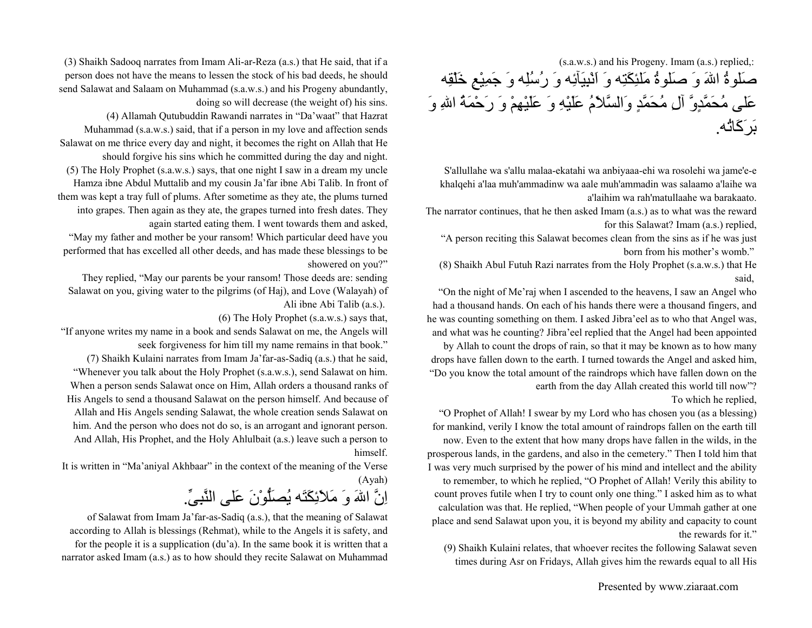(s.a.w.s.) and his Progeny. Imam (a.s.) replied,: صَلوةُ االلهَ وَ صَلوةُ مَلئِكَتِه وَ اَنْبِيَآئِه وَ رُسُلِه وَ جَمِيْعِ خَلْقِه عَلى مُحَمَّدٍوَّ آلِ مُحَمَّدٍ وَالسَّلاَمُ عَلَيْهِ وَ عَلَيْهِمْ وَ رَحْمَةُ االلهِ وَ بَرَآَاتُه.

S'allullahe wa s'allu malaa-ekatahi wa anbiyaaa-ehi wa rosolehi wa jame'e-e khalqehi a'laa muh'ammadinw wa aale muh'ammadin was salaamo a'laihe wa a'laihim wa rah'matullaahe wa barakaato.

The narrator continues, that he then asked Imam (a.s.) as to what was the reward for this Salawat? Imam (a.s.) replied,

"A person reciting this Salawat becomes clean from the sins as if he was just born from his mother's womb."

(8) Shaikh Abul Futuh Razi narrates from the Holy Prophet (s.a.w.s.) that He said,

"On the night of Me'raj when I ascended to the heavens, I saw an Angel who had a thousand hands. On each of his hands there were a thousand fingers, and he was counting something on them. I asked Jibra'eel as to who that Angel was, and what was he counting? Jibra'eel replied that the Angel had been appointed by Allah to count the drops of rain, so that it may be known as to how many drops have fallen down to the earth. I turned towards the Angel and asked him, "Do you know the total amount of the raindrops which have fallen down on the earth from the day Allah created this world till now"? To which he replied,

"O Prophet of Allah! I swear by my Lord who has chosen you (as a blessing) for mankind, verily I know the total amount of raindrops fallen on the earth till now. Even to the extent that how many drops have fallen in the wilds, in the prosperous lands, in the gardens, and also in the cemetery." Then I told him that I was very much surprised by the power of his mind and intellect and the ability to remember, to which he replied, "O Prophet of Allah! Verily this ability to count proves futile when I try to count only one thing." I asked him as to what calculation was that. He replied, "When people of your Ummah gather at one place and send Salawat upon you, it is beyond my ability and capacity to count the rewards for it."

(9) Shaikh Kulaini relates, that whoever recites the following Salawat seven times during Asr on Fridays, Allah gives him the rewards equal to all His

(3) Shaikh Sadooq narrates from Imam Ali-ar-Reza (a.s.) that He said, that if a person does not have the means to lessen the stock of his bad deeds, he should send Salawat and Salaam on Muhammad (s.a.w.s.) and his Progeny abundantly,

doing so will decrease (the weight of) his sins. (4) Allamah Qutubuddin Rawandi narrates in "Da'waat" that Hazrat Muhammad (s.a.w.s.) said, that if a person in my love and affection sends Salawat on me thrice every day and night, it becomes the right on Allah that He should forgive his sins which he committed during the day and night. (5) The Holy Prophet (s.a.w.s.) says, that one night I saw in a dream my uncle Hamza ibne Abdul Muttalib and my cousin Ja'far ibne Abi Talib. In front of them was kept a tray full of plums. After sometime as they ate, the plums turned into grapes. Then again as they ate, the grapes turned into fresh dates. They again started eating them. I went towards them and asked,

"May my father and mother be your ransom! Which particular deed have you performed that has excelled all other deeds, and has made these blessings to be showered on you?"

They replied, "May our parents be your ransom! Those deeds are: sending Salawat on you, giving water to the pilgrims (of Haj), and Love (Walayah) of Ali ibne Abi Talib (a.s.).

(6) The Holy Prophet (s.a.w.s.) says that,

"If anyone writes my name in a book and sends Salawat on me, the Angels will seek forgiveness for him till my name remains in that book."

(7) Shaikh Kulaini narrates from Imam Ja'far-as-Sadiq (a.s.) that he said, "Whenever you talk about the Holy Prophet (s.a.w.s.), send Salawat on him. When a person sends Salawat once on Him, Allah orders a thousand ranks of His Angels to send a thousand Salawat on the person himself. And because of Allah and His Angels sending Salawat, the whole creation sends Salawat on him. And the person who does not do so, is an arrogant and ignorant person. And Allah, His Prophet, and the Holy Ahlulbait (a.s.) leave such a person to himself.

It is written in "Ma'aniyal Akhbaar" in the context of the meaning of the Verse (Ayah)

اِنَّ االلهَ وَ مَلاَئِكَتَه يُصَلُّوْنَ عَلى النَّبِىِّ.

of Salawat from Imam Ja'far-as-Sadiq (a.s.), that the meaning of Salawat according to Allah is blessings (Rehmat), while to the Angels it is safety, and for the people it is a supplication (du'a). In the same book it is written that a narrator asked Imam (a.s.) as to how should they recite Salawat on Muhammad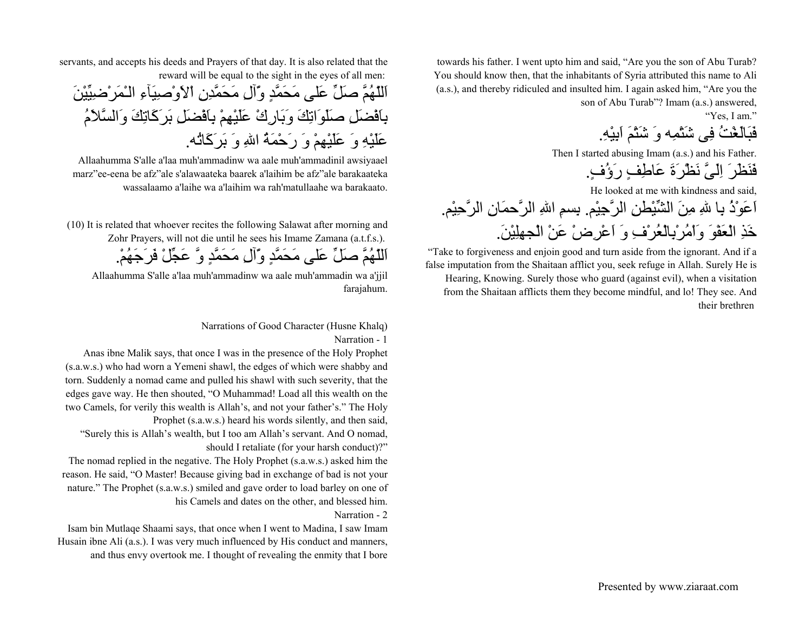towards his father. I went upto him and said, "Are you the son of Abu Turab? You should know then, that the inhabitants of Syria attributed this name to Ali (a.s.), and thereby ridiculed and insulted him. I again asked him, "Are you the son of Abu Turab"? Imam (a.s.) answered,

"Yes, I am."

فَبَالَغْتُ فِى شَتْمِه وَ شَتْمَ اَبِيْه.ِ

Then I started abusing Imam (a.s.) and his Father.

فَنَظَرَ اِلَىَّ نَظْرَةَ عَاطِفٍ رَؤُف.ٍ

He looked at me with kindness and said,

اَعَوْذُ بِا اللهِ مِنَ الشِّيْطنِ الرَّجِيْم. بِسمِ االلهِ الرَّحمَانِ الرَّحِيْم. خَذِ الْعَفْوَ وَاْمُرْبِالْعُرْفِ وَ اَعْرِضْ عَنْ الْجهِلِيْن.َ

"Take to forgiveness and enjoin good and turn aside from the ignorant. And if a false imputation from the Shaitaan afflict you, seek refuge in Allah. Surely He is Hearing, Knowing. Surely those who guard (against evil), when a visitation

from the Shaitaan afflicts them they become mindful, and lo! They see. And their brethren

servants, and accepts his deeds and Prayers of that day. It is also related that the reward will be equal to the sight in the eyes of all men:

اَللّهُمَّ صَلِّ عَلى مَحَمَّدٍ وَّآلِ مَحَمَّدِنِ اْلاَوْصِيَآءِ الـْمَرْضِيِّيْنَ بِاَفْضَلِ صَلَوَاتِكَ وَبَارِكْ عَلَيْهِمْ بِاَفْضَلِ بَرَآَاتِكَ وَالسَّلاَمُ عَلَيْهِ وَ عَلَيْهِمْ وَ رَحْمَةُ االلهِ وَ بَرَآَاتُه.

Allaahumma S'alle a'laa muh'ammadinw wa aale muh'ammadinil awsiyaael marz"ee-eena be afz"ale s'alawaateka baarek a'laihim be afz"ale barakaateka wassalaamo a'laihe wa a'laihim wa rah'matullaahe wa barakaato.

(10) It is related that whoever recites the following Salawat after morning and Zohr Prayers, will not die until he sees his Imame Zamana (a.t.f.s.). اَللّهُمَّ صَلِّ عَلى مَحَمَّدٍ وَّآلِ مَحَمَّدٍ وَّ عَجِّلْ فَرَجَهُم.ْ

Allaahumma S'alle a'laa muh'ammadinw wa aale muh'ammadin wa a'jjil farajahum.

#### Narrations of Good Character (Husne Khalq) Narration - 1

Anas ibne Malik says, that once I was in the presence of the Holy Prophet (s.a.w.s.) who had worn a Yemeni shawl, the edges of which were shabby and torn. Suddenly a nomad came and pulled his shawl with such severity, that the edges gave way. He then shouted, "O Muhammad! Load all this wealth on the two Camels, for verily this wealth is Allah's, and not your father's." The Holy Prophet (s.a.w.s.) heard his words silently, and then said,

"Surely this is Allah's wealth, but I too am Allah's servant. And O nomad, should I retaliate (for your harsh conduct)?"

The nomad replied in the negative. The Holy Prophet (s.a.w.s.) asked him the reason. He said, "O Master! Because giving bad in exchange of bad is not your nature." The Prophet (s.a.w.s.) smiled and gave order to load barley on one of his Camels and dates on the other, and blessed him.

#### Narration - 2

Isam bin Mutlaqe Shaami says, that once when I went to Madina, I saw Imam Husain ibne Ali (a.s.). I was very much influenced by His conduct and manners, and thus envy overtook me. I thought of revealing the enmity that I bore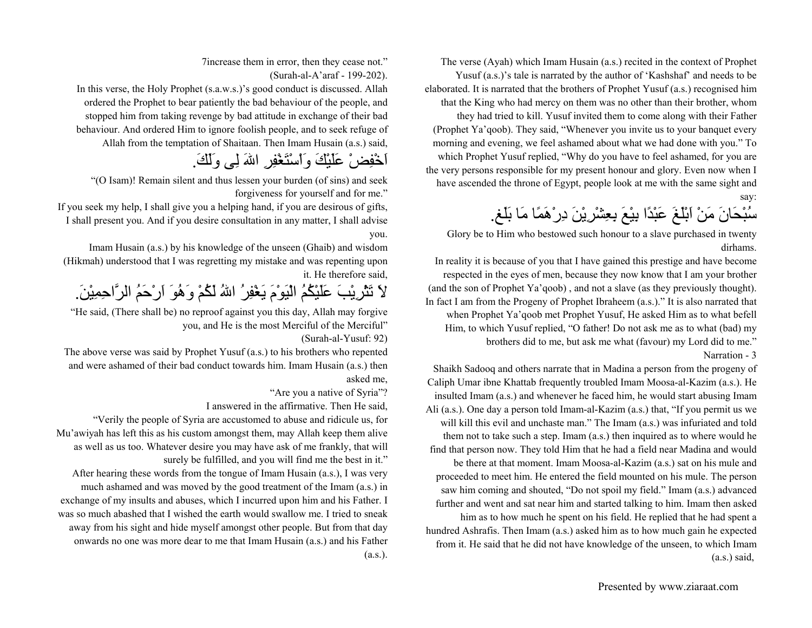The verse (Ayah) which Imam Husain (a.s.) recited in the context of Prophet Yusuf (a.s.)'s tale is narrated by the author of 'Kashshaf' and needs to be

elaborated. It is narrated that the brothers of Prophet Yusuf (a.s.) recognised him that the King who had mercy on them was no other than their brother, whom they had tried to kill. Yusuf invited them to come along with their Father (Prophet Ya'qoob). They said, "Whenever you invite us to your banquet every morning and evening, we feel ashamed about what we had done with you." To which Prophet Yusuf replied, "Why do you have to feel ashamed, for you are the very persons responsible for my present honour and glory. Even now when I have ascended the throne of Egypt, people look at me with the same sight and say:

سُبْحَانَ مَنْ اَبْلَغَ عَبْدًا بِيْعَ بِعِشْرِيْنَ دِرْهَمًا مَا بَلَغ.

Glory be to Him who bestowed such honour to a slave purchased in twenty dirhams.

In reality it is because of you that I have gained this prestige and have become respected in the eyes of men, because they now know that I am your brother (and the son of Prophet Ya'qoob) , and not a slave (as they previously thought). In fact I am from the Progeny of Prophet Ibraheem (a.s.)." It is also narrated that when Prophet Ya'qoob met Prophet Yusuf, He asked Him as to what befell Him, to which Yusuf replied, "O father! Do not ask me as to what (bad) my brothers did to me, but ask me what (favour) my Lord did to me." Narration - 3

Shaikh Sadooq and others narrate that in Madina a person from the progeny of Caliph Umar ibne Khattab frequently troubled Imam Moosa-al-Kazim (a.s.). He insulted Imam (a.s.) and whenever he faced him, he would start abusing Imam Ali (a.s.). One day a person told Imam-al-Kazim (a.s.) that, "If you permit us we will kill this evil and unchaste man." The Imam (a.s.) was infuriated and told them not to take such a step. Imam (a.s.) then inquired as to where would he find that person now. They told Him that he had a field near Madina and would be there at that moment. Imam Moosa-al-Kazim (a.s.) sat on his mule and proceeded to meet him. He entered the field mounted on his mule. The person saw him coming and shouted, "Do not spoil my field." Imam (a.s.) advanced further and went and sat near him and started talking to him. Imam then asked him as to how much he spent on his field. He replied that he had spent a hundred Ashrafis. Then Imam (a.s.) asked him as to how much gain he expected from it. He said that he did not have knowledge of the unseen, to which Imam (a.s.) said,

7increase them in error, then they cease not."

(Surah-al-A'araf - 199-202).

In this verse, the Holy Prophet (s.a.w.s.)'s good conduct is discussed. Allah ordered the Prophet to bear patiently the bad behaviour of the people, and stopped him from taking revenge by bad attitude in exchange of their bad behaviour. And ordered Him to ignore foolish people, and to seek refuge of Allah from the temptation of Shaitaan. Then Imam Husain (a.s.) said,

اَخْفِضْ عَلَيْكَ وَاْسْتَغْفِرِ االلهَ لِى وَلَك.َ

"(O Isam)! Remain silent and thus lessen your burden (of sins) and seek forgiveness for yourself and for me."

If you seek my help, I shall give you a helping hand, if you are desirous of gifts, I shall present you. And if you desire consultation in any matter, I shall advise you.

Imam Husain (a.s.) by his knowledge of the unseen (Ghaib) and wisdom (Hikmah) understood that I was regretting my mistake and was repenting upon it. He therefore said,

لاَ تَثْرِيْبَ عَلَيْكُمُ الْيَوْمَ يَغْفِرُ االلهُ لَكُمْ وَهُوَ اَرْحَمُ الرَّاحِمِيْن.َ

"He said, (There shall be) no reproof against you this day, Allah may forgive you, and He is the most Merciful of the Merciful"

(Surah-al-Yusuf: 92)

The above verse was said by Prophet Yusuf (a.s.) to his brothers who repented and were ashamed of their bad conduct towards him. Imam Husain (a.s.) then asked me,

"Are you a native of Syria"?

I answered in the affirmative. Then He said,

"Verily the people of Syria are accustomed to abuse and ridicule us, for Mu'awiyah has left this as his custom amongst them, may Allah keep them alive as well as us too. Whatever desire you may have ask of me frankly, that will surely be fulfilled, and you will find me the best in it."

After hearing these words from the tongue of Imam Husain (a.s.), I was very much ashamed and was moved by the good treatment of the Imam (a.s.) in exchange of my insults and abuses, which I incurred upon him and his Father. I was so much abashed that I wished the earth would swallow me. I tried to sneak away from his sight and hide myself amongst other people. But from that day onwards no one was more dear to me that Imam Husain (a.s.) and his Father (a.s.).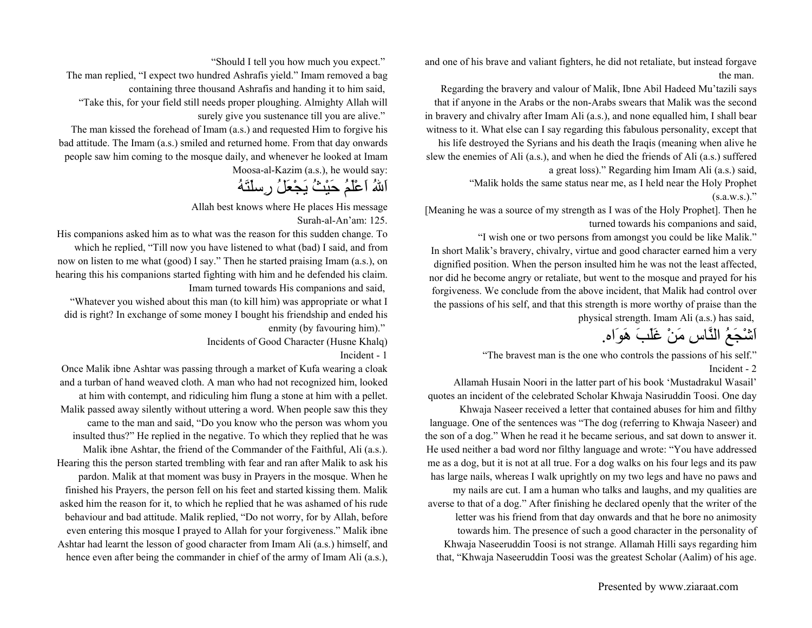and one of his brave and valiant fighters, he did not retaliate, but instead forgave the man.

Regarding the bravery and valour of Malik, Ibne Abil Hadeed Mu'tazili says that if anyone in the Arabs or the non-Arabs swears that Malik was the second in bravery and chivalry after Imam Ali (a.s.), and none equalled him, I shall bear witness to it. What else can I say regarding this fabulous personality, except that his life destroyed the Syrians and his death the Iraqis (meaning when alive he

slew the enemies of Ali (a.s.), and when he died the friends of Ali (a.s.) suffered a great loss)." Regarding him Imam Ali (a.s.) said,

> "Malik holds the same status near me, as I held near the Holy Prophet  $(s.a.w.s.)$ ."

[Meaning he was a source of my strength as I was of the Holy Prophet]. Then he turned towards his companions and said,

"I wish one or two persons from amongst you could be like Malik." In short Malik's bravery, chivalry, virtue and good character earned him a very dignified position. When the person insulted him he was not the least affected, nor did he become angry or retaliate, but went to the mosque and prayed for his forgiveness. We conclude from the above incident, that Malik had control over the passions of his self, and that this strength is more worthy of praise than the physical strength. Imam Ali (a.s.) has said,

اَشْجَعُ النَّاسِ مَنْ غَلَبَ هَوَاه.

"The bravest man is the one who controls the passions of his self." Incident - 2

Allamah Husain Noori in the latter part of his book 'Mustadrakul Wasail' quotes an incident of the celebrated Scholar Khwaja Nasiruddin Toosi. One day

Khwaja Naseer received a letter that contained abuses for him and filthy language. One of the sentences was "The dog (referring to Khwaja Naseer) and the son of a dog." When he read it he became serious, and sat down to answer it. He used neither a bad word nor filthy language and wrote: "You have addressed me as a dog, but it is not at all true. For a dog walks on his four legs and its paw has large nails, whereas I walk uprightly on my two legs and have no paws and my nails are cut. I am a human who talks and laughs, and my qualities are averse to that of a dog." After finishing he declared openly that the writer of the letter was his friend from that day onwards and that he bore no animosity towards him. The presence of such a good character in the personality of Khwaja Naseeruddin Toosi is not strange. Allamah Hilli says regarding him that, "Khwaja Naseeruddin Toosi was the greatest Scholar (Aalim) of his age.

"Should I tell you how much you expect."

The man replied, "I expect two hundred Ashrafis yield." Imam removed a bag containing three thousand Ashrafis and handing it to him said,

"Take this, for your field still needs proper ploughing. Almighty Allah will surely give you sustenance till you are alive."

The man kissed the forehead of Imam (a.s.) and requested Him to forgive his bad attitude. The Imam (a.s.) smiled and returned home. From that day onwards people saw him coming to the mosque daily, and whenever he looked at Imam Moosa-al-Kazim (a.s.), he would say:

## اَاللهُ اَعْلَمُ حَيْثُ يَجْعَلُ رِسلَتَهُ

Allah best knows where He places His message Surah-al-An'am: 125.

His companions asked him as to what was the reason for this sudden change. To which he replied, "Till now you have listened to what (bad) I said, and from now on listen to me what (good) I say." Then he started praising Imam (a.s.), on hearing this his companions started fighting with him and he defended his claim. Imam turned towards His companions and said,

"Whatever you wished about this man (to kill him) was appropriate or what I did is right? In exchange of some money I bought his friendship and ended his enmity (by favouring him)."

Incidents of Good Character (Husne Khalq)

Incident - 1

Once Malik ibne Ashtar was passing through a market of Kufa wearing a cloak and a turban of hand weaved cloth. A man who had not recognized him, looked at him with contempt, and ridiculing him flung a stone at him with a pellet. Malik passed away silently without uttering a word. When people saw this they came to the man and said, "Do you know who the person was whom you insulted thus?" He replied in the negative. To which they replied that he was Malik ibne Ashtar, the friend of the Commander of the Faithful, Ali (a.s.). Hearing this the person started trembling with fear and ran after Malik to ask his pardon. Malik at that moment was busy in Prayers in the mosque. When he finished his Prayers, the person fell on his feet and started kissing them. Malik asked him the reason for it, to which he replied that he was ashamed of his rude behaviour and bad attitude. Malik replied, "Do not worry, for by Allah, before even entering this mosque I prayed to Allah for your forgiveness." Malik ibne Ashtar had learnt the lesson of good character from Imam Ali (a.s.) himself, and hence even after being the commander in chief of the army of Imam Ali (a.s.),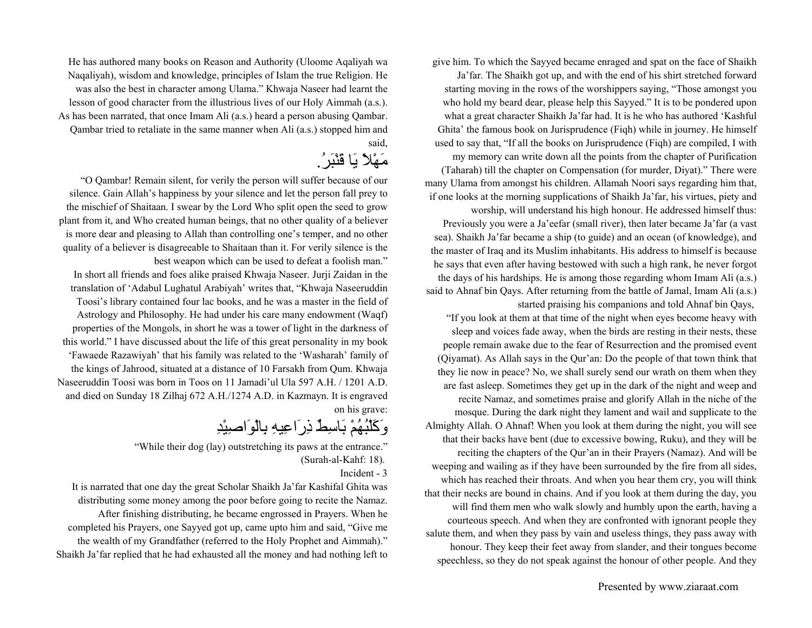give him. To which the Sayyed became enraged and spat on the face of Shaikh

Ja'far. The Shaikh got up, and with the end of his shirt stretched forward starting moving in the rows of the worshippers saying, "Those amongst you who hold my beard dear, please help this Sayyed." It is to be pondered upon what a great character Shaikh Ja'far had. It is he who has authored 'Kashful Ghita' the famous book on Jurisprudence (Fiqh) while in journey. He himself used to say that, "If all the books on Jurisprudence (Fiqh) are compiled, I with

my memory can write down all the points from the chapter of Purification (Taharah) till the chapter on Compensation (for murder, Diyat)." There were many Ulama from amongst his children. Allamah Noori says regarding him that, if one looks at the morning supplications of Shaikh Ja'far, his virtues, piety and

worship, will understand his high honour. He addressed himself thus: Previously you were a Ja'eefar (small river), then later became Ja'far (a vast sea). Shaikh Ja'far became a ship (to guide) and an ocean (of knowledge), and the master of Iraq and its Muslim inhabitants. His address to himself is because he says that even after having bestowed with such a high rank, he never forgot the days of his hardships. He is among those regarding whom Imam Ali (a.s.) said to Ahnaf bin Qays. After returning from the battle of Jamal, Imam Ali (a.s.) started praising his companions and told Ahnaf bin Qays,

"If you look at them at that time of the night when eyes become heavy with sleep and voices fade away, when the birds are resting in their nests, these people remain awake due to the fear of Resurrection and the promised event (Qiyamat). As Allah says in the Qur'an: Do the people of that town think that they lie now in peace? No, we shall surely send our wrath on them when they are fast asleep. Sometimes they get up in the dark of the night and weep and recite Namaz, and sometimes praise and glorify Allah in the niche of the mosque. During the dark night they lament and wail and supplicate to the Almighty Allah. O Ahnaf! When you look at them during the night, you will see that their backs have bent (due to excessive bowing, Ruku), and they will be reciting the chapters of the Qur'an in their Prayers (Namaz). And will be weeping and wailing as if they have been surrounded by the fire from all sides, which has reached their throats. And when you hear them cry, you will think that their necks are bound in chains. And if you look at them during the day, you will find them men who walk slowly and humbly upon the earth, having a courteous speech. And when they are confronted with ignorant people they salute them, and when they pass by vain and useless things, they pass away with honour. They keep their feet away from slander, and their tongues become speechless, so they do not speak against the honour of other people. And they

He has authored many books on Reason and Authority (Uloome Aqaliyah wa Naqaliyah), wisdom and knowledge, principles of Islam the true Religion. He was also the best in character among Ulama." Khwaja Naseer had learnt the lesson of good character from the illustrious lives of our Holy Aimmah (a.s.). As has been narrated, that once Imam Ali (a.s.) heard a person abusing Qambar. Qambar tried to retaliate in the same manner when Ali (a.s.) stopped him and said,

مَهْلاً يَا قَنْبَر.ُ

"O Qambar! Remain silent, for verily the person will suffer because of our silence. Gain Allah's happiness by your silence and let the person fall prey to the mischief of Shaitaan. I swear by the Lord Who split open the seed to grow plant from it, and Who created human beings, that no other quality of a believer is more dear and pleasing to Allah than controlling one's temper, and no other quality of a believer is disagreeable to Shaitaan than it. For verily silence is the best weapon which can be used to defeat a foolish man."

In short all friends and foes alike praised Khwaja Naseer. Jurji Zaidan in the translation of 'Adabul Lughatul Arabiyah' writes that, "Khwaja Naseeruddin Toosi's library contained four lac books, and he was a master in the field of Astrology and Philosophy. He had under his care many endowment (Waqf) properties of the Mongols, in short he was a tower of light in the darkness of this world." I have discussed about the life of this great personality in my book 'Fawaede Razawiyah' that his family was related to the 'Washarah' family of the kings of Jahrood, situated at a distance of 10 Farsakh from Qum. Khwaja Naseeruddin Toosi was born in Toos on 11 Jamadi'ul Ula 597 A.H. / 1201 A.D. and died on Sunday 18 Zilhaj 672 A.H./1274 A.D. in Kazmayn. It is engraved on his grave:

# وَآَلْبُهُمْ بَاسِطٌ ذِرَاعِيهِ بِالْوَاصِيْدِ

"While their dog (lay) outstretching its paws at the entrance."

Incident - 3

It is narrated that one day the great Scholar Shaikh Ja'far Kashifal Ghita was distributing some money among the poor before going to recite the Namaz. After finishing distributing, he became engrossed in Prayers. When he completed his Prayers, one Sayyed got up, came upto him and said, "Give me the wealth of my Grandfather (referred to the Holy Prophet and Aimmah)." Shaikh Ja'far replied that he had exhausted all the money and had nothing left to

<sup>(</sup>Surah-al-Kahf: 18).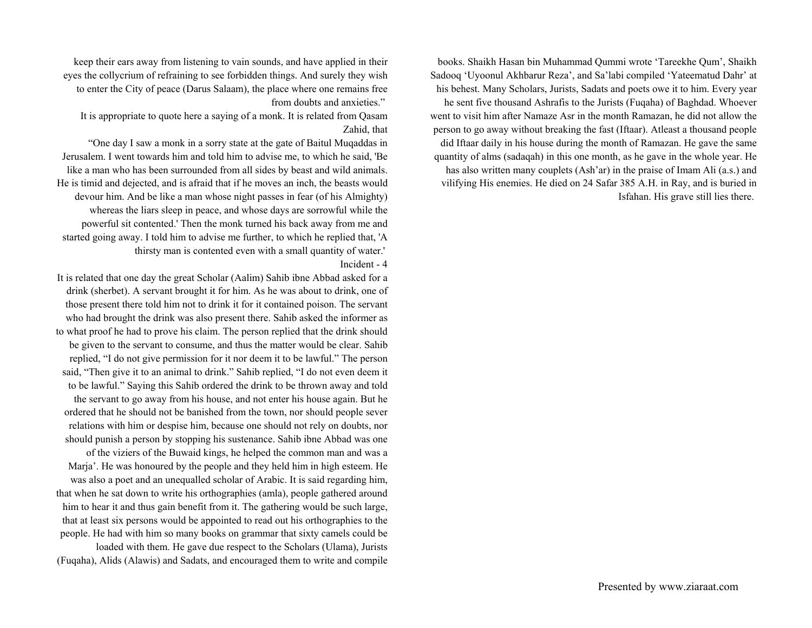books. Shaikh Hasan bin Muhammad Qummi wrote 'Tareekhe Qum', Shaikh Sadooq 'Uyoonul Akhbarur Reza', and Sa'labi compiled 'Yateematud Dahr' at his behest. Many Scholars, Jurists, Sadats and poets owe it to him. Every year he sent five thousand Ashrafis to the Jurists (Fuqaha) of Baghdad. Whoever went to visit him after Namaze Asr in the month Ramazan, he did not allow the person to go away without breaking the fast (Iftaar). Atleast a thousand people did Iftaar daily in his house during the month of Ramazan. He gave the same quantity of alms (sadaqah) in this one month, as he gave in the whole year. He has also written many couplets (Ash'ar) in the praise of Imam Ali (a.s.) and vilifying His enemies. He died on 24 Safar 385 A.H. in Ray, and is buried in Isfahan. His grave still lies there.

keep their ears away from listening to vain sounds, and have applied in their eyes the collycrium of refraining to see forbidden things. And surely they wish to enter the City of peace (Darus Salaam), the place where one remains free from doubts and anxieties."

It is appropriate to quote here a saying of a monk. It is related from Qasam Zahid, that

"One day I saw a monk in a sorry state at the gate of Baitul Muqaddas in Jerusalem. I went towards him and told him to advise me, to which he said, 'Be like a man who has been surrounded from all sides by beast and wild animals. He is timid and dejected, and is afraid that if he moves an inch, the beasts would devour him. And be like a man whose night passes in fear (of his Almighty) whereas the liars sleep in peace, and whose days are sorrowful while the powerful sit contented.' Then the monk turned his back away from me and started going away. I told him to advise me further, to which he replied that, 'A thirsty man is contented even with a small quantity of water.'

Incident - 4

It is related that one day the great Scholar (Aalim) Sahib ibne Abbad asked for a drink (sherbet). A servant brought it for him. As he was about to drink, one of those present there told him not to drink it for it contained poison. The servant who had brought the drink was also present there. Sahib asked the informer as to what proof he had to prove his claim. The person replied that the drink should be given to the servant to consume, and thus the matter would be clear. Sahib replied, "I do not give permission for it nor deem it to be lawful." The person said, "Then give it to an animal to drink." Sahib replied, "I do not even deem it to be lawful." Saying this Sahib ordered the drink to be thrown away and told the servant to go away from his house, and not enter his house again. But he ordered that he should not be banished from the town, nor should people sever relations with him or despise him, because one should not rely on doubts, nor should punish a person by stopping his sustenance. Sahib ibne Abbad was one of the viziers of the Buwaid kings, he helped the common man and was a Marja'. He was honoured by the people and they held him in high esteem. He was also a poet and an unequalled scholar of Arabic. It is said regarding him, that when he sat down to write his orthographies (amla), people gathered around him to hear it and thus gain benefit from it. The gathering would be such large, that at least six persons would be appointed to read out his orthographies to the people. He had with him so many books on grammar that sixty camels could be loaded with them. He gave due respect to the Scholars (Ulama), Jurists (Fuqaha), Alids (Alawis) and Sadats, and encouraged them to write and compile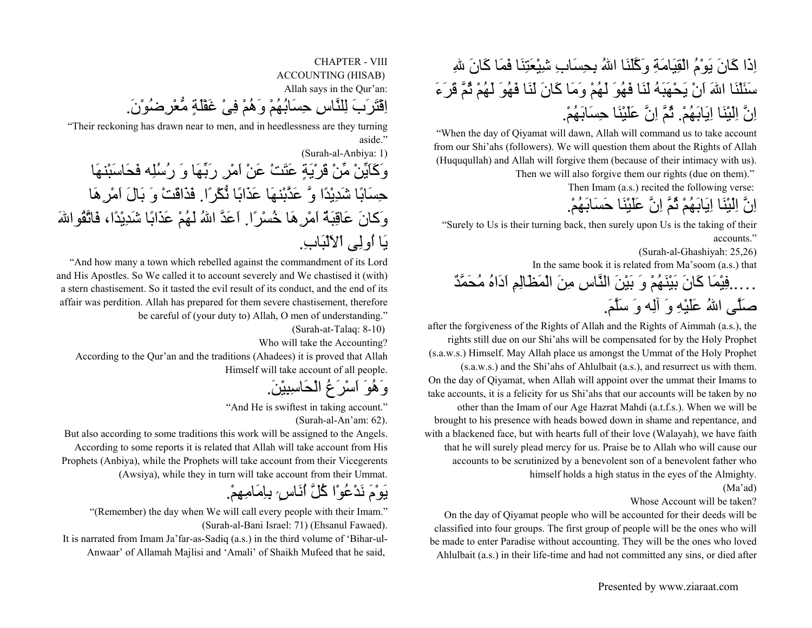## اِذَا كَانَ يَوْمُ الْقِيَامَةِ وَكَّلَنَا اللهُ بِحِسَابِ شِيْعَتِنَا فَمَا كَانَ للهِ سَئَلْنَا االلهَ اَنْ يَحْهَبَهُ لَنَا فَهُوَ لَهُمْ وَمَا آَانَ لَنَا فَهُوَ لَهُمْ ثُمَّ قَرَءَ اِنَّ اِلَيْنَا اِيَابَهُم.ْ ثُمَّ اِنَّ عَلَيْنَا حِسَابَهُم.ْ

"When the day of Qiyamat will dawn, Allah will command us to take account from our Shi'ahs (followers). We will question them about the Rights of Allah (Huququllah) and Allah will forgive them (because of their intimacy with us).

Then we will also forgive them our rights (due on them)."

Then Imam (a.s.) recited the following verse:

اِنَّ اِلَيْنَا اِيَابَهُمْ ثُمَّ اِنَّ عَلَيْنَا حَسَابَهُم.ْ

"Surely to Us is their turning back, then surely upon Us is the taking of their accounts."

(Surah-al-Ghashiyah: 25,26)

In the same book it is related from Ma'soom (a.s.) that

. . . . فِيْمَا كَانَ بَيْنَهُمْ وَ بَيْنَ النَّاسِ مِنَ الْمَظَالِمِ اَدَاهُ مُحَمَّدٌ صَلَّى االلهُ عَلَيْهِ وَ آلِه وَ سَلَّم.َ

after the forgiveness of the Rights of Allah and the Rights of Aimmah (a.s.), the rights still due on our Shi'ahs will be compensated for by the Holy Prophet (s.a.w.s.) Himself. May Allah place us amongst the Ummat of the Holy Prophet (s.a.w.s.) and the Shi'ahs of Ahlulbait (a.s.), and resurrect us with them. On the day of Qiyamat, when Allah will appoint over the ummat their Imams to take accounts, it is a felicity for us Shi'ahs that our accounts will be taken by no other than the Imam of our Age Hazrat Mahdi (a.t.f.s.). When we will be brought to his presence with heads bowed down in shame and repentance, and with a blackened face, but with hearts full of their love (Walayah), we have faith that he will surely plead mercy for us. Praise be to Allah who will cause our accounts to be scrutinized by a benevolent son of a benevolent father who himself holds a high status in the eyes of the Almighty.

#### (Ma'ad)

#### Whose Account will be taken?

On the day of Qiyamat people who will be accounted for their deeds will be classified into four groups. The first group of people will be the ones who will be made to enter Paradise without accounting. They will be the ones who loved Ahlulbait (a.s.) in their life-time and had not committed any sins, or died after

CHAPTER - VIIIACCOUNTING (HISAB) Allah says in the Qur'an: اِقْتَرَبَ لِلنَّاسِ حِسَابُهُمْ وَهُمْ فِىْ غَفْلَةٍ مُّعْرِضُوْن.َ

"Their reckoning has drawn near to men, and in heedlessness are they turning aside."

(Surah-al-Anbiya: 1) وَآَاَيِّنْ مِّنْ قَرْيَةٍ عَتَتْ عَنْ اَمْرِ رَبِّهَا وَ رُسُلِه فَحَاسَبْنهَا حِسَابًا شَدِيْدًا وَّ عَذَّبْنهَا عَذَابًا نُّكْرًا. فَذَاقَتْ وَ بَالَ اَمْرِهَا وَكانَ عَاقِبَةٌ اَمْرِ هَا خُسْرًا. اَعَدَّ اللهُ لَهُمْ عَذَابًا شَدِيْدًا، فَاتَّقُواللهَ يَا اُولِى اْلاَلْبَاب.ِ

"And how many a town which rebelled against the commandment of its Lord and His Apostles. So We called it to account severely and We chastised it (with) a stern chastisement. So it tasted the evil result of its conduct, and the end of its affair was perdition. Allah has prepared for them severe chastisement, therefore be careful of (your duty to) Allah, O men of understanding."

(Surah-at-Talaq: 8-10)

Who will take the Accounting?

According to the Qur'an and the traditions (Ahadees) it is proved that Allah Himself will take account of all people.

وَهُوَ اَسْرَعُ الْحَاسِبِيْن.َ

"And He is swiftest in taking account." (Surah-al-An'am: 62).

But also according to some traditions this work will be assigned to the Angels. According to some reports it is related that Allah will take account from His Prophets (Anbiya), while the Prophets will take account from their Vicegerents (Awsiya), while they in turn will take account from their Ummat.

## يَوْمَ نَدْعُوْا كُلَّ أَنَاسٍ بِإِمَامِهِمْ.

"(Remember) the day when We will call every people with their Imam." (Surah-al-Bani Israel: 71) (Ehsanul Fawaed).

It is narrated from Imam Ja'far-as-Sadiq (a.s.) in the third volume of 'Bihar-ul-Anwaar' of Allamah Majlisi and 'Amali' of Shaikh Mufeed that he said,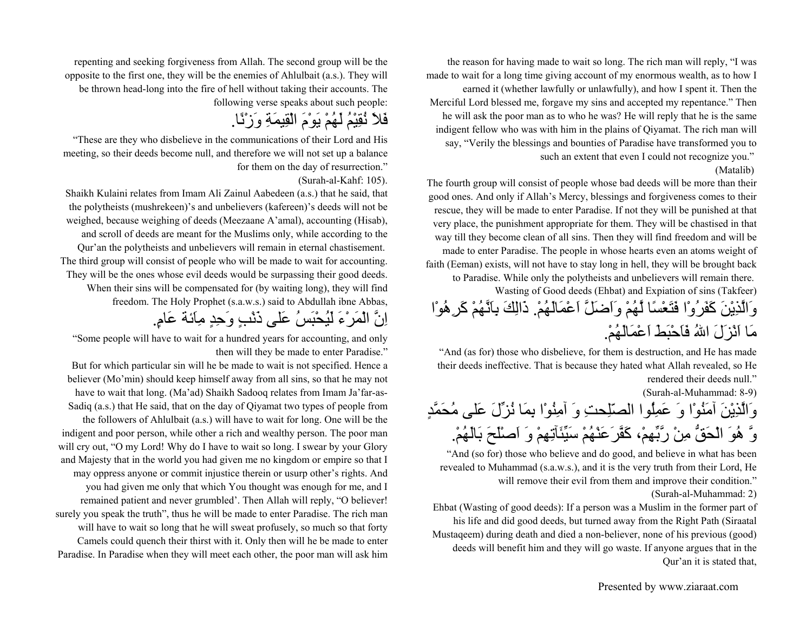the reason for having made to wait so long. The rich man will reply, "I was made to wait for a long time giving account of my enormous wealth, as to how I earned it (whether lawfully or unlawfully), and how I spent it. Then the Merciful Lord blessed me, forgave my sins and accepted my repentance." Then he will ask the poor man as to who he was? He will reply that he is the same indigent fellow who was with him in the plains of Qiyamat. The rich man will say, "Verily the blessings and bounties of Paradise have transformed you to such an extent that even I could not recognize you." (Matalib)

The fourth group will consist of people whose bad deeds will be more than their good ones. And only if Allah's Mercy, blessings and forgiveness comes to their rescue, they will be made to enter Paradise. If not they will be punished at that very place, the punishment appropriate for them. They will be chastised in that way till they become clean of all sins. Then they will find freedom and will be made to enter Paradise. The people in whose hearts even an atoms weight of faith (Eeman) exists, will not have to stay long in hell, they will be brought back to Paradise. While only the polytheists and unbelievers will remain there. Wasting of Good deeds (Ehbat) and Expiation of sins (Takfeer) وَالَّذِيْنَ آَفَرُوْا فَتَعْسًا لَّهُمْ وَاَضَلَّ اَعْمَالَهُم.ْ ذَالِكَ بِاَنَّهُمْ آَرِهُوْا مَا اَنْزَلَ االلهُ فَاَحْبَطَ اَعْمَالَهُم.ْ

"And (as for) those who disbelieve, for them is destruction, and He has made their deeds ineffective. That is because they hated what Allah revealed, so He rendered their deeds null."

(Surah-al-Muhammad: 8-9)

وَالَّذِيْنَ آمَنُوْا وَ عَمِلُوا الصّلِحتِ وَ آمِنُوْا بِمَا نُزِّلَ عَلى مُحَمَّدٍ وَّ هُوَ الْحَقُّ مِنْ رَّبِّهِم،ْ آَفَّرَعَنْهُمْ سَيِّئَآتِهِمْ وَ اَصْلَحَ بَالَهُم.ْ

"And (so for) those who believe and do good, and believe in what has been revealed to Muhammad (s.a.w.s.), and it is the very truth from their Lord, He will remove their evil from them and improve their condition."

(Surah-al-Muhammad: 2)

Ehbat (Wasting of good deeds): If a person was a Muslim in the former part of his life and did good deeds, but turned away from the Right Path (Siraatal Mustaqeem) during death and died a non-believer, none of his previous (good) deeds will benefit him and they will go waste. If anyone argues that in the Qur'an it is stated that,

Presented by www.ziaraat.com

repenting and seeking forgiveness from Allah. The second group will be the opposite to the first one, they will be the enemies of Ahlulbait (a.s.). They will be thrown head-long into the fire of hell without taking their accounts. The following verse speaks about such people:

## فَلاَ نُقِيْمُ لَهُمْ يَوْمَ الْقِيمَةِ وَزْنًا.

"These are they who disbelieve in the communications of their Lord and His meeting, so their deeds become null, and therefore we will not set up a balance for them on the day of resurrection."

#### (Surah-al-Kahf: 105).

Shaikh Kulaini relates from Imam Ali Zainul Aabedeen (a.s.) that he said, that the polytheists (mushrekeen)'s and unbelievers (kafereen)'s deeds will not be weighed, because weighing of deeds (Meezaane A'amal), accounting (Hisab), and scroll of deeds are meant for the Muslims only, while according to the Qur'an the polytheists and unbelievers will remain in eternal chastisement. The third group will consist of people who will be made to wait for accounting. They will be the ones whose evil deeds would be surpassing their good deeds. When their sins will be compensated for (by waiting long), they will find freedom. The Holy Prophet (s.a.w.s.) said to Abdullah ibne Abbas,

## اِنَّ الْمَرْءَ لَيُحْبَسُ عَلى ذَنْبٍ وَحِدٍ مِاَئة عَام.ٍ

"Some people will have to wait for a hundred years for accounting, and only then will they be made to enter Paradise."

But for which particular sin will he be made to wait is not specified. Hence a believer (Mo'min) should keep himself away from all sins, so that he may not have to wait that long. (Ma'ad) Shaikh Sadooq relates from Imam Ja'far-as-Sadiq (a.s.) that He said, that on the day of Qiyamat two types of people from the followers of Ahlulbait (a.s.) will have to wait for long. One will be the indigent and poor person, while other a rich and wealthy person. The poor man will cry out, "O my Lord! Why do I have to wait so long. I swear by your Glory and Majesty that in the world you had given me no kingdom or empire so that I may oppress anyone or commit injustice therein or usurp other's rights. And you had given me only that which You thought was enough for me, and I remained patient and never grumbled'. Then Allah will reply, "O believer! surely you speak the truth", thus he will be made to enter Paradise. The rich man will have to wait so long that he will sweat profusely, so much so that forty Camels could quench their thirst with it. Only then will he be made to enter Paradise. In Paradise when they will meet each other, the poor man will ask him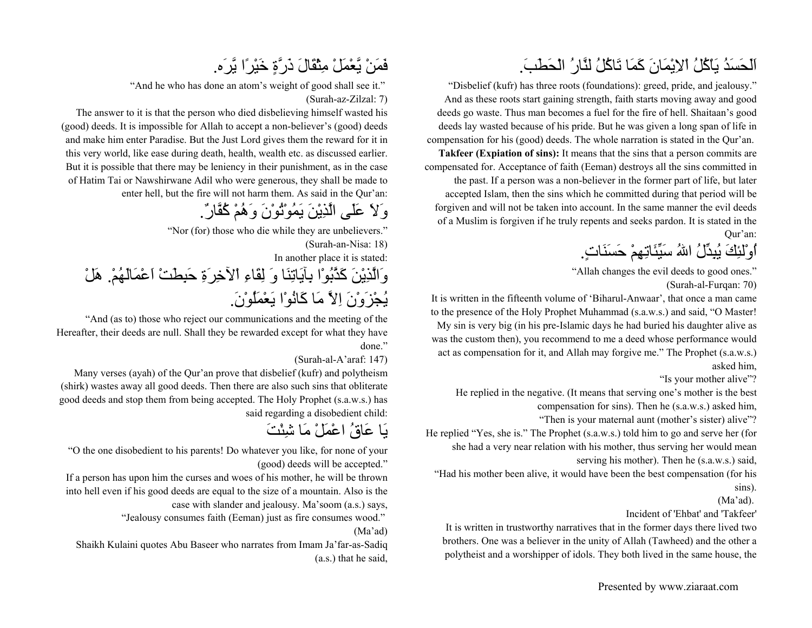## اَلَحَسَدُ يَاْآُلُ اْلاِيْمَانَ آَمَا تَاآُلُ لنَّارُ الْحَطَب.َ

"Disbelief (kufr) has three roots (foundations): greed, pride, and jealousy." And as these roots start gaining strength, faith starts moving away and good deeds go waste. Thus man becomes a fuel for the fire of hell. Shaitaan's good deeds lay wasted because of his pride. But he was given a long span of life in compensation for his (good) deeds. The whole narration is stated in the Qur'an.

**Takfeer (Expiation of sins):** It means that the sins that a person commits are compensated for. Acceptance of faith (Eeman) destroys all the sins committed in the past. If a person was a non-believer in the former part of life, but later accepted Islam, then the sins which he committed during that period will be forgiven and will not be taken into account. In the same manner the evil deeds of a Muslim is forgiven if he truly repents and seeks pardon. It is stated in the Qur'an:

اُوْلئِكَ يُبِدِّلُ االلهُ سَيِّئَاتِهِمْ حَسَنَات.ٍ

"Allah changes the evil deeds to good ones." (Surah-al-Furqan: 70)

It is written in the fifteenth volume of 'Biharul-Anwaar', that once a man came to the presence of the Holy Prophet Muhammad (s.a.w.s.) and said, "O Master! My sin is very big (in his pre-Islamic days he had buried his daughter alive as was the custom then), you recommend to me a deed whose performance would act as compensation for it, and Allah may forgive me." The Prophet (s.a.w.s.) asked him,

"Is your mother alive"?

He replied in the negative. (It means that serving one's mother is the best

compensation for sins). Then he (s.a.w.s.) asked him,

"Then is your maternal aunt (mother's sister) alive"?

He replied "Yes, she is." The Prophet (s.a.w.s.) told him to go and serve her (for she had a very near relation with his mother, thus serving her would mean serving his mother). Then he (s.a.w.s.) said,

"Had his mother been alive, it would have been the best compensation (for his sins).

(Ma'ad).

Incident of 'Ehbat' and 'Takfeer'

It is written in trustworthy narratives that in the former days there lived two brothers. One was a believer in the unity of Allah (Tawheed) and the other a polytheist and a worshipper of idols. They both lived in the same house, the

## فَمَنْ يَّعْمَلْ مِثْقَالَ ذَرَّةٍ خَيْرًا يَّرَه.

"And he who has done an atom's weight of good shall see it."

(Surah-az-Zilzal: 7)

The answer to it is that the person who died disbelieving himself wasted his (good) deeds. It is impossible for Allah to accept a non-believer's (good) deeds and make him enter Paradise. But the Just Lord gives them the reward for it in this very world, like ease during death, health, wealth etc. as discussed earlier. But it is possible that there may be leniency in their punishment, as in the case of Hatim Tai or Nawshirwane Adil who were generous, they shall be made to enter hell, but the fire will not harm them. As said in the Qur'an:

وَلاَ عَلَى الَّذِيْنَ يَمُوْتُوْنَ وَهُمْ آُفَّار.ٌ

"Nor (for) those who die while they are unbelievers."

(Surah-an-Nisa: 18)

In another place it is stated:

وَالَّذِيْنَ آَذَّبُوْا بِآيَاتِنَا وَ لِقَاءِ اْلآخِرَةِ حَبِطَتْ اَعْمَالَهُم.ْ هَلْ يُجْزَوْنَ اِلاَّ مَا آَانُوْا يَعْمَلُوْن.َ

"And (as to) those who reject our communications and the meeting of the Hereafter, their deeds are null. Shall they be rewarded except for what they have done."

(Surah-al-A'araf: 147)

Many verses (ayah) of the Qur'an prove that disbelief (kufr) and polytheism (shirk) wastes away all good deeds. Then there are also such sins that obliterate good deeds and stop them from being accepted. The Holy Prophet (s.a.w.s.) has said regarding a disobedient child:

يَا عَاقُ اعْمَلْ مَا شِئْتَ

"O the one disobedient to his parents! Do whatever you like, for none of your (good) deeds will be accepted."

If a person has upon him the curses and woes of his mother, he will be thrown into hell even if his good deeds are equal to the size of a mountain. Also is the case with slander and jealousy. Ma'soom (a.s.) says,

"Jealousy consumes faith (Eeman) just as fire consumes wood."

#### (Ma'ad)

Shaikh Kulaini quotes Abu Baseer who narrates from Imam Ja'far-as-Sadiq (a.s.) that he said,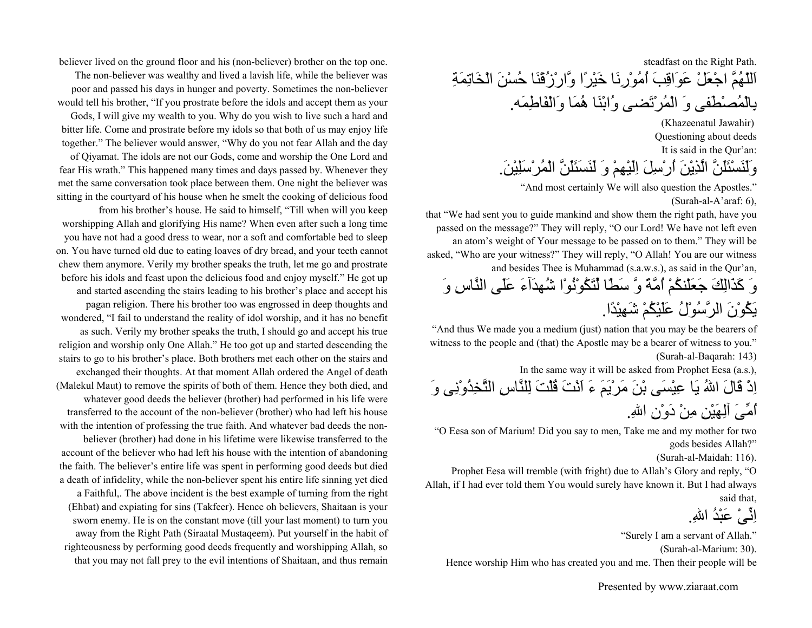steadfast on the Right Path. اَللّهُمَّ اجْعَلْ عَوَاقِبَ اُمُوْرِنَا خَيْرًا وَّارْزُقْنَا حُسْنَ الْخَاتِمَةِ بِالْمُصْطَفى وَ الْمُرْتَضى وُابْنَا هُمَا وَالْفَاطِمَه.

> (Khazeenatul Jawahir) Questioning about deeds It is said in the Qur'an: وَلَنَسْئَلَنَّ الَّذِيْنَ اُرْسِلَ اِلَيْهِمْ وَ لَنَسَئَلَنَّ الْمُرْسَلِيْن.َ

"And most certainly We will also question the Apostles."

(Surah-al-A'araf: 6),

that "We had sent you to guide mankind and show them the right path, have you passed on the message?" They will reply, "O our Lord! We have not left even an atom's weight of Your message to be passed on to them." They will be asked, "Who are your witness?" They will reply, "O Allah! You are our witness and besides Thee is Muhammad (s.a.w.s.), as said in the Qur'an,

وَ آَذَالِكَ جَعَلْنكُمْ اُمَّةً وَّ سَطًا لِّتَكُوْنُوْا شُهدَآءَ عَلَى النَّاسِ وَ يَكُوْنَ الرَّسُوْلُ عَلَيْكُمْ شَهِيْدًا.

"And thus We made you a medium (just) nation that you may be the bearers of witness to the people and (that) the Apostle may be a bearer of witness to you." (Surah-al-Baqarah: 143)

In the same way it will be asked from Prophet Eesa (a.s.),

اِذْ قَالَ االلهُ يَا عِيْسَى بْنَ مَرْيَمَ ءَ اَنْتَ قُلْتَ لِلنَّاسِ التَّخِذُوْنِى وَ اُمِّىَ آلِهَيْنِ مِنْ دَوْنِ االله.ِ

"O Eesa son of Marium! Did you say to men, Take me and my mother for two gods besides Allah?"

(Surah-al-Maidah: 116).

Prophet Eesa will tremble (with fright) due to Allah's Glory and reply, "O Allah, if I had ever told them You would surely have known it. But I had always said that,

اِنِّیْ عَبْدُ اللهِ.

"Surely I am a servant of Allah."

(Surah-al-Marium: 30).

Hence worship Him who has created you and me. Then their people will be

Presented by www.ziaraat.com

believer lived on the ground floor and his (non-believer) brother on the top one. The non-believer was wealthy and lived a lavish life, while the believer was poor and passed his days in hunger and poverty. Sometimes the non-believer would tell his brother, "If you prostrate before the idols and accept them as your Gods, I will give my wealth to you. Why do you wish to live such a hard and bitter life. Come and prostrate before my idols so that both of us may enjoy life

together." The believer would answer, "Why do you not fear Allah and the day of Qiyamat. The idols are not our Gods, come and worship the One Lord and

fear His wrath." This happened many times and days passed by. Whenever they met the same conversation took place between them. One night the believer was sitting in the courtyard of his house when he smelt the cooking of delicious food from his brother's house. He said to himself, "Till when will you keep

worshipping Allah and glorifying His name? When even after such a long time you have not had a good dress to wear, nor a soft and comfortable bed to sleep on. You have turned old due to eating loaves of dry bread, and your teeth cannot chew them anymore. Verily my brother speaks the truth, let me go and prostrate before his idols and feast upon the delicious food and enjoy myself." He got up and started ascending the stairs leading to his brother's place and accept his pagan religion. There his brother too was engrossed in deep thoughts and wondered, "I fail to understand the reality of idol worship, and it has no benefit as such. Verily my brother speaks the truth, I should go and accept his true religion and worship only One Allah." He too got up and started descending the stairs to go to his brother's place. Both brothers met each other on the stairs and exchanged their thoughts. At that moment Allah ordered the Angel of death (Malekul Maut) to remove the spirits of both of them. Hence they both died, and whatever good deeds the believer (brother) had performed in his life were transferred to the account of the non-believer (brother) who had left his house with the intention of professing the true faith. And whatever bad deeds the non-

believer (brother) had done in his lifetime were likewise transferred to the account of the believer who had left his house with the intention of abandoning the faith. The believer's entire life was spent in performing good deeds but died a death of infidelity, while the non-believer spent his entire life sinning yet died

a Faithful,. The above incident is the best example of turning from the right (Ehbat) and expiating for sins (Takfeer). Hence oh believers, Shaitaan is your sworn enemy. He is on the constant move (till your last moment) to turn you away from the Right Path (Siraatal Mustaqeem). Put yourself in the habit of righteousness by performing good deeds frequently and worshipping Allah, so that you may not fall prey to the evil intentions of Shaitaan, and thus remain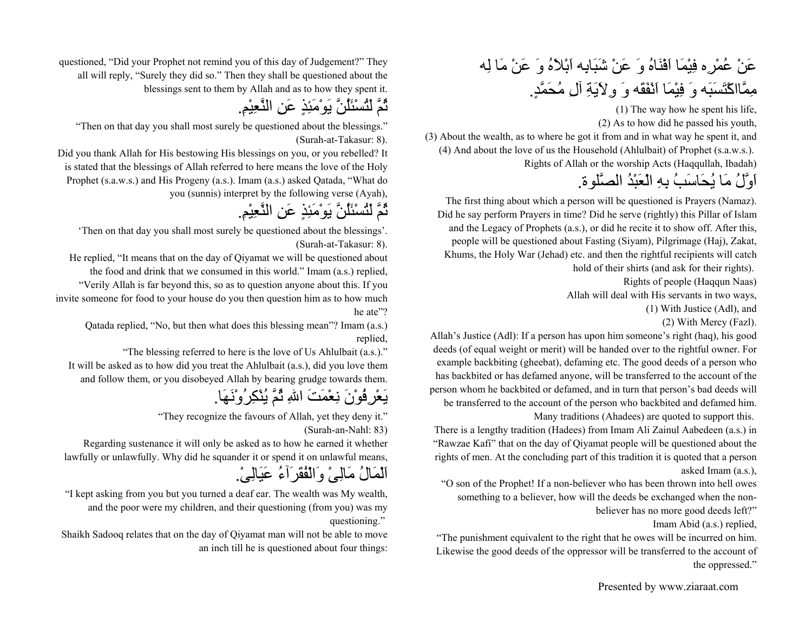عَنْ عُمْرِه فِيْمَا اَفْنَاهُ وَ عَنْ شَبَابِه اَبْلاَهُ وَ عَنْ مَا لِه مِمَّااآْتَسَبَه وَ فِيْمَا اَنْفَقَه وَ وِلاَيَةِ آلِ مُحَمَّد.ٍ

(1) The way how he spent his life,

(2) As to how did he passed his youth,

(3) About the wealth, as to where he got it from and in what way he spent it, and (4) And about the love of us the Household (Ahlulbait) of Prophet (s.a.w.s.).

Rights of Allah or the worship Acts (Haqqullah, Ibadah)

### اَوَّلُ مَا يُحَاسَبُ بِهِ الْعَبْدُ الصَّلوة.

The first thing about which a person will be questioned is Prayers (Namaz). Did he say perform Prayers in time? Did he serve (rightly) this Pillar of Islam and the Legacy of Prophets (a.s.), or did he recite it to show off. After this, people will be questioned about Fasting (Siyam), Pilgrimage (Haj), Zakat, Khums, the Holy War (Jehad) etc. and then the rightful recipients will catch hold of their shirts (and ask for their rights).

Rights of people (Haqqun Naas)

Allah will deal with His servants in two ways,

(1) With Justice (Adl), and

(2) With Mercy (Fazl).

Allah's Justice (Adl): If a person has upon him someone's right (haq), his good deeds (of equal weight or merit) will be handed over to the rightful owner. For example backbiting (gheebat), defaming etc. The good deeds of a person who has backbited or has defamed anyone, will be transferred to the account of the person whom he backbited or defamed, and in turn that person's bad deeds will be transferred to the account of the person who backbited and defamed him. Many traditions (Ahadees) are quoted to support this.

There is a lengthy tradition (Hadees) from Imam Ali Zainul Aabedeen (a.s.) in "Rawzae Kafi" that on the day of Qiyamat people will be questioned about the rights of men. At the concluding part of this tradition it is quoted that a person asked Imam (a.s.),

"O son of the Prophet! If a non-believer who has been thrown into hell owes something to a believer, how will the deeds be exchanged when the non-

believer has no more good deeds left?"

Imam Abid (a.s.) replied,

"The punishment equivalent to the right that he owes will be incurred on him. Likewise the good deeds of the oppressor will be transferred to the account of the oppressed."

questioned, "Did your Prophet not remind you of this day of Judgement?" They all will reply, "Surely they did so." Then they shall be questioned about the blessings sent to them by Allah and as to how they spent it.

ثُمَّ لَتُسْئَلُنَّ يَوْمَئِذٍ عَنِ النَّعِيْم.ِ

"Then on that day you shall most surely be questioned about the blessings." (Surah-at-Takasur: 8).

Did you thank Allah for His bestowing His blessings on you, or you rebelled? It is stated that the blessings of Allah referred to here means the love of the Holy Prophet (s.a.w.s.) and His Progeny (a.s.). Imam (a.s.) asked Qatada, "What do you (sunnis) interpret by the following verse (Ayah),

ثُمَّ لَتُسْئَلُنَّ يَوْمَئِذٍ عَنِ النَّعِيْم.ِ

'Then on that day you shall most surely be questioned about the blessings'. (Surah-at-Takasur: 8).

He replied, "It means that on the day of Qiyamat we will be questioned about the food and drink that we consumed in this world." Imam (a.s.) replied, "Verily Allah is far beyond this, so as to question anyone about this. If you invite someone for food to your house do you then question him as to how much he ate"?

Qatada replied, "No, but then what does this blessing mean"? Imam (a.s.) replied,

"The blessing referred to here is the love of Us Ahlulbait (a.s.)." It will be asked as to how did you treat the Ahlulbait (a.s.), did you love them and follow them, or you disobeyed Allah by bearing grudge towards them.

يَعْرِفُوْنَ نِعْمَتَ االلهِ ثُمَّ يُنْكِرُوْنَهَا.

"They recognize the favours of Allah, yet they deny it." (Surah-an-Nahl: 83)

Regarding sustenance it will only be asked as to how he earned it whether lawfully or unlawfully. Why did he squander it or spend it on unlawful means,

اَلْمَالُ مَالِىْ وَالْفُقَرَآءُ عَيَالِى.ْ

"I kept asking from you but you turned a deaf ear. The wealth was My wealth, and the poor were my children, and their questioning (from you) was my questioning."

Shaikh Sadooq relates that on the day of Qiyamat man will not be able to move an inch till he is questioned about four things: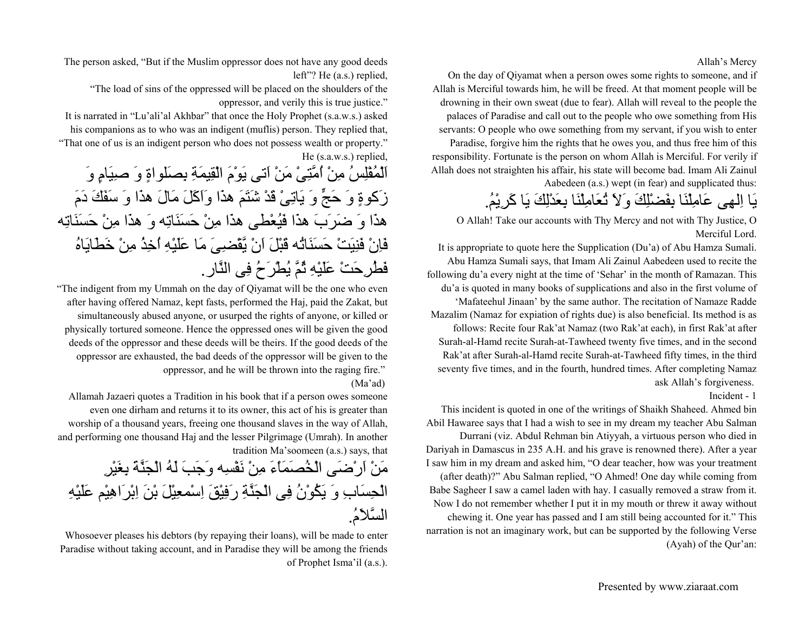Allah's Mercy

On the day of Qiyamat when a person owes some rights to someone, and if Allah is Merciful towards him, he will be freed. At that moment people will be drowning in their own sweat (due to fear). Allah will reveal to the people the palaces of Paradise and call out to the people who owe something from His servants: O people who owe something from my servant, if you wish to enter Paradise, forgive him the rights that he owes you, and thus free him of this responsibility. Fortunate is the person on whom Allah is Merciful. For verily if Allah does not straighten his affair, his state will become bad. Imam Ali Zainul

Aabedeen (a.s.) wept (in fear) and supplicated thus:

# يَا اِلهِى عَامِلْنَا بِفَضْلِكَ وَلاَ تُعَامِلْنَا بِعَدْلِكَ يَا آَرِيْم.ُ

O Allah! Take our accounts with Thy Mercy and not with Thy Justice, O Merciful Lord.

It is appropriate to quote here the Supplication (Du'a) of Abu Hamza Sumali. Abu Hamza Sumali says, that Imam Ali Zainul Aabedeen used to recite the following du'a every night at the time of 'Sehar' in the month of Ramazan. This du'a is quoted in many books of supplications and also in the first volume of 'Mafateehul Jinaan' by the same author. The recitation of Namaze Radde Mazalim (Namaz for expiation of rights due) is also beneficial. Its method is as follows: Recite four Rak'at Namaz (two Rak'at each), in first Rak'at after Surah-al-Hamd recite Surah-at-Tawheed twenty five times, and in the second Rak'at after Surah-al-Hamd recite Surah-at-Tawheed fifty times, in the third seventy five times, and in the fourth, hundred times. After completing Namaz ask Allah's forgiveness.

#### Incident - 1

This incident is quoted in one of the writings of Shaikh Shaheed. Ahmed bin Abil Hawaree says that I had a wish to see in my dream my teacher Abu Salman Durrani (viz. Abdul Rehman bin Atiyyah, a virtuous person who died in Dariyah in Damascus in 235 A.H. and his grave is renowned there). After a year I saw him in my dream and asked him, "O dear teacher, how was your treatment (after death)?" Abu Salman replied, "O Ahmed! One day while coming from Babe Sagheer I saw a camel laden with hay. I casually removed a straw from it. Now I do not remember whether I put it in my mouth or threw it away without chewing it. One year has passed and I am still being accounted for it." This narration is not an imaginary work, but can be supported by the following Verse (Ayah) of the Qur'an:

The person asked, "But if the Muslim oppressor does not have any good deeds left"? He (a.s.) replied,

"The load of sins of the oppressed will be placed on the shoulders of the oppressor, and verily this is true justice."

It is narrated in "Lu'ali'al Akhbar" that once the Holy Prophet (s.a.w.s.) asked his companions as to who was an indigent (muflis) person. They replied that, "That one of us is an indigent person who does not possess wealth or property." He (s.a.w.s.) replied,

اَلْمُفْلِسُ مِنْ اُمَّتِىْ مَنْ اَتى يَوْمَ الْقِيمَةِ بِصَلواةٍ وَ صِيَامٍ وَ زَآوةٍ وَ حَجٍّ وَ يَاتِىْ قَدْ شَتَمَ هذَا وَاَآَلَ مَالَ هذَا وَ سَفَكَ دَمَ هذَا وَ ضَرَبَ هذَا فَيُعْطى هذَا مِنْ حَسَنَاتِه وَ هذَا مِنْ حَسَنَاتِه فَاِنْ فَنِيَتْ حَسَنَاتُه قَبْلَ اَنْ يَّقْضِىَ مَا عَلَيْهِ اُخِذُ مِنْ خَطَايَاهُ فَطُرِحَتْ عَلَيْهِ ثُمَّ يُطْرَحُ فِى النَّار.

"The indigent from my Ummah on the day of Qiyamat will be the one who even after having offered Namaz, kept fasts, performed the Haj, paid the Zakat, but simultaneously abused anyone, or usurped the rights of anyone, or killed or physically tortured someone. Hence the oppressed ones will be given the good deeds of the oppressor and these deeds will be theirs. If the good deeds of the oppressor are exhausted, the bad deeds of the oppressor will be given to the oppressor, and he will be thrown into the raging fire."

#### (Ma'ad)

Allamah Jazaeri quotes a Tradition in his book that if a person owes someone even one dirham and returns it to its owner, this act of his is greater than worship of a thousand years, freeing one thousand slaves in the way of Allah, and performing one thousand Haj and the lesser Pilgrimage (Umrah). In another tradition Ma'soomeen (a.s.) says, that

مَنْ اَرْضَى الْخُصَمَاْءَ مِنْ نَفْسِه وَجَبَ لَهُ الْجَنَّةَ بِغَيْرِ الْحِسَابِ وَ يَكُوْنُ فِى الْجَنَّةِ رَفِيْقَ اِسْمعِيْلَ بْنَ اِبْرَاهِيْم عَلَيْهِ السَّلاَم.ُ

Whosoever pleases his debtors (by repaying their loans), will be made to enter Paradise without taking account, and in Paradise they will be among the friends of Prophet Isma'il (a.s.).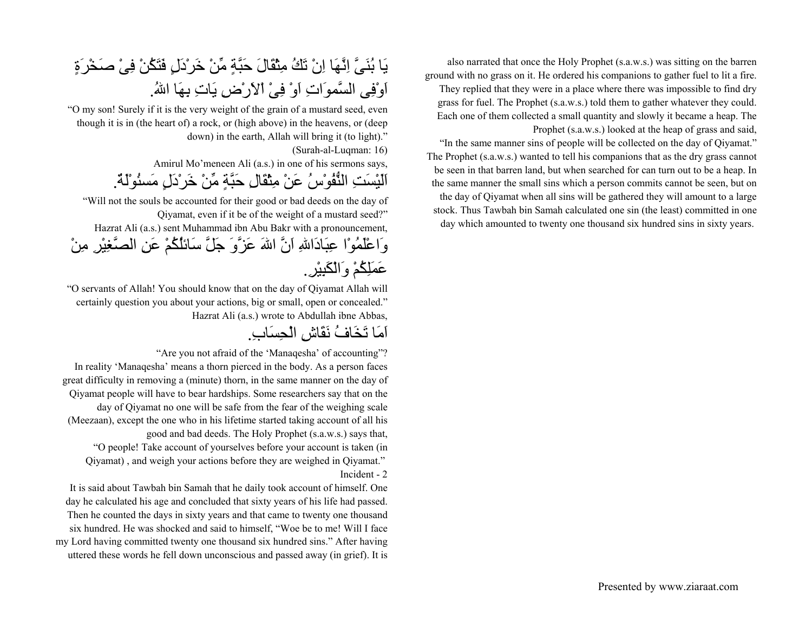also narrated that once the Holy Prophet (s.a.w.s.) was sitting on the barren ground with no grass on it. He ordered his companions to gather fuel to lit a fire. They replied that they were in a place where there was impossible to find dry grass for fuel. The Prophet (s.a.w.s.) told them to gather whatever they could. Each one of them collected a small quantity and slowly it became a heap. The Prophet (s.a.w.s.) looked at the heap of grass and said,

"In the same manner sins of people will be collected on the day of Qiyamat." The Prophet (s.a.w.s.) wanted to tell his companions that as the dry grass cannot be seen in that barren land, but when searched for can turn out to be a heap. In the same manner the small sins which a person commits cannot be seen, but on the day of Qiyamat when all sins will be gathered they will amount to a large stock. Thus Tawbah bin Samah calculated one sin (the least) committed in one day which amounted to twenty one thousand six hundred sins in sixty years.

# يَا بُنَىَّ اِنَّهَا اِنْ تَكُ مِثْقَالَ حَبَّةٍ مِّنْ خَرْدَلٍ فَتَكُنْ فِىْ صَخْرَةٍ اَوْفِى السَّموَاتِ اَوْ فِىْ اْلاَرْضِ يَاتِ بِهَا اللهُ.

"O my son! Surely if it is the very weight of the grain of a mustard seed, even though it is in (the heart of) a rock, or (high above) in the heavens, or (deep down) in the earth, Allah will bring it (to light)."

(Surah-al-Luqman: 16)

Amirul Mo'meneen Ali (a.s.) in one of his sermons says,

اَلَيْسَتِ النُّفُوْسُ عَنْ مِثْقَالِ حَبَّةٍ مِّنْ خَرْدَلٍ مَسئُوْلَة.ٌ

"Will not the souls be accounted for their good or bad deeds on the day of Qiyamat, even if it be of the weight of a mustard seed?" Hazrat Ali (a.s.) sent Muhammad ibn Abu Bakr with a pronouncement, وَاعْلَمُوْا عِبَادَااللهِ اَنَّ االلهَ عَزَّوَ جَلَّ سَائلُكُمْ عَنِ الصَّغِيْرِ مِنْ عَمَلِكُمْ وَالْكَبِيْر.ِ

"O servants of Allah! You should know that on the day of Qiyamat Allah will certainly question you about your actions, big or small, open or concealed." Hazrat Ali (a.s.) wrote to Abdullah ibne Abbas,

اَمَا تَخَافُ نَقَاشِ الْحِسَاب.ِ

"Are you not afraid of the 'Manaqesha' of accounting"? In reality 'Manaqesha' means a thorn pierced in the body. As a person faces great difficulty in removing a (minute) thorn, in the same manner on the day of Qiyamat people will have to bear hardships. Some researchers say that on the day of Qiyamat no one will be safe from the fear of the weighing scale (Meezaan), except the one who in his lifetime started taking account of all his good and bad deeds. The Holy Prophet (s.a.w.s.) says that, "O people! Take account of yourselves before your account is taken (in Qiyamat) , and weigh your actions before they are weighed in Qiyamat." Incident - 2

It is said about Tawbah bin Samah that he daily took account of himself. One day he calculated his age and concluded that sixty years of his life had passed. Then he counted the days in sixty years and that came to twenty one thousand six hundred. He was shocked and said to himself, "Woe be to me! Will I face my Lord having committed twenty one thousand six hundred sins." After having uttered these words he fell down unconscious and passed away (in grief). It is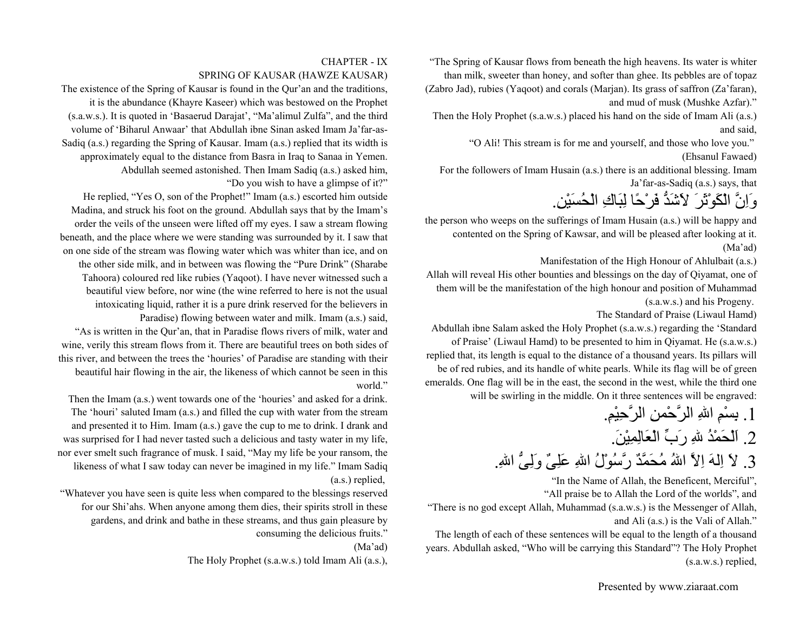"The Spring of Kausar flows from beneath the high heavens. Its water is whiter than milk, sweeter than honey, and softer than ghee. Its pebbles are of topaz (Zabro Jad), rubies (Yaqoot) and corals (Marjan). Its grass of saffron (Za'faran), and mud of musk (Mushke Azfar)."

Then the Holy Prophet (s.a.w.s.) placed his hand on the side of Imam Ali (a.s.) and said,

"O Ali! This stream is for me and yourself, and those who love you."

(Ehsanul Fawaed)

For the followers of Imam Husain (a.s.) there is an additional blessing. Imam Ja'far-as-Sadiq (a.s.) says, that

وَاِنَّ الْكَوْثَرَ لاَشَدُّ فَرْحًا لِبَاكِ الْحُسَيْن.ِ

the person who weeps on the sufferings of Imam Husain (a.s.) will be happy and contented on the Spring of Kawsar, and will be pleased after looking at it. (Ma'ad)

Manifestation of the High Honour of Ahlulbait (a.s.)

Allah will reveal His other bounties and blessings on the day of Qiyamat, one of them will be the manifestation of the high honour and position of Muhammad (s.a.w.s.) and his Progeny.

The Standard of Praise (Liwaul Hamd)

Abdullah ibne Salam asked the Holy Prophet (s.a.w.s.) regarding the 'Standard of Praise' (Liwaul Hamd) to be presented to him in Qiyamat. He (s.a.w.s.) replied that, its length is equal to the distance of a thousand years. Its pillars will be of red rubies, and its handle of white pearls. While its flag will be of green emeralds. One flag will be in the east, the second in the west, while the third one will be swirling in the middle. On it three sentences will be engraved:

.1 بِسْمِ االلهِ الرَّحْمنِ الرَّحِيْم.ِ

.2 اَلْحَمْدُ اللهِ رَبِّ الْعَالِمِيْن.َ

3. لاَ اِلهَ اِلاَّ اللهُ مُحَمَّدٌ رَّسُوْلُ اللهِ عَلِيٌّ وَلِيُّ اللهِ.

"In the Name of Allah, the Beneficent, Merciful",

"All praise be to Allah the Lord of the worlds", and

"There is no god except Allah, Muhammad (s.a.w.s.) is the Messenger of Allah, and Ali (a.s.) is the Vali of Allah."

The length of each of these sentences will be equal to the length of a thousand years. Abdullah asked, "Who will be carrying this Standard"? The Holy Prophet (s.a.w.s.) replied,

#### CHAPTER - IXSPRING OF KAUSAR (HAWZE KAUSAR)

The existence of the Spring of Kausar is found in the Qur'an and the traditions, it is the abundance (Khayre Kaseer) which was bestowed on the Prophet (s.a.w.s.). It is quoted in 'Basaerud Darajat', "Ma'alimul Zulfa", and the third volume of 'Biharul Anwaar' that Abdullah ibne Sinan asked Imam Ja'far-as-Sadiq (a.s.) regarding the Spring of Kausar. Imam (a.s.) replied that its width is approximately equal to the distance from Basra in Iraq to Sanaa in Yemen. Abdullah seemed astonished. Then Imam Sadiq (a.s.) asked him, "Do you wish to have a glimpse of it?"

He replied, "Yes O, son of the Prophet!" Imam (a.s.) escorted him outside Madina, and struck his foot on the ground. Abdullah says that by the Imam's order the veils of the unseen were lifted off my eyes. I saw a stream flowing beneath, and the place where we were standing was surrounded by it. I saw that on one side of the stream was flowing water which was whiter than ice, and on the other side milk, and in between was flowing the "Pure Drink" (Sharabe Tahoora) coloured red like rubies (Yaqoot). I have never witnessed such a beautiful view before, nor wine (the wine referred to here is not the usual intoxicating liquid, rather it is a pure drink reserved for the believers in Paradise) flowing between water and milk. Imam (a.s.) said, "As is written in the Qur'an, that in Paradise flows rivers of milk, water and

wine, verily this stream flows from it. There are beautiful trees on both sides of this river, and between the trees the 'houries' of Paradise are standing with their beautiful hair flowing in the air, the likeness of which cannot be seen in this world."

Then the Imam (a.s.) went towards one of the 'houries' and asked for a drink. The 'houri' saluted Imam (a.s.) and filled the cup with water from the stream and presented it to Him. Imam (a.s.) gave the cup to me to drink. I drank and was surprised for I had never tasted such a delicious and tasty water in my life, nor ever smelt such fragrance of musk. I said, "May my life be your ransom, the likeness of what I saw today can never be imagined in my life." Imam Sadiq (a.s.) replied,

"Whatever you have seen is quite less when compared to the blessings reserved for our Shi'ahs. When anyone among them dies, their spirits stroll in these gardens, and drink and bathe in these streams, and thus gain pleasure by consuming the delicious fruits."

(Ma'ad)

The Holy Prophet (s.a.w.s.) told Imam Ali (a.s.),

Presented by www.ziaraat.com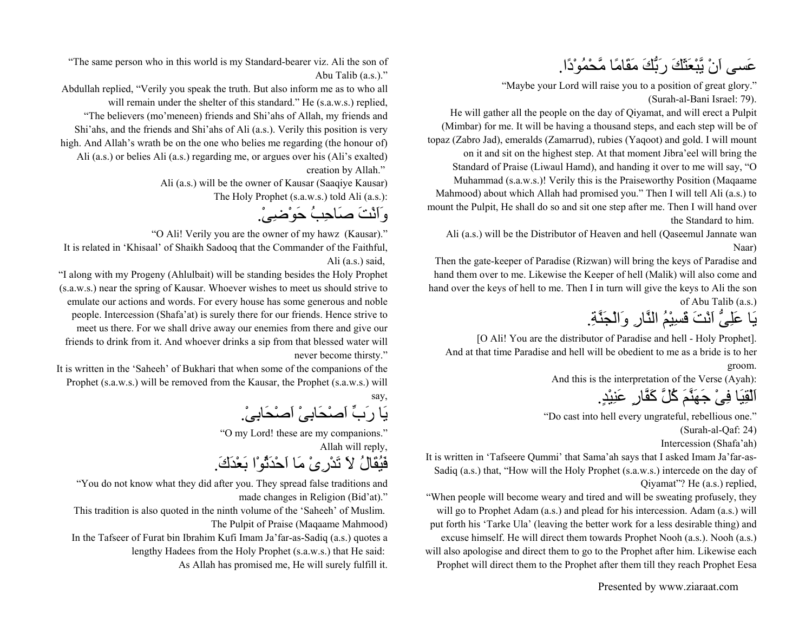عَسى اَنْ يَّبْعَثَكَ رَبُّكَ مَقَامًا مَّحْمُوْدًا.

"Maybe your Lord will raise you to a position of great glory." (Surah-al-Bani Israel: 79).

He will gather all the people on the day of Qiyamat, and will erect a Pulpit (Mimbar) for me. It will be having a thousand steps, and each step will be of topaz (Zabro Jad), emeralds (Zamarrud), rubies (Yaqoot) and gold. I will mount on it and sit on the highest step. At that moment Jibra'eel will bring the Standard of Praise (Liwaul Hamd), and handing it over to me will say, "O Muhammad (s.a.w.s.)! Verily this is the Praiseworthy Position (Maqaame Mahmood) about which Allah had promised you." Then I will tell Ali (a.s.) to mount the Pulpit, He shall do so and sit one step after me. Then I will hand over the Standard to him.

Ali (a.s.) will be the Distributor of Heaven and hell (Qaseemul Jannate wan Naar)

Then the gate-keeper of Paradise (Rizwan) will bring the keys of Paradise and hand them over to me. Likewise the Keeper of hell (Malik) will also come and hand over the keys of hell to me. Then I in turn will give the keys to Ali the son of Abu Talib (a.s.)

يَا عَلِىُّ اَنْتَ قَسِيْمُ النَّارِ وَالْجَنَّة.ِ

[O Ali! You are the distributor of Paradise and hell - Holy Prophet]. And at that time Paradise and hell will be obedient to me as a bride is to her groom.

And this is the interpretation of the Verse (Ayah):

اَلْقِيَا فِىْ جَهَنَّمَ آُلَّ آَفَّارٍ عَنِيْد.ٍ

"Do cast into hell every ungrateful, rebellious one." (Surah-al-Qaf: 24)

Intercession (Shafa'ah)

It is written in 'Tafseere Qummi' that Sama'ah says that I asked Imam Ja'far-as-Sadiq (a.s.) that, "How will the Holy Prophet (s.a.w.s.) intercede on the day of Qiyamat"? He (a.s.) replied,

"When people will become weary and tired and will be sweating profusely, they will go to Prophet Adam (a.s.) and plead for his intercession. Adam (a.s.) will put forth his 'Tarke Ula' (leaving the better work for a less desirable thing) and excuse himself. He will direct them towards Prophet Nooh (a.s.). Nooh (a.s.) will also apologise and direct them to go to the Prophet after him. Likewise each Prophet will direct them to the Prophet after them till they reach Prophet Eesa

Presented by www.ziaraat.com

"The same person who in this world is my Standard-bearer viz. Ali the son of Abu Talib (a.s.)."

Abdullah replied, "Verily you speak the truth. But also inform me as to who all will remain under the shelter of this standard." He (s.a.w.s.) replied, "The believers (mo'meneen) friends and Shi'ahs of Allah, my friends and Shi'ahs, and the friends and Shi'ahs of Ali (a.s.). Verily this position is very

high. And Allah's wrath be on the one who belies me regarding (the honour of)

Ali (a.s.) or belies Ali (a.s.) regarding me, or argues over his (Ali's exalted) creation by Allah."

Ali (a.s.) will be the owner of Kausar (Saaqiye Kausar)

The Holy Prophet (s.a.w.s.) told Ali (a.s.):

وَاَنْتَ صَاحِبُ حَوْضِى.ْ

"O Ali! Verily you are the owner of my hawz (Kausar)."

It is related in 'Khisaal' of Shaikh Sadooq that the Commander of the Faithful, Ali (a.s.) said,

"I along with my Progeny (Ahlulbait) will be standing besides the Holy Prophet (s.a.w.s.) near the spring of Kausar. Whoever wishes to meet us should strive to emulate our actions and words. For every house has some generous and noble people. Intercession (Shafa'at) is surely there for our friends. Hence strive to meet us there. For we shall drive away our enemies from there and give our friends to drink from it. And whoever drinks a sip from that blessed water will never become thirsty."

It is written in the 'Saheeh' of Bukhari that when some of the companions of the Prophet (s.a.w.s.) will be removed from the Kausar, the Prophet (s.a.w.s.) will say,

يَا رَبِّ اَصْحَابِىْ اَصْحَابِى.ْ

"O my Lord! these are my companions." Allah will reply,

فَيُقَالُ لاَ تَدْرِىْ مَا اَحْدَثُوْا بَعْدَك.َ

"You do not know what they did after you. They spread false traditions and made changes in Religion (Bid'at)."

This tradition is also quoted in the ninth volume of the 'Saheeh' of Muslim. The Pulpit of Praise (Maqaame Mahmood)

In the Tafseer of Furat bin Ibrahim Kufi Imam Ja'far-as-Sadiq (a.s.) quotes a lengthy Hadees from the Holy Prophet (s.a.w.s.) that He said: As Allah has promised me, He will surely fulfill it.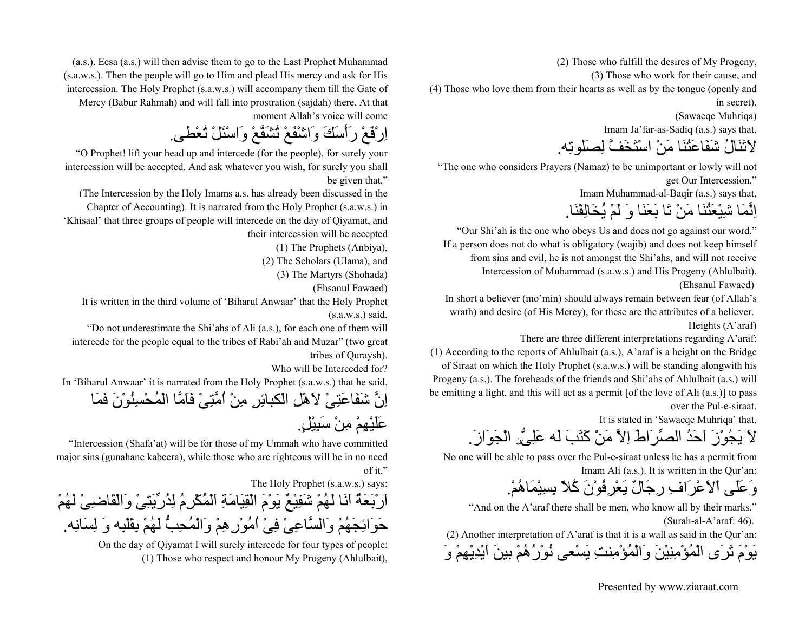(2) Those who fulfill the desires of My Progeny,

(3) Those who work for their cause, and

(4) Those who love them from their hearts as well as by the tongue (openly and in secret).

(Sawaeqe Muhriqa)

Imam Ja'far-as-Sadiq (a.s.) says that,

لاَتَنَالُ شَفَاعَتُنَا مَنْ اسْتَخَفَّ لِصَلوتِه.

"The one who considers Prayers (Namaz) to be unimportant or lowly will not get Our Intercession."

Imam Muhammad-al-Baqir (a.s.) says that,

اِنَّمَا شِيْعَتُنَا مَنْ تَا بَعَنَا وَ لَمْ يُخَالِفْنَا.

"Our Shi'ah is the one who obeys Us and does not go against our word." If a person does not do what is obligatory (wajib) and does not keep himself from sins and evil, he is not amongst the Shi'ahs, and will not receive Intercession of Muhammad (s.a.w.s.) and His Progeny (Ahlulbait). (Ehsanul Fawaed)

In short a believer (mo'min) should always remain between fear (of Allah's wrath) and desire (of His Mercy), for these are the attributes of a believer. Heights (A'araf)

There are three different interpretations regarding A'araf:

(1) According to the reports of Ahlulbait (a.s.), A'araf is a height on the Bridge of Siraat on which the Holy Prophet (s.a.w.s.) will be standing alongwith his Progeny (a.s.). The foreheads of the friends and Shi'ahs of Ahlulbait (a.s.) will be emitting a light, and this will act as a permit [of the love of Ali (a.s.)] to pass over the Pul-e-siraat.

It is stated in 'Sawaeqe Muhriqa' that,

لاَ يَجُوْزَ اَحَدُ الصِّرَاطَ اِلاَّ مَنْ آَتَبَ لَه عَلِىُّنِ الْجَوَاز.َ

No one will be able to pass over the Pul-e-siraat unless he has a permit from Imam Ali (a.s.). It is written in the Qur'an:

وَعَلَى اْلاَعْرَافِ رِجَالٌ يَعْرِفُوْنَ آُلاّ بِسِيْمَاهُم.ْ

"And on the A'araf there shall be men, who know all by their marks." (Surah-al-A'araf: 46).

(2) Another interpretation of A'araf is that it is a wall as said in the Qur'an: يَوْمَ تَرَى الْمُؤْمِنِيْنَ وَالْمُؤْمِنتِ يَسْعى نُوْرُهُمْ بينَ اَيْدِيْهِمْ وَ

(a.s.). Eesa (a.s.) will then advise them to go to the Last Prophet Muhammad (s.a.w.s.). Then the people will go to Him and plead His mercy and ask for His intercession. The Holy Prophet (s.a.w.s.) will accompany them till the Gate of Mercy (Babur Rahmah) and will fall into prostration (sajdah) there. At that moment Allah's voice will come

اِرْفَعْ رَأْسَكَ وَاشْفَعْ تُشَفَّعْ وَاسْئَلْ تُعْطى.

"O Prophet! lift your head up and intercede (for the people), for surely your intercession will be accepted. And ask whatever you wish, for surely you shall be given that."

(The Intercession by the Holy Imams a.s. has already been discussed in the Chapter of Accounting). It is narrated from the Holy Prophet (s.a.w.s.) in 'Khisaal' that three groups of people will intercede on the day of Qiyamat, and their intercession will be accepted

(1) The Prophets (Anbiya),

(2) The Scholars (Ulama), and

(3) The Martyrs (Shohada)

(Ehsanul Fawaed)

It is written in the third volume of 'Biharul Anwaar' that the Holy Prophet  $(s.a.w.s.)$  said.

"Do not underestimate the Shi'ahs of Ali (a.s.), for each one of them will intercede for the people equal to the tribes of Rabi'ah and Muzar" (two great tribes of Quraysh).

Who will be Interceded for?

In 'Biharul Anwaar' it is narrated from the Holy Prophet (s.a.w.s.) that he said,

اِنَّ شَفَاعَتِىْ لاَهْلِ الْكبائِرِ مِنْ اُمَّتِىْ فَاَمَّا الْمُحْسِنُوْنَ فَمَا عَلَيْهِمْ مِنْ سَبِيْل.ٍ

"Intercession (Shafa'at) will be for those of my Ummah who have committed major sins (gunahane kabeera), while those who are righteous will be in no need of it."

The Holy Prophet (s.a.w.s.) says:

اَرْبَعَةٌ اَنَا لَهُمْ شَفِيْعٌ يَوْمَ الْقِيَامَةِ اَلْمُكْرِمُ لِذُرِّيَتِىْ وَالْقَاضِىْ لَهُمْ حَوَائِجَهُمْ وَالسَّاعِىْ فِىْ اُمُوْرِهِمْ وَالْمُحِبُّ لَهُمْ بِقَلْبِه وَ لِسَانِه.

On the day of Qiyamat I will surely intercede for four types of people: (1) Those who respect and honour My Progeny (Ahlulbait),

Presented by www.ziaraat.com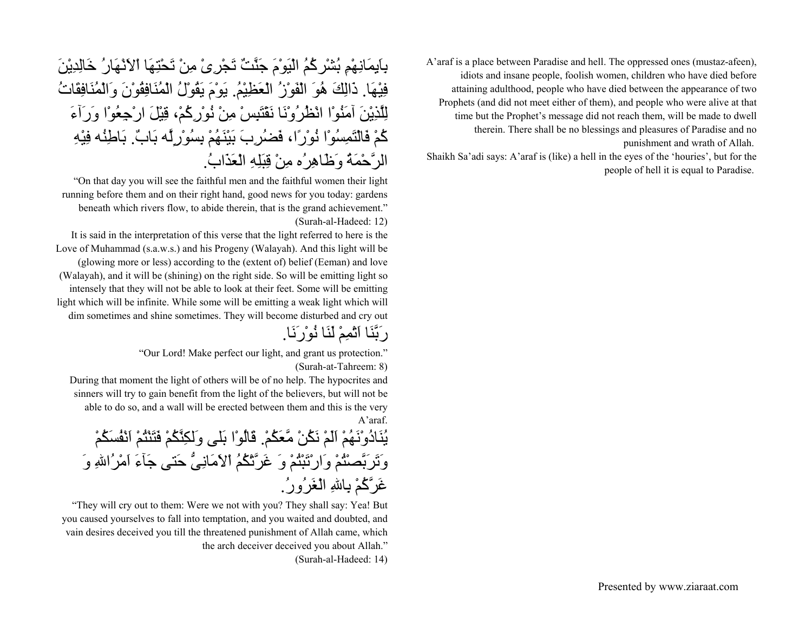A'araf is a place between Paradise and hell. The oppressed ones (mustaz-afeen), idiots and insane people, foolish women, children who have died before attaining adulthood, people who have died between the appearance of two Prophets (and did not meet either of them), and people who were alive at that time but the Prophet's message did not reach them, will be made to dwell therein. There shall be no blessings and pleasures of Paradise and no punishment and wrath of Allah.

Shaikh Sa'adi says: A'araf is (like) a hell in the eyes of the 'houries', but for the people of hell it is equal to Paradise.

# بِاَيِمَانِهْمِ بُشْرآُمُ الْيَوْمَ جَنَّتٌ تَجْرِىْ مِنْ تَحْتِهَا اْلاَنْهَارُ خَالِدِيْنَ فِيْهَا. ذَالِكَ هُوَ الْفَوْزُ الْعَظِيْم.ُ يَوْمَ يَقُوْلُ الْمُنَافِقُوْنَ وَالْمُنَافِقَاتُ لِلَّذِيْنَ آمَنُوْا انْظُرُوْنَا نَقْتَبِسْ مِنْ نُوْرِآُم،ْ قِيْلَ ارْجِعُوْا وَرَآءَ آُمْ فَالْتَمِسُوْا نُوْرًا، فَضُرِبَ بَيْنَهُمْ بِسُوْرٍلَّه بَاب.ٌ بَاطِنُه فِيْهِ الرَّحْمَةُ وَظَاهِرُه مِنْ قِبَلِهِ الْعَذَاب.ُ

"On that day you will see the faithful men and the faithful women their light running before them and on their right hand, good news for you today: gardens beneath which rivers flow, to abide therein, that is the grand achievement." (Surah-al-Hadeed: 12)

It is said in the interpretation of this verse that the light referred to here is the Love of Muhammad (s.a.w.s.) and his Progeny (Walayah). And this light will be (glowing more or less) according to the (extent of) belief (Eeman) and love (Walayah), and it will be (shining) on the right side. So will be emitting light so intensely that they will not be able to look at their feet. Some will be emitting light which will be infinite. While some will be emitting a weak light which will dim sometimes and shine sometimes. They will become disturbed and cry out

رَبَّنَا اَتْمِمْ لَنَا نُوْرَنَا.

"Our Lord! Make perfect our light, and grant us protection." (Surah-at-Tahreem: 8)

During that moment the light of others will be of no help. The hypocrites and sinners will try to gain benefit from the light of the believers, but will not be able to do so, and a wall will be erected between them and this is the very A'araf.

يُنَادُوْنَهُمْ اَلَمْ نَكُنْ مَّعَكُم.ْ قَالُوْا بَلى وَلكِنَّكُمْ فَتَنْتُمْ اَنْفُسَكُمْ وَتَرَبَّصْتُمْ وَارْتَبْتُمْ وَ غَرَّتْكُمُ اْلاَمَانِىُّ حَتى جَآءَ اَمْرُااللهِ وَ غَرَّآُمْ بِااللهِ الْغَرُور.ُ

"They will cry out to them: Were we not with you? They shall say: Yea! But you caused yourselves to fall into temptation, and you waited and doubted, and vain desires deceived you till the threatened punishment of Allah came, which the arch deceiver deceived you about Allah."

(Surah-al-Hadeed: 14)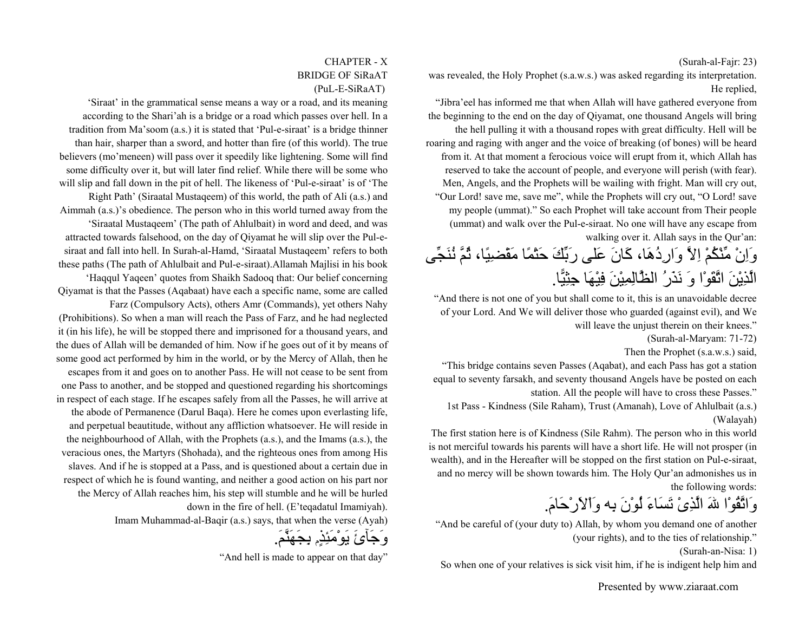#### (Surah-al-Fajr: 23)

was revealed, the Holy Prophet (s.a.w.s.) was asked regarding its interpretation. He replied,

"Jibra'eel has informed me that when Allah will have gathered everyone from the beginning to the end on the day of Qiyamat, one thousand Angels will bring the hell pulling it with a thousand ropes with great difficulty. Hell will be roaring and raging with anger and the voice of breaking (of bones) will be heard from it. At that moment a ferocious voice will erupt from it, which Allah has reserved to take the account of people, and everyone will perish (with fear). Men, Angels, and the Prophets will be wailing with fright. Man will cry out, "Our Lord! save me, save me", while the Prophets will cry out, "O Lord! save my people (ummat)." So each Prophet will take account from Their people (ummat) and walk over the Pul-e-siraat. No one will have any escape from walking over it. Allah says in the Qur'an:

### وَاِنْ مِّنْكُمْ اِلاَّ وَارِدُهَا، آَانَ عَلى رَبِّكَ حَتْمًا مَقْضِيًا، ثُمَّ نُنَجِّى الَّذِيْنَ اتَّقَوْا وَ نَذَرُ الظَّالِمِيْنَ فِيْهَا جِثِيًّا.

"And there is not one of you but shall come to it, this is an unavoidable decree of your Lord. And We will deliver those who guarded (against evil), and We will leave the unjust therein on their knees."

(Surah-al-Maryam: 71-72)

Then the Prophet (s.a.w.s.) said,

"This bridge contains seven Passes (Aqabat), and each Pass has got a station equal to seventy farsakh, and seventy thousand Angels have be posted on each station. All the people will have to cross these Passes."

1st Pass - Kindness (Sile Raham), Trust (Amanah), Love of Ahlulbait (a.s.) (Walayah)

The first station here is of Kindness (Sile Rahm). The person who in this world is not merciful towards his parents will have a short life. He will not prosper (in wealth), and in the Hereafter will be stopped on the first station on Pul-e-siraat, and no mercy will be shown towards him. The Holy Qur'an admonishes us in the following words:

# وَاتَّقُوْا اللهَ الَّذِىْ تَسَاءَ لُوْنَ بِه وَاْلاَرْحَام.َ

"And be careful of (your duty to) Allah, by whom you demand one of another (your rights), and to the ties of relationship."

(Surah-an-Nisa: 1)

So when one of your relatives is sick visit him, if he is indigent help him and

#### CHAPTER - XBRIDGE OF SiRaAT(PuL-E-SiRaAT)

'Siraat' in the grammatical sense means a way or a road, and its meaning according to the Shari'ah is a bridge or a road which passes over hell. In a tradition from Ma'soom (a.s.) it is stated that 'Pul-e-siraat' is a bridge thinner than hair, sharper than a sword, and hotter than fire (of this world). The true believers (mo'meneen) will pass over it speedily like lightening. Some will find some difficulty over it, but will later find relief. While there will be some who will slip and fall down in the pit of hell. The likeness of 'Pul-e-siraat' is of 'The Right Path' (Siraatal Mustaqeem) of this world, the path of Ali (a.s.) and Aimmah (a.s.)'s obedience. The person who in this world turned away from the 'Siraatal Mustaqeem' (The path of Ahlulbait) in word and deed, and was attracted towards falsehood, on the day of Qiyamat he will slip over the Pul-esiraat and fall into hell. In Surah-al-Hamd, 'Siraatal Mustaqeem' refers to both these paths (The path of Ahlulbait and Pul-e-siraat).Allamah Majlisi in his book 'Haqqul Yaqeen' quotes from Shaikh Sadooq that: Our belief concerning Qiyamat is that the Passes (Aqabaat) have each a specific name, some are called Farz (Compulsory Acts), others Amr (Commands), yet others Nahy (Prohibitions). So when a man will reach the Pass of Farz, and he had neglected it (in his life), he will be stopped there and imprisoned for a thousand years, and the dues of Allah will be demanded of him. Now if he goes out of it by means of some good act performed by him in the world, or by the Mercy of Allah, then he escapes from it and goes on to another Pass. He will not cease to be sent from one Pass to another, and be stopped and questioned regarding his shortcomings in respect of each stage. If he escapes safely from all the Passes, he will arrive at the abode of Permanence (Darul Baqa). Here he comes upon everlasting life, and perpetual beautitude, without any affliction whatsoever. He will reside in the neighbourhood of Allah, with the Prophets (a.s.), and the Imams (a.s.), the veracious ones, the Martyrs (Shohada), and the righteous ones from among His slaves. And if he is stopped at a Pass, and is questioned about a certain due in respect of which he is found wanting, and neither a good action on his part nor the Mercy of Allah reaches him, his step will stumble and he will be hurled down in the fire of hell. (E'teqadatul Imamiyah). Imam Muhammad-al-Baqir (a.s.) says, that when the verse (Ayah)

وَجَآئَ يَوْمَئِذٍم بِجَهَنَّم.َ

"And hell is made to appear on that day"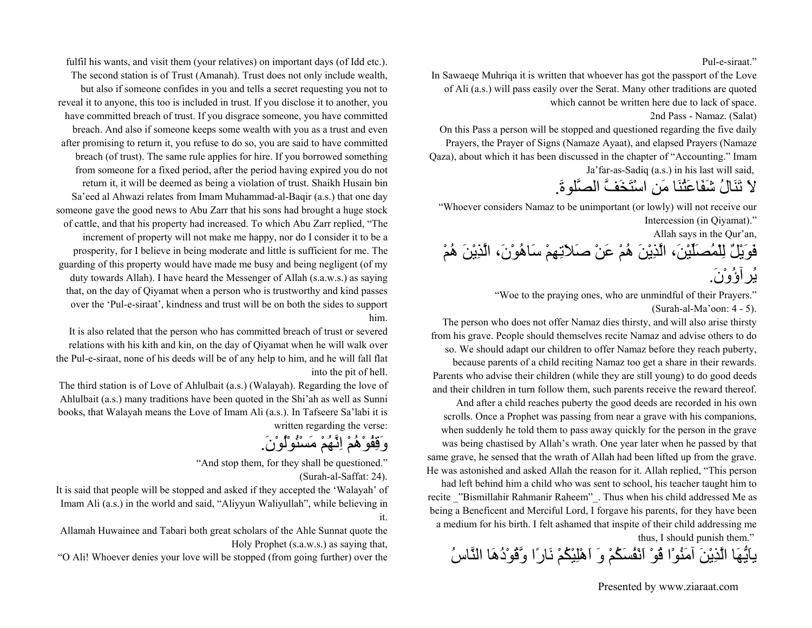#### Pul-e-siraat."

In Sawaeqe Muhriqa it is written that whoever has got the passport of the Love of Ali (a.s.) will pass easily over the Serat. Many other traditions are quoted which cannot be written here due to lack of space.

2nd Pass - Namaz. (Salat)

On this Pass a person will be stopped and questioned regarding the five daily Prayers, the Prayer of Signs (Namaze Ayaat), and elapsed Prayers (Namaze Qaza), about which it has been discussed in the chapter of "Accounting." Imam Ja'far-as-Sadiq (a.s.) in his last will said,

لاَ تَنَالُ شَفَاعَتُنَا مَنِ اسْتَخَفَّ الصَّلوة.َ

"Whoever considers Namaz to be unimportant (or lowly) will not receive our Intercession (in Qiyamat)."

Allah says in the Qur'an,

فَوَيْلٌ لِلْمُصَلِّيْن،َ الَّذِيْنَ هُمْ عَنْ صَلاَتِهِمْ سَاهُوْن،َ الَّذِيْنَ هُمْ يُرآؤُوْن.َ

"Woe to the praying ones, who are unmindful of their Prayers."

(Surah-al-Ma'oon: 4 - 5).

The person who does not offer Namaz dies thirsty, and will also arise thirsty from his grave. People should themselves recite Namaz and advise others to do so. We should adapt our children to offer Namaz before they reach puberty,

because parents of a child reciting Namaz too get a share in their rewards. Parents who advise their children (while they are still young) to do good deeds and their children in turn follow them, such parents receive the reward thereof.

And after a child reaches puberty the good deeds are recorded in his own scrolls. Once a Prophet was passing from near a grave with his companions, when suddenly he told them to pass away quickly for the person in the grave was being chastised by Allah's wrath. One year later when he passed by that same grave, he sensed that the wrath of Allah had been lifted up from the grave. He was astonished and asked Allah the reason for it. Allah replied, "This person

had left behind him a child who was sent to school, his teacher taught him to recite "Bismillahir Rahmanir Raheem". Thus when his child addressed Me as being a Beneficent and Merciful Lord, I forgave his parents, for they have been a medium for his birth. I felt ashamed that inspite of their child addressing me

thus, I should punish them."

ياَيُّهَا الَّذِيْنَ آمَنُوْا قُوْ اَنْفُسَكُمْ وَ اَهْلِيْكُمْ نَارًا وَّقُوْدُهَا النَّاسُ

fulfil his wants, and visit them (your relatives) on important days (of Idd etc.). The second station is of Trust (Amanah). Trust does not only include wealth, but also if someone confides in you and tells a secret requesting you not to reveal it to anyone, this too is included in trust. If you disclose it to another, you have committed breach of trust. If you disgrace someone, you have committed breach. And also if someone keeps some wealth with you as a trust and even after promising to return it, you refuse to do so, you are said to have committed breach (of trust). The same rule applies for hire. If you borrowed something from someone for a fixed period, after the period having expired you do not return it, it will be deemed as being a violation of trust. Shaikh Husain bin Sa'eed al Ahwazi relates from Imam Muhammad-al-Baqir (a.s.) that one day someone gave the good news to Abu Zarr that his sons had brought a huge stock of cattle, and that his property had increased. To which Abu Zarr replied, "The increment of property will not make me happy, nor do I consider it to be a prosperity, for I believe in being moderate and little is sufficient for me. The guarding of this property would have made me busy and being negligent (of my duty towards Allah). I have heard the Messenger of Allah (s.a.w.s.) as saying that, on the day of Qiyamat when a person who is trustworthy and kind passes over the 'Pul-e-siraat', kindness and trust will be on both the sides to support him.

It is also related that the person who has committed breach of trust or severed relations with his kith and kin, on the day of Qiyamat when he will walk over the Pul-e-siraat, none of his deeds will be of any help to him, and he will fall flat into the pit of hell.

The third station is of Love of Ahlulbait (a.s.) (Walayah). Regarding the love of Ahlulbait (a.s.) many traditions have been quoted in the Shi'ah as well as Sunni books, that Walayah means the Love of Imam Ali (a.s.). In Tafseere Sa'labi it is written regarding the verse:

وَقِفُوْهُمْ اِنَّهُمْ مَسْئُوْلُوْن.َ

"And stop them, for they shall be questioned."

(Surah-al-Saffat: 24).

It is said that people will be stopped and asked if they accepted the 'Walayah' of Imam Ali (a.s.) in the world and said, "Aliyyun Waliyullah", while believing in it.

Allamah Huwainee and Tabari both great scholars of the Ahle Sunnat quote the Holy Prophet (s.a.w.s.) as saying that,

"O Ali! Whoever denies your love will be stopped (from going further) over the

Presented by www.ziaraat.com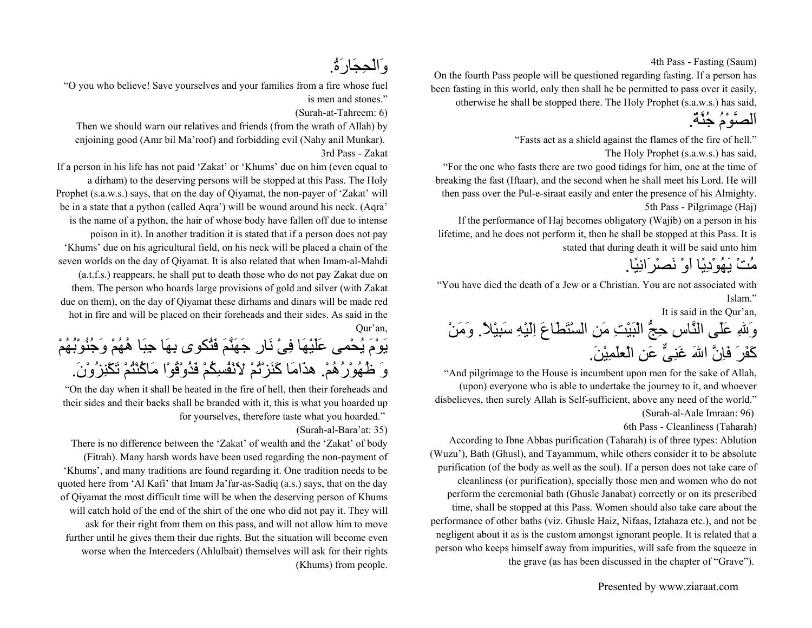4th Pass - Fasting (Saum)

On the fourth Pass people will be questioned regarding fasting. If a person has been fasting in this world, only then shall he be permitted to pass over it easily, otherwise he shall be stopped there. The Holy Prophet (s.a.w.s.) has said,

اَلصَّوْمُ جُنَّة.ٌ

"Fasts act as a shield against the flames of the fire of hell."

The Holy Prophet (s.a.w.s.) has said,

"For the one who fasts there are two good tidings for him, one at the time of breaking the fast (Iftaar), and the second when he shall meet his Lord. He will then pass over the Pul-e-siraat easily and enter the presence of his Almighty. 5th Pass - Pilgrimage (Haj)

If the performance of Haj becomes obligatory (Wajib) on a person in his lifetime, and he does not perform it, then he shall be stopped at this Pass. It is stated that during death it will be said unto him

مُتْ يَهُوْدِيًا اَوْ نَصْرَانِيًا.

"You have died the death of a Jew or a Christian. You are not associated with Islam."

It is said in the Qur'an,

وَاللهِ عَلَى النَّاسِ حِجُّ الْبَيْتِ مَنِ السْتَطَاعَ اِلَيْهِ سَبِيْلا.ً وَمَنْ كَفَرَ فَاِنَّ اللهَ غَنِيٌّ عَنِ الْعلَمِيْنَ.

"And pilgrimage to the House is incumbent upon men for the sake of Allah, (upon) everyone who is able to undertake the journey to it, and whoever disbelieves, then surely Allah is Self-sufficient, above any need of the world." (Surah-al-Aale Imraan: 96)

6th Pass - Cleanliness (Taharah)

According to Ibne Abbas purification (Taharah) is of three types: Ablution (Wuzu'), Bath (Ghusl), and Tayammum, while others consider it to be absolute purification (of the body as well as the soul). If a person does not take care of cleanliness (or purification), specially those men and women who do not perform the ceremonial bath (Ghusle Janabat) correctly or on its prescribed time, shall be stopped at this Pass. Women should also take care about the performance of other baths (viz. Ghusle Haiz, Nifaas, Iztahaza etc.), and not be negligent about it as is the custom amongst ignorant people. It is related that a person who keeps himself away from impurities, will safe from the squeeze in the grave (as has been discussed in the chapter of "Grave").

وَالْحِجَارَة.ُ

"O you who believe! Save yourselves and your families from a fire whose fuel is men and stones."

(Surah-at-Tahreem: 6)

Then we should warn our relatives and friends (from the wrath of Allah) by enjoining good (Amr bil Ma'roof) and forbidding evil (Nahy anil Munkar). 3rd Pass - Zakat

If a person in his life has not paid 'Zakat' or 'Khums' due on him (even equal to a dirham) to the deserving persons will be stopped at this Pass. The Holy Prophet (s.a.w.s.) says, that on the day of Qiyamat, the non-payer of 'Zakat' will be in a state that a python (called Aqra') will be wound around his neck. (Aqra' is the name of a python, the hair of whose body have fallen off due to intense poison in it). In another tradition it is stated that if a person does not pay 'Khums' due on his agricultural field, on his neck will be placed a chain of the seven worlds on the day of Qiyamat. It is also related that when Imam-al-Mahdi (a.t.f.s.) reappears, he shall put to death those who do not pay Zakat due on them. The person who hoards large provisions of gold and silver (with Zakat due on them), on the day of Qiyamat these dirhams and dinars will be made red hot in fire and will be placed on their foreheads and their sides. As said in the Qur'an,

يَوْمَ يُحْمى عَلَيْهَا فِىْ نَارِ جَهَنَّمَ فَتُكوى بِهَا جِبَا هُهُمْ وَجُنُوْبُهُمْ وَ ظُهُوْرُهُم.ْ هذَامَا آَنَزْتُمْ لاَنْفُسِكُمْ فَذُوْقُوْا مَاآُنْتُمْ تَكْنِزُوْن.َ

"On the day when it shall be heated in the fire of hell, then their foreheads and their sides and their backs shall be branded with it, this is what you hoarded up for yourselves, therefore taste what you hoarded."

(Surah-al-Bara'at: 35)

There is no difference between the 'Zakat' of wealth and the 'Zakat' of body (Fitrah). Many harsh words have been used regarding the non-payment of 'Khums', and many traditions are found regarding it. One tradition needs to be quoted here from 'Al Kafi' that Imam Ja'far-as-Sadiq (a.s.) says, that on the day of Qiyamat the most difficult time will be when the deserving person of Khums will catch hold of the end of the shirt of the one who did not pay it. They will ask for their right from them on this pass, and will not allow him to move further until he gives them their due rights. But the situation will become even worse when the Interceders (Ahlulbait) themselves will ask for their rights (Khums) from people.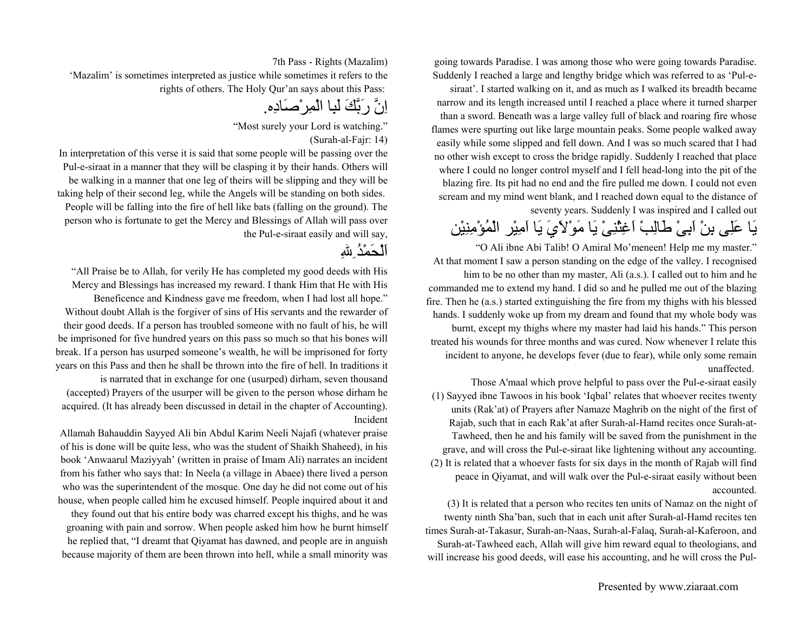going towards Paradise. I was among those who were going towards Paradise. Suddenly I reached a large and lengthy bridge which was referred to as 'Pul-e-

siraat'. I started walking on it, and as much as I walked its breadth became narrow and its length increased until I reached a place where it turned sharper than a sword. Beneath was a large valley full of black and roaring fire whose flames were spurting out like large mountain peaks. Some people walked away easily while some slipped and fell down. And I was so much scared that I had no other wish except to cross the bridge rapidly. Suddenly I reached that place where I could no longer control myself and I fell head-long into the pit of the blazing fire. Its pit had no end and the fire pulled me down. I could not even scream and my mind went blank, and I reached down equal to the distance of seventy years. Suddenly I was inspired and I called out

# يَا عَلِى بِنْ اَبِىْ طَالِبْ اَغِثْنِىْ يَا مَوْلاَيَ يَا اَمِيْر الْمُؤْمِنِيْن

"O Ali ibne Abi Talib! O Amiral Mo'meneen! Help me my master." At that moment I saw a person standing on the edge of the valley. I recognised him to be no other than my master, Ali (a.s.). I called out to him and he commanded me to extend my hand. I did so and he pulled me out of the blazing fire. Then he (a.s.) started extinguishing the fire from my thighs with his blessed hands. I suddenly woke up from my dream and found that my whole body was burnt, except my thighs where my master had laid his hands." This person treated his wounds for three months and was cured. Now whenever I relate this incident to anyone, he develops fever (due to fear), while only some remain unaffected.

Those A'maal which prove helpful to pass over the Pul-e-siraat easily (1) Sayyed ibne Tawoos in his book 'Iqbal' relates that whoever recites twenty units (Rak'at) of Prayers after Namaze Maghrib on the night of the first of Rajab, such that in each Rak'at after Surah-al-Hamd recites once Surah-at-Tawheed, then he and his family will be saved from the punishment in the grave, and will cross the Pul-e-siraat like lightening without any accounting. (2) It is related that a whoever fasts for six days in the month of Rajab will find peace in Qiyamat, and will walk over the Pul-e-siraat easily without been accounted.

(3) It is related that a person who recites ten units of Namaz on the night of twenty ninth Sha'ban, such that in each unit after Surah-al-Hamd recites ten times Surah-at-Takasur, Surah-an-Naas, Surah-al-Falaq, Surah-al-Kaferoon, and Surah-at-Tawheed each, Allah will give him reward equal to theologians, and will increase his good deeds, will ease his accounting, and he will cross the Pul-

7th Pass - Rights (Mazalim)

'Mazalim' is sometimes interpreted as justice while sometimes it refers to the rights of others. The Holy Qur'an says about this Pass:

اِنَّ رَبَّكَ لَبِا الْمِرْصَادِه.

"Most surely your Lord is watching."

(Surah-al-Fajr: 14)

In interpretation of this verse it is said that some people will be passing over the Pul-e-siraat in a manner that they will be clasping it by their hands. Others will be walking in a manner that one leg of theirs will be slipping and they will be taking help of their second leg, while the Angels will be standing on both sides. People will be falling into the fire of hell like bats (falling on the ground). The person who is fortunate to get the Mercy and Blessings of Allah will pass over the Pul-e-siraat easily and will say,

اَلْحَمْدُِاللهِ

"All Praise be to Allah, for verily He has completed my good deeds with His Mercy and Blessings has increased my reward. I thank Him that He with His Beneficence and Kindness gave me freedom, when I had lost all hope." Without doubt Allah is the forgiver of sins of His servants and the rewarder of their good deeds. If a person has troubled someone with no fault of his, he will be imprisoned for five hundred years on this pass so much so that his bones will break. If a person has usurped someone's wealth, he will be imprisoned for forty years on this Pass and then he shall be thrown into the fire of hell. In traditions it is narrated that in exchange for one (usurped) dirham, seven thousand

(accepted) Prayers of the usurper will be given to the person whose dirham he acquired. (It has already been discussed in detail in the chapter of Accounting). Incident

Allamah Bahauddin Sayyed Ali bin Abdul Karim Neeli Najafi (whatever praise of his is done will be quite less, who was the student of Shaikh Shaheed), in his book 'Anwaarul Maziyyah' (written in praise of Imam Ali) narrates an incident from his father who says that: In Neela (a village in Abaee) there lived a person who was the superintendent of the mosque. One day he did not come out of his house, when people called him he excused himself. People inquired about it and they found out that his entire body was charred except his thighs, and he was groaning with pain and sorrow. When people asked him how he burnt himself he replied that, "I dreamt that Qiyamat has dawned, and people are in anguish because majority of them are been thrown into hell, while a small minority was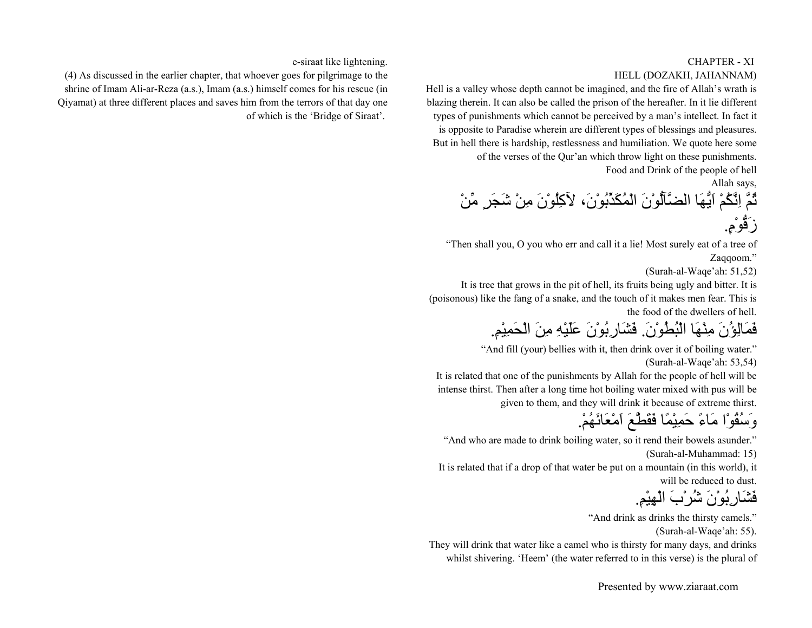#### CHAPTER - XI HELL (DOZAKH, JAHANNAM)

Hell is a valley whose depth cannot be imagined, and the fire of Allah's wrath is blazing therein. It can also be called the prison of the hereafter. In it lie different types of punishments which cannot be perceived by a man's intellect. In fact it is opposite to Paradise wherein are different types of blessings and pleasures. But in hell there is hardship, restlessness and humiliation. We quote here some of the verses of the Qur'an which throw light on these punishments. Food and Drink of the people of hell

Allah says,

ثُمَّ اِنَّكُمْ اَيُّهَا الضَّآلُّوْنَ الْمُكَذِّبُوْن،َ لآآِلُوْنَ مِنْ شَجَرٍ مِّنْ زَقُّوْم.ٍ

"Then shall you, O you who err and call it a lie! Most surely eat of a tree of Zaqqoom."

(Surah-al-Waqe'ah: 51,52)

It is tree that grows in the pit of hell, its fruits being ugly and bitter. It is (poisonous) like the fang of a snake, and the touch of it makes men fear. This is the food of the dwellers of hell.

فَمَالِؤُنَ مِنْهَا الْبُطُوْن.َ فَشَارِبُوْنَ عَلَيْهِ مِنَ الْحَمِيْم.ِ

"And fill (your) bellies with it, then drink over it of boiling water." (Surah-al-Waqe'ah: 53,54)

It is related that one of the punishments by Allah for the people of hell will be intense thirst. Then after a long time hot boiling water mixed with pus will be given to them, and they will drink it because of extreme thirst.

### وَسُقُوْا مَاءً حَمِيْمًا فَقَطَّعَ اَمْعَائَهُم.ْ

"And who are made to drink boiling water, so it rend their bowels asunder." (Surah-al-Muhammad: 15)

It is related that if a drop of that water be put on a mountain (in this world), it will be reduced to dust.

فَشَارِبُوْنَ شُرْبَ الْهِيْم.ِ

"And drink as drinks the thirsty camels."

(Surah-al-Waqe'ah: 55).

They will drink that water like a camel who is thirsty for many days, and drinks whilst shivering. 'Heem' (the water referred to in this verse) is the plural of

e-siraat like lightening.

(4) As discussed in the earlier chapter, that whoever goes for pilgrimage to the shrine of Imam Ali-ar-Reza (a.s.), Imam (a.s.) himself comes for his rescue (in Qiyamat) at three different places and saves him from the terrors of that day one of which is the 'Bridge of Siraat'.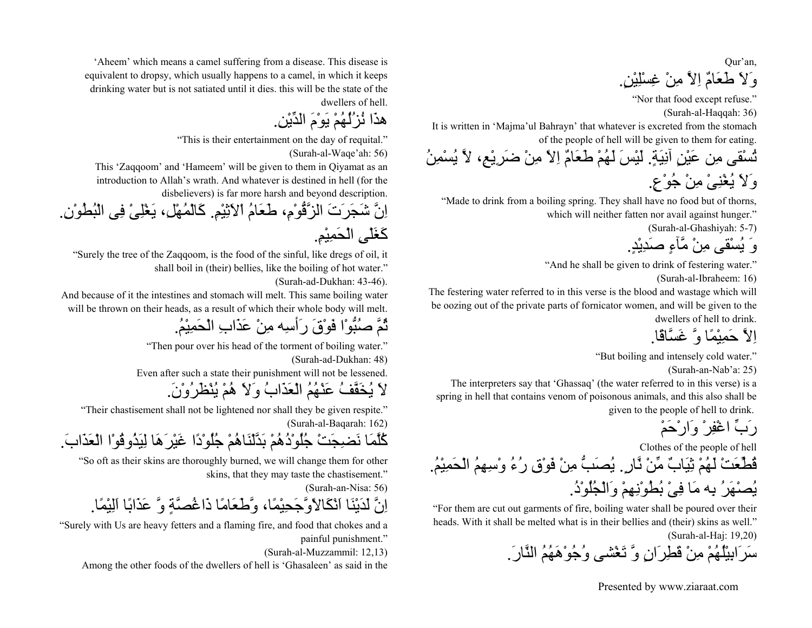Qur'an, وَلاَ طَعَامٌ اِلاَّ مِنْ غِسْلِيْن.ٍ

"Nor that food except refuse."

(Surah-al-Haqqah: 36)

It is written in 'Majma'ul Bahrayn' that whatever is excreted from the stomach of the people of hell will be given to them for eating.

تُسْقى مِن عَيْنٍ آنِيَة.ٍ لَيْسَ لَهُمْ طَعَامٌ اِلاً مِنْ ضَرِيْع،ِ لاَّ يُسْمِنُ وَلاَ يُغْنِىْ مِنْ جُوْع.ٍ

"Made to drink from a boiling spring. They shall have no food but of thorns, which will neither fatten nor avail against hunger."

(Surah-al-Ghashiyah: 5-7)

وَ يُسْقى مِنْ مَّآءٍ صَدِيْد.ٍ

"And he shall be given to drink of festering water."

(Surah-al-Ibraheem: 16)

The festering water referred to in this verse is the blood and wastage which will be oozing out of the private parts of fornicator women, and will be given to the dwellers of hell to drink.

.اِلاَّ حَمِيْمًا وَّ غَسَّاقًا

"But boiling and intensely cold water."

(Surah-an-Nab'a: 25)

The interpreters say that 'Ghassaq' (the water referred to in this verse) is a spring in hell that contains venom of poisonous animals, and this also shall be given to the people of hell to drink.

رَبِّ اغْفِرْ وَارْحَمْ

Clothes of the people of hell

قُطِّعَتْ لَهُمْ ثِيَابٌ مِّنْ نَّار.ٍ يُصَبُّ مِنْ فَوْقِ رُءُ وْسِهِمُ الْحَمِيْم.ُ يُصْهَرُ بِه مَا فِىْ بُطُوْنِهِمْ وَالْجُلُوْد.ُ

"For them are cut out garments of fire, boiling water shall be poured over their heads. With it shall be melted what is in their bellies and (their) skins as well." (Surah-al-Haj: 19,20)

سَرَابِيْلُهُمْ مِنْ قَطِرَانٍ وَّ تَغْشى وُجُوْهَهُمُ النَّار.َ

Presented by www.ziaraat.com

'Aheem' which means a camel suffering from a disease. This disease is equivalent to dropsy, which usually happens to a camel, in which it keeps drinking water but is not satiated until it dies. this will be the state of the dwellers of hell.

هذَا نُزُلُهُمْ يَوْمَ الدِّيْن.ِ

"This is their entertainment on the day of requital."

(Surah-al-Waqe'ah: 56)

This 'Zaqqoom' and 'Hameem' will be given to them in Qiyamat as an introduction to Allah's wrath. And whatever is destined in hell (for the disbelievers) is far more harsh and beyond description.

اِنَّ شَجَرَتَ الزَّقُّوْم،ِ طَعَامُ اْلاَثِيْم.ِ آَالْمُهْل،ِ يَغْلِىْ فِى الْبُطُوْن.ِ آَغَلْىِ الْحَمِيْم.ِ

"Surely the tree of the Zaqqoom, is the food of the sinful, like dregs of oil, it shall boil in (their) bellies, like the boiling of hot water."

(Surah-ad-Dukhan: 43-46).

And because of it the intestines and stomach will melt. This same boiling water will be thrown on their heads, as a result of which their whole body will melt.

ثُمَّ صُبُّوْا فَوْقَ رَأسِه مِنْ عَذَابِ الْحَمِيْمُ.

"Then pour over his head of the torment of boiling water."

(Surah-ad-Dukhan: 48)

Even after such a state their punishment will not be lessened.

لاَ يُخَفَّفُ عَنْهُمُ الْعَذَابُ وَلاَ هُمْ يُنْظَرُوْن.َ

"Their chastisement shall not be lightened nor shall they be given respite." (Surah-al-Baqarah: 162)

آُلَّمَا نَضِجَتْ جُلُوْدُهُمْ بَدَّلْنَاهُمْ جُلُوْدًا غَيْرَهَا لِيَذُوقُوْا الْعَذَاب.َ

"So oft as their skins are thoroughly burned, we will change them for other skins, that they may taste the chastisement."

(Surah-an-Nisa: 56)

اِنَّ لَدَيْنَا اَنْكَالاًوَّجَحِيْمًا، وَّطَعَامًا ذَاغُصَّةٍ وَّ عَذَابًا اَلِيْمًا.

"Surely with Us are heavy fetters and a flaming fire, and food that chokes and a painful punishment."

(Surah-al-Muzzammil: 12,13)

Among the other foods of the dwellers of hell is 'Ghasaleen' as said in the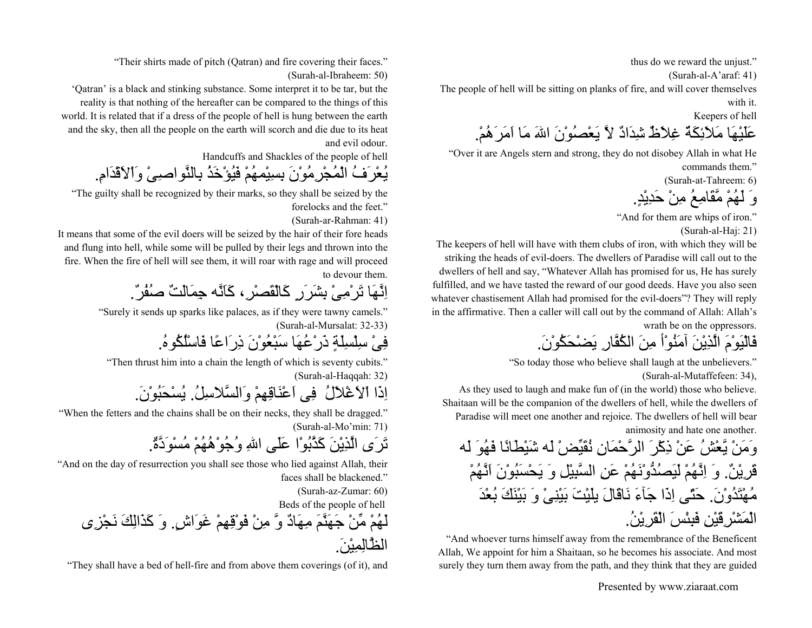thus do we reward the unjust."

(Surah-al-A'araf: 41)

The people of hell will be sitting on planks of fire, and will cover themselves

with it.

Keepers of hell

عَلَيْهَا مَلاَئِكَةٌ غِلاَظٌ شِدَادٌ لاَّ يَعْصُوْنَ االلهَ مَا اَمَرَهُم.ْ

"Over it are Angels stern and strong, they do not disobey Allah in what He commands them."

(Surah-at-Tahreem: 6)

وَ لَهُمْ مَّقَامِعُ مِنْ حَدِيْد.ٍ

"And for them are whips of iron."

(Surah-al-Haj: 21)

The keepers of hell will have with them clubs of iron, with which they will be striking the heads of evil-doers. The dwellers of Paradise will call out to the dwellers of hell and say, "Whatever Allah has promised for us, He has surely fulfilled, and we have tasted the reward of our good deeds. Have you also seen whatever chastisement Allah had promised for the evil-doers"? They will reply in the affirmative. Then a caller will call out by the command of Allah: Allah's wrath be on the oppressors.

فَالْيَوْمَ الَّذِيْنَ آمَنُوْأ مِنَ الكُفَّارِ يَضْحَكُوْن.َ

"So today those who believe shall laugh at the unbelievers." (Surah-al-Mutaffefeen: 34),

As they used to laugh and make fun of (in the world) those who believe. Shaitaan will be the companion of the dwellers of hell, while the dwellers of Paradise will meet one another and rejoice. The dwellers of hell will bear animosity and hate one another.

وَمَنْ يَّعْشُ عَنْ ذِآْرَ الرَّحْمَانِ نُقَيِّضْ لَه شَيْطَانًا فَهُوَ لَه قَرِيْن.ٌ وَ اِنَّهُمْ لَيَصُدُّوْنَهُمْ عَنِ السَّبِيْلِ وَ يَحْسَبُوْنَ اَنَّهُمْ مُهْتَدُوْن.َ حَتّى اِذَا جَآءَ نَاقَالَ يلَيْتَ بَيْنِىْ وَ بَيْنَكَ بُعْدَ الْمَشْرِقَيْنِ فَبِئْسَ الْقَرِيْن.ُ

"And whoever turns himself away from the remembrance of the Beneficent Allah, We appoint for him a Shaitaan, so he becomes his associate. And most surely they turn them away from the path, and they think that they are guided

Presented by www.ziaraat.com

"Their shirts made of pitch (Qatran) and fire covering their faces."

(Surah-al-Ibraheem: 50)

'Qatran' is a black and stinking substance. Some interpret it to be tar, but the reality is that nothing of the hereafter can be compared to the things of this world. It is related that if a dress of the people of hell is hung between the earth and the sky, then all the people on the earth will scorch and die due to its heat and evil odour.

Handcuffs and Shackles of the people of hell

يُعْرَفُ الْمُجْرِمُوْنَ بِسِيْمهُمْ فَيُؤْخَذُ بِالنَّواصِىْ وَاْلاَقْدَام.ِ

"The guilty shall be recognized by their marks, so they shall be seized by the forelocks and the feet."

(Surah-ar-Rahman: 41)

It means that some of the evil doers will be seized by the hair of their fore heads and flung into hell, while some will be pulled by their legs and thrown into the fire. When the fire of hell will see them, it will roar with rage and will proceed to devour them.

اِنَّهَا تَرْمِىْ بِشَرَرٍ آَالْقَصْر،ِ آَاَنَّه جِمَالَتٌ صُفُر.ٌ

"Surely it sends up sparks like palaces, as if they were tawny camels." (Surah-al-Mursalat: 32-33)

فِىْ سِلْسِلَةٍ ذَرْعُهَا سَبْعُوْنَ ذِرَاعًا فَاسْلُكُوه.ُ

"Then thrust him into a chain the length of which is seventy cubits." (Surah-al-Haqqah: 32)

اِذَا اْلاَغْلاَلُ فِى اَعْنَاقِهِمْ وَالسَّلاسِل.ُ يُسْحَبُوْن.َ

"When the fetters and the chains shall be on their necks, they shall be dragged." (Surah-al-Mo'min: 71)

تَرَى الَّذِيْنَ آَذَّبُوْا عَلَى االلهِ وُجُوْهُهُمْ مُسْوَدَّة.ٌ

"And on the day of resurrection you shall see those who lied against Allah, their faces shall be blackened."

(Surah-az-Zumar: 60)

Beds of the people of hell

لَهُمْ مِّنْ جَهَنَّمَ مِهَادٌ وَّ مِنْ فَوْقِهِمْ غَوَاش.ٍ وَ آَذَالِكَ نَجْزِى الظَّالِمِيْن.َ

"They shall have a bed of hell-fire and from above them coverings (of it), and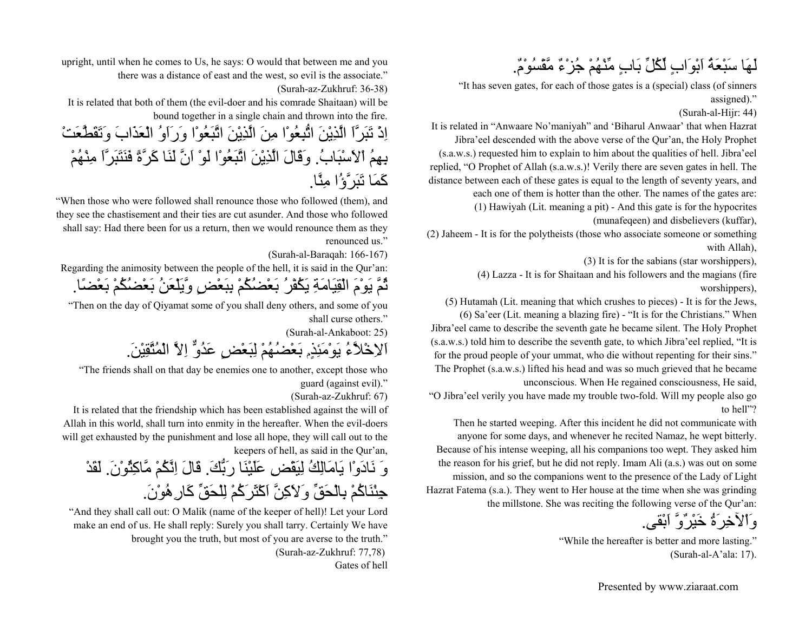### لَهَا سَبْعَةُ اَبْوَابٍ لِّكُلِّ بَابٍ مِّنْهُمْ جُزْءٌ مَّقْسُوْم.ٌ

"It has seven gates, for each of those gates is a (special) class (of sinners assigned)."

(Surah-al-Hijr: 44)

It is related in "Anwaare No'maniyah" and 'Biharul Anwaar' that when Hazrat Jibra'eel descended with the above verse of the Qur'an, the Holy Prophet (s.a.w.s.) requested him to explain to him about the qualities of hell. Jibra'eel replied, "O Prophet of Allah (s.a.w.s.)! Verily there are seven gates in hell. The distance between each of these gates is equal to the length of seventy years, and each one of them is hotter than the other. The names of the gates are:

(1) Hawiyah (Lit. meaning a pit) - And this gate is for the hypocrites (munafeqeen) and disbelievers (kuffar),

(2) Jaheem - It is for the polytheists (those who associate someone or something with Allah),

(3) It is for the sabians (star worshippers),

(4) Lazza - It is for Shaitaan and his followers and the magians (fire worshippers),

(5) Hutamah (Lit. meaning that which crushes to pieces) - It is for the Jews, (6) Sa'eer (Lit. meaning a blazing fire) - "It is for the Christians." When

Jibra'eel came to describe the seventh gate he became silent. The Holy Prophet (s.a.w.s.) told him to describe the seventh gate, to which Jibra'eel replied, "It is for the proud people of your ummat, who die without repenting for their sins."

The Prophet (s.a.w.s.) lifted his head and was so much grieved that he became unconscious. When He regained consciousness, He said,

"O Jibra'eel verily you have made my trouble two-fold. Will my people also go to hell"?

Then he started weeping. After this incident he did not communicate with anyone for some days, and whenever he recited Namaz, he wept bitterly. Because of his intense weeping, all his companions too wept. They asked him the reason for his grief, but he did not reply. Imam Ali (a.s.) was out on some mission, and so the companions went to the presence of the Lady of Light Hazrat Fatema (s.a.). They went to Her house at the time when she was grinding the millstone. She was reciting the following verse of the Qur'an:

وَاْلآخِرَةُ خَيْرٌوَّ اَبْقى.

"While the hereafter is better and more lasting." (Surah-al-A'ala: 17).

upright, until when he comes to Us, he says: O would that between me and you there was a distance of east and the west, so evil is the associate."

(Surah-az-Zukhruf: 36-38)

It is related that both of them (the evil-doer and his comrade Shaitaan) will be bound together in a single chain and thrown into the fire.

اِذْ تَبَرَّاَ الَّذِيْنَ اتُّبِعُوْا مِنَ الَّذِيْنَ اتَّبَعُوْا وَرَاَوُ الْعَذَابَ وَتَقَطَّعَتْ بِهِمُ اْلاَسْبَاب.ُ وَقَالَ الَّذِيْنَ اتَّبَعُوْا لَوْ اَنَّ لَنَا آَرَّةً فَنَتَبَرَّاَ مِنْهُمْ آَمَا تَبَرَّؤُا مِنَّا.

"When those who were followed shall renounce those who followed (them), and they see the chastisement and their ties are cut asunder. And those who followed shall say: Had there been for us a return, then we would renounce them as they renounced us."

(Surah-al-Baraqah: 166-167)

Regarding the animosity between the people of the hell, it is said in the Qur'an: ثُمَّ يَوْمَ الْقِيَامَةِ يَكُفْرُ بَعْضُكُمْ بِبَعْضٍ وَّيَلْعَنُ بَعْضُكُمْ بَعْضًا.

"Then on the day of Qiyamat some of you shall deny others, and some of you shall curse others."

(Surah-al-Ankaboot: 25)

اَلاِخْلاَّءُ يَوْمَئِذٍم بَعْضُهُمْ لِبَعْضٍ عَدُوٌّ اِلاَّ الْمُتَّقِيْن.َ

"The friends shall on that day be enemies one to another, except those who

guard (against evil)."

(Surah-az-Zukhruf: 67)

It is related that the friendship which has been established against the will of Allah in this world, shall turn into enmity in the hereafter. When the evil-doers will get exhausted by the punishment and lose all hope, they will call out to the keepers of hell, as said in the Qur'an,

وَ نَادَوْا يَامَالِكُ لِيَقْضِ عَلَيْنَا رَبُّكَ. قَالَ اِنَّكُمْ مَّاكِثُوْنَ. لَقَدْ جِئْنَاكُمْ بِالْحَقِّ وَلاَكِنَّ اكْثَرَكُمْ لِلْحَقِّ كَارِ هُوْنَ.

"And they shall call out: O Malik (name of the keeper of hell)! Let your Lord make an end of us. He shall reply: Surely you shall tarry. Certainly We have brought you the truth, but most of you are averse to the truth." (Surah-az-Zukhruf: 77,78) Gates of hell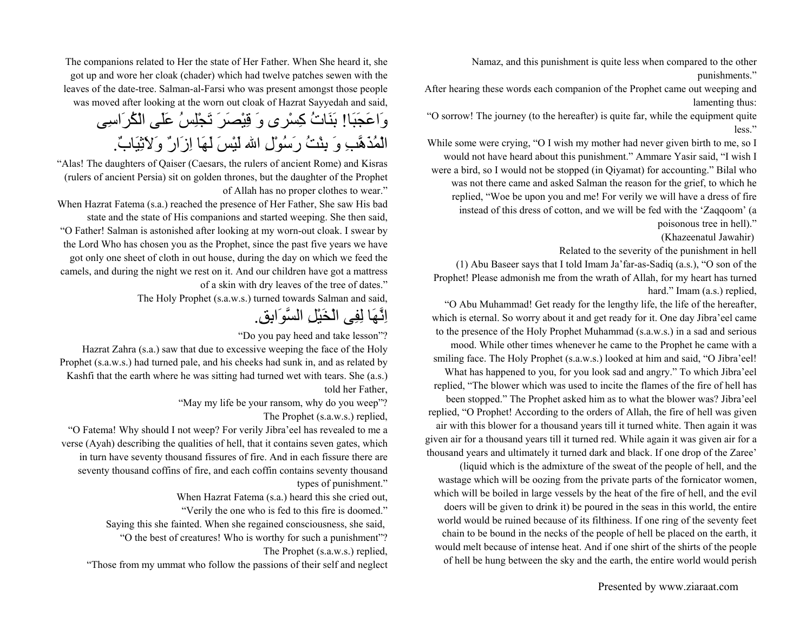Namaz, and this punishment is quite less when compared to the other punishments."

After hearing these words each companion of the Prophet came out weeping and lamenting thus:

"O sorrow! The journey (to the hereafter) is quite far, while the equipment quite less."

While some were crying, "O I wish my mother had never given birth to me, so I would not have heard about this punishment." Ammare Yasir said, "I wish I were a bird, so I would not be stopped (in Qiyamat) for accounting." Bilal who was not there came and asked Salman the reason for the grief, to which he replied, "Woe be upon you and me! For verily we will have a dress of fire instead of this dress of cotton, and we will be fed with the 'Zaqqoom' (a poisonous tree in hell)."

(Khazeenatul Jawahir)

Related to the severity of the punishment in hell

(1) Abu Baseer says that I told Imam Ja'far-as-Sadiq (a.s.), "O son of the Prophet! Please admonish me from the wrath of Allah, for my heart has turned hard." Imam (a.s.) replied,

"O Abu Muhammad! Get ready for the lengthy life, the life of the hereafter, which is eternal. So worry about it and get ready for it. One day Jibra'eel came to the presence of the Holy Prophet Muhammad (s.a.w.s.) in a sad and serious mood. While other times whenever he came to the Prophet he came with a smiling face. The Holy Prophet (s.a.w.s.) looked at him and said, "O Jibra'eel! What has happened to you, for you look sad and angry." To which Jibra'eel replied, "The blower which was used to incite the flames of the fire of hell has been stopped." The Prophet asked him as to what the blower was? Jibra'eel replied, "O Prophet! According to the orders of Allah, the fire of hell was given air with this blower for a thousand years till it turned white. Then again it was given air for a thousand years till it turned red. While again it was given air for a thousand years and ultimately it turned dark and black. If one drop of the Zaree'

(liquid which is the admixture of the sweat of the people of hell, and the wastage which will be oozing from the private parts of the fornicator women, which will be boiled in large vessels by the heat of the fire of hell, and the evil doers will be given to drink it) be poured in the seas in this world, the entire world would be ruined because of its filthiness. If one ring of the seventy feet chain to be bound in the necks of the people of hell be placed on the earth, it would melt because of intense heat. And if one shirt of the shirts of the people of hell be hung between the sky and the earth, the entire world would perish

The companions related to Her the state of Her Father. When She heard it, she got up and wore her cloak (chader) which had twelve patches sewen with the leaves of the date-tree. Salman-al-Farsi who was present amongst those people was moved after looking at the worn out cloak of Hazrat Sayyedah and said,

وَاعَجَبَا! بَنَاتُ آِسْرى وَ قِيْصَرَ تَجْلِسُ عَلَى الْكُرَاسِى الْمُذَهَّبِ وَ بِنْتُ رَسُوْلِ االله لَيْسَ لَهَا اِزَارٌ وَلاَثِيَاب.ٌ

"Alas! The daughters of Qaiser (Caesars, the rulers of ancient Rome) and Kisras (rulers of ancient Persia) sit on golden thrones, but the daughter of the Prophet of Allah has no proper clothes to wear."

When Hazrat Fatema (s.a.) reached the presence of Her Father, She saw His bad state and the state of His companions and started weeping. She then said, "O Father! Salman is astonished after looking at my worn-out cloak. I swear by the Lord Who has chosen you as the Prophet, since the past five years we have got only one sheet of cloth in out house, during the day on which we feed the camels, and during the night we rest on it. And our children have got a mattress of a skin with dry leaves of the tree of dates."

The Holy Prophet (s.a.w.s.) turned towards Salman and said,

اِنَّهَا لِفِى الْخَيْلِ السَّوَابِق.ِ

"Do you pay heed and take lesson"?

Hazrat Zahra (s.a.) saw that due to excessive weeping the face of the Holy Prophet (s.a.w.s.) had turned pale, and his cheeks had sunk in, and as related by Kashfi that the earth where he was sitting had turned wet with tears. She (a.s.) told her Father,

"May my life be your ransom, why do you weep"?

The Prophet (s.a.w.s.) replied,

"O Fatema! Why should I not weep? For verily Jibra'eel has revealed to me a verse (Ayah) describing the qualities of hell, that it contains seven gates, which in turn have seventy thousand fissures of fire. And in each fissure there are seventy thousand coffins of fire, and each coffin contains seventy thousand types of punishment."

When Hazrat Fatema (s.a.) heard this she cried out,

"Verily the one who is fed to this fire is doomed."

Saying this she fainted. When she regained consciousness, she said,

"O the best of creatures! Who is worthy for such a punishment"? The Prophet (s.a.w.s.) replied,

"Those from my ummat who follow the passions of their self and neglect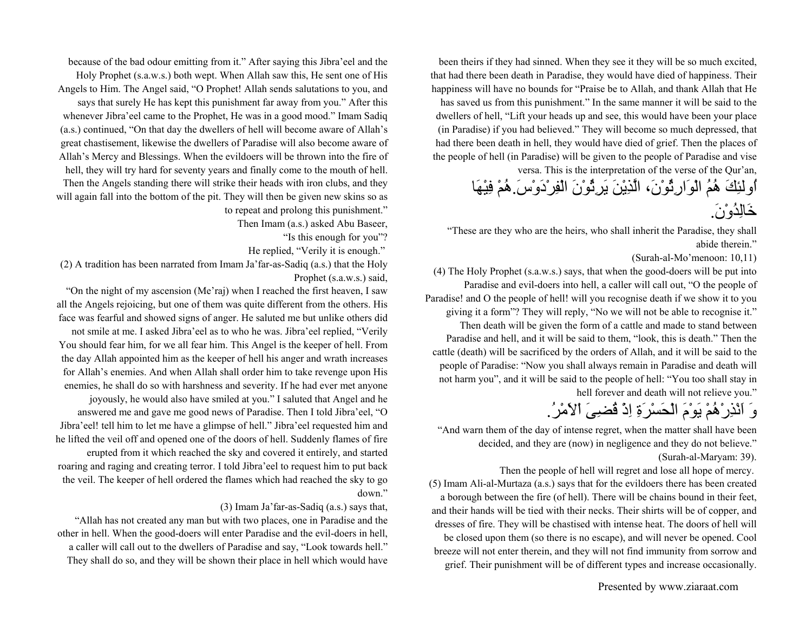been theirs if they had sinned. When they see it they will be so much excited, that had there been death in Paradise, they would have died of happiness. Their happiness will have no bounds for "Praise be to Allah, and thank Allah that He

has saved us from this punishment." In the same manner it will be said to the dwellers of hell, "Lift your heads up and see, this would have been your place (in Paradise) if you had believed." They will become so much depressed, that had there been death in hell, they would have died of grief. Then the places of the people of hell (in Paradise) will be given to the people of Paradise and vise versa. This is the interpretation of the verse of the Qur'an,

اُولئِكَ هُمُ الْوَارِثُوْن،َ الَّذِيْنَ يَرِثُوْنَ الْفِرْدَوْس.َهُمْ فِيْهَا خَالِدُوْن.َ

"These are they who are the heirs, who shall inherit the Paradise, they shall abide therein."

(Surah-al-Mo'menoon: 10,11)

(4) The Holy Prophet (s.a.w.s.) says, that when the good-doers will be put into Paradise and evil-doers into hell, a caller will call out, "O the people of Paradise! and O the people of hell! will you recognise death if we show it to you giving it a form"? They will reply, "No we will not be able to recognise it." Then death will be given the form of a cattle and made to stand between Paradise and hell, and it will be said to them, "look, this is death." Then the cattle (death) will be sacrificed by the orders of Allah, and it will be said to the people of Paradise: "Now you shall always remain in Paradise and death will not harm you", and it will be said to the people of hell: "You too shall stay in hell forever and death will not relieve you."

وَ اَنْذِرْهُمْ يَوْمَ الْحَسْرَةِ اِذْ قُضِىَ اْلاَمْر.ُ

"And warn them of the day of intense regret, when the matter shall have been decided, and they are (now) in negligence and they do not believe." (Surah-al-Maryam: 39).

Then the people of hell will regret and lose all hope of mercy. (5) Imam Ali-al-Murtaza (a.s.) says that for the evildoers there has been created a borough between the fire (of hell). There will be chains bound in their feet, and their hands will be tied with their necks. Their shirts will be of copper, and dresses of fire. They will be chastised with intense heat. The doors of hell will be closed upon them (so there is no escape), and will never be opened. Cool breeze will not enter therein, and they will not find immunity from sorrow and grief. Their punishment will be of different types and increase occasionally.

Presented by www.ziaraat.com

because of the bad odour emitting from it." After saying this Jibra'eel and the Holy Prophet (s.a.w.s.) both wept. When Allah saw this, He sent one of His Angels to Him. The Angel said, "O Prophet! Allah sends salutations to you, and says that surely He has kept this punishment far away from you." After this whenever Jibra'eel came to the Prophet, He was in a good mood." Imam Sadiq (a.s.) continued, "On that day the dwellers of hell will become aware of Allah's

great chastisement, likewise the dwellers of Paradise will also become aware of Allah's Mercy and Blessings. When the evildoers will be thrown into the fire of

hell, they will try hard for seventy years and finally come to the mouth of hell. Then the Angels standing there will strike their heads with iron clubs, and they will again fall into the bottom of the pit. They will then be given new skins so as to repeat and prolong this punishment."

Then Imam (a.s.) asked Abu Baseer,

"Is this enough for you"?

He replied, "Verily it is enough."

(2) A tradition has been narrated from Imam Ja'far-as-Sadiq (a.s.) that the Holy Prophet (s.a.w.s.) said,

"On the night of my ascension (Me'raj) when I reached the first heaven, I saw all the Angels rejoicing, but one of them was quite different from the others. His face was fearful and showed signs of anger. He saluted me but unlike others did not smile at me. I asked Jibra'eel as to who he was. Jibra'eel replied, "Verily You should fear him, for we all fear him. This Angel is the keeper of hell. From the day Allah appointed him as the keeper of hell his anger and wrath increases for Allah's enemies. And when Allah shall order him to take revenge upon His enemies, he shall do so with harshness and severity. If he had ever met anyone joyously, he would also have smiled at you." I saluted that Angel and he answered me and gave me good news of Paradise. Then I told Jibra'eel, "O Jibra'eel! tell him to let me have a glimpse of hell." Jibra'eel requested him and he lifted the veil off and opened one of the doors of hell. Suddenly flames of fire erupted from it which reached the sky and covered it entirely, and started roaring and raging and creating terror. I told Jibra'eel to request him to put back the veil. The keeper of hell ordered the flames which had reached the sky to go down."

#### (3) Imam Ja'far-as-Sadiq (a.s.) says that,

"Allah has not created any man but with two places, one in Paradise and the other in hell. When the good-doers will enter Paradise and the evil-doers in hell, a caller will call out to the dwellers of Paradise and say, "Look towards hell." They shall do so, and they will be shown their place in hell which would have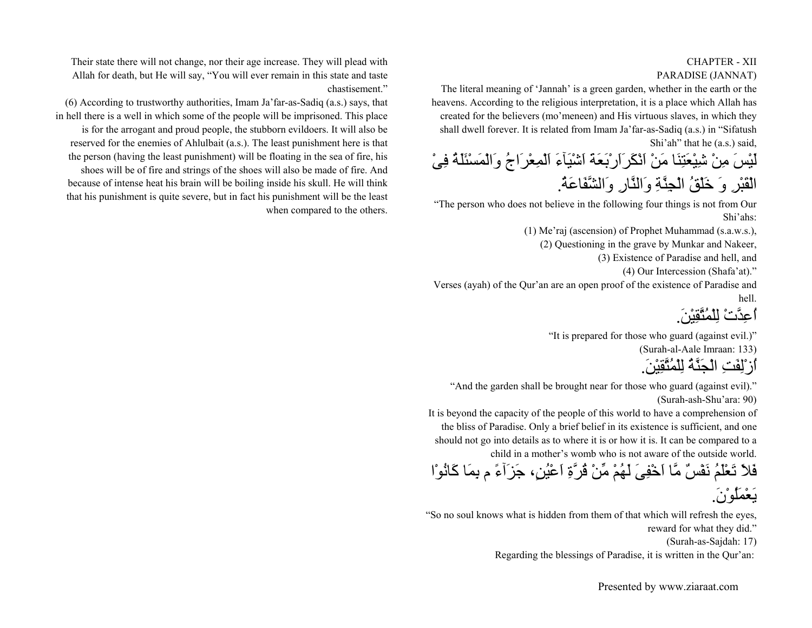#### CHAPTER - XIIPARADISE (JANNAT)

The literal meaning of 'Jannah' is a green garden, whether in the earth or the heavens. According to the religious interpretation, it is a place which Allah has created for the believers (mo'meneen) and His virtuous slaves, in which they shall dwell forever. It is related from Imam Ja'far-as-Sadiq (a.s.) in "Sifatush Shi'ah" that he (a.s.) said,

لَيْسَ مِنْ شِيْعَتِنَا مَنْ اَنْكَرَاَرْبَعَةَ اَشْيَآءَ اَلْمِعْرَاجُ وَالْمَسْئَلَةُ فِىْ الْقَبْرِ وَ خَلْقُ الْجِنَّةِ وَالنَّارِ وَالشَّفَاعَة.ُ

"The person who does not believe in the following four things is not from Our Shi'ahs:

(1) Me'raj (ascension) of Prophet Muhammad (s.a.w.s.),

(2) Questioning in the grave by Munkar and Nakeer,

(3) Existence of Paradise and hell, and

(4) Our Intercession (Shafa'at)."

Verses (ayah) of the Qur'an are an open proof of the existence of Paradise and hell.

اعدَّتْ لِلْمُتَّقِيْنَ

"It is prepared for those who guard (against evil.)"

(Surah-al-Aale Imraan: 133)

اُزْلِفَتِ الْجَنَّةُ لِلْمُتَّقِيْن.َ

"And the garden shall be brought near for those who guard (against evil)." (Surah-ash-Shu'ara: 90)

It is beyond the capacity of the people of this world to have a comprehension of the bliss of Paradise. Only a brief belief in its existence is sufficient, and one should not go into details as to where it is or how it is. It can be compared to a child in a mother's womb who is not aware of the outside world.

فَلاَ تَعْلَمُ نَفْسٌ مَّا اَخْفِىَ لَهُمْ مِّنْ قُرَّةِ اَعْيُن،ٍ جَزَآءً <sup>م</sup> بِمَا آَانُوْا يَعْمَلُوْن.َ

"So no soul knows what is hidden from them of that which will refresh the eyes, reward for what they did."

(Surah-as-Sajdah: 17)

Regarding the blessings of Paradise, it is written in the Qur'an:

Their state there will not change, nor their age increase. They will plead with Allah for death, but He will say, "You will ever remain in this state and taste chastisement."

(6) According to trustworthy authorities, Imam Ja'far-as-Sadiq (a.s.) says, that in hell there is a well in which some of the people will be imprisoned. This place is for the arrogant and proud people, the stubborn evildoers. It will also be reserved for the enemies of Ahlulbait (a.s.). The least punishment here is that the person (having the least punishment) will be floating in the sea of fire, his shoes will be of fire and strings of the shoes will also be made of fire. And because of intense heat his brain will be boiling inside his skull. He will think that his punishment is quite severe, but in fact his punishment will be the least when compared to the others.

Presented by www.ziaraat.com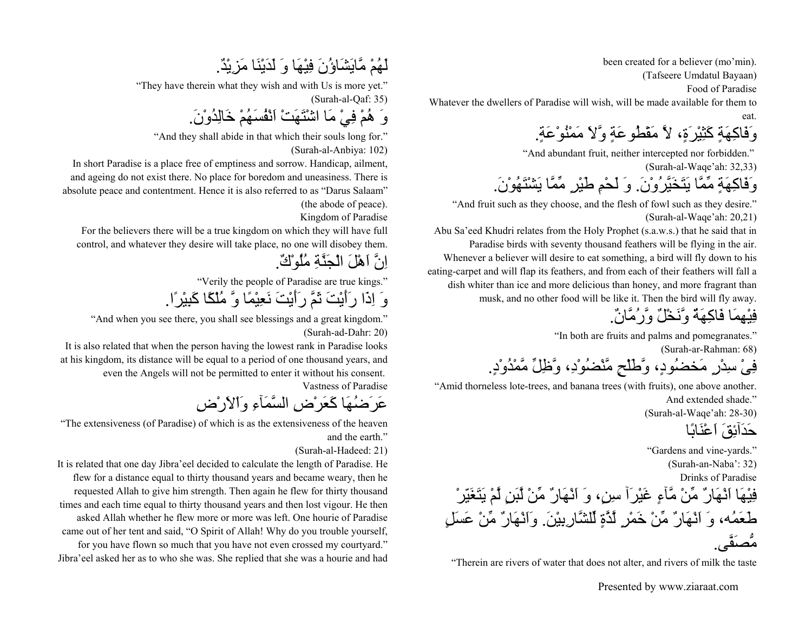been created for a believer (mo'min).

(Tafseere Umdatul Bayaan)

Food of Paradise

Whatever the dwellers of Paradise will wish, will be made available for them to eat.

وَفَاكِهَةٍ كَثِيْرَةٍ، لاَّ مَقْطُوعَةٍ وَّلاَ مَمْنُوْعَةٍ.

"And abundant fruit, neither intercepted nor forbidden."

(Surah-al-Waqe'ah: 32,33)

وَفَاآِهَةٍ مِّمَّا يَتَخَيَّرُوْن.َ وَ لَحْمِ طَيْرٍ مِّمَّا يَشْتَهُوْن.َ

"And fruit such as they choose, and the flesh of fowl such as they desire." (Surah-al-Waqe'ah: 20,21)

Abu Sa'eed Khudri relates from the Holy Prophet (s.a.w.s.) that he said that in Paradise birds with seventy thousand feathers will be flying in the air. Whenever a believer will desire to eat something, a bird will fly down to his eating-carpet and will flap its feathers, and from each of their feathers will fall a dish whiter than ice and more delicious than honey, and more fragrant than musk, and no other food will be like it. Then the bird will fly away.

فِيْهِمَا فَاآِهَةٌ وَّنَخْلٌ وَّرُمَّان.ٌ

"In both are fruits and palms and pomegranates."

(Surah-ar-Rahman: 68)

فِىْ سِدْرٍ مَخضُود،ٍ وَّطَلْحٍ مَّنْضُوْد،ِ وَّظِلِّ مَّمْدُوْد.ٍ

"Amid thorneless lote-trees, and banana trees (with fruits), one above another. And extended shade."

(Surah-al-Waqe'ah: 28-30)

حَدَآئِقَ اَعْنَابًا

"Gardens and vine-yards."

(Surah-an-Naba': 32)

Drinks of Paradise

فِيْهَا اَنْهَارٌ مِّنْ مَّآءٍ غَيْرَآ سِن،ٍ وَ اَنْهَارٌ مِّنْ لَّبَنٍ لَّمْ يَتَغَيّرْ طَعَمُه، وَ اَنْهَارٌ مِّنْ خَمْرٍ لَّذَّةٍ لِّلشَّارِبِيْن.َ وَاَنْهَارٌ مِّنْ عَسَلٍ مُّصَفَّى.

"Therein are rivers of water that does not alter, and rivers of milk the taste

Presented by www.ziaraat.com

### لَهُمْ مَّايَشَاؤُنَ فِيْهَا وَ لَدَيْنَا مَزِيْد.ٌ

"They have therein what they wish and with Us is more yet."

(Surah-al-Qaf: 35)

وَ هُمْ فِيْ مَا اشْتَهَتْ اَنْفُسَهُمْ خَالِدُوْن.َ

"And they shall abide in that which their souls long for."

(Surah-al-Anbiya: 102)

In short Paradise is a place free of emptiness and sorrow. Handicap, ailment, and ageing do not exist there. No place for boredom and uneasiness. There is absolute peace and contentment. Hence it is also referred to as "Darus Salaam" (the abode of peace).

Kingdom of Paradise

For the believers there will be a true kingdom on which they will have full control, and whatever they desire will take place, no one will disobey them.

اِنَّ اَهْلَ الْجَنَّةِ مُلُوْك.ٌ

"Verily the people of Paradise are true kings."

وَ اِذَا رَأَيْتَ ثَمَّ رَأَيْتَ نَعِيْمًا وَّ مُلْكًا آَبِيْرًا.

"And when you see there, you shall see blessings and a great kingdom." (Surah-ad-Dahr: 20)

It is also related that when the person having the lowest rank in Paradise looks at his kingdom, its distance will be equal to a period of one thousand years, and even the Angels will not be permitted to enter it without his consent.

Vastness of Paradise

عَرَضُهَا كَعَرْضِ السَّمَآءِ وَاْلاَرْضِ

"The extensiveness (of Paradise) of which is as the extensiveness of the heaven and the earth"

(Surah-al-Hadeed: 21)

It is related that one day Jibra'eel decided to calculate the length of Paradise. He flew for a distance equal to thirty thousand years and became weary, then he requested Allah to give him strength. Then again he flew for thirty thousand times and each time equal to thirty thousand years and then lost vigour. He then asked Allah whether he flew more or more was left. One hourie of Paradise came out of her tent and said, "O Spirit of Allah! Why do you trouble yourself, for you have flown so much that you have not even crossed my courtyard." Jibra'eel asked her as to who she was. She replied that she was a hourie and had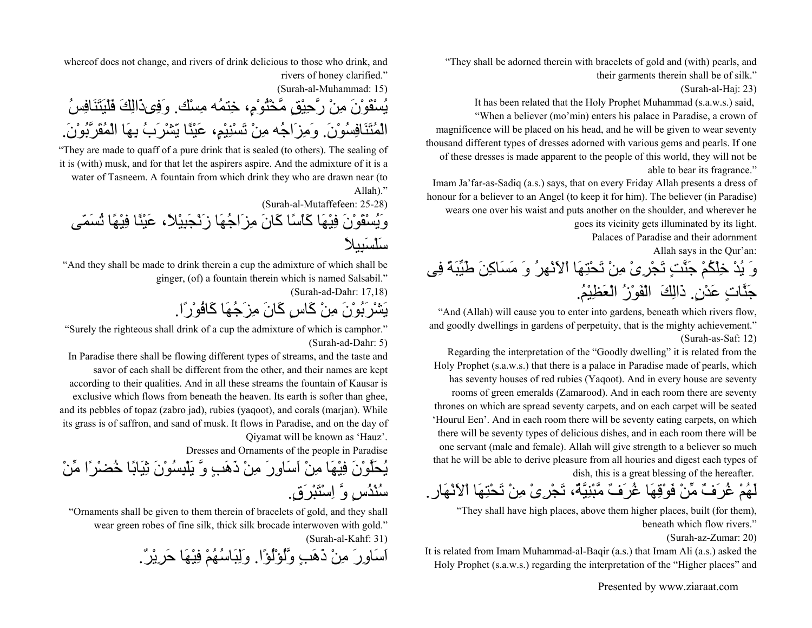"They shall be adorned therein with bracelets of gold and (with) pearls, and their garments therein shall be of silk."

(Surah-al-Haj: 23)

It has been related that the Holy Prophet Muhammad (s.a.w.s.) said, "When a believer (mo'min) enters his palace in Paradise, a crown of magnificence will be placed on his head, and he will be given to wear seventy thousand different types of dresses adorned with various gems and pearls. If one of these dresses is made apparent to the people of this world, they will not be able to bear its fragrance."

Imam Ja'far-as-Sadiq (a.s.) says, that on every Friday Allah presents a dress of honour for a believer to an Angel (to keep it for him). The believer (in Paradise) wears one over his waist and puts another on the shoulder, and wherever he goes its vicinity gets illuminated by its light.

Palaces of Paradise and their adornment

Allah says in the Qur'an:

وَ يُدْ خِلْكُمْ جَنَّتٍ تَجْرِىْ مِنْ تَحْتِهَا اْلاَنْهرُ وَ مَسَاآِنَ طَيِّبَةً فِى جَنَّاتٍ عَدْنٍ. ذَالِكَ ۖ الْفَوْزُ الْعَظِيْمُ.

"And (Allah) will cause you to enter into gardens, beneath which rivers flow, and goodly dwellings in gardens of perpetuity, that is the mighty achievement." (Surah-as-Saf: 12)

Regarding the interpretation of the "Goodly dwelling" it is related from the Holy Prophet (s.a.w.s.) that there is a palace in Paradise made of pearls, which has seventy houses of red rubies (Yaqoot). And in every house are seventy rooms of green emeralds (Zamarood). And in each room there are seventy thrones on which are spread seventy carpets, and on each carpet will be seated 'Hourul Een'. And in each room there will be seventy eating carpets, on which there will be seventy types of delicious dishes, and in each room there will be one servant (male and female). Allah will give strength to a believer so much that he will be able to derive pleasure from all houries and digest each types of dish, this is a great blessing of the hereafter.

لَهُمْ غُرَفٌ مِّنْ فَوْقِهَا غُرَفٌ مَّبْنِيَّة،ٌ تَجْرِىْ مِنْ تَحْتِهَا اْلاَنْهَار.

"They shall have high places, above them higher places, built (for them), beneath which flow rivers."

(Surah-az-Zumar: 20)

It is related from Imam Muhammad-al-Baqir (a.s.) that Imam Ali (a.s.) asked the Holy Prophet (s.a.w.s.) regarding the interpretation of the "Higher places" and

Presented by www.ziaraat.com

whereof does not change, and rivers of drink delicious to those who drink, and rivers of honey clarified."

(Surah-al-Muhammad: 15)

يُسْقَوْنَ مِنْ رَّحِيْقٍ مَّخْتُوْم،ٍ خِتمُه مِسْك. وَفِىذَالِكَ فَلْيَتَنَافِسُ الْمُتَنَافِسُوْن.َ وَمِزَاجُه مِنْ تَسْنِيْم،ٍ عَيْنًا يّشْرَبُ بِهَا الْمُقَرَّبُوْن.َ

"They are made to quaff of a pure drink that is sealed (to others). The sealing of it is (with) musk, and for that let the aspirers aspire. And the admixture of it is a water of Tasneem. A fountain from which drink they who are drawn near (to Allah)."

(Surah-al-Mutaffefeen: 25-28)

وَيُسْقَوْنَ فِيْهَا كَاسًا كَانَ مِزَاجُهَا زَنْجَبِيْلاً، عَيْنًا فِيْهًا تُسَمّى سَلْسَبِيلاً

"And they shall be made to drink therein a cup the admixture of which shall be ginger, (of) a fountain therein which is named Salsabil."

(Surah-ad-Dahr: 17,18)

يَشْرَبُوْنَ مِنْ آَاسٍ آَانَ مِزَجُهَا آَافُوْرًا.

"Surely the righteous shall drink of a cup the admixture of which is camphor." (Surah-ad-Dahr: 5)

In Paradise there shall be flowing different types of streams, and the taste and savor of each shall be different from the other, and their names are kept according to their qualities. And in all these streams the fountain of Kausar is exclusive which flows from beneath the heaven. Its earth is softer than ghee, and its pebbles of topaz (zabro jad), rubies (yaqoot), and corals (marjan). While its grass is of saffron, and sand of musk. It flows in Paradise, and on the day of Qiyamat will be known as 'Hauz'.

Dresses and Ornaments of the people in Paradise

يُحَلَّوْنَ فِيْهَا مِنْ اَسَاوِرَ مِنْ ذَهَبٍ وَّ يَلْبِسُوْنَ ثِيَابًا خُضْرًا مِّنْ سُنْدُسٍ وَّ اِسْتَبْرَق.ٍ

"Ornaments shall be given to them therein of bracelets of gold, and they shall wear green robes of fine silk, thick silk brocade interwoven with gold." (Surah-al-Kahf: 31)

اَسَاوِرَ مِنْ ذَهَبٍ وَّلُؤْلُؤًا. وَلِبَاسُهُمْ فِيْهَا حَرِيْر.ٌ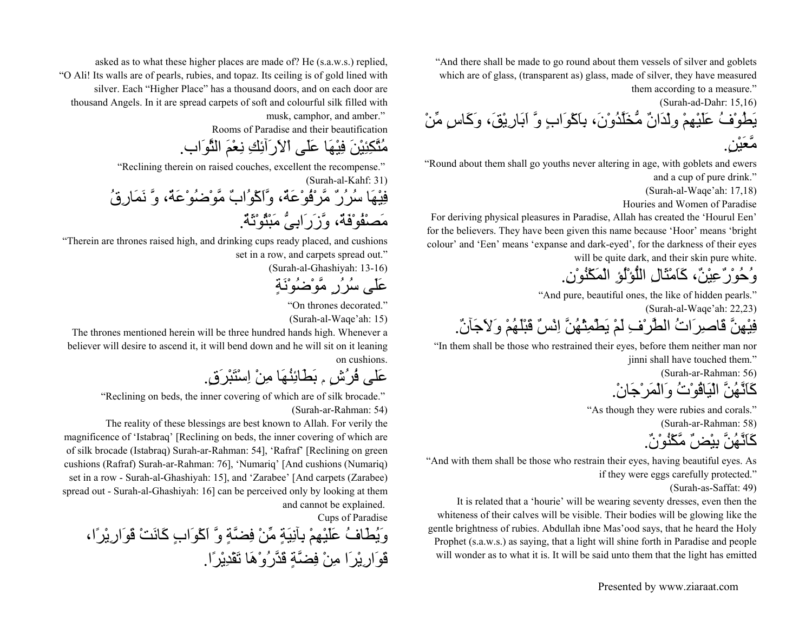"And there shall be made to go round about them vessels of silver and goblets which are of glass, (transparent as) glass, made of silver, they have measured them according to a measure."

(Surah-ad-Dahr: 15,16) يَطُوْفُ عَلَيْهِمْ وِلْدَانٌ مُّخَلَّدُوْن،َ بِاَآْوَابٍ وَّ اَبَارِيْق،َ وَآَاسٍ مِّنْ

مَّعَيْن.ٍ

"Round about them shall go youths never altering in age, with goblets and ewers and a cup of pure drink."

(Surah-al-Waqe'ah: 17,18)

Houries and Women of Paradise

For deriving physical pleasures in Paradise, Allah has created the 'Hourul Een' for the believers. They have been given this name because 'Hoor' means 'bright colour' and 'Een' means 'expanse and dark-eyed', for the darkness of their eyes will be quite dark, and their skin pure white.

وُحُوْرٌعِيْن،ٌ آَاَمْثَالِ اللُّؤْلُؤِ الْمَكْنُوْن.ِ

"And pure, beautiful ones, the like of hidden pearls."

(Surah-al-Waqe'ah: 22,23)

فِيْهِنَّ قَاصِرَاتُ الطَّرْفِ لَمْ يَطْمِثْهُنَّ اِنْسٌ قَبْلَهُمْ وَلاَجَآن.ٌ

"In them shall be those who restrained their eyes, before them neither man nor jinni shall have touched them."

(Surah-ar-Rahman: 56)

آَاَنَّهُنَّ الْيَاقُوْتُ وَالْمَرْجَان.ْ

"As though they were rubies and corals."

(Surah-ar-Rahman: 58)

آَاَنَّهُنَّ بِيْضٌ مَّكْنُوْن.ٌ

"And with them shall be those who restrain their eyes, having beautiful eyes. As if they were eggs carefully protected."

(Surah-as-Saffat: 49)

It is related that a 'hourie' will be wearing seventy dresses, even then the whiteness of their calves will be visible. Their bodies will be glowing like the gentle brightness of rubies. Abdullah ibne Mas'ood says, that he heard the Holy Prophet (s.a.w.s.) as saying, that a light will shine forth in Paradise and people will wonder as to what it is. It will be said unto them that the light has emitted

asked as to what these higher places are made of? He (s.a.w.s.) replied, "O Ali! Its walls are of pearls, rubies, and topaz. Its ceiling is of gold lined with silver. Each "Higher Place" has a thousand doors, and on each door are thousand Angels. In it are spread carpets of soft and colourful silk filled with musk, camphor, and amber."

Rooms of Paradise and their beautification

مُتَّكِئِيْنَ فِيْهَا عَلَى اْلاَرَآئِكِ نِعْمَ الثَّوَاب.

"Reclining therein on raised couches, excellent the recompense."

(Surah-al-Kahf: 31)

فِيْهَا سُرُرٌ مَّرْفُوْعَة،ٌ وَّاَآْوُابٌ مَّوْضُوْعَة،ٌ وَّ نَمَارِقُ مَصْفُوْفَة،ٌ وَّزَرَابِىُّ مَبْثُوْثَة.ٌ

"Therein are thrones raised high, and drinking cups ready placed, and cushions set in a row, and carpets spread out."

(Surah-al-Ghashiyah: 13-16)

عَلَى سُرُرٍ مَّوْضُوْنَةٍ

"On thrones decorated."

(Surah-al-Waqe'ah: 15)

The thrones mentioned herein will be three hundred hands high. Whenever a believer will desire to ascend it, it will bend down and he will sit on it leaning on cushions.

عَلى فُرُشٍ <sup>م</sup> بَطَائِنُهَا مِنْ اِسْتَبْرَق.ٍ

"Reclining on beds, the inner covering of which are of silk brocade."

(Surah-ar-Rahman: 54)

The reality of these blessings are best known to Allah. For verily the

magnificence of 'Istabraq' [Reclining on beds, the inner covering of which are of silk brocade (Istabraq) Surah-ar-Rahman: 54], 'Rafraf' [Reclining on green cushions (Rafraf) Surah-ar-Rahman: 76], 'Numariq' [And cushions (Numariq) set in a row - Surah-al-Ghashiyah: 15], and 'Zarabee' [And carpets (Zarabee) spread out - Surah-al-Ghashiyah: 16] can be perceived only by looking at them and cannot be explained.

Cups of Paradise

وَيُطَافُ عَلَيْهِمْ بِآنِيَةٍ مِّنْ فِضَّةٍ وَّ اَآْوَابٍ آَانَتْ قَوَارِيْرًا، قَوَارِيْرَا مِنْ فِضَّةٍ قَدَّرُوْهَا تَقْدِيْرًا.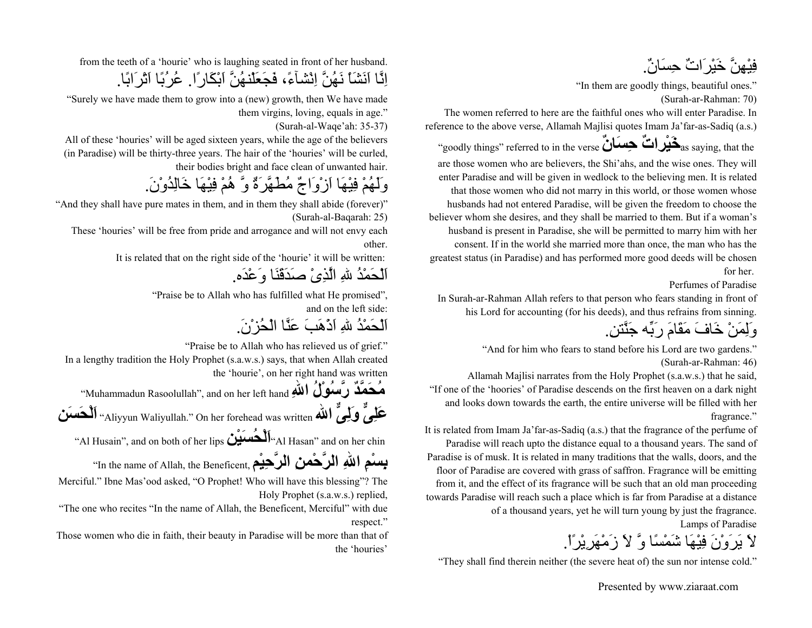فِيْهِنَّ خَيْرَاتٌ حِسَان.ٌ

"In them are goodly things, beautiful ones." (Surah-ar-Rahman: 70)

The women referred to here are the faithful ones who will enter Paradise. In reference to the above verse, Allamah Majlisi quotes Imam Ja'far-as-Sadiq (a.s.)

 "goodly things" referred to in the verse **ٌانَسِح ٌراتْيَخ**as saying, that the are those women who are believers, the Shi'ahs, and the wise ones. They will enter Paradise and will be given in wedlock to the believing men. It is related that those women who did not marry in this world, or those women whose husbands had not entered Paradise, will be given the freedom to choose the believer whom she desires, and they shall be married to them. But if a woman's husband is present in Paradise, she will be permitted to marry him with her consent. If in the world she married more than once, the man who has the greatest status (in Paradise) and has performed more good deeds will be chosen for her.

Perfumes of Paradise

In Surah-ar-Rahman Allah refers to that person who fears standing in front of his Lord for accounting (for his deeds), and thus refrains from sinning.

وَلِمَنْ خَافَ مَقَامَ رَبِّه جَنَّتن.ِ

"And for him who fears to stand before his Lord are two gardens." (Surah-ar-Rahman: 46)

Allamah Majlisi narrates from the Holy Prophet (s.a.w.s.) that he said, "If one of the 'hoories' of Paradise descends on the first heaven on a dark night and looks down towards the earth, the entire universe will be filled with her fragrance."

It is related from Imam Ja'far-as-Sadiq (a.s.) that the fragrance of the perfume of Paradise will reach upto the distance equal to a thousand years. The sand of Paradise is of musk. It is related in many traditions that the walls, doors, and the floor of Paradise are covered with grass of saffron. Fragrance will be emitting from it, and the effect of its fragrance will be such that an old man proceeding towards Paradise will reach such a place which is far from Paradise at a distance of a thousand years, yet he will turn young by just the fragrance. Lamps of Paradise

لاَ يَرَوْنَ فِيْهَا شَمْسًا وَّ لاَ زَمْهَرِيْرًا.ْ

"They shall find therein neither (the severe heat of) the sun nor intense cold."

from the teeth of a 'hourie' who is laughing seated in front of her husband. اِنَّا اَنَشَاْ نَهُنَّ اِنْشآء،ً فَجَعَلْنهُنَّ اَبْكَارًا. عُرُبًا اَتْرَابًا.

"Surely we have made them to grow into a (new) growth, then We have made them virgins, loving, equals in age."

(Surah-al-Waqe'ah: 35-37)

All of these 'houries' will be aged sixteen years, while the age of the believers (in Paradise) will be thirty-three years. The hair of the 'houries' will be curled, their bodies bright and face clean of unwanted hair.

وَلَهُمْ فِيْهَا اَزْوَاجٌ مُطَهَّرَةٌ وَّ هُمْ فِيْهَا خَالِدُوْن.َ

"And they shall have pure mates in them, and in them they shall abide (forever)" (Surah-al-Baqarah: 25)

These 'houries' will be free from pride and arrogance and will not envy each other.

It is related that on the right side of the 'hourie' it will be written:

اَلْحَمْدُ اللهِ الَّذِىْ صَدَقَنَا وَعْدَه.

"Praise be to Allah who has fulfilled what He promised", and on the left side:

اَلْحَمْدُ اللهِ اَذْهَبَ عَنَّا الْحُزْن.َ

"Praise be to Allah who has relieved us of grief."

In a lengthy tradition the Holy Prophet (s.a.w.s.) says, that when Allah created the 'hourie', on her right hand was written

م**ُحَمَّدٌ رَّسُوْلُ اللهِ Muhammadun Rasoolullah", and on her left hand '' عَلِىٌّ وَلِىٌّ االله** written was forehead her On" .Waliyullah Aliyyun "**اَلْحَسَن**

"Al Husain", and on both of her lips **<sup>ن</sup>ْيَسُحْلَا**"Al Hasan" and on her chin

**بِسْمِ اللهِ الرَّحْمنِ الرَّحِيْمِ ,In the name of Allah, the Beneficent** 

Merciful." Ibne Mas'ood asked, "O Prophet! Who will have this blessing"? The Holy Prophet (s.a.w.s.) replied,

"The one who recites "In the name of Allah, the Beneficent, Merciful" with due respect."

Those women who die in faith, their beauty in Paradise will be more than that of the 'houries'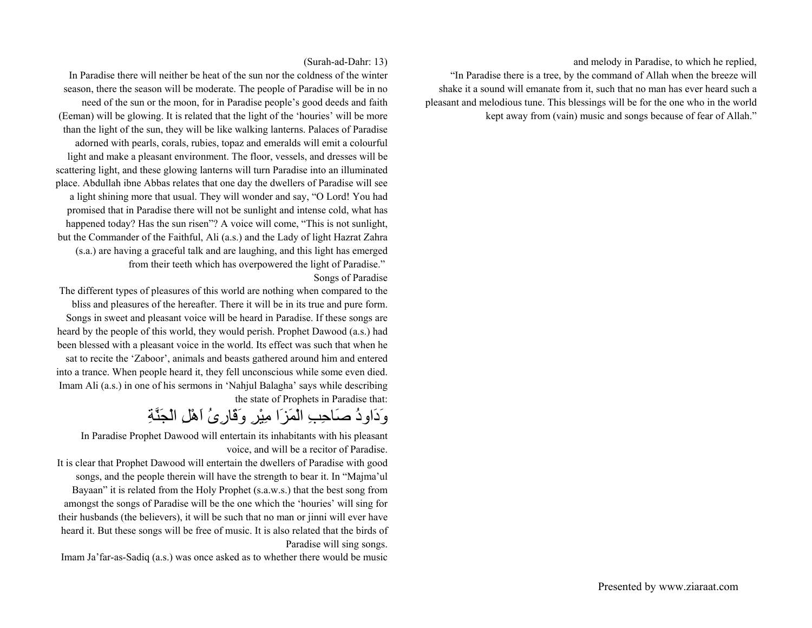and melody in Paradise, to which he replied,

"In Paradise there is a tree, by the command of Allah when the breeze will shake it a sound will emanate from it, such that no man has ever heard such a pleasant and melodious tune. This blessings will be for the one who in the world kept away from (vain) music and songs because of fear of Allah."

#### (Surah-ad-Dahr: 13)

In Paradise there will neither be heat of the sun nor the coldness of the winter season, there the season will be moderate. The people of Paradise will be in no need of the sun or the moon, for in Paradise people's good deeds and faith (Eeman) will be glowing. It is related that the light of the 'houries' will be more than the light of the sun, they will be like walking lanterns. Palaces of Paradise adorned with pearls, corals, rubies, topaz and emeralds will emit a colourful light and make a pleasant environment. The floor, vessels, and dresses will be scattering light, and these glowing lanterns will turn Paradise into an illuminated place. Abdullah ibne Abbas relates that one day the dwellers of Paradise will see a light shining more that usual. They will wonder and say, "O Lord! You had promised that in Paradise there will not be sunlight and intense cold, what has happened today? Has the sun risen"? A voice will come, "This is not sunlight, but the Commander of the Faithful, Ali (a.s.) and the Lady of light Hazrat Zahra (s.a.) are having a graceful talk and are laughing, and this light has emerged from their teeth which has overpowered the light of Paradise." Songs of Paradise

The different types of pleasures of this world are nothing when compared to the bliss and pleasures of the hereafter. There it will be in its true and pure form. Songs in sweet and pleasant voice will be heard in Paradise. If these songs are heard by the people of this world, they would perish. Prophet Dawood (a.s.) had been blessed with a pleasant voice in the world. Its effect was such that when he sat to recite the 'Zaboor', animals and beasts gathered around him and entered into a trance. When people heard it, they fell unconscious while some even died. Imam Ali (a.s.) in one of his sermons in 'Nahjul Balagha' says while describing the state of Prophets in Paradise that:

# وَدَاودُ صَاحِبِ الْمَزَا مِيْرِ وَقَارِىُ اَهْلِ الْجَنَّةِ

In Paradise Prophet Dawood will entertain its inhabitants with his pleasant voice, and will be a recitor of Paradise.

It is clear that Prophet Dawood will entertain the dwellers of Paradise with good songs, and the people therein will have the strength to bear it. In "Majma'ul Bayaan" it is related from the Holy Prophet (s.a.w.s.) that the best song from amongst the songs of Paradise will be the one which the 'houries' will sing for their husbands (the believers), it will be such that no man or jinni will ever have heard it. But these songs will be free of music. It is also related that the birds of Paradise will sing songs.

Imam Ja'far-as-Sadiq (a.s.) was once asked as to whether there would be music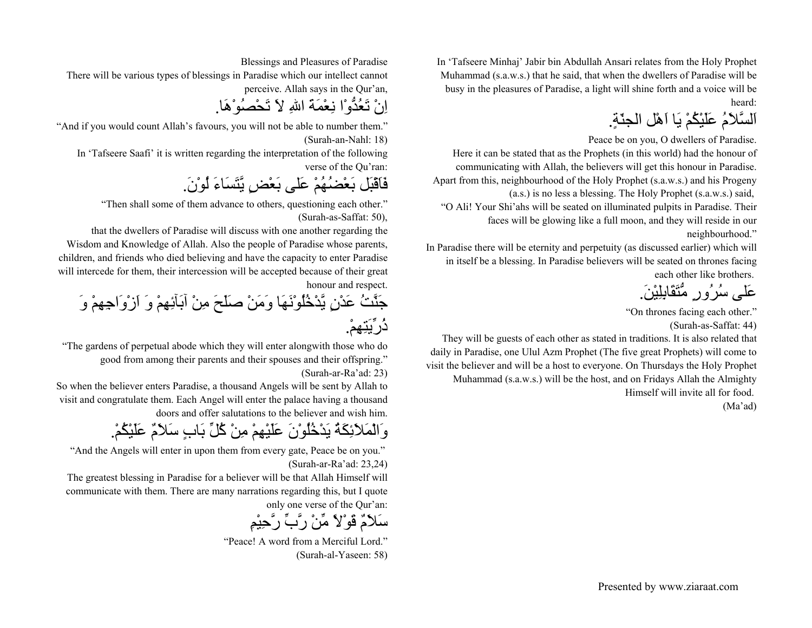In 'Tafseere Minhaj' Jabir bin Abdullah Ansari relates from the Holy Prophet Muhammad (s.a.w.s.) that he said, that when the dwellers of Paradise will be busy in the pleasures of Paradise, a light will shine forth and a voice will be heard:

اَلسَّلاَمُ عَلَيْكُمْ يَا اَهْل الجنّة.ٍ

Peace be on you, O dwellers of Paradise.

Here it can be stated that as the Prophets (in this world) had the honour of communicating with Allah, the believers will get this honour in Paradise. Apart from this, neighbourhood of the Holy Prophet (s.a.w.s.) and his Progeny (a.s.) is no less a blessing. The Holy Prophet (s.a.w.s.) said, "O Ali! Your Shi'ahs will be seated on illuminated pulpits in Paradise. Their faces will be glowing like a full moon, and they will reside in our

neighbourhood."

In Paradise there will be eternity and perpetuity (as discussed earlier) which will in itself be a blessing. In Paradise believers will be seated on thrones facing each other like brothers.

عَلى سُرُورٍ مُّتَقَابِلِيْن.َ

"On thrones facing each other." (Surah-as-Saffat: 44)

They will be guests of each other as stated in traditions. It is also related that daily in Paradise, one Ulul Azm Prophet (The five great Prophets) will come to visit the believer and will be a host to everyone. On Thursdays the Holy Prophet Muhammad (s.a.w.s.) will be the host, and on Fridays Allah the Almighty Himself will invite all for food. (Ma'ad)

Blessings and Pleasures of Paradise

There will be various types of blessings in Paradise which our intellect cannot perceive. Allah says in the Qur'an,

اِنْ تَعُدُّوْا نِعْمَةَ االلهِ لاَ تَحْصُوْهَا.

"And if you would count Allah's favours, you will not be able to number them." (Surah-an-Nahl: 18)

In 'Tafseere Saafi' it is written regarding the interpretation of the following verse of the Qu'ran:

فَاَقْبَل بَعْضُهُمْ عَلى بَعْضٍ يَّتَسَاءَ لُوْن.َ

"Then shall some of them advance to others, questioning each other." (Surah-as-Saffat: 50),

that the dwellers of Paradise will discuss with one another regarding the Wisdom and Knowledge of Allah. Also the people of Paradise whose parents, children, and friends who died believing and have the capacity to enter Paradise will intercede for them, their intercession will be accepted because of their great honour and respect.

جَنَّتُ عَدْنٍ يَّدْخُلُوْنَهَا وَمَنْ صَلَحَ مِنْ آبَآئِهِمْ وَ اَزْوَاجِهِمْ وَ ذُرِّيَتِهِم.ْ

"The gardens of perpetual abode which they will enter alongwith those who do good from among their parents and their spouses and their offspring." (Surah-ar-Ra'ad: 23)

So when the believer enters Paradise, a thousand Angels will be sent by Allah to visit and congratulate them. Each Angel will enter the palace having a thousand doors and offer salutations to the believer and wish him.

وَالْمَلاَئِكَةُ يَدْخُلُوْنَ عَلَيْهِمْ مِنْ آُلِّ بَابٍ سَلاَمٌ عَلَيْكُم.ْ

"And the Angels will enter in upon them from every gate, Peace be on you." (Surah-ar-Ra'ad: 23,24)

The greatest blessing in Paradise for a believer will be that Allah Himself will communicate with them. There are many narrations regarding this, but I quote only one verse of the Qur'an:

سَلاَمٌ قَوْلاً مِّنْ رَّبِّ رَّحِيْمِ

 "Peace! A word from a Merciful Lord."(Surah-al-Yaseen: 58)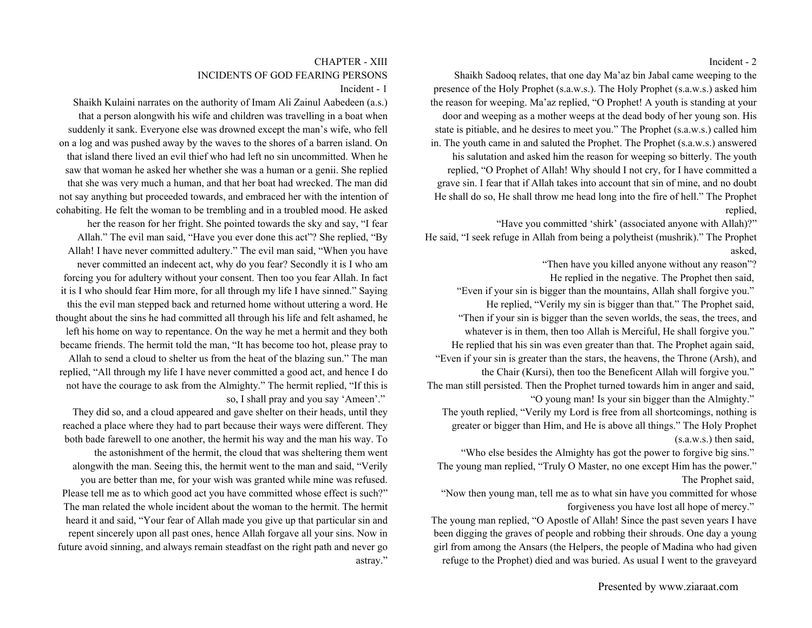#### Incident - 2

Shaikh Sadooq relates, that one day Ma'az bin Jabal came weeping to the presence of the Holy Prophet (s.a.w.s.). The Holy Prophet (s.a.w.s.) asked him the reason for weeping. Ma'az replied, "O Prophet! A youth is standing at your door and weeping as a mother weeps at the dead body of her young son. His state is pitiable, and he desires to meet you." The Prophet (s.a.w.s.) called him in. The youth came in and saluted the Prophet. The Prophet (s.a.w.s.) answered his salutation and asked him the reason for weeping so bitterly. The youth replied, "O Prophet of Allah! Why should I not cry, for I have committed a grave sin. I fear that if Allah takes into account that sin of mine, and no doubt He shall do so, He shall throw me head long into the fire of hell." The Prophet replied,

"Have you committed 'shirk' (associated anyone with Allah)?" He said, "I seek refuge in Allah from being a polytheist (mushrik)." The Prophet asked,

"Then have you killed anyone without any reason"?

He replied in the negative. The Prophet then said, "Even if your sin is bigger than the mountains, Allah shall forgive you." He replied, "Verily my sin is bigger than that." The Prophet said,

"Then if your sin is bigger than the seven worlds, the seas, the trees, and whatever is in them, then too Allah is Merciful, He shall forgive you." He replied that his sin was even greater than that. The Prophet again said,

"Even if your sin is greater than the stars, the heavens, the Throne (Arsh), and the Chair (Kursi), then too the Beneficent Allah will forgive you."

The man still persisted. Then the Prophet turned towards him in anger and said, "O young man! Is your sin bigger than the Almighty."

The youth replied, "Verily my Lord is free from all shortcomings, nothing is greater or bigger than Him, and He is above all things." The Holy Prophet (s.a.w.s.) then said,

"Who else besides the Almighty has got the power to forgive big sins." The young man replied, "Truly O Master, no one except Him has the power." The Prophet said,

"Now then young man, tell me as to what sin have you committed for whose forgiveness you have lost all hope of mercy."

The young man replied, "O Apostle of Allah! Since the past seven years I have been digging the graves of people and robbing their shrouds. One day a young girl from among the Ansars (the Helpers, the people of Madina who had given refuge to the Prophet) died and was buried. As usual I went to the graveyard

### CHAPTER - XIIIINCIDENTS OF GOD FEARING PERSONS

Incident - 1

Shaikh Kulaini narrates on the authority of Imam Ali Zainul Aabedeen (a.s.) that a person alongwith his wife and children was travelling in a boat when suddenly it sank. Everyone else was drowned except the man's wife, who fell on a log and was pushed away by the waves to the shores of a barren island. On that island there lived an evil thief who had left no sin uncommitted. When he saw that woman he asked her whether she was a human or a genii. She replied that she was very much a human, and that her boat had wrecked. The man did not say anything but proceeded towards, and embraced her with the intention of cohabiting. He felt the woman to be trembling and in a troubled mood. He asked her the reason for her fright. She pointed towards the sky and say, "I fear Allah." The evil man said, "Have you ever done this act"? She replied, "By Allah! I have never committed adultery." The evil man said, "When you have never committed an indecent act, why do you fear? Secondly it is I who am forcing you for adultery without your consent. Then too you fear Allah. In fact it is I who should fear Him more, for all through my life I have sinned." Saying this the evil man stepped back and returned home without uttering a word. He thought about the sins he had committed all through his life and felt ashamed, he left his home on way to repentance. On the way he met a hermit and they both became friends. The hermit told the man, "It has become too hot, please pray to Allah to send a cloud to shelter us from the heat of the blazing sun." The man replied, "All through my life I have never committed a good act, and hence I do not have the courage to ask from the Almighty." The hermit replied, "If this is

so, I shall pray and you say 'Ameen'."

They did so, and a cloud appeared and gave shelter on their heads, until they reached a place where they had to part because their ways were different. They both bade farewell to one another, the hermit his way and the man his way. To the astonishment of the hermit, the cloud that was sheltering them went alongwith the man. Seeing this, the hermit went to the man and said, "Verily you are better than me, for your wish was granted while mine was refused. Please tell me as to which good act you have committed whose effect is such?" The man related the whole incident about the woman to the hermit. The hermit heard it and said, "Your fear of Allah made you give up that particular sin and repent sincerely upon all past ones, hence Allah forgave all your sins. Now in future avoid sinning, and always remain steadfast on the right path and never go astray."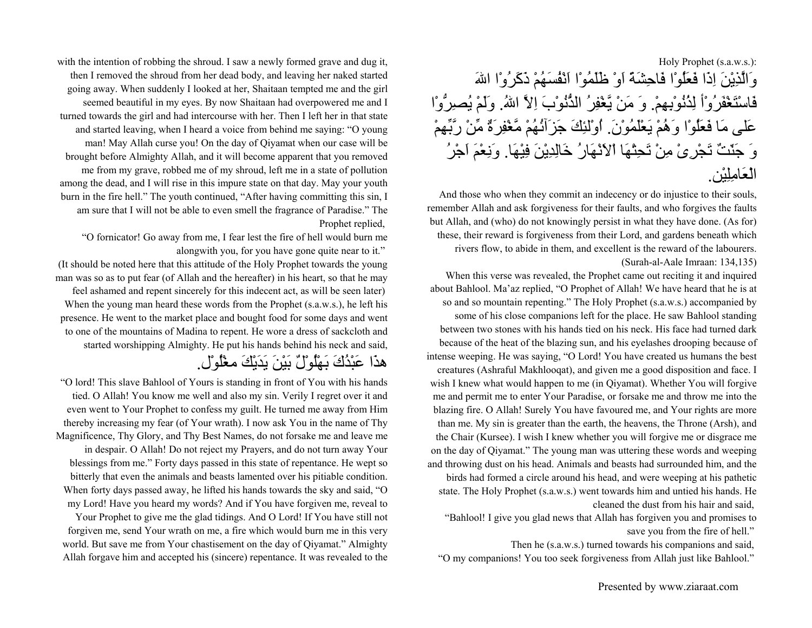### Holy Prophet (s.a.w.s.): وَالَّذِيْنَ اِذَا فَعَلُوْا فَاحِشَةً اَوْ ظَلَمُوْا اَنْفُسَهُمْ ذَآَرُوْا االلهَ فَاسْتَغْفَرُوْأ لِذُنُوْبِهِم.ْ وَ مَنْ يَّغْفِرُ الذُّنُوْبَ اِلاَّ االله.ُ وَلَمْ يُصِرُّوْا عَلى مَا فَعَلُوْا وَهُمْ يَعْلَمُوْن.َ اُوْلئِكَ جَزَآئُهُمْ مَّغْفِرَةٌ مِّنْ رَّبِّهِمْ وَ جَنّتٌ تَجْرِىْ مِنْ تَحِتْهَا اْلاَنْهَارُ خَالِدِيْنَ فِيْهَا. وَنِعْمَ اَجْرُ الْعَامِلِيْن.

And those who when they commit an indecency or do injustice to their souls, remember Allah and ask forgiveness for their faults, and who forgives the faults but Allah, and (who) do not knowingly persist in what they have done. (As for) these, their reward is forgiveness from their Lord, and gardens beneath which rivers flow, to abide in them, and excellent is the reward of the labourers. (Surah-al-Aale Imraan: 134,135)

When this verse was revealed, the Prophet came out reciting it and inquired about Bahlool. Ma'az replied, "O Prophet of Allah! We have heard that he is at so and so mountain repenting." The Holy Prophet (s.a.w.s.) accompanied by some of his close companions left for the place. He saw Bahlool standing between two stones with his hands tied on his neck. His face had turned dark because of the heat of the blazing sun, and his eyelashes drooping because of intense weeping. He was saying, "O Lord! You have created us humans the best creatures (Ashraful Makhlooqat), and given me a good disposition and face. I wish I knew what would happen to me (in Qiyamat). Whether You will forgive me and permit me to enter Your Paradise, or forsake me and throw me into the blazing fire. O Allah! Surely You have favoured me, and Your rights are more than me. My sin is greater than the earth, the heavens, the Throne (Arsh), and the Chair (Kursee). I wish I knew whether you will forgive me or disgrace me on the day of Qiyamat." The young man was uttering these words and weeping and throwing dust on his head. Animals and beasts had surrounded him, and the birds had formed a circle around his head, and were weeping at his pathetic state. The Holy Prophet (s.a.w.s.) went towards him and untied his hands. He cleaned the dust from his hair and said,

"Bahlool! I give you glad news that Allah has forgiven you and promises to save you from the fire of hell."

Then he (s.a.w.s.) turned towards his companions and said,

"O my companions! You too seek forgiveness from Allah just like Bahlool."

with the intention of robbing the shroud. I saw a newly formed grave and dug it, then I removed the shroud from her dead body, and leaving her naked started going away. When suddenly I looked at her, Shaitaan tempted me and the girl seemed beautiful in my eyes. By now Shaitaan had overpowered me and I turned towards the girl and had intercourse with her. Then I left her in that state and started leaving, when I heard a voice from behind me saying: "O young man! May Allah curse you! On the day of Qiyamat when our case will be brought before Almighty Allah, and it will become apparent that you removed me from my grave, robbed me of my shroud, left me in a state of pollution among the dead, and I will rise in this impure state on that day. May your youth burn in the fire hell." The youth continued, "After having committing this sin, I am sure that I will not be able to even smell the fragrance of Paradise." The Prophet replied,

"O fornicator! Go away from me, I fear lest the fire of hell would burn me alongwith you, for you have gone quite near to it."

(It should be noted here that this attitude of the Holy Prophet towards the young man was so as to put fear (of Allah and the hereafter) in his heart, so that he may feel ashamed and repent sincerely for this indecent act, as will be seen later) When the young man heard these words from the Prophet (s.a.w.s.), he left his presence. He went to the market place and bought food for some days and went to one of the mountains of Madina to repent. He wore a dress of sackcloth and started worshipping Almighty. He put his hands behind his neck and said,

هذَا عَبْدُكَ بَهْلُوْلٌ بَيْنَ يَدَيْكَ مغْلُوْل.

"O lord! This slave Bahlool of Yours is standing in front of You with his hands tied. O Allah! You know me well and also my sin. Verily I regret over it and even went to Your Prophet to confess my guilt. He turned me away from Him thereby increasing my fear (of Your wrath). I now ask You in the name of Thy Magnificence, Thy Glory, and Thy Best Names, do not forsake me and leave me in despair. O Allah! Do not reject my Prayers, and do not turn away Your blessings from me." Forty days passed in this state of repentance. He wept so bitterly that even the animals and beasts lamented over his pitiable condition. When forty days passed away, he lifted his hands towards the sky and said, "O my Lord! Have you heard my words? And if You have forgiven me, reveal to Your Prophet to give me the glad tidings. And O Lord! If You have still not

forgiven me, send Your wrath on me, a fire which would burn me in this very world. But save me from Your chastisement on the day of Qiyamat." Almighty Allah forgave him and accepted his (sincere) repentance. It was revealed to the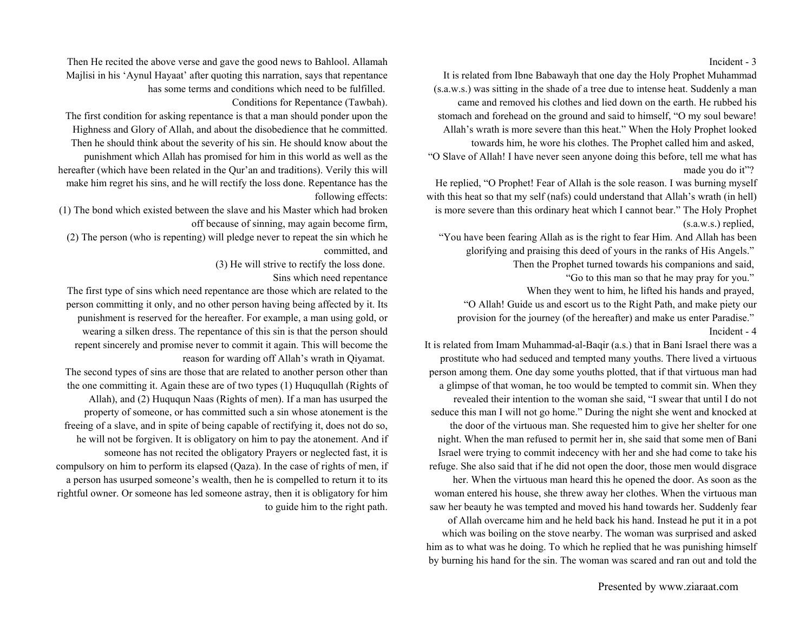#### Incident - 3

It is related from Ibne Babawayh that one day the Holy Prophet Muhammad (s.a.w.s.) was sitting in the shade of a tree due to intense heat. Suddenly a man came and removed his clothes and lied down on the earth. He rubbed his stomach and forehead on the ground and said to himself, "O my soul beware! Allah's wrath is more severe than this heat." When the Holy Prophet looked towards him, he wore his clothes. The Prophet called him and asked, "O Slave of Allah! I have never seen anyone doing this before, tell me what has made you do it"?

He replied, "O Prophet! Fear of Allah is the sole reason. I was burning myself with this heat so that my self (nafs) could understand that Allah's wrath (in hell) is more severe than this ordinary heat which I cannot bear." The Holy Prophet (s.a.w.s.) replied,

"You have been fearing Allah as is the right to fear Him. And Allah has been glorifying and praising this deed of yours in the ranks of His Angels."

Then the Prophet turned towards his companions and said,

"Go to this man so that he may pray for you."

When they went to him, he lifted his hands and prayed,

"O Allah! Guide us and escort us to the Right Path, and make piety our provision for the journey (of the hereafter) and make us enter Paradise." Incident - 4

It is related from Imam Muhammad-al-Baqir (a.s.) that in Bani Israel there was a prostitute who had seduced and tempted many youths. There lived a virtuous person among them. One day some youths plotted, that if that virtuous man had a glimpse of that woman, he too would be tempted to commit sin. When they revealed their intention to the woman she said, "I swear that until I do not seduce this man I will not go home." During the night she went and knocked at the door of the virtuous man. She requested him to give her shelter for one night. When the man refused to permit her in, she said that some men of Bani Israel were trying to commit indecency with her and she had come to take his refuge. She also said that if he did not open the door, those men would disgrace

her. When the virtuous man heard this he opened the door. As soon as the woman entered his house, she threw away her clothes. When the virtuous man saw her beauty he was tempted and moved his hand towards her. Suddenly fear

of Allah overcame him and he held back his hand. Instead he put it in a pot which was boiling on the stove nearby. The woman was surprised and asked him as to what was he doing. To which he replied that he was punishing himself by burning his hand for the sin. The woman was scared and ran out and told the

Then He recited the above verse and gave the good news to Bahlool. Allamah Majlisi in his 'Aynul Hayaat' after quoting this narration, says that repentance has some terms and conditions which need to be fulfilled. Conditions for Repentance (Tawbah).

The first condition for asking repentance is that a man should ponder upon the Highness and Glory of Allah, and about the disobedience that he committed. Then he should think about the severity of his sin. He should know about the

punishment which Allah has promised for him in this world as well as the hereafter (which have been related in the Qur'an and traditions). Verily this will make him regret his sins, and he will rectify the loss done. Repentance has the following effects:

(1) The bond which existed between the slave and his Master which had broken off because of sinning, may again become firm,

(2) The person (who is repenting) will pledge never to repeat the sin which he committed, and

(3) He will strive to rectify the loss done.

Sins which need repentance

The first type of sins which need repentance are those which are related to the person committing it only, and no other person having being affected by it. Its punishment is reserved for the hereafter. For example, a man using gold, or wearing a silken dress. The repentance of this sin is that the person should repent sincerely and promise never to commit it again. This will become the reason for warding off Allah's wrath in Qiyamat.

The second types of sins are those that are related to another person other than the one committing it. Again these are of two types (1) Huququllah (Rights of Allah), and (2) Huququn Naas (Rights of men). If a man has usurped the property of someone, or has committed such a sin whose atonement is the freeing of a slave, and in spite of being capable of rectifying it, does not do so, he will not be forgiven. It is obligatory on him to pay the atonement. And if someone has not recited the obligatory Prayers or neglected fast, it is compulsory on him to perform its elapsed (Qaza). In the case of rights of men, if a person has usurped someone's wealth, then he is compelled to return it to its rightful owner. Or someone has led someone astray, then it is obligatory for him to guide him to the right path.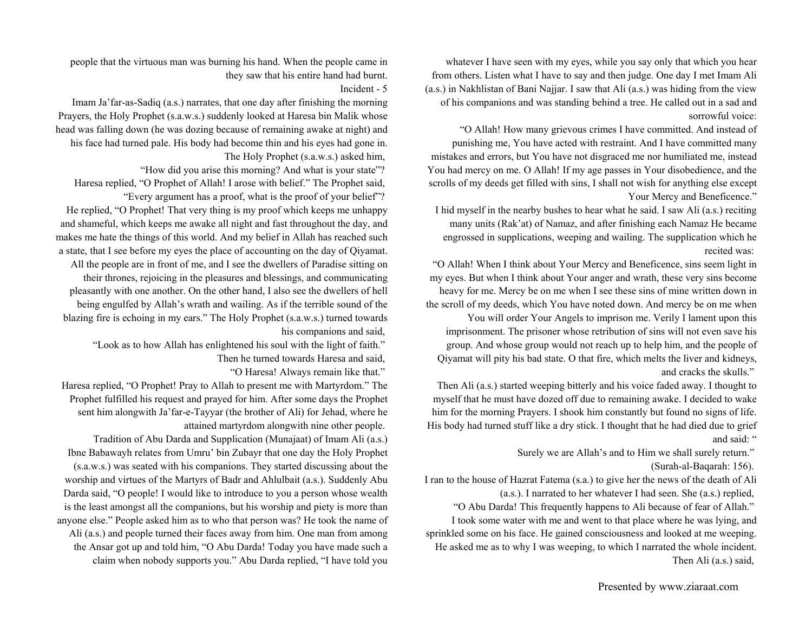whatever I have seen with my eyes, while you say only that which you hear from others. Listen what I have to say and then judge. One day I met Imam Ali (a.s.) in Nakhlistan of Bani Najjar. I saw that Ali (a.s.) was hiding from the view of his companions and was standing behind a tree. He called out in a sad and sorrowful voice:

"O Allah! How many grievous crimes I have committed. And instead of punishing me, You have acted with restraint. And I have committed many mistakes and errors, but You have not disgraced me nor humiliated me, instead You had mercy on me. O Allah! If my age passes in Your disobedience, and the scrolls of my deeds get filled with sins, I shall not wish for anything else except Your Mercy and Beneficence."

I hid myself in the nearby bushes to hear what he said. I saw Ali (a.s.) reciting many units (Rak'at) of Namaz, and after finishing each Namaz He became engrossed in supplications, weeping and wailing. The supplication which he recited was:

"O Allah! When I think about Your Mercy and Beneficence, sins seem light in my eyes. But when I think about Your anger and wrath, these very sins become heavy for me. Mercy be on me when I see these sins of mine written down in the scroll of my deeds, which You have noted down. And mercy be on me when

You will order Your Angels to imprison me. Verily I lament upon this imprisonment. The prisoner whose retribution of sins will not even save his group. And whose group would not reach up to help him, and the people of Qiyamat will pity his bad state. O that fire, which melts the liver and kidneys, and cracks the skulls."

Then Ali (a.s.) started weeping bitterly and his voice faded away. I thought to myself that he must have dozed off due to remaining awake. I decided to wake him for the morning Prayers. I shook him constantly but found no signs of life. His body had turned stuff like a dry stick. I thought that he had died due to grief and said: "

Surely we are Allah's and to Him we shall surely return."

(Surah-al-Baqarah: 156).

I ran to the house of Hazrat Fatema (s.a.) to give her the news of the death of Ali (a.s.). I narrated to her whatever I had seen. She (a.s.) replied,

"O Abu Darda! This frequently happens to Ali because of fear of Allah."

I took some water with me and went to that place where he was lying, and sprinkled some on his face. He gained consciousness and looked at me weeping. He asked me as to why I was weeping, to which I narrated the whole incident. Then Ali (a.s.) said,

people that the virtuous man was burning his hand. When the people came in they saw that his entire hand had burnt.

Incident - 5

Imam Ja'far-as-Sadiq (a.s.) narrates, that one day after finishing the morning Prayers, the Holy Prophet (s.a.w.s.) suddenly looked at Haresa bin Malik whose head was falling down (he was dozing because of remaining awake at night) and his face had turned pale. His body had become thin and his eyes had gone in.

The Holy Prophet (s.a.w.s.) asked him,

"How did you arise this morning? And what is your state"?

Haresa replied, "O Prophet of Allah! I arose with belief." The Prophet said, "Every argument has a proof, what is the proof of your belief"?

He replied, "O Prophet! That very thing is my proof which keeps me unhappy and shameful, which keeps me awake all night and fast throughout the day, and makes me hate the things of this world. And my belief in Allah has reached such a state, that I see before my eyes the place of accounting on the day of Qiyamat.

All the people are in front of me, and I see the dwellers of Paradise sitting on their thrones, rejoicing in the pleasures and blessings, and communicating pleasantly with one another. On the other hand, I also see the dwellers of hell being engulfed by Allah's wrath and wailing. As if the terrible sound of the blazing fire is echoing in my ears." The Holy Prophet (s.a.w.s.) turned towards his companions and said,

"Look as to how Allah has enlightened his soul with the light of faith." Then he turned towards Haresa and said,

"O Haresa! Always remain like that."

Haresa replied, "O Prophet! Pray to Allah to present me with Martyrdom." The Prophet fulfilled his request and prayed for him. After some days the Prophet sent him alongwith Ja'far-e-Tayyar (the brother of Ali) for Jehad, where he attained martyrdom alongwith nine other people.

Tradition of Abu Darda and Supplication (Munajaat) of Imam Ali (a.s.) Ibne Babawayh relates from Umru' bin Zubayr that one day the Holy Prophet (s.a.w.s.) was seated with his companions. They started discussing about the worship and virtues of the Martyrs of Badr and Ahlulbait (a.s.). Suddenly Abu Darda said, "O people! I would like to introduce to you a person whose wealth is the least amongst all the companions, but his worship and piety is more than anyone else." People asked him as to who that person was? He took the name of Ali (a.s.) and people turned their faces away from him. One man from among the Ansar got up and told him, "O Abu Darda! Today you have made such a claim when nobody supports you." Abu Darda replied, "I have told you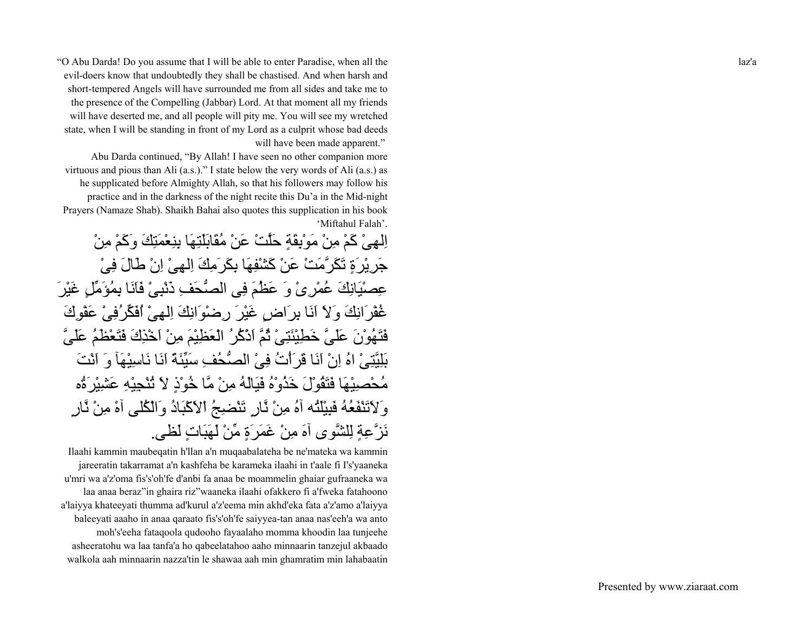"O Abu Darda! Do you assume that I will be able to enter Paradise, when all the evil-doers know that undoubtedly they shall be chastised. And when harsh and short-tempered Angels will have surrounded me from all sides and take me to the presence of the Compelling (Jabbar) Lord. At that moment all my friends will have deserted me, and all people will pity me. You will see my wretched state, when I will be standing in front of my Lord as a culprit whose bad deeds will have been made apparent."

Abu Darda continued, "By Allah! I have seen no other companion more virtuous and pious than Ali (a.s.)." I state below the very words of Ali (a.s.) as he supplicated before Almighty Allah, so that his followers may follow his practice and in the darkness of the night recite this Du'a in the Mid-night Prayers (Namaze Shab). Shaikh Bahai also quotes this supplication in his book 'Miftahul Falah'.

اِلْهِيْ كَمْ مِنْ مَوْبِقَةٍ حَلَّتْ عَنْ مُقَابَلَتِهَا بِنِعْمَتِكَ وَكَمْ مِنْ جَرِيْرَةٍ تَكَرَّمَتْ عَنْ آَشْفِهَا بِكَرَمِكَ اِلهِىْ اِنْ طَالَ فِىْ عِصْيَانِكَ عُمْرِىْ وَ عَظُمَ فِى الصُّحَفِ ذَنْبِىْ فَاَنَا بِمُؤَمِّلٍ غَيْرَ غُفْرَانِكَ وَلاَ اَنَا بِرَاضٍ غَيْرَ رِضْوَانِكَ اِلهِىْ اُفَكِّرُفِىْ عَفْوِكَ فَتَهُوْنَ عَلَىَّ خَطِيْئَتِىْ ثُمَّ اَذْآُرُ الْعَظِيْمَ مِنْ اَخْذِكَ فَتَعْظَمُ عَلَىَّ بَلِيَّتِىْ اهُ اِنْ اَنَا قَرَأْتُ فِىْ الصُّحُفِ سَيِّئَةً اَنَا نَاسِيْهَآ وَ اَنْتَ مُحْصِيْهَا فَتَقُوْلَ خَذُوْهُ فَيَالَهُ مِنْ مَّا خُوْذٍ لاَ تُنْجِيْهِ عَشِيْرَةُه وَلاَتَنْفَعُهُ فَبِيْلَتُه آهُ مِنْ نَّارٍ تَنْضِجُ اْلاَآْبَادُ وَالْكُلى آهْ مِنْ نَّارٍ نَزَّعِةٍ لِلشَّوى آهَ مِنْ غَمَرَةٍ مِّنْ لَهَبَاتٍ لَظى.

Ilaahi kammin maubeqatin h'llan a'n muqaabalateha be ne'mateka wa kammin jareeratin takarramat a'n kashfeha be karameka ilaahi in t'aale fi I's'yaaneka <sup>u</sup>'mri wa a'z'oma fis's'oh'fe d'anbi fa anaa be moammelin ghaiar gufraaneka wa laa anaa beraz"in ghaira riz"waaneka ilaahi ofakkero fi a'fweka fatahoono <sup>a</sup>'laiyya khateeyati thumma ad'kurul a'z'eema min akhd'eka fata a'z'amo a'laiyya baleeyati aaaho in anaa qaraato fis's'oh'fe saiyyea-tan anaa nas'eeh'a wa anto moh's'eeha fataqoola qudooho fayaalaho momma khoodin laa tunjeehe asheeratohu wa laa tanfa'a ho qabeelatahoo aaho minnaarin tanzejul akbaado walkola aah minnaarin nazza'tin le shawaa aah min ghamratim min lahabaatin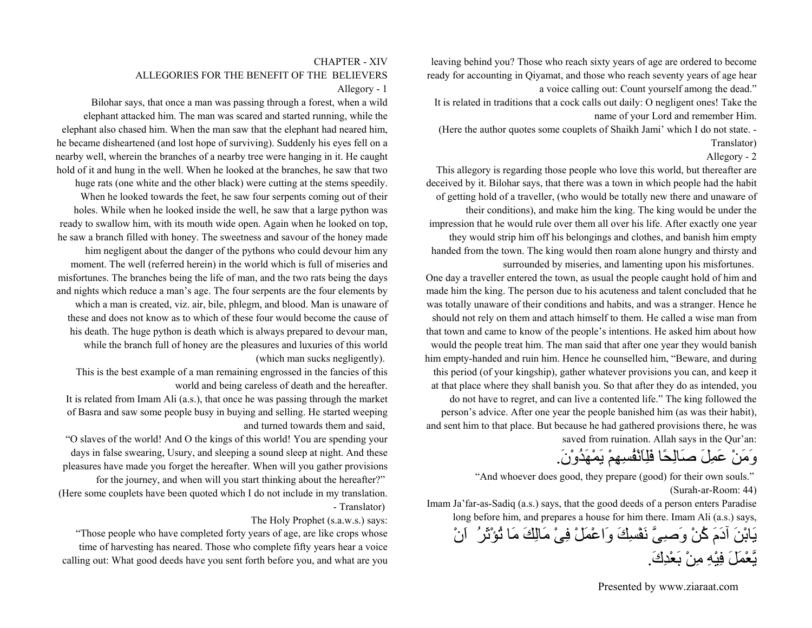leaving behind you? Those who reach sixty years of age are ordered to become ready for accounting in Qiyamat, and those who reach seventy years of age hear a voice calling out: Count yourself among the dead."

It is related in traditions that a cock calls out daily: O negligent ones! Take the name of your Lord and remember Him.

#### Allegory - 2

This allegory is regarding those people who love this world, but thereafter are deceived by it. Bilohar says, that there was a town in which people had the habit of getting hold of a traveller, (who would be totally new there and unaware of their conditions), and make him the king. The king would be under the impression that he would rule over them all over his life. After exactly one year they would strip him off his belongings and clothes, and banish him empty handed from the town. The king would then roam alone hungry and thirsty and

One day a traveller entered the town, as usual the people caught hold of him and made him the king. The person due to his acuteness and talent concluded that he was totally unaware of their conditions and habits, and was a stranger. Hence he that town and came to know of the people's intentions. He asked him about how him empty-handed and ruin him. Hence he counselled him, "Beware, and during and sent him to that place. But because he had gathered provisions there, he was

# وَمَنْ عَمِلَ صَالِحًا فَلِاَنْفُسِهِمْ يَمْهَدُوْن.َ

"And whoever does good, they prepare (good) for their own souls." (Surah-ar-Room: 44)

Imam Ja'far-as-Sadiq (a.s.) says, that the good deeds of a person enters Paradise long before him, and prepares a house for him there. Imam Ali (a.s.) says, يَابْنَ آدَمَ آُنْ وَصِىَّ نَفْسِكَ وَاعْمَلْ فِىْ مَالِكَ مَا تُؤْثَرُ اَنْ يَّعْمَلَ فِيْهِ مِنْ بَعْدِك.َ

(Here the author quotes some couplets of Shaikh Jami' which I do not state. - Translator)

surrounded by miseries, and lamenting upon his misfortunes.

should not rely on them and attach himself to them. He called a wise man from would the people treat him. The man said that after one year they would banish this period (of your kingship), gather whatever provisions you can, and keep it at that place where they shall banish you. So that after they do as intended, you do not have to regret, and can live a contented life." The king followed the person's advice. After one year the people banished him (as was their habit), saved from ruination. Allah says in the Qur'an:

#### CHAPTER - XIVALLEGORIES FOR THE BENEFIT OF THE BELIEVERSAllegory - 1

Bilohar says, that once a man was passing through a forest, when a wild elephant attacked him. The man was scared and started running, while the elephant also chased him. When the man saw that the elephant had neared him, he became disheartened (and lost hope of surviving). Suddenly his eyes fell on a nearby well, wherein the branches of a nearby tree were hanging in it. He caught hold of it and hung in the well. When he looked at the branches, he saw that two huge rats (one white and the other black) were cutting at the stems speedily. When he looked towards the feet, he saw four serpents coming out of their holes. While when he looked inside the well, he saw that a large python was ready to swallow him, with its mouth wide open. Again when he looked on top, he saw a branch filled with honey. The sweetness and savour of the honey made him negligent about the danger of the pythons who could devour him any moment. The well (referred herein) in the world which is full of miseries and misfortunes. The branches being the life of man, and the two rats being the days and nights which reduce a man's age. The four serpents are the four elements by which a man is created, viz. air, bile, phlegm, and blood. Man is unaware of these and does not know as to which of these four would become the cause of his death. The huge python is death which is always prepared to devour man, while the branch full of honey are the pleasures and luxuries of this world

(which man sucks negligently).

This is the best example of a man remaining engrossed in the fancies of this world and being careless of death and the hereafter.

It is related from Imam Ali (a.s.), that once he was passing through the market of Basra and saw some people busy in buying and selling. He started weeping and turned towards them and said,

"O slaves of the world! And O the kings of this world! You are spending your days in false swearing, Usury, and sleeping a sound sleep at night. And these pleasures have made you forget the hereafter. When will you gather provisions for the journey, and when will you start thinking about the hereafter?" (Here some couplets have been quoted which I do not include in my translation. - Translator)

#### The Holy Prophet (s.a.w.s.) says:

"Those people who have completed forty years of age, are like crops whose time of harvesting has neared. Those who complete fifty years hear a voice calling out: What good deeds have you sent forth before you, and what are you

Presented by www.ziaraat.com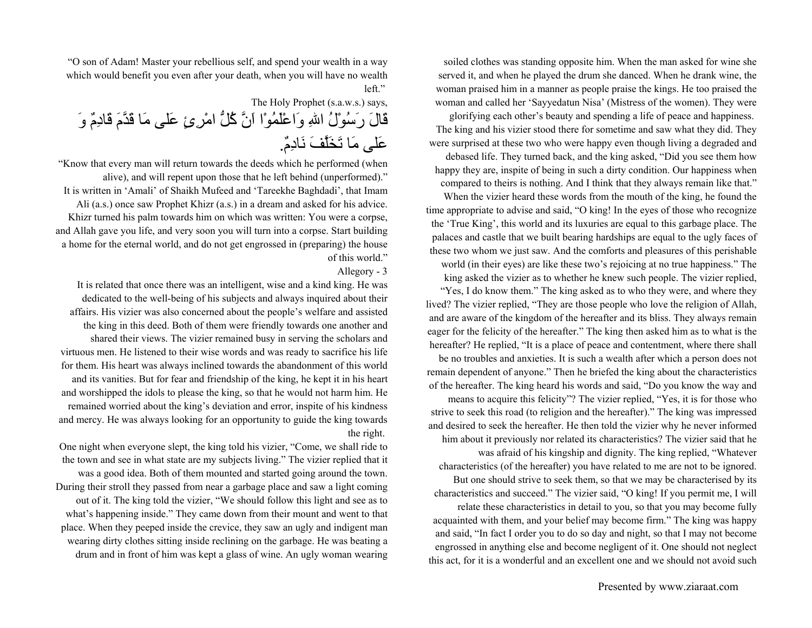soiled clothes was standing opposite him. When the man asked for wine she served it, and when he played the drum she danced. When he drank wine, the woman praised him in a manner as people praise the kings. He too praised the woman and called her 'Sayyedatun Nisa' (Mistress of the women). They were

glorifying each other's beauty and spending a life of peace and happiness. The king and his vizier stood there for sometime and saw what they did. They were surprised at these two who were happy even though living a degraded and debased life. They turned back, and the king asked, "Did you see them how happy they are, inspite of being in such a dirty condition. Our happiness when

compared to theirs is nothing. And I think that they always remain like that." When the vizier heard these words from the mouth of the king, he found the

time appropriate to advise and said, "O king! In the eyes of those who recognize the 'True King', this world and its luxuries are equal to this garbage place. The palaces and castle that we built bearing hardships are equal to the ugly faces of these two whom we just saw. And the comforts and pleasures of this perishable world (in their eyes) are like these two's rejoicing at no true happiness." The king asked the vizier as to whether he knew such people. The vizier replied,

"Yes, I do know them." The king asked as to who they were, and where they lived? The vizier replied, "They are those people who love the religion of Allah, and are aware of the kingdom of the hereafter and its bliss. They always remain eager for the felicity of the hereafter." The king then asked him as to what is the hereafter? He replied, "It is a place of peace and contentment, where there shall be no troubles and anxieties. It is such a wealth after which a person does not remain dependent of anyone." Then he briefed the king about the characteristics of the hereafter. The king heard his words and said, "Do you know the way and means to acquire this felicity"? The vizier replied, "Yes, it is for those who strive to seek this road (to religion and the hereafter)." The king was impressed and desired to seek the hereafter. He then told the vizier why he never informed him about it previously nor related its characteristics? The vizier said that he was afraid of his kingship and dignity. The king replied, "Whatever characteristics (of the hereafter) you have related to me are not to be ignored. But one should strive to seek them, so that we may be characterised by its characteristics and succeed." The vizier said, "O king! If you permit me, I will relate these characteristics in detail to you, so that you may become fully acquainted with them, and your belief may become firm." The king was happy and said, "In fact I order you to do so day and night, so that I may not become engrossed in anything else and become negligent of it. One should not neglect this act, for it is a wonderful and an excellent one and we should not avoid such

"O son of Adam! Master your rebellious self, and spend your wealth in a way which would benefit you even after your death, when you will have no wealth left."

The Holy Prophet (s.a.w.s.) says, قَالَ رَسُوْلُ االلهِ وَاعْلَمُوْا اَنَّ آُلُّ امْرِئٍ عَلى مَا قَدَّمَ قَادِمٌ وَ عَلى مَا تَخَلَّفَ نَادِم.ٌ

"Know that every man will return towards the deeds which he performed (when alive), and will repent upon those that he left behind (unperformed)." It is written in 'Amali' of Shaikh Mufeed and 'Tareekhe Baghdadi', that Imam Ali (a.s.) once saw Prophet Khizr (a.s.) in a dream and asked for his advice. Khizr turned his palm towards him on which was written: You were a corpse, and Allah gave you life, and very soon you will turn into a corpse. Start building a home for the eternal world, and do not get engrossed in (preparing) the house of this world."

#### Allegory - 3

It is related that once there was an intelligent, wise and a kind king. He was dedicated to the well-being of his subjects and always inquired about their affairs. His vizier was also concerned about the people's welfare and assisted the king in this deed. Both of them were friendly towards one another and shared their views. The vizier remained busy in serving the scholars and virtuous men. He listened to their wise words and was ready to sacrifice his life for them. His heart was always inclined towards the abandonment of this world and its vanities. But for fear and friendship of the king, he kept it in his heart and worshipped the idols to please the king, so that he would not harm him. He remained worried about the king's deviation and error, inspite of his kindness and mercy. He was always looking for an opportunity to guide the king towards the right.

One night when everyone slept, the king told his vizier, "Come, we shall ride to the town and see in what state are my subjects living." The vizier replied that it was a good idea. Both of them mounted and started going around the town. During their stroll they passed from near a garbage place and saw a light coming out of it. The king told the vizier, "We should follow this light and see as to what's happening inside." They came down from their mount and went to that place. When they peeped inside the crevice, they saw an ugly and indigent man wearing dirty clothes sitting inside reclining on the garbage. He was beating a drum and in front of him was kept a glass of wine. An ugly woman wearing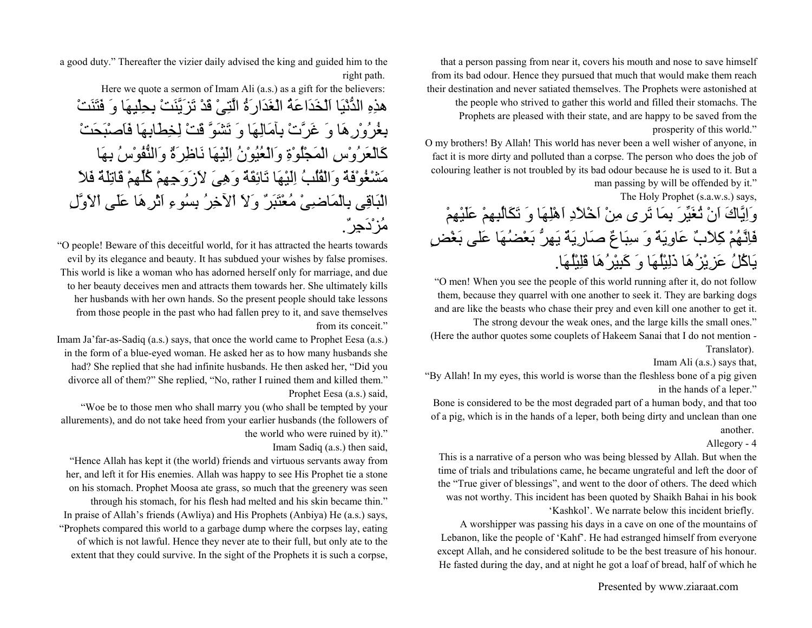that a person passing from near it, covers his mouth and nose to save himself from its bad odour. Hence they pursued that much that would make them reach their destination and never satiated themselves. The Prophets were astonished at the people who strived to gather this world and filled their stomachs. The Prophets are pleased with their state, and are happy to be saved from the prosperity of this world."

O my brothers! By Allah! This world has never been a well wisher of anyone, in fact it is more dirty and polluted than a corpse. The person who does the job of colouring leather is not troubled by its bad odour because he is used to it. But a man passing by will be offended by it."

The Holy Prophet (s.a.w.s.) says,

وَاِيَّاكَ اَنْ تُغَيِّرَ بِمَا تَرى مِنْ اَخْلاَدِ اَهْلِهَا وَ تَكَالُبِهِمْ عَلَيْهِمْ فَاِنَّهُمْ آِلاَبٌ عَاوِيَةٌ وَ سِبَاعٌ صَارِيَةٌ يَهِرُّ بَعْضُهَا عَلى بَغْضٍ يَاآُلُ عَزِيْزُهَا ذَلِيْلُهَا وَ آَبِيْرُهَا قَلِيْلُهَا.

"O men! When you see the people of this world running after it, do not follow them, because they quarrel with one another to seek it. They are barking dogs and are like the beasts who chase their prey and even kill one another to get it. The strong devour the weak ones, and the large kills the small ones."

(Here the author quotes some couplets of Hakeem Sanai that I do not mention - Translator).

Imam Ali (a.s.) says that,

"By Allah! In my eyes, this world is worse than the fleshless bone of a pig given in the hands of a leper."

Bone is considered to be the most degraded part of a human body, and that too of a pig, which is in the hands of a leper, both being dirty and unclean than one another.

Allegory - 4

This is a narrative of a person who was being blessed by Allah. But when the time of trials and tribulations came, he became ungrateful and left the door of the "True giver of blessings", and went to the door of others. The deed which was not worthy. This incident has been quoted by Shaikh Bahai in his book

'Kashkol'. We narrate below this incident briefly.

A worshipper was passing his days in a cave on one of the mountains of Lebanon, like the people of 'Kahf'. He had estranged himself from everyone except Allah, and he considered solitude to be the best treasure of his honour. He fasted during the day, and at night he got a loaf of bread, half of which he

a good duty." Thereafter the vizier daily advised the king and guided him to the right path.

Here we quote a sermon of Imam Ali (a.s.) as a gift for the believers:

هذِهِ الدُّنْيَا اَلْخَدَاعَةُ الْغَدَارَةُ الَّتِىْ قَدْ تَزَيَّنَتْ بِحِلْيِهَا وَ فَتَنَتْ بِغُرُوْرِهَا وَ غَرَّتْ بِآمَالِهَا وَ تَشَوَّ قَتْ لِخِطَابِهَا فَاَصْبَحَتْ آَالْعَرُوْسِ الْمَجْلُوْةِ وَالْعُيُوْنُ اِلَيْهَا نَاظِرَةٌ وَالنُّفُوْسُ بِهَا مَشْغُوْفَةٌ وَالْقُلُبُ اِلَيْهَا تَائِقَةٌ وَهِىَ لاَزَوَجِهِمْ آُلِّهِمْ قَاتِلَةٌ فَلاَ الْبَاقِى بِالْمَاضِىْ مُعْتَبَرٌ وَلاَ اْلآخِرُ بِسُوءِ اَثْرِهَا عَلَى اْلاَوَّلِ مُزْدَجِر.ٌ

"O people! Beware of this deceitful world, for it has attracted the hearts towards evil by its elegance and beauty. It has subdued your wishes by false promises. This world is like a woman who has adorned herself only for marriage, and due to her beauty deceives men and attracts them towards her. She ultimately kills her husbands with her own hands. So the present people should take lessons from those people in the past who had fallen prey to it, and save themselves from its conceit."

Imam Ja'far-as-Sadiq (a.s.) says, that once the world came to Prophet Eesa (a.s.) in the form of a blue-eyed woman. He asked her as to how many husbands she had? She replied that she had infinite husbands. He then asked her, "Did you divorce all of them?" She replied, "No, rather I ruined them and killed them." Prophet Eesa (a.s.) said,

"Woe be to those men who shall marry you (who shall be tempted by your allurements), and do not take heed from your earlier husbands (the followers of the world who were ruined by it)."

Imam Sadiq (a.s.) then said,

"Hence Allah has kept it (the world) friends and virtuous servants away from her, and left it for His enemies. Allah was happy to see His Prophet tie a stone on his stomach. Prophet Moosa ate grass, so much that the greenery was seen through his stomach, for his flesh had melted and his skin became thin." In praise of Allah's friends (Awliya) and His Prophets (Anbiya) He (a.s.) says, "Prophets compared this world to a garbage dump where the corpses lay, eating of which is not lawful. Hence they never ate to their full, but only ate to the extent that they could survive. In the sight of the Prophets it is such a corpse,

Presented by www.ziaraat.com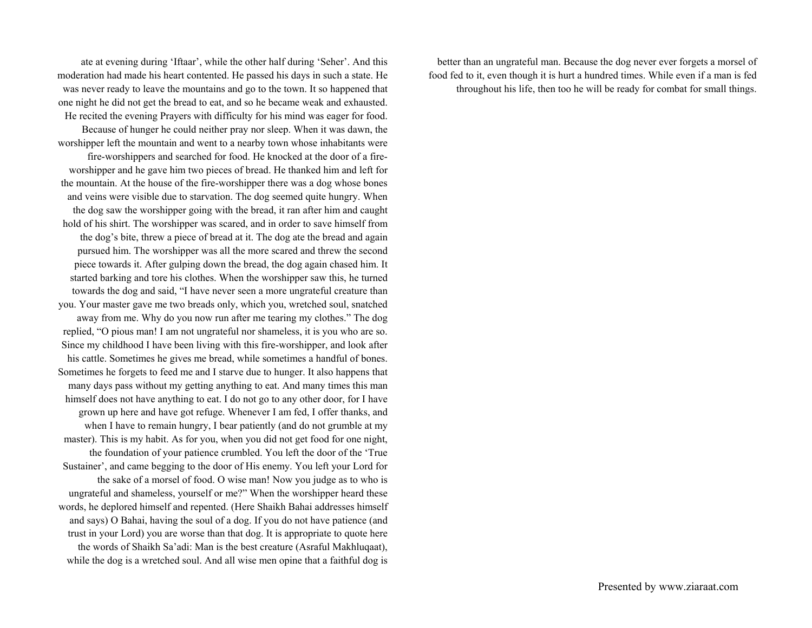ate at evening during 'Iftaar', while the other half during 'Seher'. And this moderation had made his heart contented. He passed his days in such a state. He was never ready to leave the mountains and go to the town. It so happened that one night he did not get the bread to eat, and so he became weak and exhausted. He recited the evening Prayers with difficulty for his mind was eager for food. Because of hunger he could neither pray nor sleep. When it was dawn, the worshipper left the mountain and went to a nearby town whose inhabitants were fire-worshippers and searched for food. He knocked at the door of a fireworshipper and he gave him two pieces of bread. He thanked him and left for the mountain. At the house of the fire-worshipper there was a dog whose bones and veins were visible due to starvation. The dog seemed quite hungry. When the dog saw the worshipper going with the bread, it ran after him and caught hold of his shirt. The worshipper was scared, and in order to save himself from the dog's bite, threw a piece of bread at it. The dog ate the bread and again pursued him. The worshipper was all the more scared and threw the second piece towards it. After gulping down the bread, the dog again chased him. It started barking and tore his clothes. When the worshipper saw this, he turned towards the dog and said, "I have never seen a more ungrateful creature than you. Your master gave me two breads only, which you, wretched soul, snatched away from me. Why do you now run after me tearing my clothes." The dog replied, "O pious man! I am not ungrateful nor shameless, it is you who are so. Since my childhood I have been living with this fire-worshipper, and look after his cattle. Sometimes he gives me bread, while sometimes a handful of bones. Sometimes he forgets to feed me and I starve due to hunger. It also happens that many days pass without my getting anything to eat. And many times this man himself does not have anything to eat. I do not go to any other door, for I have grown up here and have got refuge. Whenever I am fed, I offer thanks, and when I have to remain hungry, I bear patiently (and do not grumble at my master). This is my habit. As for you, when you did not get food for one night, the foundation of your patience crumbled. You left the door of the 'True Sustainer', and came begging to the door of His enemy. You left your Lord for the sake of a morsel of food. O wise man! Now you judge as to who is ungrateful and shameless, yourself or me?" When the worshipper heard these words, he deplored himself and repented. (Here Shaikh Bahai addresses himself and says) O Bahai, having the soul of a dog. If you do not have patience (and trust in your Lord) you are worse than that dog. It is appropriate to quote here the words of Shaikh Sa'adi: Man is the best creature (Asraful Makhluqaat), while the dog is a wretched soul. And all wise men opine that a faithful dog is

better than an ungrateful man. Because the dog never ever forgets a morsel of food fed to it, even though it is hurt a hundred times. While even if a man is fed throughout his life, then too he will be ready for combat for small things.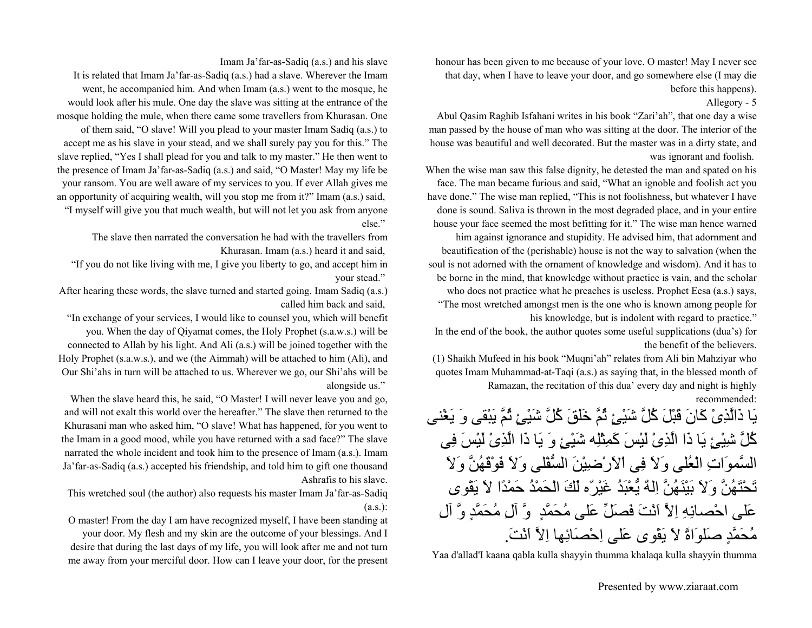honour has been given to me because of your love. O master! May I never see that day, when I have to leave your door, and go somewhere else (I may die before this happens).

Allegory - 5

Abul Qasim Raghib Isfahani writes in his book "Zari'ah", that one day a wise man passed by the house of man who was sitting at the door. The interior of the house was beautiful and well decorated. But the master was in a dirty state, and was ignorant and foolish.

When the wise man saw this false dignity, he detested the man and spated on his face. The man became furious and said, "What an ignoble and foolish act you have done." The wise man replied, "This is not foolishness, but whatever I have done is sound. Saliva is thrown in the most degraded place, and in your entire house your face seemed the most befitting for it." The wise man hence warned him against ignorance and stupidity. He advised him, that adornment and beautification of the (perishable) house is not the way to salvation (when the soul is not adorned with the ornament of knowledge and wisdom). And it has to be borne in the mind, that knowledge without practice is vain, and the scholar who does not practice what he preaches is useless. Prophet Eesa (a.s.) says, "The most wretched amongst men is the one who is known among people for his knowledge, but is indolent with regard to practice."

In the end of the book, the author quotes some useful supplications (dua's) for the benefit of the believers.

(1) Shaikh Mufeed in his book "Muqni'ah" relates from Ali bin Mahziyar who quotes Imam Muhammad-at-Taqi (a.s.) as saying that, in the blessed month of Ramazan, the recitation of this dua' every day and night is highly recommended:

يَا ذَالَّذِىْ آَانَ قَبْلَ آُلَّ شَيْئٍ ثُمَّ خَلَقَ آُلَّ شَيْئٍ ثُمَّ يَبْقى وَ يَغْنى كُلَّ شِيْئٍ يَا ذَا الَّذِىْ لَيْسَ كَمِثْلِه شَيْئٍ وَ يَا ذَا الَّذِىْ لَيْسَ فِى السَّموَاتِ الْعُلى وَلاَ فِى اْلاَرْضِيْنَ السُّفْلى وَلاَ فَوْقَهُنَّ وَلاَ تَحْتَهُنَّ وَلاَ بَيْنَهُنَّ اِلهٌ يُّعْبَدُ غَيْرٌه لَكَ الْحَمْدُ حَمْدًا لاَ يَقْوى عَلى احْصائِهِ اِلاَّ اَنْتَ فَصَلِّ عَلى مُحَمَّدٍ وَّ آلِ مُحَمَّدٍ وَّ آلِ . مُحَمَّدٍ صَلوَاةً لاَ يَقْوى عَلى اِحْصَائِها اِلاَّ اَنْتَ

Yaa d'allad'I kaana qabla kulla shayyin thumma khalaqa kulla shayyin thumma

Imam Ja'far-as-Sadiq (a.s.) and his slave

It is related that Imam Ja'far-as-Sadiq (a.s.) had a slave. Wherever the Imam went, he accompanied him. And when Imam (a.s.) went to the mosque, he would look after his mule. One day the slave was sitting at the entrance of the mosque holding the mule, when there came some travellers from Khurasan. One

of them said, "O slave! Will you plead to your master Imam Sadiq (a.s.) to accept me as his slave in your stead, and we shall surely pay you for this." The slave replied, "Yes I shall plead for you and talk to my master." He then went to the presence of Imam Ja'far-as-Sadiq (a.s.) and said, "O Master! May my life be your ransom. You are well aware of my services to you. If ever Allah gives me an opportunity of acquiring wealth, will you stop me from it?" Imam (a.s.) said, "I myself will give you that much wealth, but will not let you ask from anyone else."

> The slave then narrated the conversation he had with the travellers from Khurasan. Imam (a.s.) heard it and said,

"If you do not like living with me, I give you liberty to go, and accept him in your stead."

After hearing these words, the slave turned and started going. Imam Sadiq (a.s.) called him back and said,

"In exchange of your services, I would like to counsel you, which will benefit you. When the day of Qiyamat comes, the Holy Prophet (s.a.w.s.) will be connected to Allah by his light. And Ali (a.s.) will be joined together with the Holy Prophet (s.a.w.s.), and we (the Aimmah) will be attached to him (Ali), and Our Shi'ahs in turn will be attached to us. Wherever we go, our Shi'ahs will be alongside us."

When the slave heard this, he said, "O Master! I will never leave you and go, and will not exalt this world over the hereafter." The slave then returned to the Khurasani man who asked him, "O slave! What has happened, for you went to the Imam in a good mood, while you have returned with a sad face?" The slave narrated the whole incident and took him to the presence of Imam (a.s.). Imam Ja'far-as-Sadiq (a.s.) accepted his friendship, and told him to gift one thousand Ashrafis to his slave.

This wretched soul (the author) also requests his master Imam Ja'far-as-Sadiq  $(a.s.)$ :

O master! From the day I am have recognized myself, I have been standing at your door. My flesh and my skin are the outcome of your blessings. And I desire that during the last days of my life, you will look after me and not turn

me away from your merciful door. How can I leave your door, for the present